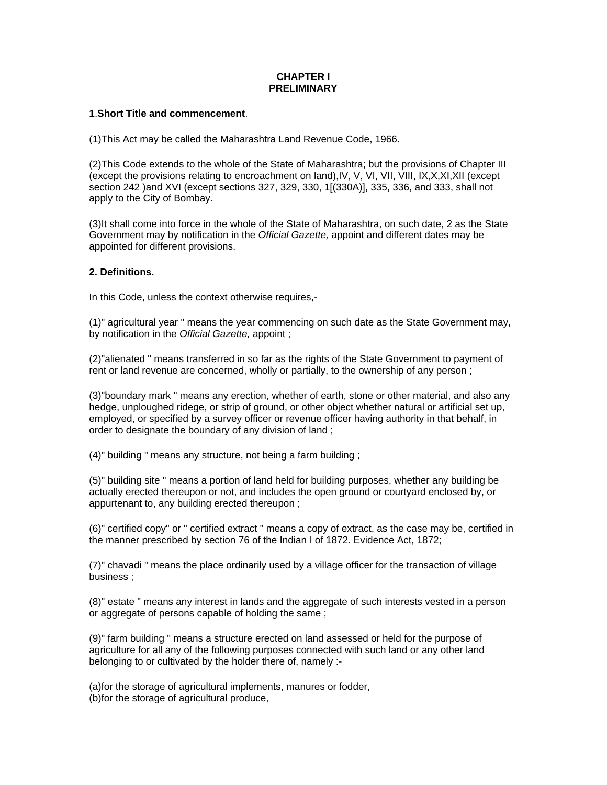# **CHAPTER I PRELIMINARY**

# **1**.**Short Title and commencement**.

(1)This Act may be called the Maharashtra Land Revenue Code, 1966.

(2)This Code extends to the whole of the State of Maharashtra; but the provisions of Chapter III (except the provisions relating to encroachment on land),IV, V, VI, VII, VIII, IX,X,XI,XII (except section 242 )and XVI (except sections 327, 329, 330, 1[(330A)], 335, 336, and 333, shall not apply to the City of Bombay.

(3)It shall come into force in the whole of the State of Maharashtra, on such date, 2 as the State Government may by notification in the *Official Gazette,* appoint and different dates may be appointed for different provisions.

# **2. Definitions.**

In this Code, unless the context otherwise requires,-

(1)" agricultural year " means the year commencing on such date as the State Government may, by notification in the *Official Gazette,* appoint ;

(2)"alienated " means transferred in so far as the rights of the State Government to payment of rent or land revenue are concerned, wholly or partially, to the ownership of any person ;

(3)"boundary mark " means any erection, whether of earth, stone or other material, and also any hedge, unploughed ridege, or strip of ground, or other object whether natural or artificial set up, employed, or specified by a survey officer or revenue officer having authority in that behalf, in order to designate the boundary of any division of land ;

(4)" building " means any structure, not being a farm building ;

(5)" building site " means a portion of land held for building purposes, whether any building be actually erected thereupon or not, and includes the open ground or courtyard enclosed by, or appurtenant to, any building erected thereupon ;

(6)" certified copy" or " certified extract " means a copy of extract, as the case may be, certified in the manner prescribed by section 76 of the Indian I of 1872. Evidence Act, 1872;

(7)" chavadi " means the place ordinarily used by a village officer for the transaction of village business ;

(8)" estate " means any interest in lands and the aggregate of such interests vested in a person or aggregate of persons capable of holding the same ;

(9)" farm building " means a structure erected on land assessed or held for the purpose of agriculture for all any of the following purposes connected with such land or any other land belonging to or cultivated by the holder there of, namely :-

(a)for the storage of agricultural implements, manures or fodder, (b)for the storage of agricultural produce,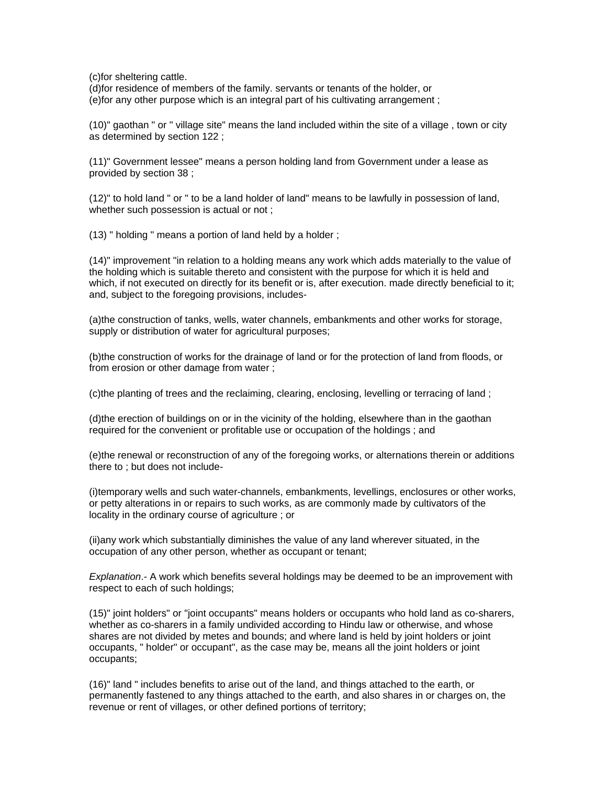(c)for sheltering cattle.

(d)for residence of members of the family. servants or tenants of the holder, or

(e)for any other purpose which is an integral part of his cultivating arrangement ;

(10)" gaothan " or " village site" means the land included within the site of a village , town or city as determined by section 122 ;

(11)" Government lessee" means a person holding land from Government under a lease as provided by section 38 ;

(12)" to hold land " or " to be a land holder of land" means to be lawfully in possession of land, whether such possession is actual or not ;

(13) " holding " means a portion of land held by a holder ;

(14)" improvement "in relation to a holding means any work which adds materially to the value of the holding which is suitable thereto and consistent with the purpose for which it is held and which, if not executed on directly for its benefit or is, after execution. made directly beneficial to it; and, subject to the foregoing provisions, includes-

(a)the construction of tanks, wells, water channels, embankments and other works for storage, supply or distribution of water for agricultural purposes;

(b)the construction of works for the drainage of land or for the protection of land from floods, or from erosion or other damage from water ;

(c)the planting of trees and the reclaiming, clearing, enclosing, levelling or terracing of land ;

(d)the erection of buildings on or in the vicinity of the holding, elsewhere than in the gaothan required for the convenient or profitable use or occupation of the holdings ; and

(e)the renewal or reconstruction of any of the foregoing works, or alternations therein or additions there to ; but does not include-

(i)temporary wells and such water-channels, embankments, levellings, enclosures or other works, or petty alterations in or repairs to such works, as are commonly made by cultivators of the locality in the ordinary course of agriculture ; or

(ii)any work which substantially diminishes the value of any land wherever situated, in the occupation of any other person, whether as occupant or tenant;

*Explanation*.- A work which benefits several holdings may be deemed to be an improvement with respect to each of such holdings;

(15)" joint holders" or "joint occupants" means holders or occupants who hold land as co-sharers, whether as co-sharers in a family undivided according to Hindu law or otherwise, and whose shares are not divided by metes and bounds; and where land is held by joint holders or joint occupants, " holder" or occupant", as the case may be, means all the joint holders or joint occupants;

(16)" land " includes benefits to arise out of the land, and things attached to the earth, or permanently fastened to any things attached to the earth, and also shares in or charges on, the revenue or rent of villages, or other defined portions of territory;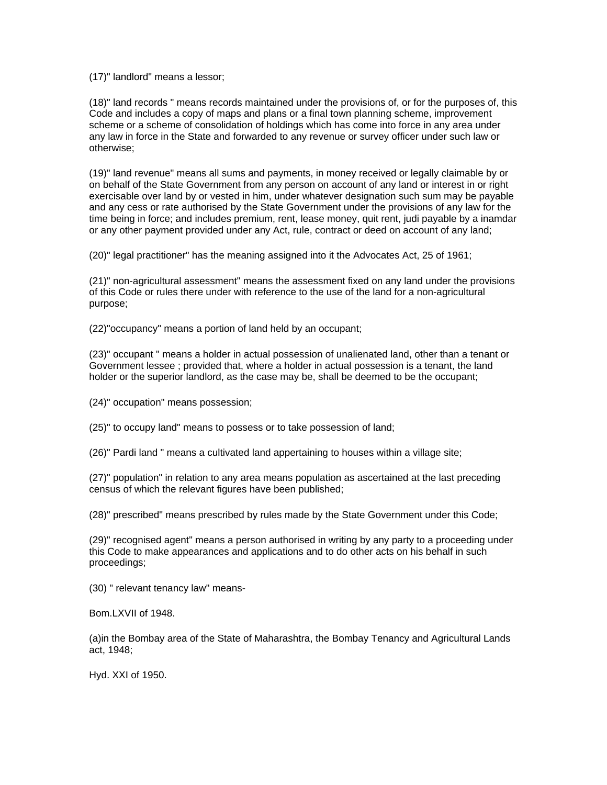(17)" landlord" means a lessor;

(18)" land records " means records maintained under the provisions of, or for the purposes of, this Code and includes a copy of maps and plans or a final town planning scheme, improvement scheme or a scheme of consolidation of holdings which has come into force in any area under any law in force in the State and forwarded to any revenue or survey officer under such law or otherwise;

(19)" land revenue" means all sums and payments, in money received or legally claimable by or on behalf of the State Government from any person on account of any land or interest in or right exercisable over land by or vested in him, under whatever designation such sum may be payable and any cess or rate authorised by the State Government under the provisions of any law for the time being in force; and includes premium, rent, lease money, quit rent, judi payable by a inamdar or any other payment provided under any Act, rule, contract or deed on account of any land;

(20)" legal practitioner" has the meaning assigned into it the Advocates Act, 25 of 1961;

(21)" non-agricultural assessment" means the assessment fixed on any land under the provisions of this Code or rules there under with reference to the use of the land for a non-agricultural purpose;

(22)"occupancy" means a portion of land held by an occupant;

(23)" occupant " means a holder in actual possession of unalienated land, other than a tenant or Government lessee ; provided that, where a holder in actual possession is a tenant, the land holder or the superior landlord, as the case may be, shall be deemed to be the occupant;

(24)" occupation" means possession;

(25)" to occupy land" means to possess or to take possession of land;

(26)" Pardi land " means a cultivated land appertaining to houses within a village site;

(27)" population" in relation to any area means population as ascertained at the last preceding census of which the relevant figures have been published;

(28)" prescribed" means prescribed by rules made by the State Government under this Code;

(29)" recognised agent" means a person authorised in writing by any party to a proceeding under this Code to make appearances and applications and to do other acts on his behalf in such proceedings;

(30) " relevant tenancy law" means-

Bom.LXVII of 1948.

(a)in the Bombay area of the State of Maharashtra, the Bombay Tenancy and Agricultural Lands act, 1948;

Hyd. XXI of 1950.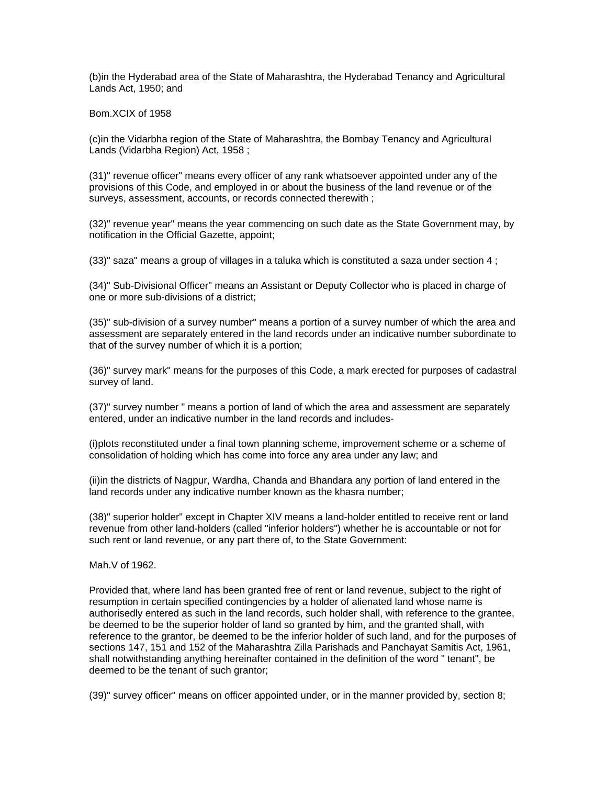(b)in the Hyderabad area of the State of Maharashtra, the Hyderabad Tenancy and Agricultural Lands Act, 1950; and

Bom.XCIX of 1958

(c)in the Vidarbha region of the State of Maharashtra, the Bombay Tenancy and Agricultural Lands (Vidarbha Region) Act, 1958 ;

(31)" revenue officer" means every officer of any rank whatsoever appointed under any of the provisions of this Code, and employed in or about the business of the land revenue or of the surveys, assessment, accounts, or records connected therewith ;

(32)" revenue year" means the year commencing on such date as the State Government may, by notification in the Official Gazette, appoint;

 $(33)$ " saza" means a group of villages in a taluka which is constituted a saza under section 4;

(34)" Sub-Divisional Officer" means an Assistant or Deputy Collector who is placed in charge of one or more sub-divisions of a district;

(35)" sub-division of a survey number" means a portion of a survey number of which the area and assessment are separately entered in the land records under an indicative number subordinate to that of the survey number of which it is a portion;

(36)" survey mark" means for the purposes of this Code, a mark erected for purposes of cadastral survey of land.

(37)" survey number " means a portion of land of which the area and assessment are separately entered, under an indicative number in the land records and includes-

(i)plots reconstituted under a final town planning scheme, improvement scheme or a scheme of consolidation of holding which has come into force any area under any law; and

(ii)in the districts of Nagpur, Wardha, Chanda and Bhandara any portion of land entered in the land records under any indicative number known as the khasra number;

(38)" superior holder" except in Chapter XIV means a land-holder entitled to receive rent or land revenue from other land-holders (called "inferior holders") whether he is accountable or not for such rent or land revenue, or any part there of, to the State Government:

Mah.V of 1962.

Provided that, where land has been granted free of rent or land revenue, subject to the right of resumption in certain specified contingencies by a holder of alienated land whose name is authorisedly entered as such in the land records, such holder shall, with reference to the grantee, be deemed to be the superior holder of land so granted by him, and the granted shall, with reference to the grantor, be deemed to be the inferior holder of such land, and for the purposes of sections 147, 151 and 152 of the Maharashtra Zilla Parishads and Panchayat Samitis Act, 1961, shall notwithstanding anything hereinafter contained in the definition of the word " tenant", be deemed to be the tenant of such grantor;

(39)" survey officer" means on officer appointed under, or in the manner provided by, section 8;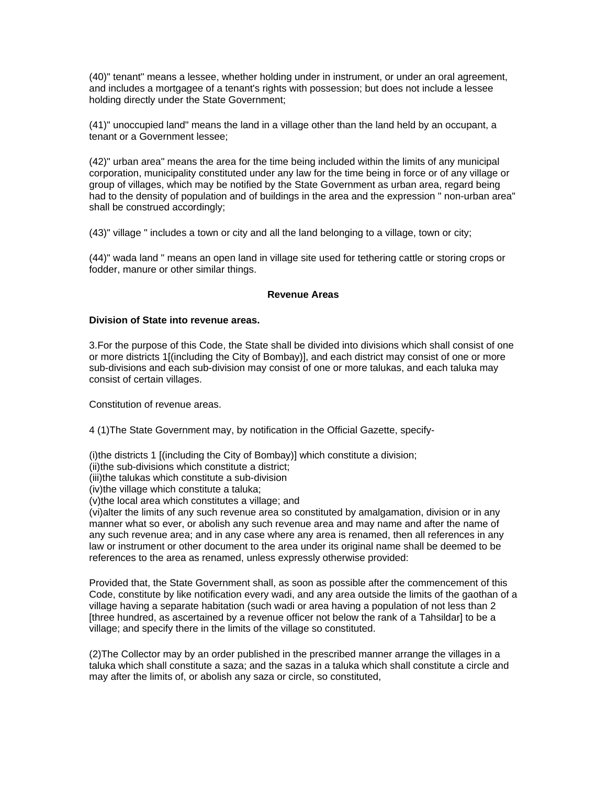(40)" tenant" means a lessee, whether holding under in instrument, or under an oral agreement, and includes a mortgagee of a tenant's rights with possession; but does not include a lessee holding directly under the State Government;

(41)" unoccupied land" means the land in a village other than the land held by an occupant, a tenant or a Government lessee;

(42)" urban area" means the area for the time being included within the limits of any municipal corporation, municipality constituted under any law for the time being in force or of any village or group of villages, which may be notified by the State Government as urban area, regard being had to the density of population and of buildings in the area and the expression " non-urban area" shall be construed accordingly;

(43)" village " includes a town or city and all the land belonging to a village, town or city;

(44)" wada land " means an open land in village site used for tethering cattle or storing crops or fodder, manure or other similar things.

### **Revenue Areas**

### **Division of State into revenue areas.**

3.For the purpose of this Code, the State shall be divided into divisions which shall consist of one or more districts 1[(including the City of Bombay)], and each district may consist of one or more sub-divisions and each sub-division may consist of one or more talukas, and each taluka may consist of certain villages.

Constitution of revenue areas.

4 (1)The State Government may, by notification in the Official Gazette, specify-

(i)the districts 1 [(including the City of Bombay)] which constitute a division;

(ii)the sub-divisions which constitute a district;

(iii)the talukas which constitute a sub-division

(iv)the village which constitute a taluka;

(v)the local area which constitutes a village; and

(vi)alter the limits of any such revenue area so constituted by amalgamation, division or in any manner what so ever, or abolish any such revenue area and may name and after the name of any such revenue area; and in any case where any area is renamed, then all references in any law or instrument or other document to the area under its original name shall be deemed to be references to the area as renamed, unless expressly otherwise provided:

Provided that, the State Government shall, as soon as possible after the commencement of this Code, constitute by like notification every wadi, and any area outside the limits of the gaothan of a village having a separate habitation (such wadi or area having a population of not less than 2 [three hundred, as ascertained by a revenue officer not below the rank of a Tahsildar] to be a village; and specify there in the limits of the village so constituted.

(2)The Collector may by an order published in the prescribed manner arrange the villages in a taluka which shall constitute a saza; and the sazas in a taluka which shall constitute a circle and may after the limits of, or abolish any saza or circle, so constituted,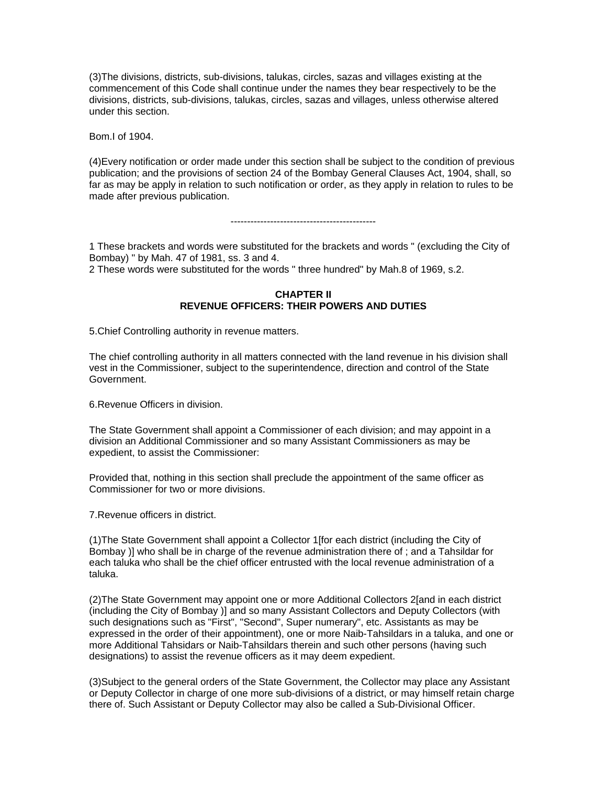(3)The divisions, districts, sub-divisions, talukas, circles, sazas and villages existing at the commencement of this Code shall continue under the names they bear respectively to be the divisions, districts, sub-divisions, talukas, circles, sazas and villages, unless otherwise altered under this section.

Bom.I of 1904.

(4)Every notification or order made under this section shall be subject to the condition of previous publication; and the provisions of section 24 of the Bombay General Clauses Act, 1904, shall, so far as may be apply in relation to such notification or order, as they apply in relation to rules to be made after previous publication.

#### --------------------------------------------

1 These brackets and words were substituted for the brackets and words " (excluding the City of Bombay) " by Mah. 47 of 1981, ss. 3 and 4.

2 These words were substituted for the words " three hundred" by Mah.8 of 1969, s.2.

### **CHAPTER II REVENUE OFFICERS: THEIR POWERS AND DUTIES**

5.Chief Controlling authority in revenue matters.

The chief controlling authority in all matters connected with the land revenue in his division shall vest in the Commissioner, subject to the superintendence, direction and control of the State Government.

6.Revenue Officers in division.

The State Government shall appoint a Commissioner of each division; and may appoint in a division an Additional Commissioner and so many Assistant Commissioners as may be expedient, to assist the Commissioner:

Provided that, nothing in this section shall preclude the appointment of the same officer as Commissioner for two or more divisions.

7.Revenue officers in district.

(1)The State Government shall appoint a Collector 1[for each district (including the City of Bombay )] who shall be in charge of the revenue administration there of ; and a Tahsildar for each taluka who shall be the chief officer entrusted with the local revenue administration of a taluka.

(2)The State Government may appoint one or more Additional Collectors 2[and in each district (including the City of Bombay )] and so many Assistant Collectors and Deputy Collectors (with such designations such as "First", "Second", Super numerary", etc. Assistants as may be expressed in the order of their appointment), one or more Naib-Tahsildars in a taluka, and one or more Additional Tahsidars or Naib-Tahsildars therein and such other persons (having such designations) to assist the revenue officers as it may deem expedient.

(3)Subject to the general orders of the State Government, the Collector may place any Assistant or Deputy Collector in charge of one more sub-divisions of a district, or may himself retain charge there of. Such Assistant or Deputy Collector may also be called a Sub-Divisional Officer.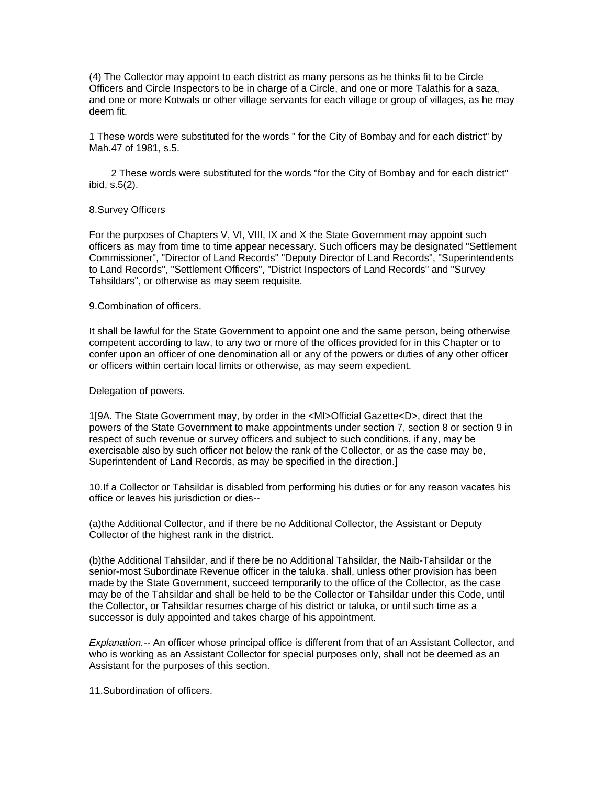(4) The Collector may appoint to each district as many persons as he thinks fit to be Circle Officers and Circle Inspectors to be in charge of a Circle, and one or more Talathis for a saza, and one or more Kotwals or other village servants for each village or group of villages, as he may deem fit.

1 These words were substituted for the words " for the City of Bombay and for each district" by Mah.47 of 1981, s.5.

 2 These words were substituted for the words "for the City of Bombay and for each district" ibid, s.5(2).

### 8.Survey Officers

For the purposes of Chapters V, VI, VIII, IX and X the State Government may appoint such officers as may from time to time appear necessary. Such officers may be designated "Settlement Commissioner", "Director of Land Records" "Deputy Director of Land Records", "Superintendents to Land Records", "Settlement Officers", "District Inspectors of Land Records" and "Survey Tahsildars", or otherwise as may seem requisite.

### 9.Combination of officers.

It shall be lawful for the State Government to appoint one and the same person, being otherwise competent according to law, to any two or more of the offices provided for in this Chapter or to confer upon an officer of one denomination all or any of the powers or duties of any other officer or officers within certain local limits or otherwise, as may seem expedient.

### Delegation of powers.

1[9A. The State Government may, by order in the <MI>Official Gazette<D>, direct that the powers of the State Government to make appointments under section 7, section 8 or section 9 in respect of such revenue or survey officers and subject to such conditions, if any, may be exercisable also by such officer not below the rank of the Collector, or as the case may be, Superintendent of Land Records, as may be specified in the direction.]

10.If a Collector or Tahsildar is disabled from performing his duties or for any reason vacates his office or leaves his jurisdiction or dies--

(a)the Additional Collector, and if there be no Additional Collector, the Assistant or Deputy Collector of the highest rank in the district.

(b)the Additional Tahsildar, and if there be no Additional Tahsildar, the Naib-Tahsildar or the senior-most Subordinate Revenue officer in the taluka. shall, unless other provision has been made by the State Government, succeed temporarily to the office of the Collector, as the case may be of the Tahsildar and shall be held to be the Collector or Tahsildar under this Code, until the Collector, or Tahsildar resumes charge of his district or taluka, or until such time as a successor is duly appointed and takes charge of his appointment.

*Explanation.--* An officer whose principal office is different from that of an Assistant Collector, and who is working as an Assistant Collector for special purposes only, shall not be deemed as an Assistant for the purposes of this section.

11.Subordination of officers.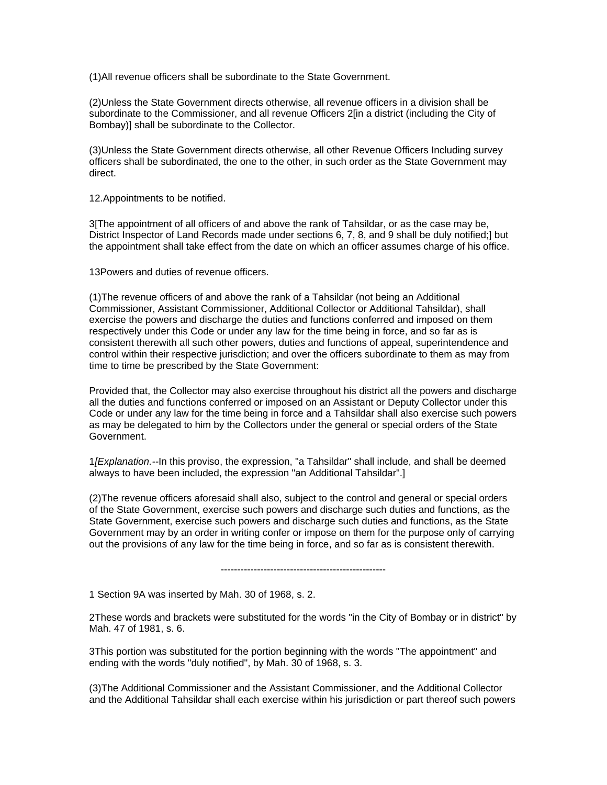(1)All revenue officers shall be subordinate to the State Government.

(2)Unless the State Government directs otherwise, all revenue officers in a division shall be subordinate to the Commissioner, and all revenue Officers 2[in a district (including the City of Bombay)] shall be subordinate to the Collector.

(3)Unless the State Government directs otherwise, all other Revenue Officers Including survey officers shall be subordinated, the one to the other, in such order as the State Government may direct.

12.Appointments to be notified.

3[The appointment of all officers of and above the rank of Tahsildar, or as the case may be, District Inspector of Land Records made under sections 6, 7, 8, and 9 shall be duly notified;] but the appointment shall take effect from the date on which an officer assumes charge of his office.

13Powers and duties of revenue officers.

(1)The revenue officers of and above the rank of a Tahsildar (not being an Additional Commissioner, Assistant Commissioner, Additional Collector or Additional Tahsildar), shall exercise the powers and discharge the duties and functions conferred and imposed on them respectively under this Code or under any law for the time being in force, and so far as is consistent therewith all such other powers, duties and functions of appeal, superintendence and control within their respective jurisdiction; and over the officers subordinate to them as may from time to time be prescribed by the State Government:

Provided that, the Collector may also exercise throughout his district all the powers and discharge all the duties and functions conferred or imposed on an Assistant or Deputy Collector under this Code or under any law for the time being in force and a Tahsildar shall also exercise such powers as may be delegated to him by the Collectors under the general or special orders of the State Government.

1*[Explanation.--*In this proviso, the expression, "a Tahsildar" shall include, and shall be deemed always to have been included, the expression "an Additional Tahsildar".]

(2)The revenue officers aforesaid shall also, subject to the control and general or special orders of the State Government, exercise such powers and discharge such duties and functions, as the State Government, exercise such powers and discharge such duties and functions, as the State Government may by an order in writing confer or impose on them for the purpose only of carrying out the provisions of any law for the time being in force, and so far as is consistent therewith.

--------------------------------------------------

1 Section 9A was inserted by Mah. 30 of 1968, s. 2.

2These words and brackets were substituted for the words "in the City of Bombay or in district" by Mah. 47 of 1981, s. 6.

3This portion was substituted for the portion beginning with the words "The appointment" and ending with the words "duly notified", by Mah. 30 of 1968, s. 3.

(3)The Additional Commissioner and the Assistant Commissioner, and the Additional Collector and the Additional Tahsildar shall each exercise within his jurisdiction or part thereof such powers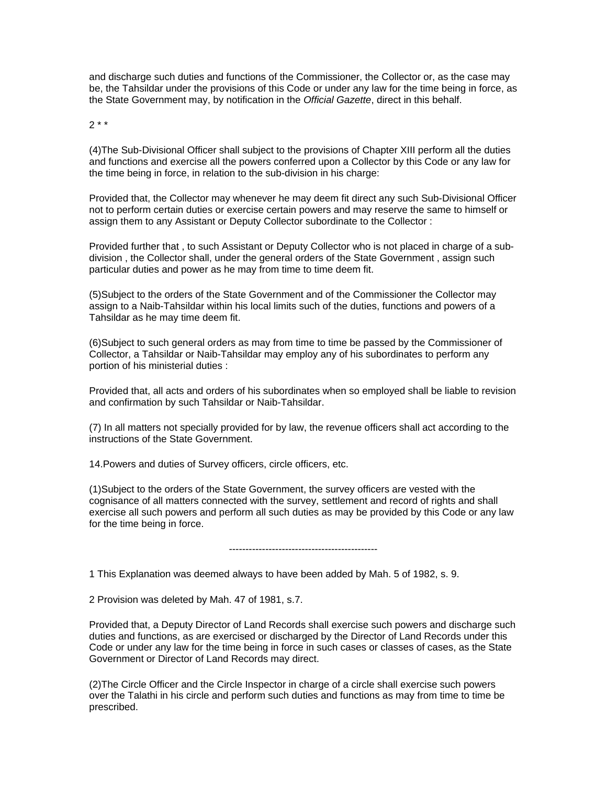and discharge such duties and functions of the Commissioner, the Collector or, as the case may be, the Tahsildar under the provisions of this Code or under any law for the time being in force, as the State Government may, by notification in the *Official Gazette*, direct in this behalf.

 $2 * *$ 

(4)The Sub-Divisional Officer shall subject to the provisions of Chapter XIII perform all the duties and functions and exercise all the powers conferred upon a Collector by this Code or any law for the time being in force, in relation to the sub-division in his charge:

Provided that, the Collector may whenever he may deem fit direct any such Sub-Divisional Officer not to perform certain duties or exercise certain powers and may reserve the same to himself or assign them to any Assistant or Deputy Collector subordinate to the Collector :

Provided further that , to such Assistant or Deputy Collector who is not placed in charge of a subdivision , the Collector shall, under the general orders of the State Government , assign such particular duties and power as he may from time to time deem fit.

(5)Subject to the orders of the State Government and of the Commissioner the Collector may assign to a Naib-Tahsildar within his local limits such of the duties, functions and powers of a Tahsildar as he may time deem fit.

(6)Subject to such general orders as may from time to time be passed by the Commissioner of Collector, a Tahsildar or Naib-Tahsildar may employ any of his subordinates to perform any portion of his ministerial duties :

Provided that, all acts and orders of his subordinates when so employed shall be liable to revision and confirmation by such Tahsildar or Naib-Tahsildar.

(7) In all matters not specially provided for by law, the revenue officers shall act according to the instructions of the State Government.

14.Powers and duties of Survey officers, circle officers, etc.

(1)Subject to the orders of the State Government, the survey officers are vested with the cognisance of all matters connected with the survey, settlement and record of rights and shall exercise all such powers and perform all such duties as may be provided by this Code or any law for the time being in force.

---------------------------------------------

1 This Explanation was deemed always to have been added by Mah. 5 of 1982, s. 9.

2 Provision was deleted by Mah. 47 of 1981, s.7.

Provided that, a Deputy Director of Land Records shall exercise such powers and discharge such duties and functions, as are exercised or discharged by the Director of Land Records under this Code or under any law for the time being in force in such cases or classes of cases, as the State Government or Director of Land Records may direct.

(2)The Circle Officer and the Circle Inspector in charge of a circle shall exercise such powers over the Talathi in his circle and perform such duties and functions as may from time to time be prescribed.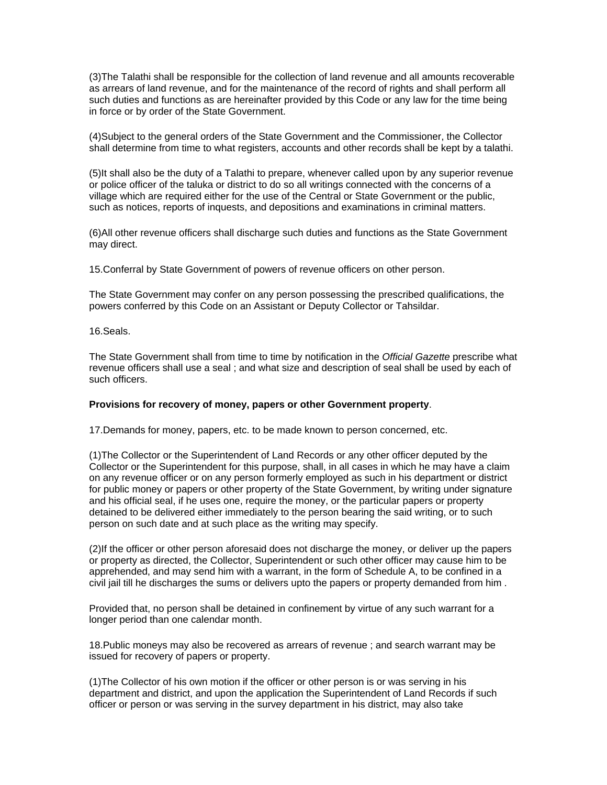(3)The Talathi shall be responsible for the collection of land revenue and all amounts recoverable as arrears of land revenue, and for the maintenance of the record of rights and shall perform all such duties and functions as are hereinafter provided by this Code or any law for the time being in force or by order of the State Government.

(4)Subject to the general orders of the State Government and the Commissioner, the Collector shall determine from time to what registers, accounts and other records shall be kept by a talathi.

(5)It shall also be the duty of a Talathi to prepare, whenever called upon by any superior revenue or police officer of the taluka or district to do so all writings connected with the concerns of a village which are required either for the use of the Central or State Government or the public, such as notices, reports of inquests, and depositions and examinations in criminal matters.

(6)All other revenue officers shall discharge such duties and functions as the State Government may direct.

15.Conferral by State Government of powers of revenue officers on other person.

The State Government may confer on any person possessing the prescribed qualifications, the powers conferred by this Code on an Assistant or Deputy Collector or Tahsildar.

16.Seals.

The State Government shall from time to time by notification in the *Official Gazette* prescribe what revenue officers shall use a seal ; and what size and description of seal shall be used by each of such officers.

### **Provisions for recovery of money, papers or other Government property**.

17.Demands for money, papers, etc. to be made known to person concerned, etc.

(1)The Collector or the Superintendent of Land Records or any other officer deputed by the Collector or the Superintendent for this purpose, shall, in all cases in which he may have a claim on any revenue officer or on any person formerly employed as such in his department or district for public money or papers or other property of the State Government, by writing under signature and his official seal, if he uses one, require the money, or the particular papers or property detained to be delivered either immediately to the person bearing the said writing, or to such person on such date and at such place as the writing may specify.

(2)If the officer or other person aforesaid does not discharge the money, or deliver up the papers or property as directed, the Collector, Superintendent or such other officer may cause him to be apprehended, and may send him with a warrant, in the form of Schedule A, to be confined in a civil jail till he discharges the sums or delivers upto the papers or property demanded from him .

Provided that, no person shall be detained in confinement by virtue of any such warrant for a longer period than one calendar month.

18.Public moneys may also be recovered as arrears of revenue ; and search warrant may be issued for recovery of papers or property.

(1)The Collector of his own motion if the officer or other person is or was serving in his department and district, and upon the application the Superintendent of Land Records if such officer or person or was serving in the survey department in his district, may also take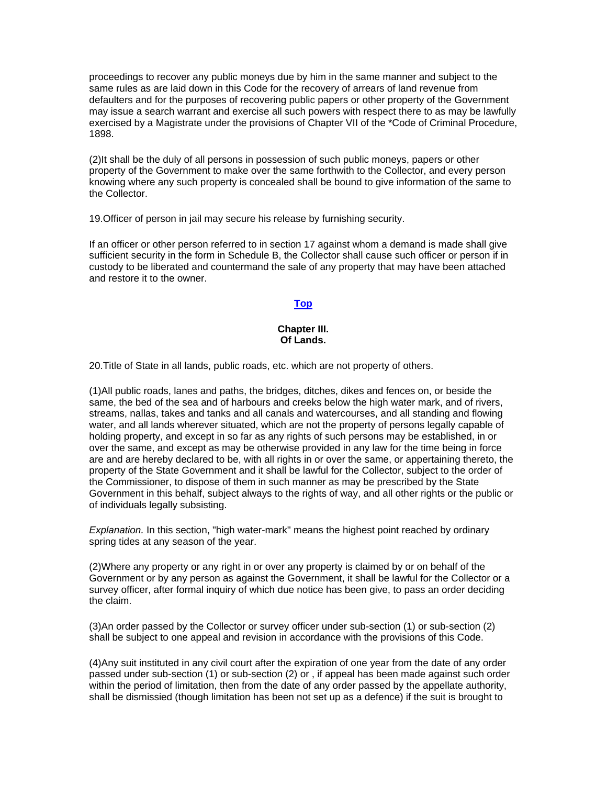proceedings to recover any public moneys due by him in the same manner and subject to the same rules as are laid down in this Code for the recovery of arrears of land revenue from defaulters and for the purposes of recovering public papers or other property of the Government may issue a search warrant and exercise all such powers with respect there to as may be lawfully exercised by a Magistrate under the provisions of Chapter VII of the \*Code of Criminal Procedure, 1898.

(2)It shall be the duly of all persons in possession of such public moneys, papers or other property of the Government to make over the same forthwith to the Collector, and every person knowing where any such property is concealed shall be bound to give information of the same to the Collector.

19.Officer of person in jail may secure his release by furnishing security.

If an officer or other person referred to in section 17 against whom a demand is made shall give sufficient security in the form in Schedule B, the Collector shall cause such officer or person if in custody to be liberated and countermand the sale of any property that may have been attached and restore it to the owner.

# **[Top](http://www.nagpuronline.com/nagpurcollectorate/laws/mlrc/revenueofficers.htm#REVENUE#REVENUE)**

### **Chapter III. Of Lands.**

20.Title of State in all lands, public roads, etc. which are not property of others.

(1)All public roads, lanes and paths, the bridges, ditches, dikes and fences on, or beside the same, the bed of the sea and of harbours and creeks below the high water mark, and of rivers, streams, nallas, takes and tanks and all canals and watercourses, and all standing and flowing water, and all lands wherever situated, which are not the property of persons legally capable of holding property, and except in so far as any rights of such persons may be established, in or over the same, and except as may be otherwise provided in any law for the time being in force are and are hereby declared to be, with all rights in or over the same, or appertaining thereto, the property of the State Government and it shall be lawful for the Collector, subject to the order of the Commissioner, to dispose of them in such manner as may be prescribed by the State Government in this behalf, subject always to the rights of way, and all other rights or the public or of individuals legally subsisting.

*Explanation.* In this section, "high water-mark'' means the highest point reached by ordinary spring tides at any season of the year.

(2)Where any property or any right in or over any property is claimed by or on behalf of the Government or by any person as against the Government, it shall be lawful for the Collector or a survey officer, after formal inquiry of which due notice has been give, to pass an order deciding the claim.

(3)An order passed by the Collector or survey officer under sub-section (1) or sub-section (2) shall be subject to one appeal and revision in accordance with the provisions of this Code.

(4)Any suit instituted in any civil court after the expiration of one year from the date of any order passed under sub-section (1) or sub-section (2) or , if appeal has been made against such order within the period of limitation, then from the date of any order passed by the appellate authority, shall be dismissied (though limitation has been not set up as a defence) if the suit is brought to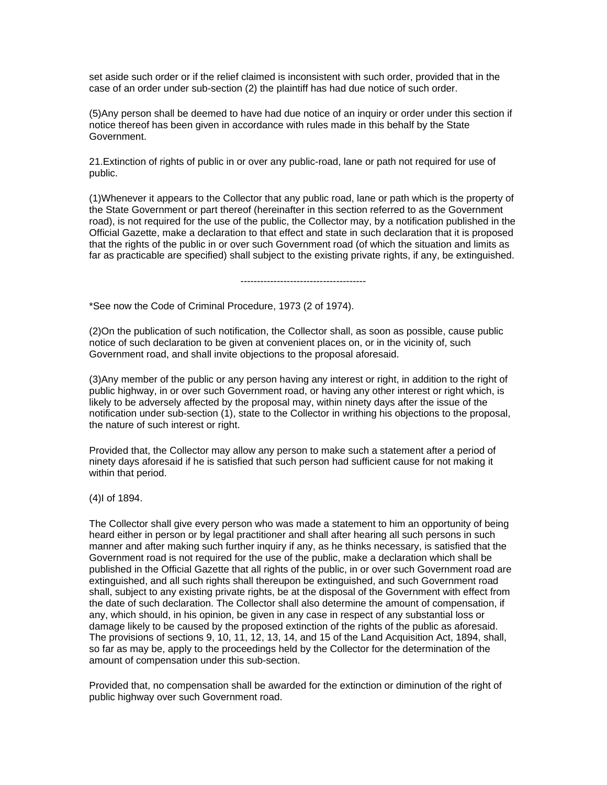set aside such order or if the relief claimed is inconsistent with such order, provided that in the case of an order under sub-section (2) the plaintiff has had due notice of such order.

(5)Any person shall be deemed to have had due notice of an inquiry or order under this section if notice thereof has been given in accordance with rules made in this behalf by the State Government.

21.Extinction of rights of public in or over any public-road, lane or path not required for use of public.

(1)Whenever it appears to the Collector that any public road, lane or path which is the property of the State Government or part thereof (hereinafter in this section referred to as the Government road), is not required for the use of the public, the Collector may, by a notification published in the Official Gazette, make a declaration to that effect and state in such declaration that it is proposed that the rights of the public in or over such Government road (of which the situation and limits as far as practicable are specified) shall subject to the existing private rights, if any, be extinguished.

--------------------------------------

\*See now the Code of Criminal Procedure, 1973 (2 of 1974).

(2)On the publication of such notification, the Collector shall, as soon as possible, cause public notice of such declaration to be given at convenient places on, or in the vicinity of, such Government road, and shall invite objections to the proposal aforesaid.

(3)Any member of the public or any person having any interest or right, in addition to the right of public highway, in or over such Government road, or having any other interest or right which, is likely to be adversely affected by the proposal may, within ninety days after the issue of the notification under sub-section (1), state to the Collector in writhing his objections to the proposal, the nature of such interest or right.

Provided that, the Collector may allow any person to make such a statement after a period of ninety days aforesaid if he is satisfied that such person had sufficient cause for not making it within that period.

(4)I of 1894.

The Collector shall give every person who was made a statement to him an opportunity of being heard either in person or by legal practitioner and shall after hearing all such persons in such manner and after making such further inquiry if any, as he thinks necessary, is satisfied that the Government road is not required for the use of the public, make a declaration which shall be published in the Official Gazette that all rights of the public, in or over such Government road are extinguished, and all such rights shall thereupon be extinguished, and such Government road shall, subject to any existing private rights, be at the disposal of the Government with effect from the date of such declaration. The Collector shall also determine the amount of compensation, if any, which should, in his opinion, be given in any case in respect of any substantial loss or damage likely to be caused by the proposed extinction of the rights of the public as aforesaid. The provisions of sections 9, 10, 11, 12, 13, 14, and 15 of the Land Acquisition Act, 1894, shall, so far as may be, apply to the proceedings held by the Collector for the determination of the amount of compensation under this sub-section.

Provided that, no compensation shall be awarded for the extinction or diminution of the right of public highway over such Government road.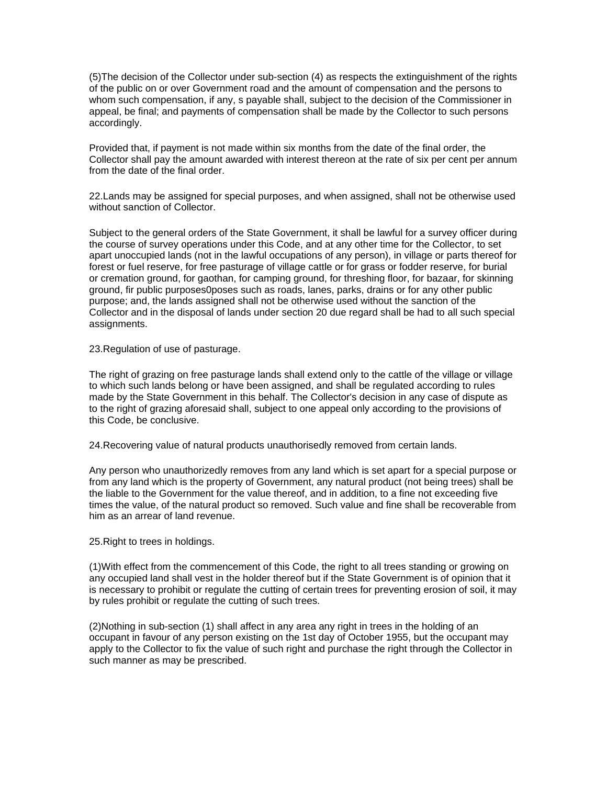(5)The decision of the Collector under sub-section (4) as respects the extinguishment of the rights of the public on or over Government road and the amount of compensation and the persons to whom such compensation, if any, s payable shall, subject to the decision of the Commissioner in appeal, be final; and payments of compensation shall be made by the Collector to such persons accordingly.

Provided that, if payment is not made within six months from the date of the final order, the Collector shall pay the amount awarded with interest thereon at the rate of six per cent per annum from the date of the final order.

22.Lands may be assigned for special purposes, and when assigned, shall not be otherwise used without sanction of Collector.

Subject to the general orders of the State Government, it shall be lawful for a survey officer during the course of survey operations under this Code, and at any other time for the Collector, to set apart unoccupied lands (not in the lawful occupations of any person), in village or parts thereof for forest or fuel reserve, for free pasturage of village cattle or for grass or fodder reserve, for burial or cremation ground, for gaothan, for camping ground, for threshing floor, for bazaar, for skinning ground, fir public purposes0poses such as roads, lanes, parks, drains or for any other public purpose; and, the lands assigned shall not be otherwise used without the sanction of the Collector and in the disposal of lands under section 20 due regard shall be had to all such special assignments.

23.Regulation of use of pasturage.

The right of grazing on free pasturage lands shall extend only to the cattle of the village or village to which such lands belong or have been assigned, and shall be regulated according to rules made by the State Government in this behalf. The Collector's decision in any case of dispute as to the right of grazing aforesaid shall, subject to one appeal only according to the provisions of this Code, be conclusive.

24.Recovering value of natural products unauthorisedly removed from certain lands.

Any person who unauthorizedly removes from any land which is set apart for a special purpose or from any land which is the property of Government, any natural product (not being trees) shall be the liable to the Government for the value thereof, and in addition, to a fine not exceeding five times the value, of the natural product so removed. Such value and fine shall be recoverable from him as an arrear of land revenue.

25.Right to trees in holdings.

(1)With effect from the commencement of this Code, the right to all trees standing or growing on any occupied land shall vest in the holder thereof but if the State Government is of opinion that it is necessary to prohibit or regulate the cutting of certain trees for preventing erosion of soil, it may by rules prohibit or regulate the cutting of such trees.

(2)Nothing in sub-section (1) shall affect in any area any right in trees in the holding of an occupant in favour of any person existing on the 1st day of October 1955, but the occupant may apply to the Collector to fix the value of such right and purchase the right through the Collector in such manner as may be prescribed.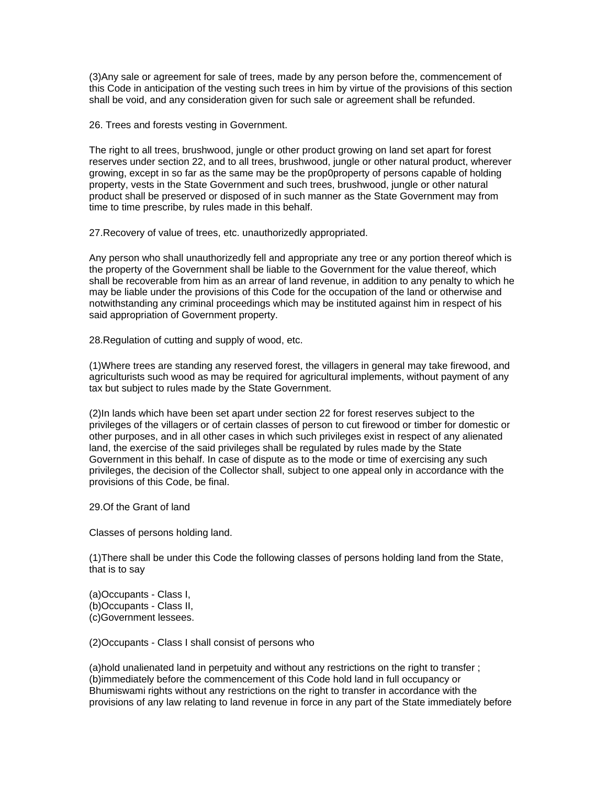(3)Any sale or agreement for sale of trees, made by any person before the, commencement of this Code in anticipation of the vesting such trees in him by virtue of the provisions of this section shall be void, and any consideration given for such sale or agreement shall be refunded.

26. Trees and forests vesting in Government.

The right to all trees, brushwood, jungle or other product growing on land set apart for forest reserves under section 22, and to all trees, brushwood, jungle or other natural product, wherever growing, except in so far as the same may be the prop0property of persons capable of holding property, vests in the State Government and such trees, brushwood, jungle or other natural product shall be preserved or disposed of in such manner as the State Government may from time to time prescribe, by rules made in this behalf.

27.Recovery of value of trees, etc. unauthorizedly appropriated.

Any person who shall unauthorizedly fell and appropriate any tree or any portion thereof which is the property of the Government shall be liable to the Government for the value thereof, which shall be recoverable from him as an arrear of land revenue, in addition to any penalty to which he may be liable under the provisions of this Code for the occupation of the land or otherwise and notwithstanding any criminal proceedings which may be instituted against him in respect of his said appropriation of Government property.

28.Regulation of cutting and supply of wood, etc.

(1)Where trees are standing any reserved forest, the villagers in general may take firewood, and agriculturists such wood as may be required for agricultural implements, without payment of any tax but subject to rules made by the State Government.

(2)In lands which have been set apart under section 22 for forest reserves subject to the privileges of the villagers or of certain classes of person to cut firewood or timber for domestic or other purposes, and in all other cases in which such privileges exist in respect of any alienated land, the exercise of the said privileges shall be regulated by rules made by the State Government in this behalf. In case of dispute as to the mode or time of exercising any such privileges, the decision of the Collector shall, subject to one appeal only in accordance with the provisions of this Code, be final.

29.Of the Grant of land

Classes of persons holding land.

(1)There shall be under this Code the following classes of persons holding land from the State, that is to say

(a)Occupants - Class I, (b)Occupants - Class II, (c)Government lessees.

(2)Occupants - Class I shall consist of persons who

(a)hold unalienated land in perpetuity and without any restrictions on the right to transfer ; (b)immediately before the commencement of this Code hold land in full occupancy or Bhumiswami rights without any restrictions on the right to transfer in accordance with the provisions of any law relating to land revenue in force in any part of the State immediately before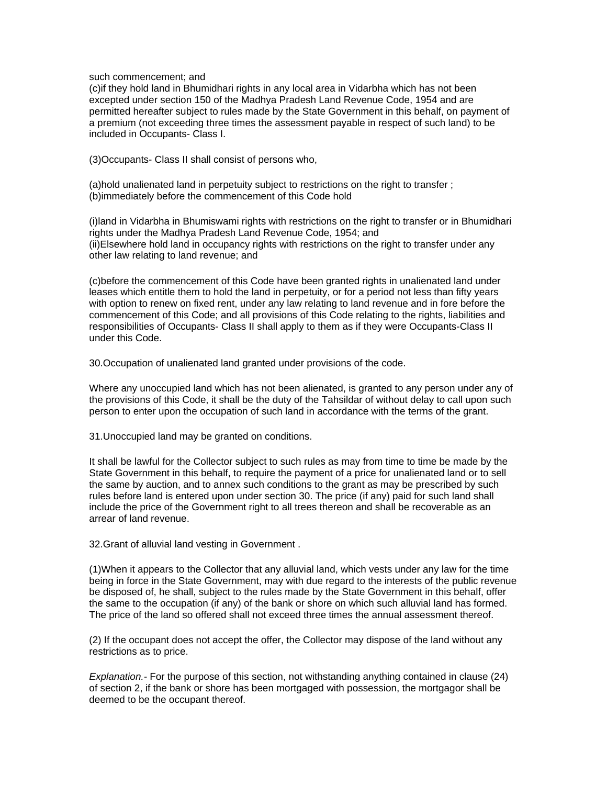such commencement; and

(c)if they hold land in Bhumidhari rights in any local area in Vidarbha which has not been excepted under section 150 of the Madhya Pradesh Land Revenue Code, 1954 and are permitted hereafter subject to rules made by the State Government in this behalf, on payment of a premium (not exceeding three times the assessment payable in respect of such land) to be included in Occupants- Class I.

(3)Occupants- Class II shall consist of persons who,

(a)hold unalienated land in perpetuity subject to restrictions on the right to transfer ; (b)immediately before the commencement of this Code hold

(i)land in Vidarbha in Bhumiswami rights with restrictions on the right to transfer or in Bhumidhari rights under the Madhya Pradesh Land Revenue Code, 1954; and (ii)Elsewhere hold land in occupancy rights with restrictions on the right to transfer under any other law relating to land revenue; and

(c)before the commencement of this Code have been granted rights in unalienated land under leases which entitle them to hold the land in perpetuity, or for a period not less than fifty years with option to renew on fixed rent, under any law relating to land revenue and in fore before the commencement of this Code; and all provisions of this Code relating to the rights, liabilities and responsibilities of Occupants- Class II shall apply to them as if they were Occupants-Class II under this Code.

30.Occupation of unalienated land granted under provisions of the code.

Where any unoccupied land which has not been alienated, is granted to any person under any of the provisions of this Code, it shall be the duty of the Tahsildar of without delay to call upon such person to enter upon the occupation of such land in accordance with the terms of the grant.

31.Unoccupied land may be granted on conditions.

It shall be lawful for the Collector subject to such rules as may from time to time be made by the State Government in this behalf, to require the payment of a price for unalienated land or to sell the same by auction, and to annex such conditions to the grant as may be prescribed by such rules before land is entered upon under section 30. The price (if any) paid for such land shall include the price of the Government right to all trees thereon and shall be recoverable as an arrear of land revenue.

32.Grant of alluvial land vesting in Government .

(1)When it appears to the Collector that any alluvial land, which vests under any law for the time being in force in the State Government, may with due regard to the interests of the public revenue be disposed of, he shall, subject to the rules made by the State Government in this behalf, offer the same to the occupation (if any) of the bank or shore on which such alluvial land has formed. The price of the land so offered shall not exceed three times the annual assessment thereof.

(2) If the occupant does not accept the offer, the Collector may dispose of the land without any restrictions as to price.

*Explanation.-* For the purpose of this section, not withstanding anything contained in clause (24) of section 2, if the bank or shore has been mortgaged with possession, the mortgagor shall be deemed to be the occupant thereof.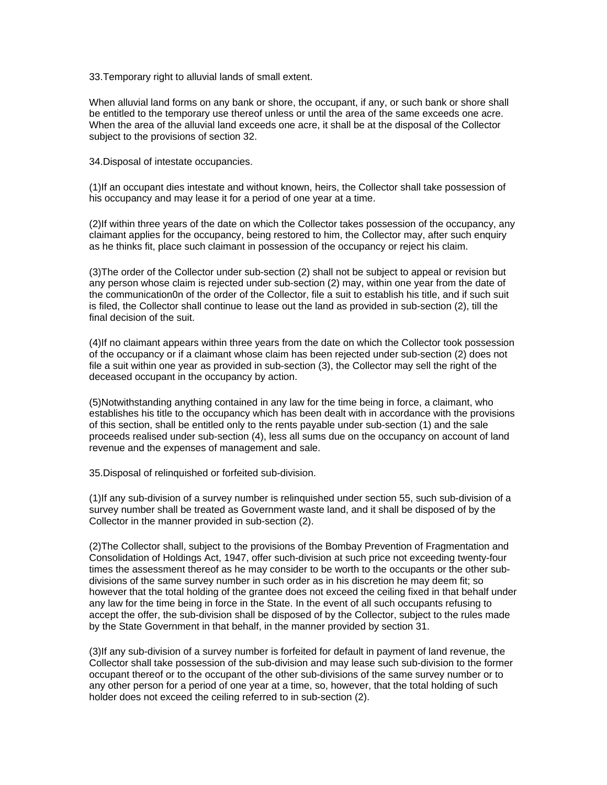33.Temporary right to alluvial lands of small extent.

When alluvial land forms on any bank or shore, the occupant, if any, or such bank or shore shall be entitled to the temporary use thereof unless or until the area of the same exceeds one acre. When the area of the alluvial land exceeds one acre, it shall be at the disposal of the Collector subject to the provisions of section 32.

34.Disposal of intestate occupancies.

(1)If an occupant dies intestate and without known, heirs, the Collector shall take possession of his occupancy and may lease it for a period of one year at a time.

(2)If within three years of the date on which the Collector takes possession of the occupancy, any claimant applies for the occupancy, being restored to him, the Collector may, after such enquiry as he thinks fit, place such claimant in possession of the occupancy or reject his claim.

(3)The order of the Collector under sub-section (2) shall not be subject to appeal or revision but any person whose claim is rejected under sub-section (2) may, within one year from the date of the communication0n of the order of the Collector, file a suit to establish his title, and if such suit is filed, the Collector shall continue to lease out the land as provided in sub-section (2), till the final decision of the suit.

(4)If no claimant appears within three years from the date on which the Collector took possession of the occupancy or if a claimant whose claim has been rejected under sub-section (2) does not file a suit within one year as provided in sub-section (3), the Collector may sell the right of the deceased occupant in the occupancy by action.

(5)Notwithstanding anything contained in any law for the time being in force, a claimant, who establishes his title to the occupancy which has been dealt with in accordance with the provisions of this section, shall be entitled only to the rents payable under sub-section (1) and the sale proceeds realised under sub-section (4), less all sums due on the occupancy on account of land revenue and the expenses of management and sale.

35.Disposal of relinquished or forfeited sub-division.

(1)If any sub-division of a survey number is relinquished under section 55, such sub-division of a survey number shall be treated as Government waste land, and it shall be disposed of by the Collector in the manner provided in sub-section (2).

(2)The Collector shall, subject to the provisions of the Bombay Prevention of Fragmentation and Consolidation of Holdings Act, 1947, offer such-division at such price not exceeding twenty-four times the assessment thereof as he may consider to be worth to the occupants or the other subdivisions of the same survey number in such order as in his discretion he may deem fit; so however that the total holding of the grantee does not exceed the ceiling fixed in that behalf under any law for the time being in force in the State. In the event of all such occupants refusing to accept the offer, the sub-division shall be disposed of by the Collector, subject to the rules made by the State Government in that behalf, in the manner provided by section 31.

(3)If any sub-division of a survey number is forfeited for default in payment of land revenue, the Collector shall take possession of the sub-division and may lease such sub-division to the former occupant thereof or to the occupant of the other sub-divisions of the same survey number or to any other person for a period of one year at a time, so, however, that the total holding of such holder does not exceed the ceiling referred to in sub-section (2).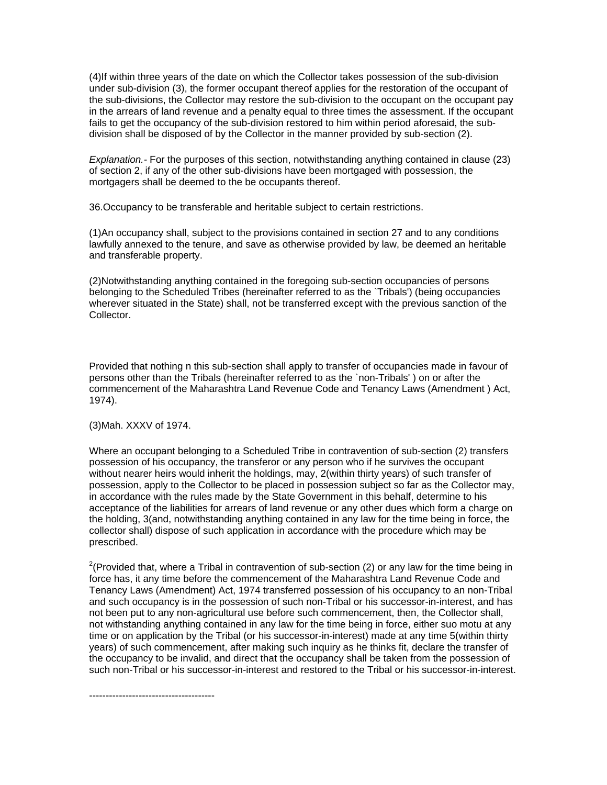(4)If within three years of the date on which the Collector takes possession of the sub-division under sub-division (3), the former occupant thereof applies for the restoration of the occupant of the sub-divisions, the Collector may restore the sub-division to the occupant on the occupant pay in the arrears of land revenue and a penalty equal to three times the assessment. If the occupant fails to get the occupancy of the sub-division restored to him within period aforesaid, the subdivision shall be disposed of by the Collector in the manner provided by sub-section (2).

*Explanation.-* For the purposes of this section, notwithstanding anything contained in clause (23) of section 2, if any of the other sub-divisions have been mortgaged with possession, the mortgagers shall be deemed to the be occupants thereof.

36.Occupancy to be transferable and heritable subject to certain restrictions.

(1)An occupancy shall, subject to the provisions contained in section 27 and to any conditions lawfully annexed to the tenure, and save as otherwise provided by law, be deemed an heritable and transferable property.

(2)Notwithstanding anything contained in the foregoing sub-section occupancies of persons belonging to the Scheduled Tribes (hereinafter referred to as the `Tribals') (being occupancies wherever situated in the State) shall, not be transferred except with the previous sanction of the Collector.

Provided that nothing n this sub-section shall apply to transfer of occupancies made in favour of persons other than the Tribals (hereinafter referred to as the `non-Tribals' ) on or after the commencement of the Maharashtra Land Revenue Code and Tenancy Laws (Amendment ) Act, 1974).

### (3)Mah. XXXV of 1974.

--------------------------------------

Where an occupant belonging to a Scheduled Tribe in contravention of sub-section (2) transfers possession of his occupancy, the transferor or any person who if he survives the occupant without nearer heirs would inherit the holdings, may, 2(within thirty years) of such transfer of possession, apply to the Collector to be placed in possession subject so far as the Collector may, in accordance with the rules made by the State Government in this behalf, determine to his acceptance of the liabilities for arrears of land revenue or any other dues which form a charge on the holding, 3(and, notwithstanding anything contained in any law for the time being in force, the collector shall) dispose of such application in accordance with the procedure which may be prescribed.

<sup>2</sup>(Provided that, where a Tribal in contravention of sub-section (2) or any law for the time being in force has, it any time before the commencement of the Maharashtra Land Revenue Code and Tenancy Laws (Amendment) Act, 1974 transferred possession of his occupancy to an non-Tribal and such occupancy is in the possession of such non-Tribal or his successor-in-interest, and has not been put to any non-agricultural use before such commencement, then, the Collector shall, not withstanding anything contained in any law for the time being in force, either suo motu at any time or on application by the Tribal (or his successor-in-interest) made at any time 5(within thirty years) of such commencement, after making such inquiry as he thinks fit, declare the transfer of the occupancy to be invalid, and direct that the occupancy shall be taken from the possession of such non-Tribal or his successor-in-interest and restored to the Tribal or his successor-in-interest.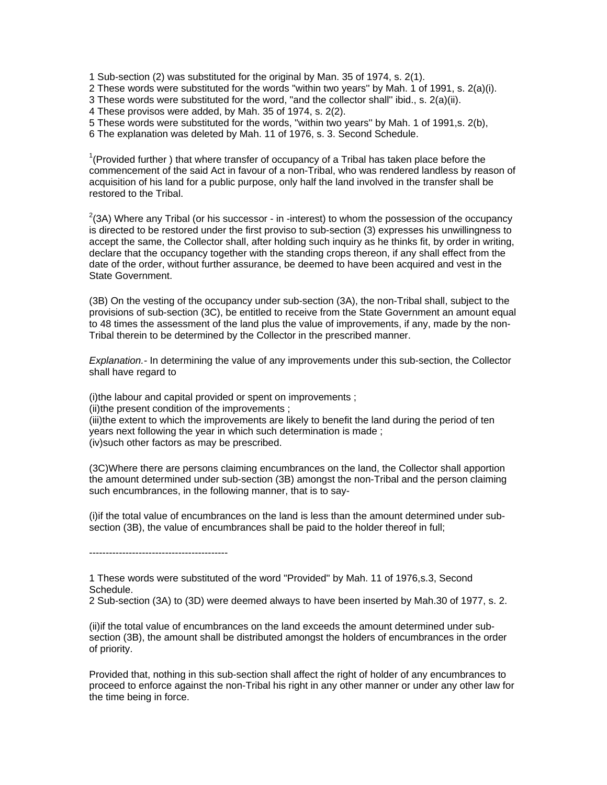1 Sub-section (2) was substituted for the original by Man. 35 of 1974, s. 2(1).

2 These words were substituted for the words "within two years'' by Mah. 1 of 1991, s. 2(a)(i).

3 These words were substituted for the word, "and the collector shall'' ibid., s. 2(a)(ii).

4 These provisos were added, by Mah. 35 of 1974, s. 2(2).

5 These words were substituted for the words, "within two years'' by Mah. 1 of 1991,s. 2(b),

6 The explanation was deleted by Mah. 11 of 1976, s. 3. Second Schedule.

 $1$ <sup>1</sup>(Provided further) that where transfer of occupancy of a Tribal has taken place before the commencement of the said Act in favour of a non-Tribal, who was rendered landless by reason of acquisition of his land for a public purpose, only half the land involved in the transfer shall be restored to the Tribal.

 $2$ (3A) Where any Tribal (or his successor - in -interest) to whom the possession of the occupancy is directed to be restored under the first proviso to sub-section (3) expresses his unwillingness to accept the same, the Collector shall, after holding such inquiry as he thinks fit, by order in writing, declare that the occupancy together with the standing crops thereon, if any shall effect from the date of the order, without further assurance, be deemed to have been acquired and vest in the State Government.

(3B) On the vesting of the occupancy under sub-section (3A), the non-Tribal shall, subject to the provisions of sub-section (3C), be entitled to receive from the State Government an amount equal to 48 times the assessment of the land plus the value of improvements, if any, made by the non-Tribal therein to be determined by the Collector in the prescribed manner.

*Explanation.-* In determining the value of any improvements under this sub-section, the Collector shall have regard to

(i)the labour and capital provided or spent on improvements ; (ii)the present condition of the improvements ; (iii)the extent to which the improvements are likely to benefit the land during the period of ten years next following the year in which such determination is made ; (iv)such other factors as may be prescribed.

(3C)Where there are persons claiming encumbrances on the land, the Collector shall apportion the amount determined under sub-section (3B) amongst the non-Tribal and the person claiming such encumbrances, in the following manner, that is to say-

(i)if the total value of encumbrances on the land is less than the amount determined under subsection (3B), the value of encumbrances shall be paid to the holder thereof in full;

------------------------------------------

1 These words were substituted of the word "Provided'' by Mah. 11 of 1976,s.3, Second Schedule.

2 Sub-section (3A) to (3D) were deemed always to have been inserted by Mah.30 of 1977, s. 2.

(ii)if the total value of encumbrances on the land exceeds the amount determined under subsection (3B), the amount shall be distributed amongst the holders of encumbrances in the order of priority.

Provided that, nothing in this sub-section shall affect the right of holder of any encumbrances to proceed to enforce against the non-Tribal his right in any other manner or under any other law for the time being in force.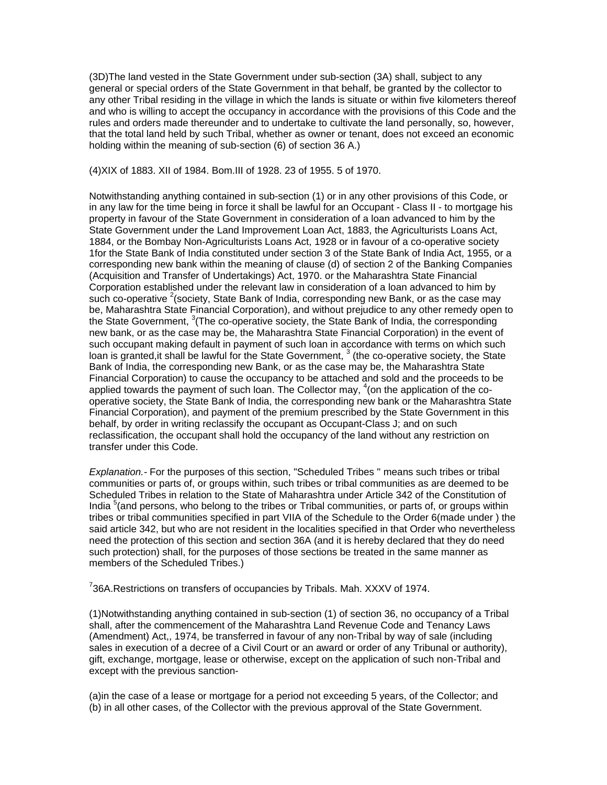(3D)The land vested in the State Government under sub-section (3A) shall, subject to any general or special orders of the State Government in that behalf, be granted by the collector to any other Tribal residing in the village in which the lands is situate or within five kilometers thereof and who is willing to accept the occupancy in accordance with the provisions of this Code and the rules and orders made thereunder and to undertake to cultivate the land personally, so, however, that the total land held by such Tribal, whether as owner or tenant, does not exceed an economic holding within the meaning of sub-section (6) of section 36 A.)

(4)XIX of 1883. XII of 1984. Bom.III of 1928. 23 of 1955. 5 of 1970.

Notwithstanding anything contained in sub-section (1) or in any other provisions of this Code, or in any law for the time being in force it shall be lawful for an Occupant - Class II - to mortgage his property in favour of the State Government in consideration of a loan advanced to him by the State Government under the Land Improvement Loan Act, 1883, the Agriculturists Loans Act, 1884, or the Bombay Non-Agriculturists Loans Act, 1928 or in favour of a co-operative society 1for the State Bank of India constituted under section 3 of the State Bank of India Act, 1955, or a corresponding new bank within the meaning of clause (d) of section 2 of the Banking Companies (Acquisition and Transfer of Undertakings) Act, 1970. or the Maharashtra State Financial Corporation established under the relevant law in consideration of a loan advanced to him by such co-operative  $2$  (society, State Bank of India, corresponding new Bank, or as the case may be, Maharashtra State Financial Corporation), and without prejudice to any other remedy open to the State Government, <sup>3</sup> (The co-operative society, the State Bank of India, the corresponding new bank, or as the case may be, the Maharashtra State Financial Corporation) in the event of such occupant making default in payment of such loan in accordance with terms on which such loan is granted, it shall be lawful for the State Government,  $3$  (the co-operative society, the State Bank of India, the corresponding new Bank, or as the case may be, the Maharashtra State Financial Corporation) to cause the occupancy to be attached and sold and the proceeds to be applied towards the payment of such loan. The Collector may,  $4$  (on the application of the cooperative society, the State Bank of India, the corresponding new bank or the Maharashtra State Financial Corporation), and payment of the premium prescribed by the State Government in this behalf, by order in writing reclassify the occupant as Occupant-Class J; and on such reclassification, the occupant shall hold the occupancy of the land without any restriction on transfer under this Code.

*Explanation.-* For the purposes of this section, "Scheduled Tribes '' means such tribes or tribal communities or parts of, or groups within, such tribes or tribal communities as are deemed to be Scheduled Tribes in relation to the State of Maharashtra under Article 342 of the Constitution of India <sup>5</sup> (and persons, who belong to the tribes or Tribal communities, or parts of, or groups within tribes or tribal communities specified in part VIIA of the Schedule to the Order 6(made under ) the said article 342, but who are not resident in the localities specified in that Order who nevertheless need the protection of this section and section 36A (and it is hereby declared that they do need such protection) shall, for the purposes of those sections be treated in the same manner as members of the Scheduled Tribes.)

 $7$ 36A.Restrictions on transfers of occupancies by Tribals. Mah. XXXV of 1974.

(1)Notwithstanding anything contained in sub-section (1) of section 36, no occupancy of a Tribal shall, after the commencement of the Maharashtra Land Revenue Code and Tenancy Laws (Amendment) Act,, 1974, be transferred in favour of any non-Tribal by way of sale (including sales in execution of a decree of a Civil Court or an award or order of any Tribunal or authority), gift, exchange, mortgage, lease or otherwise, except on the application of such non-Tribal and except with the previous sanction-

(a)in the case of a lease or mortgage for a period not exceeding 5 years, of the Collector; and (b) in all other cases, of the Collector with the previous approval of the State Government.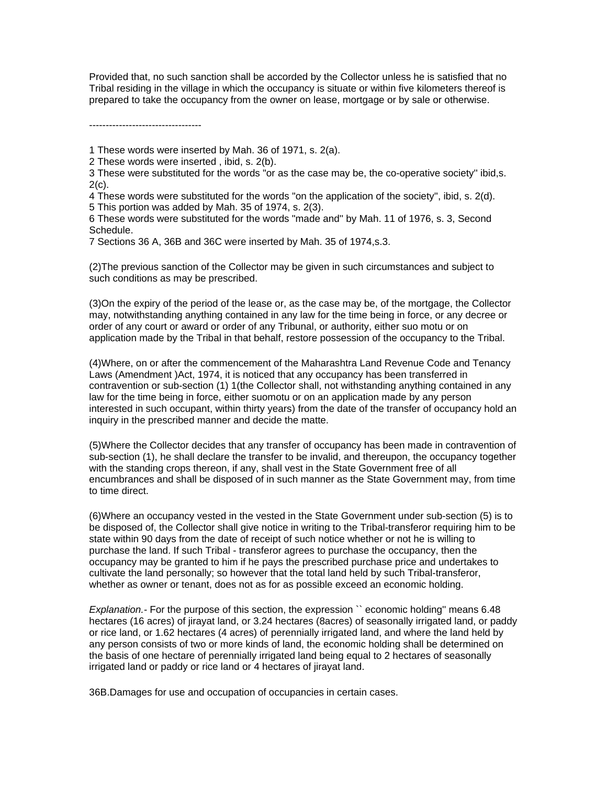Provided that, no such sanction shall be accorded by the Collector unless he is satisfied that no Tribal residing in the village in which the occupancy is situate or within five kilometers thereof is prepared to take the occupancy from the owner on lease, mortgage or by sale or otherwise.

----------------------------------

- 1 These words were inserted by Mah. 36 of 1971, s. 2(a).
- 2 These words were inserted , ibid, s. 2(b).
- 3 These were substituted for the words "or as the case may be, the co-operative society'' ibid,s.  $2(c)$ .
- 4 These words were substituted for the words "on the application of the society'', ibid, s. 2(d). 5 This portion was added by Mah. 35 of 1974, s. 2(3).
- 6 These words were substituted for the words "made and'' by Mah. 11 of 1976, s. 3, Second Schedule.
- 7 Sections 36 A, 36B and 36C were inserted by Mah. 35 of 1974,s.3.

(2)The previous sanction of the Collector may be given in such circumstances and subject to such conditions as may be prescribed.

(3)On the expiry of the period of the lease or, as the case may be, of the mortgage, the Collector may, notwithstanding anything contained in any law for the time being in force, or any decree or order of any court or award or order of any Tribunal, or authority, either suo motu or on application made by the Tribal in that behalf, restore possession of the occupancy to the Tribal.

(4)Where, on or after the commencement of the Maharashtra Land Revenue Code and Tenancy Laws (Amendment )Act, 1974, it is noticed that any occupancy has been transferred in contravention or sub-section (1) 1(the Collector shall, not withstanding anything contained in any law for the time being in force, either suomotu or on an application made by any person interested in such occupant, within thirty years) from the date of the transfer of occupancy hold an inquiry in the prescribed manner and decide the matte.

(5)Where the Collector decides that any transfer of occupancy has been made in contravention of sub-section (1), he shall declare the transfer to be invalid, and thereupon, the occupancy together with the standing crops thereon, if any, shall vest in the State Government free of all encumbrances and shall be disposed of in such manner as the State Government may, from time to time direct.

(6)Where an occupancy vested in the vested in the State Government under sub-section (5) is to be disposed of, the Collector shall give notice in writing to the Tribal-transferor requiring him to be state within 90 days from the date of receipt of such notice whether or not he is willing to purchase the land. If such Tribal - transferor agrees to purchase the occupancy, then the occupancy may be granted to him if he pays the prescribed purchase price and undertakes to cultivate the land personally; so however that the total land held by such Tribal-transferor, whether as owner or tenant, does not as for as possible exceed an economic holding.

*Explanation.-* For the purpose of this section, the expression `` economic holding'' means 6.48 hectares (16 acres) of jirayat land, or 3.24 hectares (8acres) of seasonally irrigated land, or paddy or rice land, or 1.62 hectares (4 acres) of perennially irrigated land, and where the land held by any person consists of two or more kinds of land, the economic holding shall be determined on the basis of one hectare of perennially irrigated land being equal to 2 hectares of seasonally irrigated land or paddy or rice land or 4 hectares of jirayat land.

36B.Damages for use and occupation of occupancies in certain cases.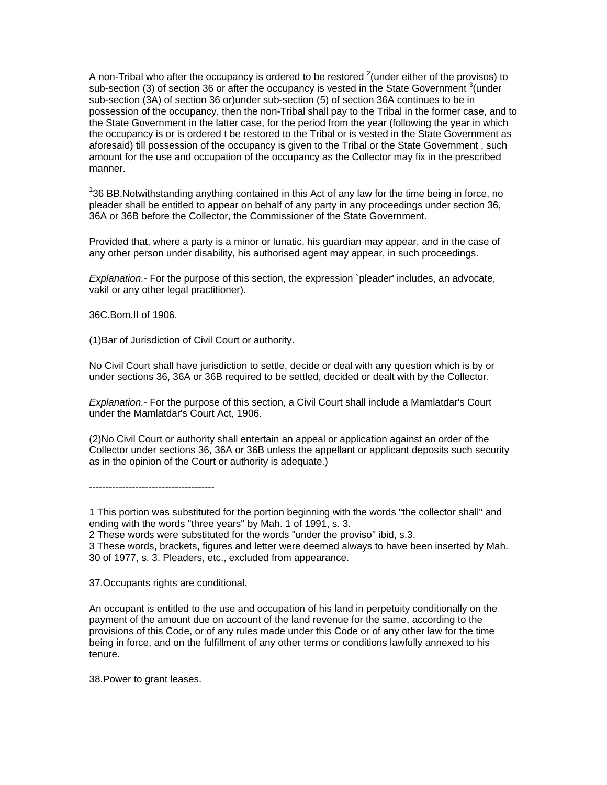A non-Tribal who after the occupancy is ordered to be restored <sup>2</sup> (under either of the provisos) to sub-section (3) of section 36 or after the occupancy is vested in the State Government <sup>3</sup> (under sub-section (3A) of section 36 or)under sub-section (5) of section 36A continues to be in possession of the occupancy, then the non-Tribal shall pay to the Tribal in the former case, and to the State Government in the latter case, for the period from the year (following the year in which the occupancy is or is ordered t be restored to the Tribal or is vested in the State Government as aforesaid) till possession of the occupancy is given to the Tribal or the State Government , such amount for the use and occupation of the occupancy as the Collector may fix in the prescribed manner.

 $136$  BB.Notwithstanding anything contained in this Act of any law for the time being in force, no pleader shall be entitled to appear on behalf of any party in any proceedings under section 36, 36A or 36B before the Collector, the Commissioner of the State Government.

Provided that, where a party is a minor or lunatic, his guardian may appear, and in the case of any other person under disability, his authorised agent may appear, in such proceedings.

*Explanation.-* For the purpose of this section, the expression `pleader' includes, an advocate, vakil or any other legal practitioner).

36C.Bom.II of 1906.

(1)Bar of Jurisdiction of Civil Court or authority.

No Civil Court shall have jurisdiction to settle, decide or deal with any question which is by or under sections 36, 36A or 36B required to be settled, decided or dealt with by the Collector.

*Explanation.-* For the purpose of this section, a Civil Court shall include a Mamlatdar's Court under the Mamlatdar's Court Act, 1906.

(2)No Civil Court or authority shall entertain an appeal or application against an order of the Collector under sections 36, 36A or 36B unless the appellant or applicant deposits such security as in the opinion of the Court or authority is adequate.)

--------------------------------------

2 These words were substituted for the words "under the proviso'' ibid, s.3.

37.Occupants rights are conditional.

An occupant is entitled to the use and occupation of his land in perpetuity conditionally on the payment of the amount due on account of the land revenue for the same, according to the provisions of this Code, or of any rules made under this Code or of any other law for the time being in force, and on the fulfillment of any other terms or conditions lawfully annexed to his tenure.

38.Power to grant leases.

<sup>1</sup> This portion was substituted for the portion beginning with the words "the collector shall'' and ending with the words "three years'' by Mah. 1 of 1991, s. 3.

<sup>3</sup> These words, brackets, figures and letter were deemed always to have been inserted by Mah. 30 of 1977, s. 3. Pleaders, etc., excluded from appearance.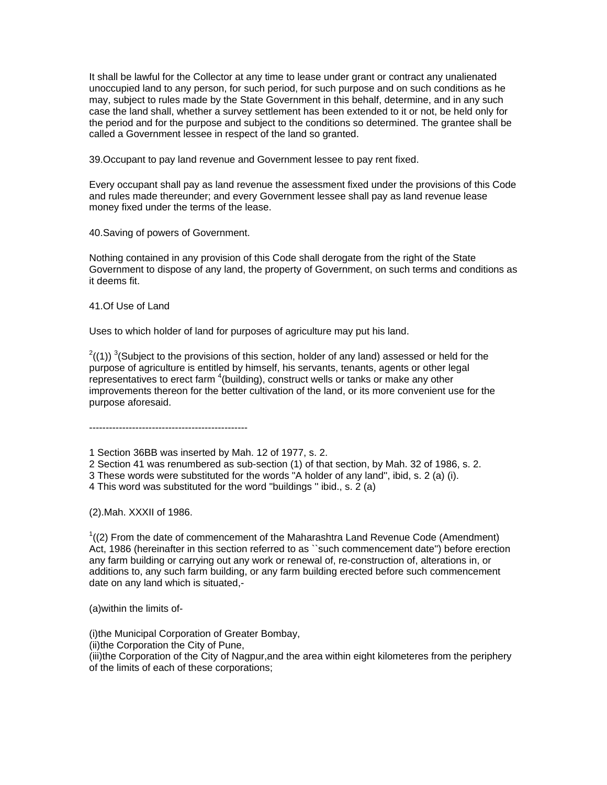It shall be lawful for the Collector at any time to lease under grant or contract any unalienated unoccupied land to any person, for such period, for such purpose and on such conditions as he may, subject to rules made by the State Government in this behalf, determine, and in any such case the land shall, whether a survey settlement has been extended to it or not, be held only for the period and for the purpose and subject to the conditions so determined. The grantee shall be called a Government lessee in respect of the land so granted.

39.Occupant to pay land revenue and Government lessee to pay rent fixed.

Every occupant shall pay as land revenue the assessment fixed under the provisions of this Code and rules made thereunder; and every Government lessee shall pay as land revenue lease money fixed under the terms of the lease.

40.Saving of powers of Government.

Nothing contained in any provision of this Code shall derogate from the right of the State Government to dispose of any land, the property of Government, on such terms and conditions as it deems fit.

41.Of Use of Land

Uses to which holder of land for purposes of agriculture may put his land.

 $^{2}$ ((1)) <sup>3</sup>(Subject to the provisions of this section, holder of any land) assessed or held for the purpose of agriculture is entitled by himself, his servants, tenants, agents or other legal representatives to erect farm  $\textsuperscript{4}$  (building), construct wells or tanks or make any other improvements thereon for the better cultivation of the land, or its more convenient use for the purpose aforesaid.

------------------------------------------------

1 Section 36BB was inserted by Mah. 12 of 1977, s. 2.

2 Section 41 was renumbered as sub-section (1) of that section, by Mah. 32 of 1986, s. 2.

3 These words were substituted for the words "A holder of any land'', ibid, s. 2 (a) (i).

4 This word was substituted for the word "buildings '' ibid., s. 2 (a)

(2).Mah. XXXII of 1986.

 $1/(2)$  From the date of commencement of the Maharashtra Land Revenue Code (Amendment) Act, 1986 (hereinafter in this section referred to as ``such commencement date'') before erection any farm building or carrying out any work or renewal of, re-construction of, alterations in, or additions to, any such farm building, or any farm building erected before such commencement date on any land which is situated,-

(a)within the limits of-

(i)the Municipal Corporation of Greater Bombay,

(ii)the Corporation the City of Pune,

(iii)the Corporation of the City of Nagpur,and the area within eight kilometeres from the periphery of the limits of each of these corporations;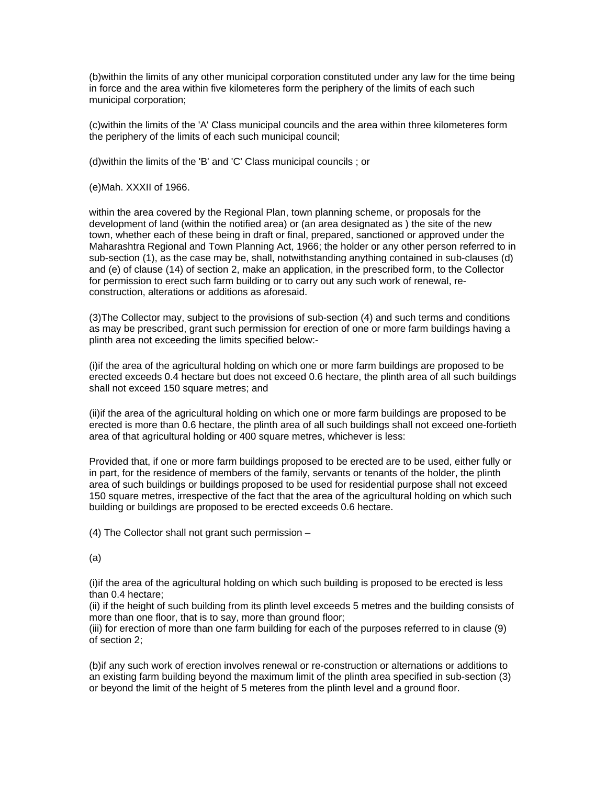(b)within the limits of any other municipal corporation constituted under any law for the time being in force and the area within five kilometeres form the periphery of the limits of each such municipal corporation;

(c)within the limits of the 'A' Class municipal councils and the area within three kilometeres form the periphery of the limits of each such municipal council;

(d)within the limits of the 'B' and 'C' Class municipal councils ; or

(e)Mah. XXXII of 1966.

within the area covered by the Regional Plan, town planning scheme, or proposals for the development of land (within the notified area) or (an area designated as ) the site of the new town, whether each of these being in draft or final, prepared, sanctioned or approved under the Maharashtra Regional and Town Planning Act, 1966; the holder or any other person referred to in sub-section (1), as the case may be, shall, notwithstanding anything contained in sub-clauses (d) and (e) of clause (14) of section 2, make an application, in the prescribed form, to the Collector for permission to erect such farm building or to carry out any such work of renewal, reconstruction, alterations or additions as aforesaid.

(3)The Collector may, subject to the provisions of sub-section (4) and such terms and conditions as may be prescribed, grant such permission for erection of one or more farm buildings having a plinth area not exceeding the limits specified below:-

(i)if the area of the agricultural holding on which one or more farm buildings are proposed to be erected exceeds 0.4 hectare but does not exceed 0.6 hectare, the plinth area of all such buildings shall not exceed 150 square metres; and

(ii)if the area of the agricultural holding on which one or more farm buildings are proposed to be erected is more than 0.6 hectare, the plinth area of all such buildings shall not exceed one-fortieth area of that agricultural holding or 400 square metres, whichever is less:

Provided that, if one or more farm buildings proposed to be erected are to be used, either fully or in part, for the residence of members of the family, servants or tenants of the holder, the plinth area of such buildings or buildings proposed to be used for residential purpose shall not exceed 150 square metres, irrespective of the fact that the area of the agricultural holding on which such building or buildings are proposed to be erected exceeds 0.6 hectare.

(4) The Collector shall not grant such permission –

(a)

(i)if the area of the agricultural holding on which such building is proposed to be erected is less than 0.4 hectare;

(ii) if the height of such building from its plinth level exceeds 5 metres and the building consists of more than one floor, that is to say, more than ground floor;

(iii) for erection of more than one farm building for each of the purposes referred to in clause (9) of section 2;

(b)if any such work of erection involves renewal or re-construction or alternations or additions to an existing farm building beyond the maximum limit of the plinth area specified in sub-section (3) or beyond the limit of the height of 5 meteres from the plinth level and a ground floor.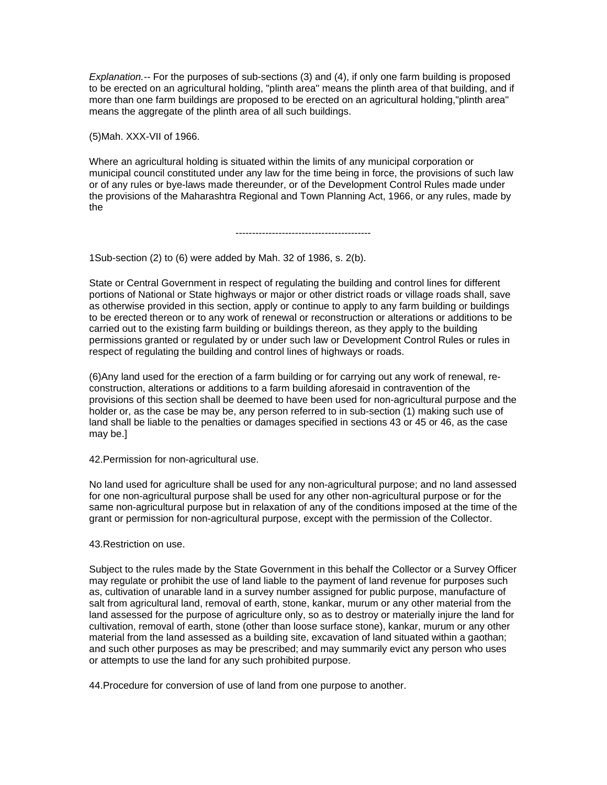*Explanation.--* For the purposes of sub-sections (3) and (4), if only one farm building is proposed to be erected on an agricultural holding, "plinth area" means the plinth area of that building, and if more than one farm buildings are proposed to be erected on an agricultural holding,"plinth area" means the aggregate of the plinth area of all such buildings.

(5)Mah. XXX-VII of 1966.

Where an agricultural holding is situated within the limits of any municipal corporation or municipal council constituted under any law for the time being in force, the provisions of such law or of any rules or bye-laws made thereunder, or of the Development Control Rules made under the provisions of the Maharashtra Regional and Town Planning Act, 1966, or any rules, made by the

-----------------------------------------

1Sub-section (2) to (6) were added by Mah. 32 of 1986, s. 2(b).

State or Central Government in respect of regulating the building and control lines for different portions of National or State highways or major or other district roads or village roads shall, save as otherwise provided in this section, apply or continue to apply to any farm building or buildings to be erected thereon or to any work of renewal or reconstruction or alterations or additions to be carried out to the existing farm building or buildings thereon, as they apply to the building permissions granted or regulated by or under such law or Development Control Rules or rules in respect of regulating the building and control lines of highways or roads.

(6)Any land used for the erection of a farm building or for carrying out any work of renewal, reconstruction, alterations or additions to a farm building aforesaid in contravention of the provisions of this section shall be deemed to have been used for non-agricultural purpose and the holder or, as the case be may be, any person referred to in sub-section (1) making such use of land shall be liable to the penalties or damages specified in sections 43 or 45 or 46, as the case may be.]

42.Permission for non-agricultural use.

No land used for agriculture shall be used for any non-agricultural purpose; and no land assessed for one non-agricultural purpose shall be used for any other non-agricultural purpose or for the same non-agricultural purpose but in relaxation of any of the conditions imposed at the time of the grant or permission for non-agricultural purpose, except with the permission of the Collector.

43.Restriction on use.

Subject to the rules made by the State Government in this behalf the Collector or a Survey Officer may regulate or prohibit the use of land liable to the payment of land revenue for purposes such as, cultivation of unarable land in a survey number assigned for public purpose, manufacture of salt from agricultural land, removal of earth, stone, kankar, murum or any other material from the land assessed for the purpose of agriculture only, so as to destroy or materially injure the land for cultivation, removal of earth, stone (other than loose surface stone), kankar, murum or any other material from the land assessed as a building site, excavation of land situated within a gaothan; and such other purposes as may be prescribed; and may summarily evict any person who uses or attempts to use the land for any such prohibited purpose.

44.Procedure for conversion of use of land from one purpose to another.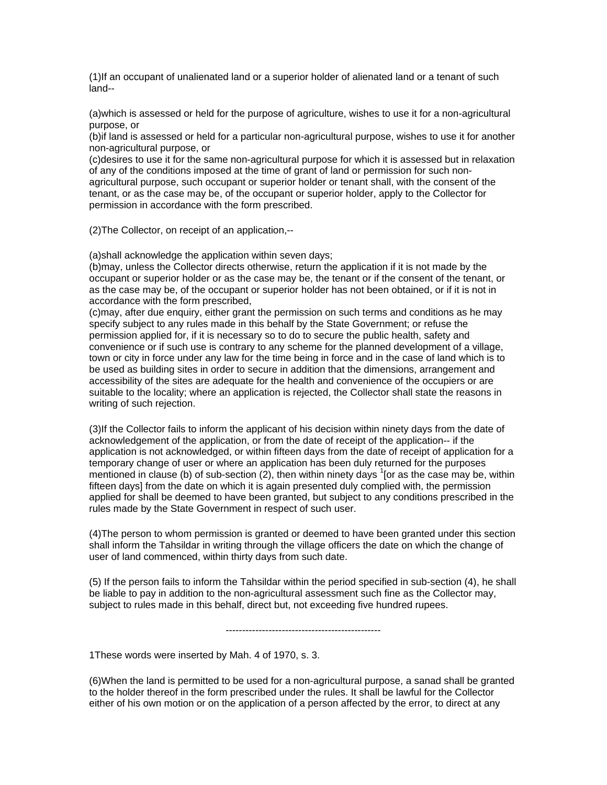(1)If an occupant of unalienated land or a superior holder of alienated land or a tenant of such land--

(a)which is assessed or held for the purpose of agriculture, wishes to use it for a non-agricultural purpose, or

(b)if land is assessed or held for a particular non-agricultural purpose, wishes to use it for another non-agricultural purpose, or

(c)desires to use it for the same non-agricultural purpose for which it is assessed but in relaxation of any of the conditions imposed at the time of grant of land or permission for such nonagricultural purpose, such occupant or superior holder or tenant shall, with the consent of the tenant, or as the case may be, of the occupant or superior holder, apply to the Collector for permission in accordance with the form prescribed.

(2)The Collector, on receipt of an application,--

(a)shall acknowledge the application within seven days;

(b)may, unless the Collector directs otherwise, return the application if it is not made by the occupant or superior holder or as the case may be, the tenant or if the consent of the tenant, or as the case may be, of the occupant or superior holder has not been obtained, or if it is not in accordance with the form prescribed,

(c)may, after due enquiry, either grant the permission on such terms and conditions as he may specify subject to any rules made in this behalf by the State Government; or refuse the permission applied for, if it is necessary so to do to secure the public health, safety and convenience or if such use is contrary to any scheme for the planned development of a village, town or city in force under any law for the time being in force and in the case of land which is to be used as building sites in order to secure in addition that the dimensions, arrangement and accessibility of the sites are adequate for the health and convenience of the occupiers or are suitable to the locality; where an application is rejected, the Collector shall state the reasons in writing of such rejection.

(3)If the Collector fails to inform the applicant of his decision within ninety days from the date of acknowledgement of the application, or from the date of receipt of the application-- if the application is not acknowledged, or within fifteen days from the date of receipt of application for a temporary change of user or where an application has been duly returned for the purposes mentioned in clause (b) of sub-section (2), then within ninety days  $1$  [or as the case may be, within fifteen days] from the date on which it is again presented duly complied with, the permission applied for shall be deemed to have been granted, but subject to any conditions prescribed in the rules made by the State Government in respect of such user.

(4)The person to whom permission is granted or deemed to have been granted under this section shall inform the Tahsildar in writing through the village officers the date on which the change of user of land commenced, within thirty days from such date.

(5) If the person fails to inform the Tahsildar within the period specified in sub-section (4), he shall be liable to pay in addition to the non-agricultural assessment such fine as the Collector may, subject to rules made in this behalf, direct but, not exceeding five hundred rupees.

-----------------------------------------------

1These words were inserted by Mah. 4 of 1970, s. 3.

(6)When the land is permitted to be used for a non-agricultural purpose, a sanad shall be granted to the holder thereof in the form prescribed under the rules. It shall be lawful for the Collector either of his own motion or on the application of a person affected by the error, to direct at any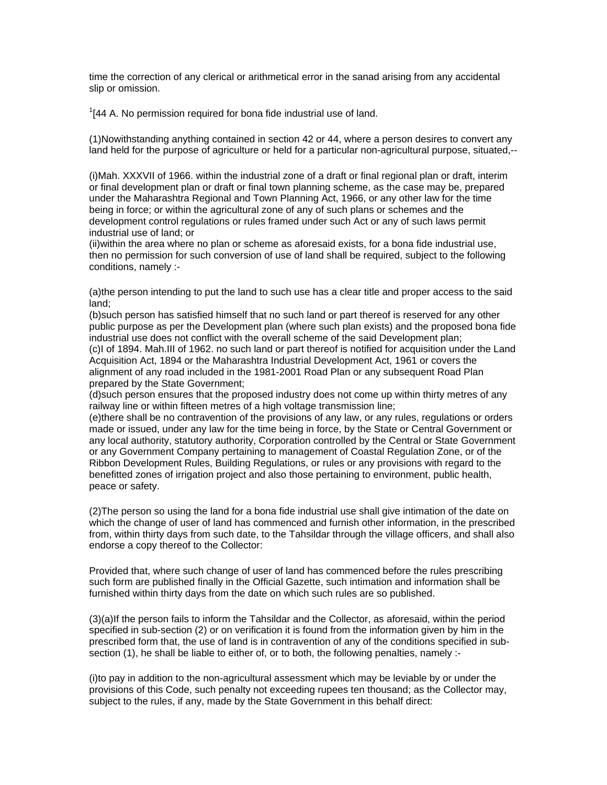time the correction of any clerical or arithmetical error in the sanad arising from any accidental slip or omission.

 $1/144$  A. No permission required for bona fide industrial use of land.

(1)Nowithstanding anything contained in section 42 or 44, where a person desires to convert any land held for the purpose of agriculture or held for a particular non-agricultural purpose, situated,--

(i)Mah. XXXVII of 1966. within the industrial zone of a draft or final regional plan or draft, interim or final development plan or draft or final town planning scheme, as the case may be, prepared under the Maharashtra Regional and Town Planning Act, 1966, or any other law for the time being in force; or within the agricultural zone of any of such plans or schemes and the development control regulations or rules framed under such Act or any of such laws permit industrial use of land; or

(ii)within the area where no plan or scheme as aforesaid exists, for a bona fide industrial use, then no permission for such conversion of use of land shall be required, subject to the following conditions, namely :-

(a)the person intending to put the land to such use has a clear title and proper access to the said land;

(b)such person has satisfied himself that no such land or part thereof is reserved for any other public purpose as per the Development plan (where such plan exists) and the proposed bona fide industrial use does not conflict with the overall scheme of the said Development plan; (c)I of 1894. Mah.III of 1962. no such land or part thereof is notified for acquisition under the Land Acquisition Act, 1894 or the Maharashtra Industrial Development Act, 1961 or covers the alignment of any road included in the 1981-2001 Road Plan or any subsequent Road Plan prepared by the State Government;

(d)such person ensures that the proposed industry does not come up within thirty metres of any railway line or within fifteen metres of a high voltage transmission line;

(e)there shall be no contravention of the provisions of any law, or any rules, regulations or orders made or issued, under any law for the time being in force, by the State or Central Government or any local authority, statutory authority, Corporation controlled by the Central or State Government or any Government Company pertaining to management of Coastal Regulation Zone, or of the Ribbon Development Rules, Building Regulations, or rules or any provisions with regard to the benefitted zones of irrigation project and also those pertaining to environment, public health, peace or safety.

(2)The person so using the land for a bona fide industrial use shall give intimation of the date on which the change of user of land has commenced and furnish other information, in the prescribed from, within thirty days from such date, to the Tahsildar through the village officers, and shall also endorse a copy thereof to the Collector:

Provided that, where such change of user of land has commenced before the rules prescribing such form are published finally in the Official Gazette, such intimation and information shall be furnished within thirty days from the date on which such rules are so published.

(3)(a)If the person fails to inform the Tahsildar and the Collector, as aforesaid, within the period specified in sub-section (2) or on verification it is found from the information given by him in the prescribed form that, the use of land is in contravention of any of the conditions specified in subsection (1), he shall be liable to either of, or to both, the following penalties, namely :-

(i)to pay in addition to the non-agricultural assessment which may be leviable by or under the provisions of this Code, such penalty not exceeding rupees ten thousand; as the Collector may, subject to the rules, if any, made by the State Government in this behalf direct: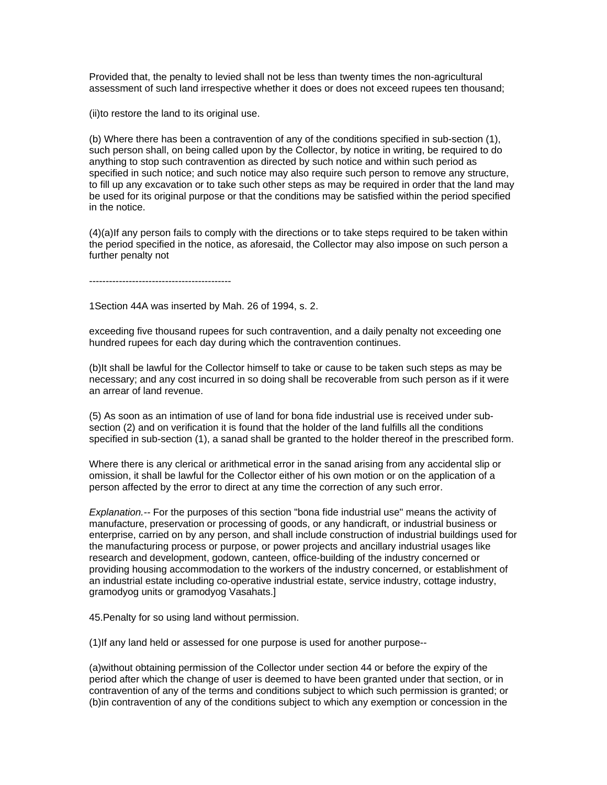Provided that, the penalty to levied shall not be less than twenty times the non-agricultural assessment of such land irrespective whether it does or does not exceed rupees ten thousand;

(ii)to restore the land to its original use.

(b) Where there has been a contravention of any of the conditions specified in sub-section (1), such person shall, on being called upon by the Collector, by notice in writing, be required to do anything to stop such contravention as directed by such notice and within such period as specified in such notice; and such notice may also require such person to remove any structure, to fill up any excavation or to take such other steps as may be required in order that the land may be used for its original purpose or that the conditions may be satisfied within the period specified in the notice.

(4)(a)If any person fails to comply with the directions or to take steps required to be taken within the period specified in the notice, as aforesaid, the Collector may also impose on such person a further penalty not

-------------------------------------------

1Section 44A was inserted by Mah. 26 of 1994, s. 2.

exceeding five thousand rupees for such contravention, and a daily penalty not exceeding one hundred rupees for each day during which the contravention continues.

(b)It shall be lawful for the Collector himself to take or cause to be taken such steps as may be necessary; and any cost incurred in so doing shall be recoverable from such person as if it were an arrear of land revenue.

(5) As soon as an intimation of use of land for bona fide industrial use is received under subsection (2) and on verification it is found that the holder of the land fulfills all the conditions specified in sub-section (1), a sanad shall be granted to the holder thereof in the prescribed form.

Where there is any clerical or arithmetical error in the sanad arising from any accidental slip or omission, it shall be lawful for the Collector either of his own motion or on the application of a person affected by the error to direct at any time the correction of any such error.

*Explanation.--* For the purposes of this section "bona fide industrial use" means the activity of manufacture, preservation or processing of goods, or any handicraft, or industrial business or enterprise, carried on by any person, and shall include construction of industrial buildings used for the manufacturing process or purpose, or power projects and ancillary industrial usages like research and development, godown, canteen, office-building of the industry concerned or providing housing accommodation to the workers of the industry concerned, or establishment of an industrial estate including co-operative industrial estate, service industry, cottage industry, gramodyog units or gramodyog Vasahats.]

45.Penalty for so using land without permission.

(1)If any land held or assessed for one purpose is used for another purpose--

(a)without obtaining permission of the Collector under section 44 or before the expiry of the period after which the change of user is deemed to have been granted under that section, or in contravention of any of the terms and conditions subject to which such permission is granted; or (b)in contravention of any of the conditions subject to which any exemption or concession in the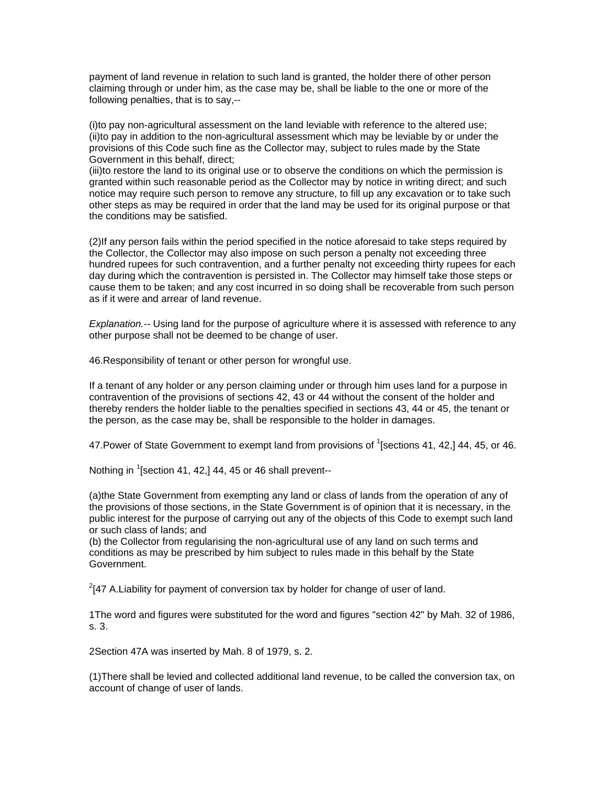payment of land revenue in relation to such land is granted, the holder there of other person claiming through or under him, as the case may be, shall be liable to the one or more of the following penalties, that is to say,--

(i)to pay non-agricultural assessment on the land leviable with reference to the altered use; (ii)to pay in addition to the non-agricultural assessment which may be leviable by or under the provisions of this Code such fine as the Collector may, subject to rules made by the State Government in this behalf, direct;

(iii)to restore the land to its original use or to observe the conditions on which the permission is granted within such reasonable period as the Collector may by notice in writing direct; and such notice may require such person to remove any structure, to fill up any excavation or to take such other steps as may be required in order that the land may be used for its original purpose or that the conditions may be satisfied.

(2)If any person fails within the period specified in the notice aforesaid to take steps required by the Collector, the Collector may also impose on such person a penalty not exceeding three hundred rupees for such contravention, and a further penalty not exceeding thirty rupees for each day during which the contravention is persisted in. The Collector may himself take those steps or cause them to be taken; and any cost incurred in so doing shall be recoverable from such person as if it were and arrear of land revenue.

*Explanation.--* Using land for the purpose of agriculture where it is assessed with reference to any other purpose shall not be deemed to be change of user.

46.Responsibility of tenant or other person for wrongful use.

If a tenant of any holder or any person claiming under or through him uses land for a purpose in contravention of the provisions of sections 42, 43 or 44 without the consent of the holder and thereby renders the holder liable to the penalties specified in sections 43, 44 or 45, the tenant or the person, as the case may be, shall be responsible to the holder in damages.

47. Power of State Government to exempt land from provisions of  $^1$ [sections 41, 42,] 44, 45, or 46.

Nothing in  $\mathrm{1}$ [section 41, 42,] 44, 45 or 46 shall prevent--

(a)the State Government from exempting any land or class of lands from the operation of any of the provisions of those sections, in the State Government is of opinion that it is necessary, in the public interest for the purpose of carrying out any of the objects of this Code to exempt such land or such class of lands; and

(b) the Collector from regularising the non-agricultural use of any land on such terms and conditions as may be prescribed by him subject to rules made in this behalf by the State Government.

 $2$ [47 A.Liability for payment of conversion tax by holder for change of user of land.

1The word and figures were substituted for the word and figures "section 42" by Mah. 32 of 1986, s. 3.

2Section 47A was inserted by Mah. 8 of 1979, s. 2.

(1)There shall be levied and collected additional land revenue, to be called the conversion tax, on account of change of user of lands.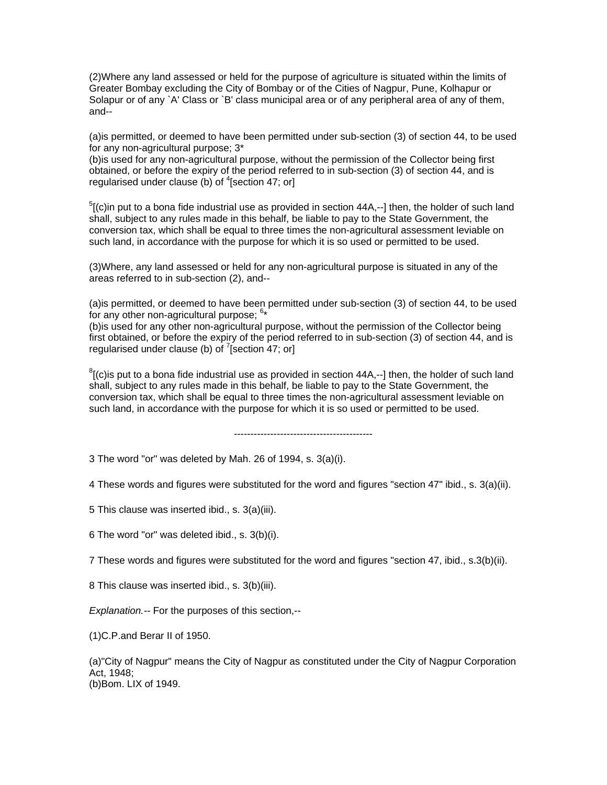(2)Where any land assessed or held for the purpose of agriculture is situated within the limits of Greater Bombay excluding the City of Bombay or of the Cities of Nagpur, Pune, Kolhapur or Solapur or of any `A' Class or `B' class municipal area or of any peripheral area of any of them, and--

(a)is permitted, or deemed to have been permitted under sub-section (3) of section 44, to be used for any non-agricultural purpose; 3\*

(b)is used for any non-agricultural purpose, without the permission of the Collector being first obtained, or before the expiry of the period referred to in sub-section (3) of section 44, and is regularised under clause (b) of  ${}^{4}$ [section 47; or]

 $5$ [(c)in put to a bona fide industrial use as provided in section 44A,--] then, the holder of such land shall, subject to any rules made in this behalf, be liable to pay to the State Government, the conversion tax, which shall be equal to three times the non-agricultural assessment leviable on such land, in accordance with the purpose for which it is so used or permitted to be used.

(3)Where, any land assessed or held for any non-agricultural purpose is situated in any of the areas referred to in sub-section (2), and--

(a)is permitted, or deemed to have been permitted under sub-section (3) of section 44, to be used for any other non-agricultural purpose;  $6*$ 

(b)is used for any other non-agricultural purpose, without the permission of the Collector being first obtained, or before the expiry of the period referred to in sub-section (3) of section 44, and is regularised under clause (b) of  $\sqrt{7}$  [section 47; or]

 ${}^{8}$ [(c)is put to a bona fide industrial use as provided in section 44A,--] then, the holder of such land shall, subject to any rules made in this behalf, be liable to pay to the State Government, the conversion tax, which shall be equal to three times the non-agricultural assessment leviable on such land, in accordance with the purpose for which it is so used or permitted to be used.

------------------------------------------

3 The word "or" was deleted by Mah. 26 of 1994, s. 3(a)(i).

4 These words and figures were substituted for the word and figures "section 47" ibid., s. 3(a)(ii).

5 This clause was inserted ibid., s. 3(a)(iii).

6 The word "or" was deleted ibid., s. 3(b)(i).

7 These words and figures were substituted for the word and figures "section 47, ibid., s.3(b)(ii).

8 This clause was inserted ibid., s. 3(b)(iii).

*Explanation.--* For the purposes of this section,--

(1)C.P.and Berar II of 1950.

(a)"City of Nagpur" means the City of Nagpur as constituted under the City of Nagpur Corporation Act, 1948; (b)Bom. LIX of 1949.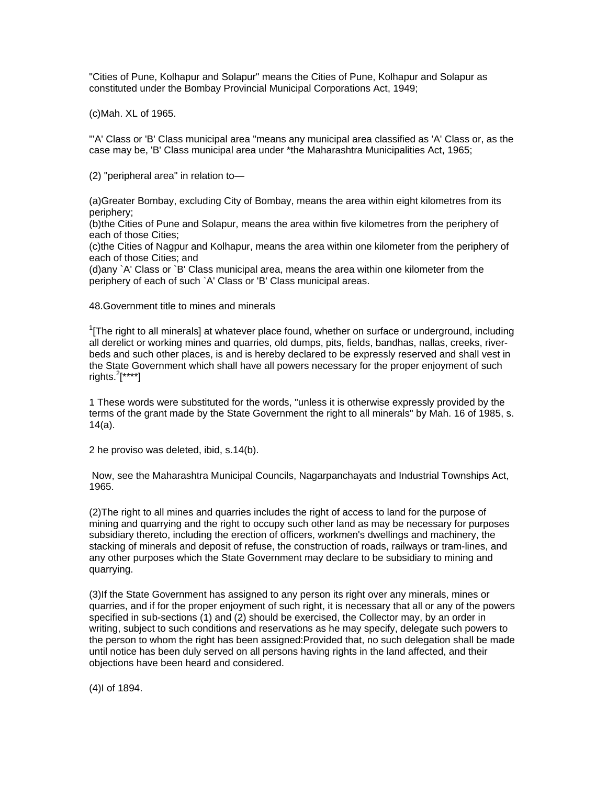"Cities of Pune, Kolhapur and Solapur" means the Cities of Pune, Kolhapur and Solapur as constituted under the Bombay Provincial Municipal Corporations Act, 1949;

(c)Mah. XL of 1965.

"'A' Class or 'B' Class municipal area "means any municipal area classified as 'A' Class or, as the case may be, 'B' Class municipal area under \*the Maharashtra Municipalities Act, 1965;

(2) "peripheral area" in relation to—

(a)Greater Bombay, excluding City of Bombay, means the area within eight kilometres from its periphery;

(b)the Cities of Pune and Solapur, means the area within five kilometres from the periphery of each of those Cities;

(c)the Cities of Nagpur and Kolhapur, means the area within one kilometer from the periphery of each of those Cities; and

(d)any `A' Class or `B' Class municipal area, means the area within one kilometer from the periphery of each of such `A' Class or 'B' Class municipal areas.

48.Government title to mines and minerals

 $1$ [The right to all minerals] at whatever place found, whether on surface or underground, including all derelict or working mines and quarries, old dumps, pits, fields, bandhas, nallas, creeks, riverbeds and such other places, is and is hereby declared to be expressly reserved and shall vest in the State Government which shall have all powers necessary for the proper enjoyment of such rights.<sup>2</sup>[\*\*\*\*]

1 These words were substituted for the words, "unless it is otherwise expressly provided by the terms of the grant made by the State Government the right to all minerals" by Mah. 16 of 1985, s. 14(a).

2 he proviso was deleted, ibid, s.14(b).

 Now, see the Maharashtra Municipal Councils, Nagarpanchayats and Industrial Townships Act, 1965.

(2)The right to all mines and quarries includes the right of access to land for the purpose of mining and quarrying and the right to occupy such other land as may be necessary for purposes subsidiary thereto, including the erection of officers, workmen's dwellings and machinery, the stacking of minerals and deposit of refuse, the construction of roads, railways or tram-lines, and any other purposes which the State Government may declare to be subsidiary to mining and quarrying.

(3)If the State Government has assigned to any person its right over any minerals, mines or quarries, and if for the proper enjoyment of such right, it is necessary that all or any of the powers specified in sub-sections (1) and (2) should be exercised, the Collector may, by an order in writing, subject to such conditions and reservations as he may specify, delegate such powers to the person to whom the right has been assigned:Provided that, no such delegation shall be made until notice has been duly served on all persons having rights in the land affected, and their objections have been heard and considered.

(4)I of 1894.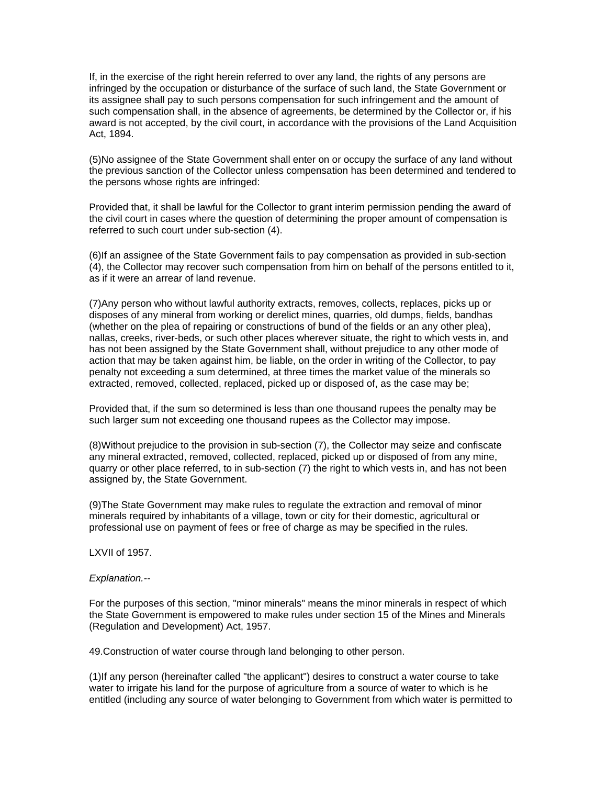If, in the exercise of the right herein referred to over any land, the rights of any persons are infringed by the occupation or disturbance of the surface of such land, the State Government or its assignee shall pay to such persons compensation for such infringement and the amount of such compensation shall, in the absence of agreements, be determined by the Collector or, if his award is not accepted, by the civil court, in accordance with the provisions of the Land Acquisition Act, 1894.

(5)No assignee of the State Government shall enter on or occupy the surface of any land without the previous sanction of the Collector unless compensation has been determined and tendered to the persons whose rights are infringed:

Provided that, it shall be lawful for the Collector to grant interim permission pending the award of the civil court in cases where the question of determining the proper amount of compensation is referred to such court under sub-section (4).

(6)If an assignee of the State Government fails to pay compensation as provided in sub-section (4), the Collector may recover such compensation from him on behalf of the persons entitled to it, as if it were an arrear of land revenue.

(7)Any person who without lawful authority extracts, removes, collects, replaces, picks up or disposes of any mineral from working or derelict mines, quarries, old dumps, fields, bandhas (whether on the plea of repairing or constructions of bund of the fields or an any other plea), nallas, creeks, river-beds, or such other places wherever situate, the right to which vests in, and has not been assigned by the State Government shall, without prejudice to any other mode of action that may be taken against him, be liable, on the order in writing of the Collector, to pay penalty not exceeding a sum determined, at three times the market value of the minerals so extracted, removed, collected, replaced, picked up or disposed of, as the case may be;

Provided that, if the sum so determined is less than one thousand rupees the penalty may be such larger sum not exceeding one thousand rupees as the Collector may impose.

(8)Without prejudice to the provision in sub-section (7), the Collector may seize and confiscate any mineral extracted, removed, collected, replaced, picked up or disposed of from any mine, quarry or other place referred, to in sub-section (7) the right to which vests in, and has not been assigned by, the State Government.

(9)The State Government may make rules to regulate the extraction and removal of minor minerals required by inhabitants of a village, town or city for their domestic, agricultural or professional use on payment of fees or free of charge as may be specified in the rules.

LXVII of 1957.

### *Explanation.--*

For the purposes of this section, "minor minerals" means the minor minerals in respect of which the State Government is empowered to make rules under section 15 of the Mines and Minerals (Regulation and Development) Act, 1957.

49.Construction of water course through land belonging to other person.

(1)If any person (hereinafter called "the applicant") desires to construct a water course to take water to irrigate his land for the purpose of agriculture from a source of water to which is he entitled (including any source of water belonging to Government from which water is permitted to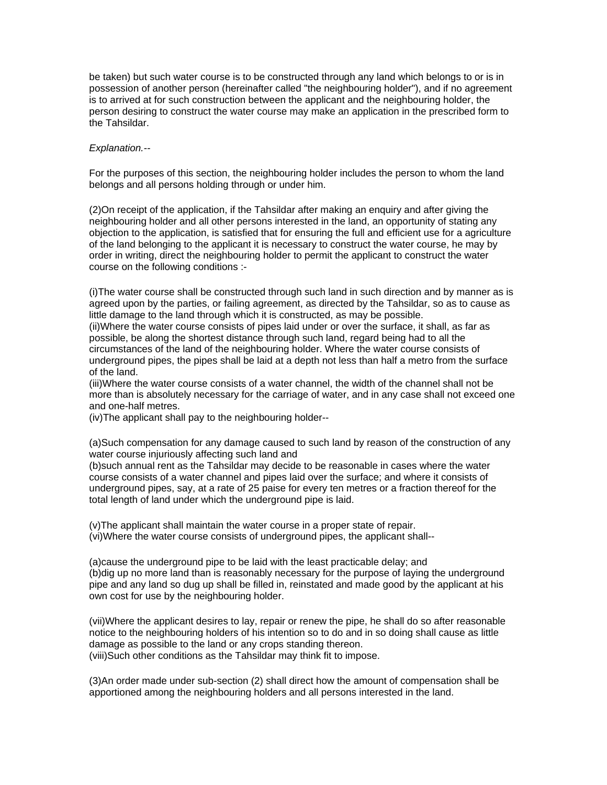be taken) but such water course is to be constructed through any land which belongs to or is in possession of another person (hereinafter called "the neighbouring holder"), and if no agreement is to arrived at for such construction between the applicant and the neighbouring holder, the person desiring to construct the water course may make an application in the prescribed form to the Tahsildar.

### *Explanation.--*

For the purposes of this section, the neighbouring holder includes the person to whom the land belongs and all persons holding through or under him.

(2)On receipt of the application, if the Tahsildar after making an enquiry and after giving the neighbouring holder and all other persons interested in the land, an opportunity of stating any objection to the application, is satisfied that for ensuring the full and efficient use for a agriculture of the land belonging to the applicant it is necessary to construct the water course, he may by order in writing, direct the neighbouring holder to permit the applicant to construct the water course on the following conditions :-

(i)The water course shall be constructed through such land in such direction and by manner as is agreed upon by the parties, or failing agreement, as directed by the Tahsildar, so as to cause as little damage to the land through which it is constructed, as may be possible.

(ii)Where the water course consists of pipes laid under or over the surface, it shall, as far as possible, be along the shortest distance through such land, regard being had to all the circumstances of the land of the neighbouring holder. Where the water course consists of underground pipes, the pipes shall be laid at a depth not less than half a metro from the surface of the land.

(iii)Where the water course consists of a water channel, the width of the channel shall not be more than is absolutely necessary for the carriage of water, and in any case shall not exceed one and one-half metres.

(iv)The applicant shall pay to the neighbouring holder--

(a)Such compensation for any damage caused to such land by reason of the construction of any water course injuriously affecting such land and

(b)such annual rent as the Tahsildar may decide to be reasonable in cases where the water course consists of a water channel and pipes laid over the surface; and where it consists of underground pipes, say, at a rate of 25 paise for every ten metres or a fraction thereof for the total length of land under which the underground pipe is laid.

(v)The applicant shall maintain the water course in a proper state of repair. (vi)Where the water course consists of underground pipes, the applicant shall--

(a)cause the underground pipe to be laid with the least practicable delay; and (b)dig up no more land than is reasonably necessary for the purpose of laying the underground pipe and any land so dug up shall be filled in, reinstated and made good by the applicant at his own cost for use by the neighbouring holder.

(vii)Where the applicant desires to lay, repair or renew the pipe, he shall do so after reasonable notice to the neighbouring holders of his intention so to do and in so doing shall cause as little damage as possible to the land or any crops standing thereon. (viii)Such other conditions as the Tahsildar may think fit to impose.

(3)An order made under sub-section (2) shall direct how the amount of compensation shall be apportioned among the neighbouring holders and all persons interested in the land.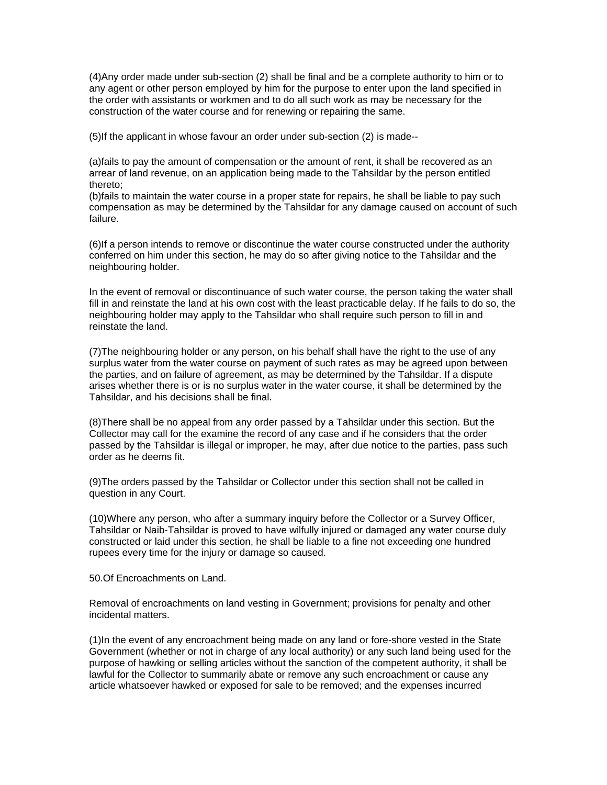(4)Any order made under sub-section (2) shall be final and be a complete authority to him or to any agent or other person employed by him for the purpose to enter upon the land specified in the order with assistants or workmen and to do all such work as may be necessary for the construction of the water course and for renewing or repairing the same.

(5)If the applicant in whose favour an order under sub-section (2) is made--

(a)fails to pay the amount of compensation or the amount of rent, it shall be recovered as an arrear of land revenue, on an application being made to the Tahsildar by the person entitled thereto;

(b)fails to maintain the water course in a proper state for repairs, he shall be liable to pay such compensation as may be determined by the Tahsildar for any damage caused on account of such failure.

(6)If a person intends to remove or discontinue the water course constructed under the authority conferred on him under this section, he may do so after giving notice to the Tahsildar and the neighbouring holder.

In the event of removal or discontinuance of such water course, the person taking the water shall fill in and reinstate the land at his own cost with the least practicable delay. If he fails to do so, the neighbouring holder may apply to the Tahsildar who shall require such person to fill in and reinstate the land.

(7)The neighbouring holder or any person, on his behalf shall have the right to the use of any surplus water from the water course on payment of such rates as may be agreed upon between the parties, and on failure of agreement, as may be determined by the Tahsildar. If a dispute arises whether there is or is no surplus water in the water course, it shall be determined by the Tahsildar, and his decisions shall be final.

(8)There shall be no appeal from any order passed by a Tahsildar under this section. But the Collector may call for the examine the record of any case and if he considers that the order passed by the Tahsildar is illegal or improper, he may, after due notice to the parties, pass such order as he deems fit.

(9)The orders passed by the Tahsildar or Collector under this section shall not be called in question in any Court.

(10)Where any person, who after a summary inquiry before the Collector or a Survey Officer, Tahsildar or Naib-Tahsildar is proved to have wilfully injured or damaged any water course duly constructed or laid under this section, he shall be liable to a fine not exceeding one hundred rupees every time for the injury or damage so caused.

50.Of Encroachments on Land.

Removal of encroachments on land vesting in Government; provisions for penalty and other incidental matters.

(1)In the event of any encroachment being made on any land or fore-shore vested in the State Government (whether or not in charge of any local authority) or any such land being used for the purpose of hawking or selling articles without the sanction of the competent authority, it shall be lawful for the Collector to summarily abate or remove any such encroachment or cause any article whatsoever hawked or exposed for sale to be removed; and the expenses incurred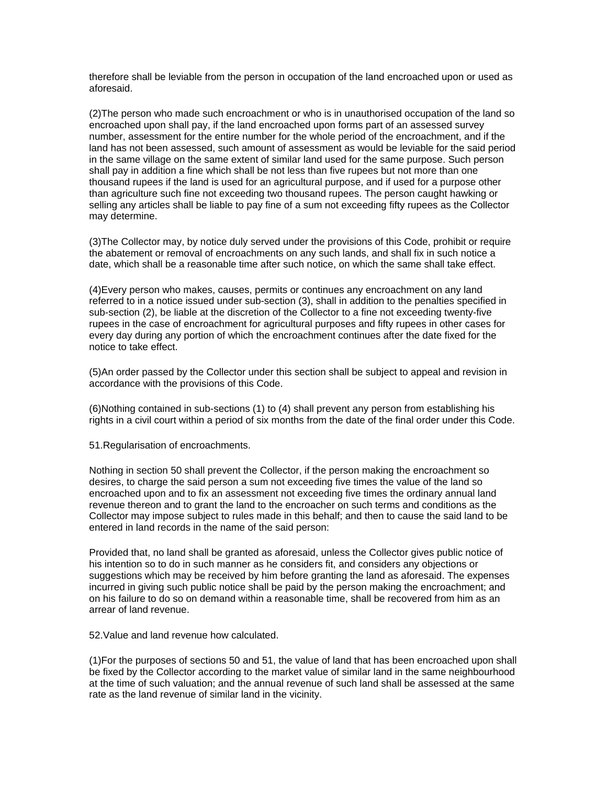therefore shall be leviable from the person in occupation of the land encroached upon or used as aforesaid.

(2)The person who made such encroachment or who is in unauthorised occupation of the land so encroached upon shall pay, if the land encroached upon forms part of an assessed survey number, assessment for the entire number for the whole period of the encroachment, and if the land has not been assessed, such amount of assessment as would be leviable for the said period in the same village on the same extent of similar land used for the same purpose. Such person shall pay in addition a fine which shall be not less than five rupees but not more than one thousand rupees if the land is used for an agricultural purpose, and if used for a purpose other than agriculture such fine not exceeding two thousand rupees. The person caught hawking or selling any articles shall be liable to pay fine of a sum not exceeding fifty rupees as the Collector may determine.

(3)The Collector may, by notice duly served under the provisions of this Code, prohibit or require the abatement or removal of encroachments on any such lands, and shall fix in such notice a date, which shall be a reasonable time after such notice, on which the same shall take effect.

(4)Every person who makes, causes, permits or continues any encroachment on any land referred to in a notice issued under sub-section (3), shall in addition to the penalties specified in sub-section (2), be liable at the discretion of the Collector to a fine not exceeding twenty-five rupees in the case of encroachment for agricultural purposes and fifty rupees in other cases for every day during any portion of which the encroachment continues after the date fixed for the notice to take effect.

(5)An order passed by the Collector under this section shall be subject to appeal and revision in accordance with the provisions of this Code.

(6)Nothing contained in sub-sections (1) to (4) shall prevent any person from establishing his rights in a civil court within a period of six months from the date of the final order under this Code.

51.Regularisation of encroachments.

Nothing in section 50 shall prevent the Collector, if the person making the encroachment so desires, to charge the said person a sum not exceeding five times the value of the land so encroached upon and to fix an assessment not exceeding five times the ordinary annual land revenue thereon and to grant the land to the encroacher on such terms and conditions as the Collector may impose subject to rules made in this behalf; and then to cause the said land to be entered in land records in the name of the said person:

Provided that, no land shall be granted as aforesaid, unless the Collector gives public notice of his intention so to do in such manner as he considers fit, and considers any objections or suggestions which may be received by him before granting the land as aforesaid. The expenses incurred in giving such public notice shall be paid by the person making the encroachment; and on his failure to do so on demand within a reasonable time, shall be recovered from him as an arrear of land revenue.

52.Value and land revenue how calculated.

(1)For the purposes of sections 50 and 51, the value of land that has been encroached upon shall be fixed by the Collector according to the market value of similar land in the same neighbourhood at the time of such valuation; and the annual revenue of such land shall be assessed at the same rate as the land revenue of similar land in the vicinity.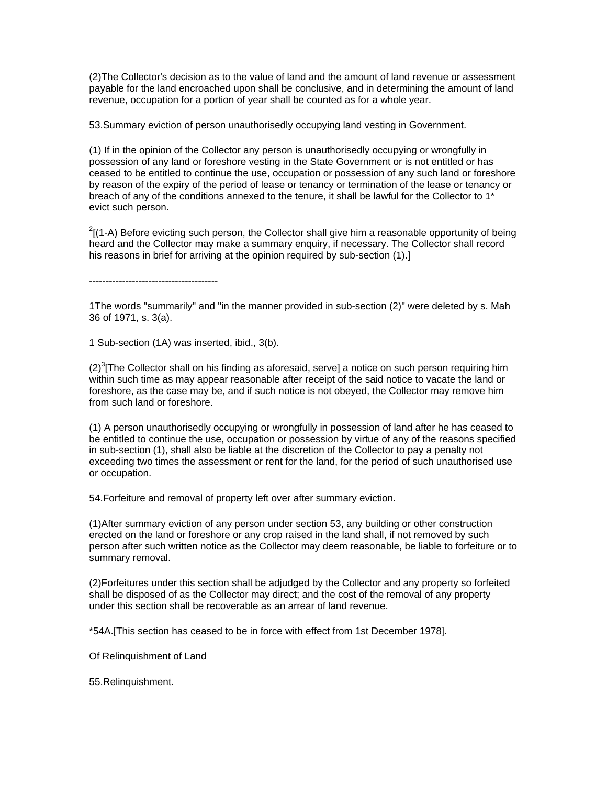(2)The Collector's decision as to the value of land and the amount of land revenue or assessment payable for the land encroached upon shall be conclusive, and in determining the amount of land revenue, occupation for a portion of year shall be counted as for a whole year.

53.Summary eviction of person unauthorisedly occupying land vesting in Government.

(1) If in the opinion of the Collector any person is unauthorisedly occupying or wrongfully in possession of any land or foreshore vesting in the State Government or is not entitled or has ceased to be entitled to continue the use, occupation or possession of any such land or foreshore by reason of the expiry of the period of lease or tenancy or termination of the lease or tenancy or breach of any of the conditions annexed to the tenure, it shall be lawful for the Collector to 1<sup>\*</sup> evict such person.

 $2(1-A)$  Before evicting such person, the Collector shall give him a reasonable opportunity of being heard and the Collector may make a summary enquiry, if necessary. The Collector shall record his reasons in brief for arriving at the opinion required by sub-section (1).]

---------------------------------------

1The words "summarily" and "in the manner provided in sub-section (2)" were deleted by s. Mah 36 of 1971, s. 3(a).

1 Sub-section (1A) was inserted, ibid., 3(b).

 $(2)^3$ [The Collector shall on his finding as aforesaid, serve] a notice on such person requiring him within such time as may appear reasonable after receipt of the said notice to vacate the land or foreshore, as the case may be, and if such notice is not obeyed, the Collector may remove him from such land or foreshore.

(1) A person unauthorisedly occupying or wrongfully in possession of land after he has ceased to be entitled to continue the use, occupation or possession by virtue of any of the reasons specified in sub-section (1), shall also be liable at the discretion of the Collector to pay a penalty not exceeding two times the assessment or rent for the land, for the period of such unauthorised use or occupation.

54.Forfeiture and removal of property left over after summary eviction.

(1)After summary eviction of any person under section 53, any building or other construction erected on the land or foreshore or any crop raised in the land shall, if not removed by such person after such written notice as the Collector may deem reasonable, be liable to forfeiture or to summary removal.

(2)Forfeitures under this section shall be adjudged by the Collector and any property so forfeited shall be disposed of as the Collector may direct; and the cost of the removal of any property under this section shall be recoverable as an arrear of land revenue.

\*54A.[This section has ceased to be in force with effect from 1st December 1978].

Of Relinquishment of Land

55.Relinquishment.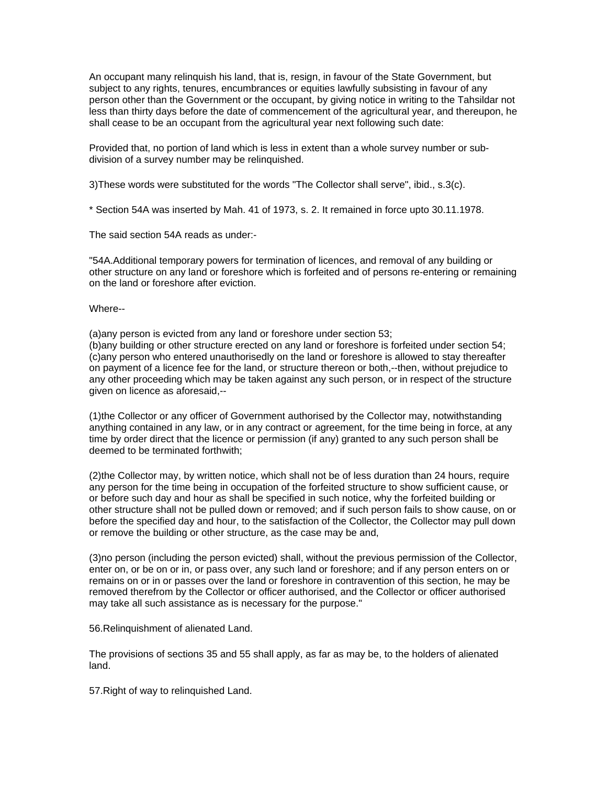An occupant many relinquish his land, that is, resign, in favour of the State Government, but subject to any rights, tenures, encumbrances or equities lawfully subsisting in favour of any person other than the Government or the occupant, by giving notice in writing to the Tahsildar not less than thirty days before the date of commencement of the agricultural year, and thereupon, he shall cease to be an occupant from the agricultural year next following such date:

Provided that, no portion of land which is less in extent than a whole survey number or subdivision of a survey number may be relinquished.

3)These words were substituted for the words "The Collector shall serve", ibid., s.3(c).

\* Section 54A was inserted by Mah. 41 of 1973, s. 2. It remained in force upto 30.11.1978.

The said section 54A reads as under:-

"54A.Additional temporary powers for termination of licences, and removal of any building or other structure on any land or foreshore which is forfeited and of persons re-entering or remaining on the land or foreshore after eviction.

### Where--

(a)any person is evicted from any land or foreshore under section 53;

(b)any building or other structure erected on any land or foreshore is forfeited under section 54; (c)any person who entered unauthorisedly on the land or foreshore is allowed to stay thereafter on payment of a licence fee for the land, or structure thereon or both,--then, without prejudice to any other proceeding which may be taken against any such person, or in respect of the structure given on licence as aforesaid,--

(1)the Collector or any officer of Government authorised by the Collector may, notwithstanding anything contained in any law, or in any contract or agreement, for the time being in force, at any time by order direct that the licence or permission (if any) granted to any such person shall be deemed to be terminated forthwith;

(2)the Collector may, by written notice, which shall not be of less duration than 24 hours, require any person for the time being in occupation of the forfeited structure to show sufficient cause, or or before such day and hour as shall be specified in such notice, why the forfeited building or other structure shall not be pulled down or removed; and if such person fails to show cause, on or before the specified day and hour, to the satisfaction of the Collector, the Collector may pull down or remove the building or other structure, as the case may be and,

(3)no person (including the person evicted) shall, without the previous permission of the Collector, enter on, or be on or in, or pass over, any such land or foreshore; and if any person enters on or remains on or in or passes over the land or foreshore in contravention of this section, he may be removed therefrom by the Collector or officer authorised, and the Collector or officer authorised may take all such assistance as is necessary for the purpose."

56.Relinquishment of alienated Land.

The provisions of sections 35 and 55 shall apply, as far as may be, to the holders of alienated land.

57.Right of way to relinquished Land.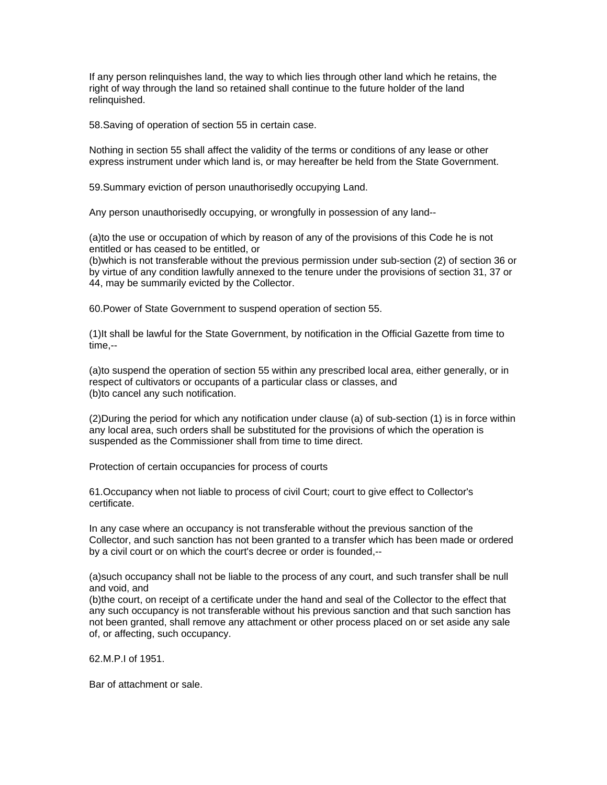If any person relinquishes land, the way to which lies through other land which he retains, the right of way through the land so retained shall continue to the future holder of the land relinguished.

58.Saving of operation of section 55 in certain case.

Nothing in section 55 shall affect the validity of the terms or conditions of any lease or other express instrument under which land is, or may hereafter be held from the State Government.

59.Summary eviction of person unauthorisedly occupying Land.

Any person unauthorisedly occupying, or wrongfully in possession of any land--

(a)to the use or occupation of which by reason of any of the provisions of this Code he is not entitled or has ceased to be entitled, or

(b)which is not transferable without the previous permission under sub-section (2) of section 36 or by virtue of any condition lawfully annexed to the tenure under the provisions of section 31, 37 or 44, may be summarily evicted by the Collector.

60.Power of State Government to suspend operation of section 55.

(1)It shall be lawful for the State Government, by notification in the Official Gazette from time to time,--

(a)to suspend the operation of section 55 within any prescribed local area, either generally, or in respect of cultivators or occupants of a particular class or classes, and (b)to cancel any such notification.

(2)During the period for which any notification under clause (a) of sub-section (1) is in force within any local area, such orders shall be substituted for the provisions of which the operation is suspended as the Commissioner shall from time to time direct.

Protection of certain occupancies for process of courts

61.Occupancy when not liable to process of civil Court; court to give effect to Collector's certificate.

In any case where an occupancy is not transferable without the previous sanction of the Collector, and such sanction has not been granted to a transfer which has been made or ordered by a civil court or on which the court's decree or order is founded,--

(a)such occupancy shall not be liable to the process of any court, and such transfer shall be null and void, and

(b)the court, on receipt of a certificate under the hand and seal of the Collector to the effect that any such occupancy is not transferable without his previous sanction and that such sanction has not been granted, shall remove any attachment or other process placed on or set aside any sale of, or affecting, such occupancy.

62.M.P.I of 1951.

Bar of attachment or sale.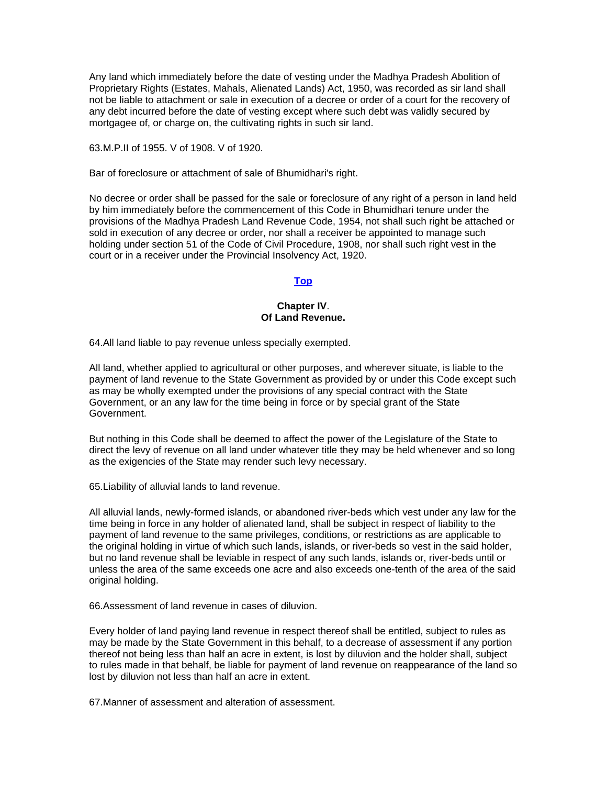Any land which immediately before the date of vesting under the Madhya Pradesh Abolition of Proprietary Rights (Estates, Mahals, Alienated Lands) Act, 1950, was recorded as sir land shall not be liable to attachment or sale in execution of a decree or order of a court for the recovery of any debt incurred before the date of vesting except where such debt was validly secured by mortgagee of, or charge on, the cultivating rights in such sir land.

63.M.P.II of 1955. V of 1908. V of 1920.

Bar of foreclosure or attachment of sale of Bhumidhari's right.

No decree or order shall be passed for the sale or foreclosure of any right of a person in land held by him immediately before the commencement of this Code in Bhumidhari tenure under the provisions of the Madhya Pradesh Land Revenue Code, 1954, not shall such right be attached or sold in execution of any decree or order, nor shall a receiver be appointed to manage such holding under section 51 of the Code of Civil Procedure, 1908, nor shall such right vest in the court or in a receiver under the Provincial Insolvency Act, 1920.

# **[Top](http://www.nagpuronline.com/nagpurcollectorate/laws/mlrc/oflands.htm#Of#Of)**

### **Chapter IV**. **Of Land Revenue.**

64.All land liable to pay revenue unless specially exempted.

All land, whether applied to agricultural or other purposes, and wherever situate, is liable to the payment of land revenue to the State Government as provided by or under this Code except such as may be wholly exempted under the provisions of any special contract with the State Government, or an any law for the time being in force or by special grant of the State Government.

But nothing in this Code shall be deemed to affect the power of the Legislature of the State to direct the levy of revenue on all land under whatever title they may be held whenever and so long as the exigencies of the State may render such levy necessary.

65.Liability of alluvial lands to land revenue.

All alluvial lands, newly-formed islands, or abandoned river-beds which vest under any law for the time being in force in any holder of alienated land, shall be subject in respect of liability to the payment of land revenue to the same privileges, conditions, or restrictions as are applicable to the original holding in virtue of which such lands, islands, or river-beds so vest in the said holder, but no land revenue shall be leviable in respect of any such lands, islands or, river-beds until or unless the area of the same exceeds one acre and also exceeds one-tenth of the area of the said original holding.

66.Assessment of land revenue in cases of diluvion.

Every holder of land paying land revenue in respect thereof shall be entitled, subject to rules as may be made by the State Government in this behalf, to a decrease of assessment if any portion thereof not being less than half an acre in extent, is lost by diluvion and the holder shall, subject to rules made in that behalf, be liable for payment of land revenue on reappearance of the land so lost by diluvion not less than half an acre in extent.

67.Manner of assessment and alteration of assessment.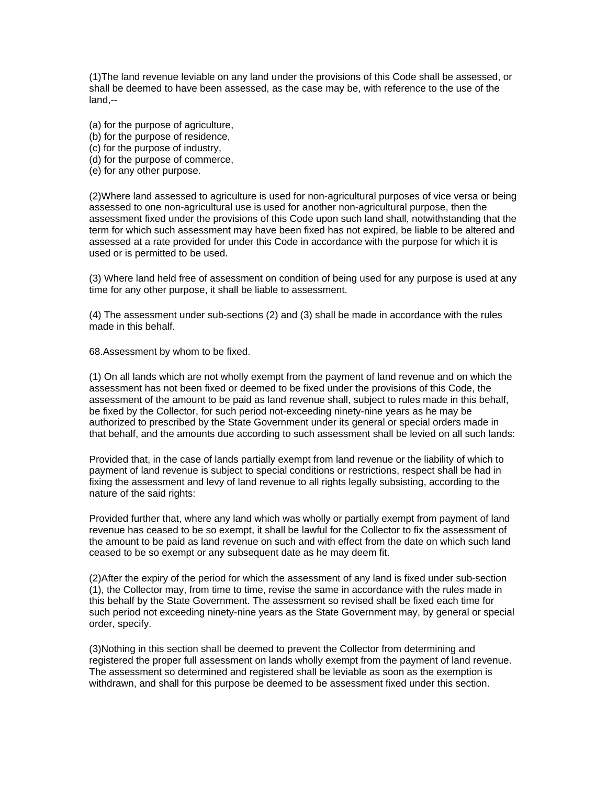(1)The land revenue leviable on any land under the provisions of this Code shall be assessed, or shall be deemed to have been assessed, as the case may be, with reference to the use of the land,--

- (a) for the purpose of agriculture,
- (b) for the purpose of residence,
- (c) for the purpose of industry,
- (d) for the purpose of commerce,
- (e) for any other purpose.

(2)Where land assessed to agriculture is used for non-agricultural purposes of vice versa or being assessed to one non-agricultural use is used for another non-agricultural purpose, then the assessment fixed under the provisions of this Code upon such land shall, notwithstanding that the term for which such assessment may have been fixed has not expired, be liable to be altered and assessed at a rate provided for under this Code in accordance with the purpose for which it is used or is permitted to be used.

(3) Where land held free of assessment on condition of being used for any purpose is used at any time for any other purpose, it shall be liable to assessment.

(4) The assessment under sub-sections (2) and (3) shall be made in accordance with the rules made in this behalf.

68.Assessment by whom to be fixed.

(1) On all lands which are not wholly exempt from the payment of land revenue and on which the assessment has not been fixed or deemed to be fixed under the provisions of this Code, the assessment of the amount to be paid as land revenue shall, subject to rules made in this behalf, be fixed by the Collector, for such period not-exceeding ninety-nine years as he may be authorized to prescribed by the State Government under its general or special orders made in that behalf, and the amounts due according to such assessment shall be levied on all such lands:

Provided that, in the case of lands partially exempt from land revenue or the liability of which to payment of land revenue is subject to special conditions or restrictions, respect shall be had in fixing the assessment and levy of land revenue to all rights legally subsisting, according to the nature of the said rights:

Provided further that, where any land which was wholly or partially exempt from payment of land revenue has ceased to be so exempt, it shall be lawful for the Collector to fix the assessment of the amount to be paid as land revenue on such and with effect from the date on which such land ceased to be so exempt or any subsequent date as he may deem fit.

(2)After the expiry of the period for which the assessment of any land is fixed under sub-section (1), the Collector may, from time to time, revise the same in accordance with the rules made in this behalf by the State Government. The assessment so revised shall be fixed each time for such period not exceeding ninety-nine years as the State Government may, by general or special order, specify.

(3)Nothing in this section shall be deemed to prevent the Collector from determining and registered the proper full assessment on lands wholly exempt from the payment of land revenue. The assessment so determined and registered shall be leviable as soon as the exemption is withdrawn, and shall for this purpose be deemed to be assessment fixed under this section.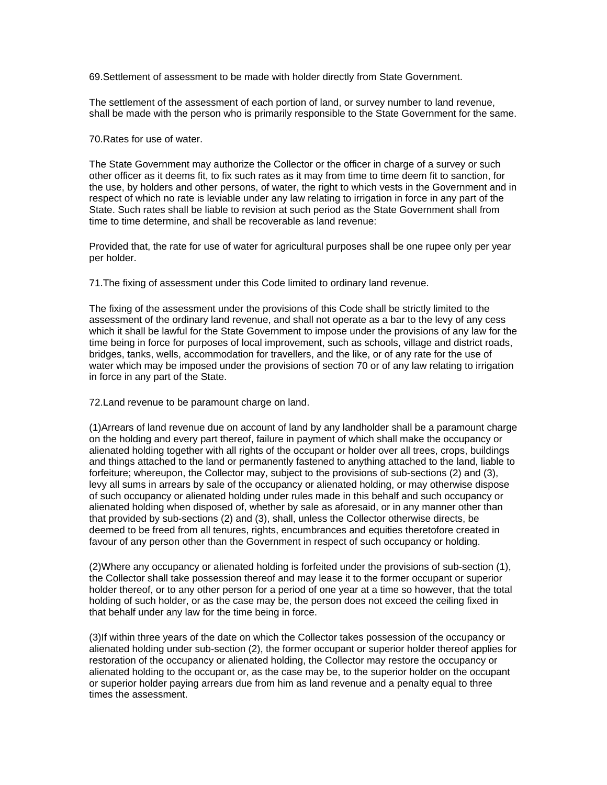69.Settlement of assessment to be made with holder directly from State Government.

The settlement of the assessment of each portion of land, or survey number to land revenue, shall be made with the person who is primarily responsible to the State Government for the same.

#### 70.Rates for use of water.

The State Government may authorize the Collector or the officer in charge of a survey or such other officer as it deems fit, to fix such rates as it may from time to time deem fit to sanction, for the use, by holders and other persons, of water, the right to which vests in the Government and in respect of which no rate is leviable under any law relating to irrigation in force in any part of the State. Such rates shall be liable to revision at such period as the State Government shall from time to time determine, and shall be recoverable as land revenue:

Provided that, the rate for use of water for agricultural purposes shall be one rupee only per year per holder.

71.The fixing of assessment under this Code limited to ordinary land revenue.

The fixing of the assessment under the provisions of this Code shall be strictly limited to the assessment of the ordinary land revenue, and shall not operate as a bar to the levy of any cess which it shall be lawful for the State Government to impose under the provisions of any law for the time being in force for purposes of local improvement, such as schools, village and district roads, bridges, tanks, wells, accommodation for travellers, and the like, or of any rate for the use of water which may be imposed under the provisions of section 70 or of any law relating to irrigation in force in any part of the State.

72.Land revenue to be paramount charge on land.

(1)Arrears of land revenue due on account of land by any landholder shall be a paramount charge on the holding and every part thereof, failure in payment of which shall make the occupancy or alienated holding together with all rights of the occupant or holder over all trees, crops, buildings and things attached to the land or permanently fastened to anything attached to the land, liable to forfeiture; whereupon, the Collector may, subject to the provisions of sub-sections (2) and (3), levy all sums in arrears by sale of the occupancy or alienated holding, or may otherwise dispose of such occupancy or alienated holding under rules made in this behalf and such occupancy or alienated holding when disposed of, whether by sale as aforesaid, or in any manner other than that provided by sub-sections (2) and (3), shall, unless the Collector otherwise directs, be deemed to be freed from all tenures, rights, encumbrances and equities theretofore created in favour of any person other than the Government in respect of such occupancy or holding.

(2)Where any occupancy or alienated holding is forfeited under the provisions of sub-section (1), the Collector shall take possession thereof and may lease it to the former occupant or superior holder thereof, or to any other person for a period of one year at a time so however, that the total holding of such holder, or as the case may be, the person does not exceed the ceiling fixed in that behalf under any law for the time being in force.

(3)If within three years of the date on which the Collector takes possession of the occupancy or alienated holding under sub-section (2), the former occupant or superior holder thereof applies for restoration of the occupancy or alienated holding, the Collector may restore the occupancy or alienated holding to the occupant or, as the case may be, to the superior holder on the occupant or superior holder paying arrears due from him as land revenue and a penalty equal to three times the assessment.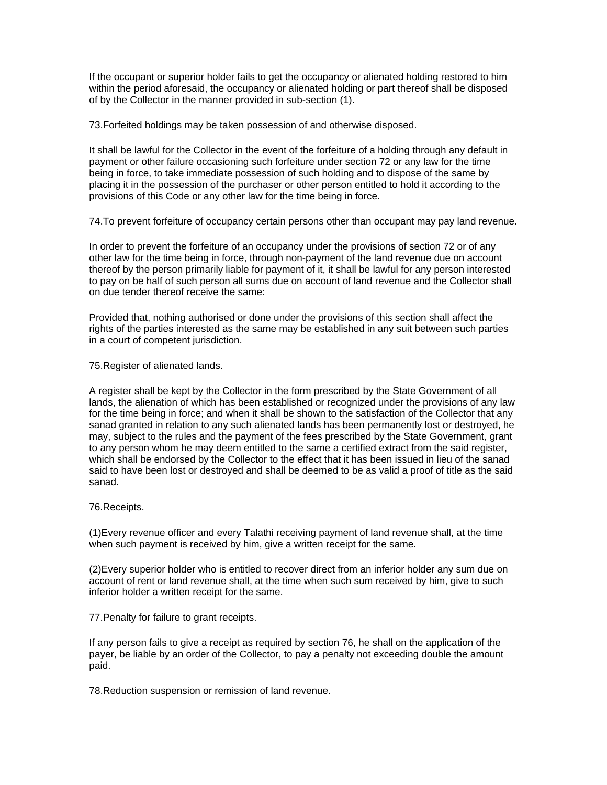If the occupant or superior holder fails to get the occupancy or alienated holding restored to him within the period aforesaid, the occupancy or alienated holding or part thereof shall be disposed of by the Collector in the manner provided in sub-section (1).

73.Forfeited holdings may be taken possession of and otherwise disposed.

It shall be lawful for the Collector in the event of the forfeiture of a holding through any default in payment or other failure occasioning such forfeiture under section 72 or any law for the time being in force, to take immediate possession of such holding and to dispose of the same by placing it in the possession of the purchaser or other person entitled to hold it according to the provisions of this Code or any other law for the time being in force.

74.To prevent forfeiture of occupancy certain persons other than occupant may pay land revenue.

In order to prevent the forfeiture of an occupancy under the provisions of section 72 or of any other law for the time being in force, through non-payment of the land revenue due on account thereof by the person primarily liable for payment of it, it shall be lawful for any person interested to pay on be half of such person all sums due on account of land revenue and the Collector shall on due tender thereof receive the same:

Provided that, nothing authorised or done under the provisions of this section shall affect the rights of the parties interested as the same may be established in any suit between such parties in a court of competent jurisdiction.

75.Register of alienated lands.

A register shall be kept by the Collector in the form prescribed by the State Government of all lands, the alienation of which has been established or recognized under the provisions of any law for the time being in force; and when it shall be shown to the satisfaction of the Collector that any sanad granted in relation to any such alienated lands has been permanently lost or destroyed, he may, subject to the rules and the payment of the fees prescribed by the State Government, grant to any person whom he may deem entitled to the same a certified extract from the said register, which shall be endorsed by the Collector to the effect that it has been issued in lieu of the sanad said to have been lost or destroyed and shall be deemed to be as valid a proof of title as the said sanad.

76.Receipts.

(1)Every revenue officer and every Talathi receiving payment of land revenue shall, at the time when such payment is received by him, give a written receipt for the same.

(2)Every superior holder who is entitled to recover direct from an inferior holder any sum due on account of rent or land revenue shall, at the time when such sum received by him, give to such inferior holder a written receipt for the same.

77.Penalty for failure to grant receipts.

If any person fails to give a receipt as required by section 76, he shall on the application of the payer, be liable by an order of the Collector, to pay a penalty not exceeding double the amount paid.

78.Reduction suspension or remission of land revenue.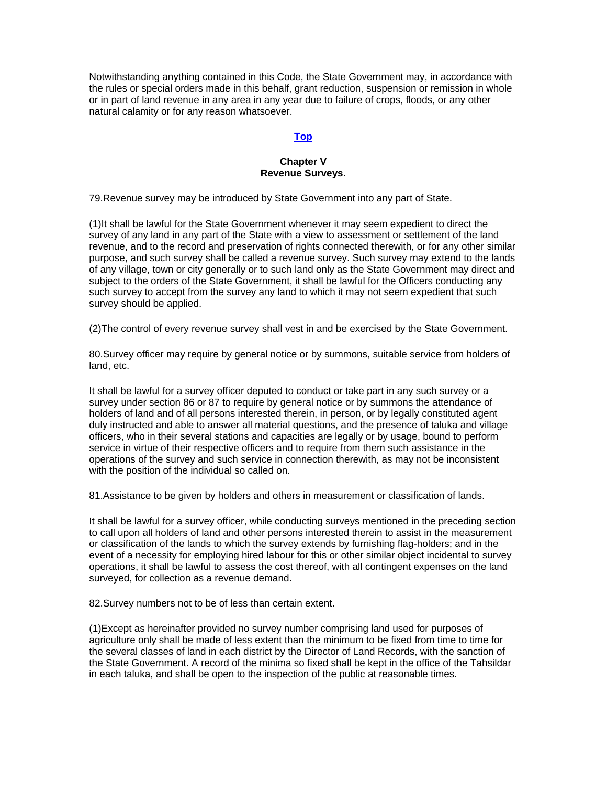Notwithstanding anything contained in this Code, the State Government may, in accordance with the rules or special orders made in this behalf, grant reduction, suspension or remission in whole or in part of land revenue in any area in any year due to failure of crops, floods, or any other natural calamity or for any reason whatsoever.

# **[Top](http://www.nagpuronline.com/nagpurcollectorate/laws/mlrc/oflandrevenue.htm#Of_Land_Revenue#Of_Land_Revenue)**

### **Chapter V Revenue Surveys.**

79.Revenue survey may be introduced by State Government into any part of State.

(1)It shall be lawful for the State Government whenever it may seem expedient to direct the survey of any land in any part of the State with a view to assessment or settlement of the land revenue, and to the record and preservation of rights connected therewith, or for any other similar purpose, and such survey shall be called a revenue survey. Such survey may extend to the lands of any village, town or city generally or to such land only as the State Government may direct and subject to the orders of the State Government, it shall be lawful for the Officers conducting any such survey to accept from the survey any land to which it may not seem expedient that such survey should be applied.

(2)The control of every revenue survey shall vest in and be exercised by the State Government.

80.Survey officer may require by general notice or by summons, suitable service from holders of land, etc.

It shall be lawful for a survey officer deputed to conduct or take part in any such survey or a survey under section 86 or 87 to require by general notice or by summons the attendance of holders of land and of all persons interested therein, in person, or by legally constituted agent duly instructed and able to answer all material questions, and the presence of taluka and village officers, who in their several stations and capacities are legally or by usage, bound to perform service in virtue of their respective officers and to require from them such assistance in the operations of the survey and such service in connection therewith, as may not be inconsistent with the position of the individual so called on.

81.Assistance to be given by holders and others in measurement or classification of lands.

It shall be lawful for a survey officer, while conducting surveys mentioned in the preceding section to call upon all holders of land and other persons interested therein to assist in the measurement or classification of the lands to which the survey extends by furnishing flag-holders; and in the event of a necessity for employing hired labour for this or other similar object incidental to survey operations, it shall be lawful to assess the cost thereof, with all contingent expenses on the land surveyed, for collection as a revenue demand.

82.Survey numbers not to be of less than certain extent.

(1)Except as hereinafter provided no survey number comprising land used for purposes of agriculture only shall be made of less extent than the minimum to be fixed from time to time for the several classes of land in each district by the Director of Land Records, with the sanction of the State Government. A record of the minima so fixed shall be kept in the office of the Tahsildar in each taluka, and shall be open to the inspection of the public at reasonable times.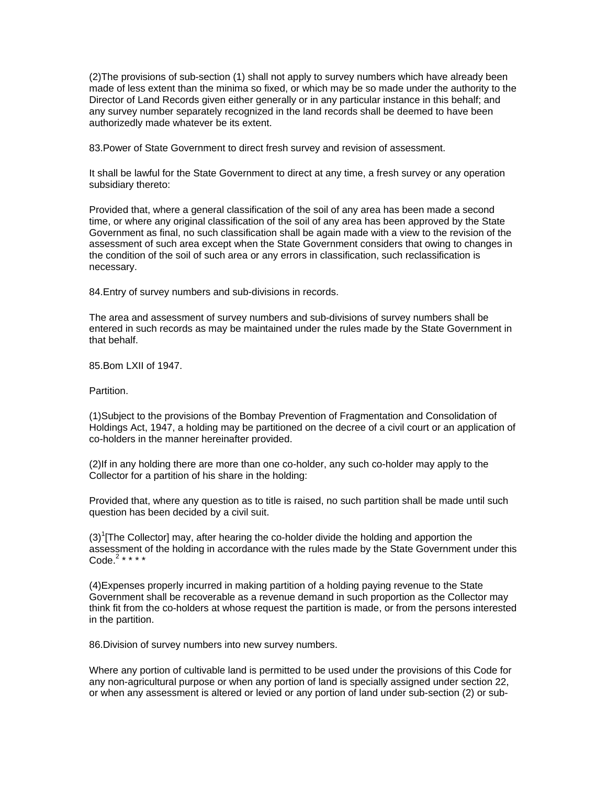(2)The provisions of sub-section (1) shall not apply to survey numbers which have already been made of less extent than the minima so fixed, or which may be so made under the authority to the Director of Land Records given either generally or in any particular instance in this behalf; and any survey number separately recognized in the land records shall be deemed to have been authorizedly made whatever be its extent.

83.Power of State Government to direct fresh survey and revision of assessment.

It shall be lawful for the State Government to direct at any time, a fresh survey or any operation subsidiary thereto:

Provided that, where a general classification of the soil of any area has been made a second time, or where any original classification of the soil of any area has been approved by the State Government as final, no such classification shall be again made with a view to the revision of the assessment of such area except when the State Government considers that owing to changes in the condition of the soil of such area or any errors in classification, such reclassification is necessary.

84.Entry of survey numbers and sub-divisions in records.

The area and assessment of survey numbers and sub-divisions of survey numbers shall be entered in such records as may be maintained under the rules made by the State Government in that behalf.

85.Bom LXII of 1947.

**Partition** 

(1)Subject to the provisions of the Bombay Prevention of Fragmentation and Consolidation of Holdings Act, 1947, a holding may be partitioned on the decree of a civil court or an application of co-holders in the manner hereinafter provided.

(2)If in any holding there are more than one co-holder, any such co-holder may apply to the Collector for a partition of his share in the holding:

Provided that, where any question as to title is raised, no such partition shall be made until such question has been decided by a civil suit.

 $(3)^{1}$ [The Collector] may, after hearing the co-holder divide the holding and apportion the assessment of the holding in accordance with the rules made by the State Government under this Code.<sup>2</sup> \* \* \* \*

(4)Expenses properly incurred in making partition of a holding paying revenue to the State Government shall be recoverable as a revenue demand in such proportion as the Collector may think fit from the co-holders at whose request the partition is made, or from the persons interested in the partition.

86.Division of survey numbers into new survey numbers.

Where any portion of cultivable land is permitted to be used under the provisions of this Code for any non-agricultural purpose or when any portion of land is specially assigned under section 22, or when any assessment is altered or levied or any portion of land under sub-section (2) or sub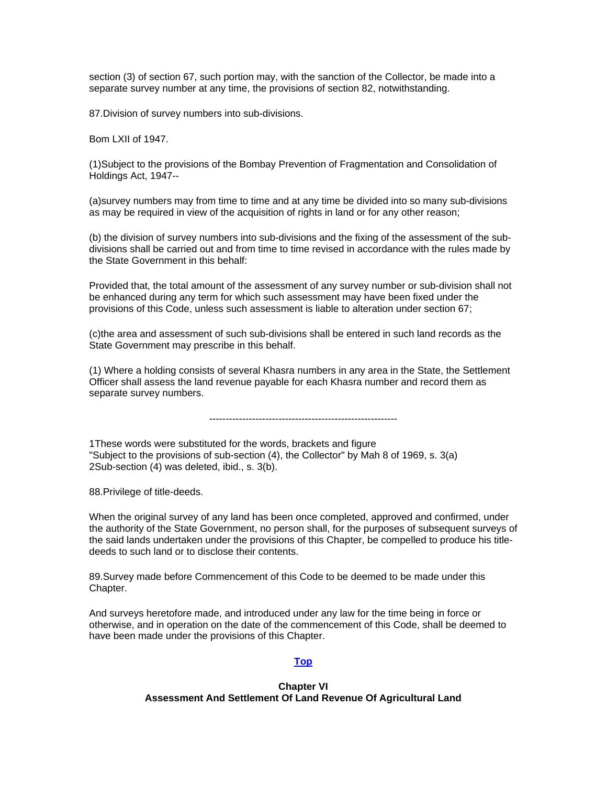section (3) of section 67, such portion may, with the sanction of the Collector, be made into a separate survey number at any time, the provisions of section 82, notwithstanding.

87.Division of survey numbers into sub-divisions.

Bom LXII of 1947.

(1)Subject to the provisions of the Bombay Prevention of Fragmentation and Consolidation of Holdings Act, 1947--

(a)survey numbers may from time to time and at any time be divided into so many sub-divisions as may be required in view of the acquisition of rights in land or for any other reason;

(b) the division of survey numbers into sub-divisions and the fixing of the assessment of the subdivisions shall be carried out and from time to time revised in accordance with the rules made by the State Government in this behalf:

Provided that, the total amount of the assessment of any survey number or sub-division shall not be enhanced during any term for which such assessment may have been fixed under the provisions of this Code, unless such assessment is liable to alteration under section 67;

(c)the area and assessment of such sub-divisions shall be entered in such land records as the State Government may prescribe in this behalf.

(1) Where a holding consists of several Khasra numbers in any area in the State, the Settlement Officer shall assess the land revenue payable for each Khasra number and record them as separate survey numbers.

---------------------------------------------------------

1These words were substituted for the words, brackets and figure "Subject to the provisions of sub-section (4), the Collector" by Mah 8 of 1969, s. 3(a) 2Sub-section (4) was deleted, ibid., s. 3(b).

88.Privilege of title-deeds.

When the original survey of any land has been once completed, approved and confirmed, under the authority of the State Government, no person shall, for the purposes of subsequent surveys of the said lands undertaken under the provisions of this Chapter, be compelled to produce his titledeeds to such land or to disclose their contents.

89.Survey made before Commencement of this Code to be deemed to be made under this Chapter.

And surveys heretofore made, and introduced under any law for the time being in force or otherwise, and in operation on the date of the commencement of this Code, shall be deemed to have been made under the provisions of this Chapter.

#### **[Top](http://www.nagpuronline.com/nagpurcollectorate/laws/mlrc/revenuesurveys.htm#Revenue_Surveys#Revenue_Surveys)**

### **Chapter VI Assessment And Settlement Of Land Revenue Of Agricultural Land**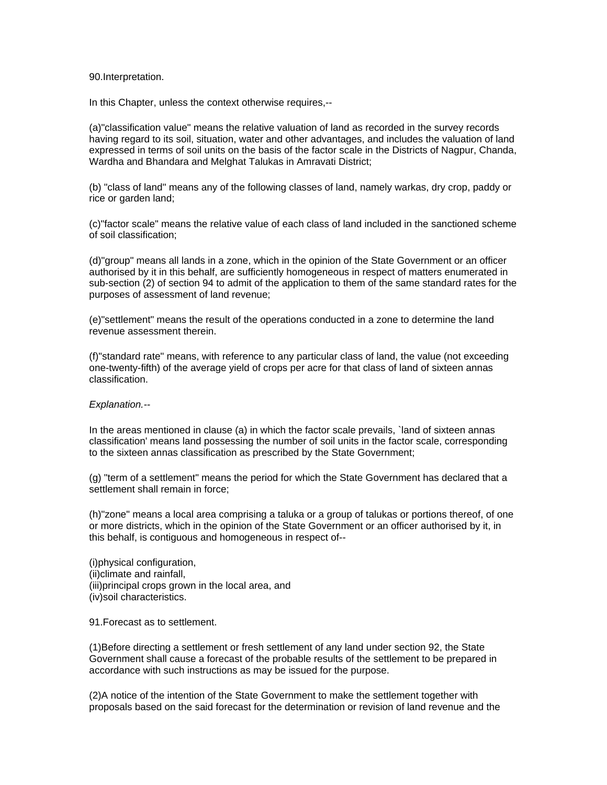#### 90.Interpretation.

In this Chapter, unless the context otherwise requires,--

(a)"classification value" means the relative valuation of land as recorded in the survey records having regard to its soil, situation, water and other advantages, and includes the valuation of land expressed in terms of soil units on the basis of the factor scale in the Districts of Nagpur, Chanda, Wardha and Bhandara and Melghat Talukas in Amravati District;

(b) "class of land" means any of the following classes of land, namely warkas, dry crop, paddy or rice or garden land;

(c)"factor scale" means the relative value of each class of land included in the sanctioned scheme of soil classification;

(d)"group" means all lands in a zone, which in the opinion of the State Government or an officer authorised by it in this behalf, are sufficiently homogeneous in respect of matters enumerated in sub-section (2) of section 94 to admit of the application to them of the same standard rates for the purposes of assessment of land revenue;

(e)"settlement" means the result of the operations conducted in a zone to determine the land revenue assessment therein.

(f)"standard rate" means, with reference to any particular class of land, the value (not exceeding one-twenty-fifth) of the average yield of crops per acre for that class of land of sixteen annas classification.

#### *Explanation.--*

In the areas mentioned in clause (a) in which the factor scale prevails, `land of sixteen annas classification' means land possessing the number of soil units in the factor scale, corresponding to the sixteen annas classification as prescribed by the State Government;

(g) "term of a settlement" means the period for which the State Government has declared that a settlement shall remain in force;

(h)"zone" means a local area comprising a taluka or a group of talukas or portions thereof, of one or more districts, which in the opinion of the State Government or an officer authorised by it, in this behalf, is contiguous and homogeneous in respect of--

(i)physical configuration, (ii)climate and rainfall, (iii)principal crops grown in the local area, and (iv)soil characteristics.

91.Forecast as to settlement.

(1)Before directing a settlement or fresh settlement of any land under section 92, the State Government shall cause a forecast of the probable results of the settlement to be prepared in accordance with such instructions as may be issued for the purpose.

(2)A notice of the intention of the State Government to make the settlement together with proposals based on the said forecast for the determination or revision of land revenue and the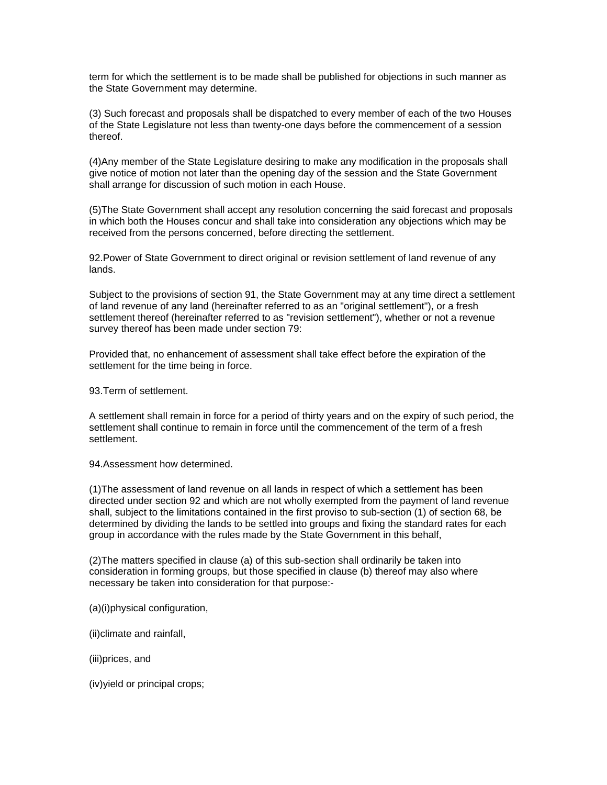term for which the settlement is to be made shall be published for objections in such manner as the State Government may determine.

(3) Such forecast and proposals shall be dispatched to every member of each of the two Houses of the State Legislature not less than twenty-one days before the commencement of a session thereof.

(4)Any member of the State Legislature desiring to make any modification in the proposals shall give notice of motion not later than the opening day of the session and the State Government shall arrange for discussion of such motion in each House.

(5)The State Government shall accept any resolution concerning the said forecast and proposals in which both the Houses concur and shall take into consideration any objections which may be received from the persons concerned, before directing the settlement.

92.Power of State Government to direct original or revision settlement of land revenue of any lands.

Subject to the provisions of section 91, the State Government may at any time direct a settlement of land revenue of any land (hereinafter referred to as an "original settlement"), or a fresh settlement thereof (hereinafter referred to as "revision settlement"), whether or not a revenue survey thereof has been made under section 79:

Provided that, no enhancement of assessment shall take effect before the expiration of the settlement for the time being in force.

93.Term of settlement.

A settlement shall remain in force for a period of thirty years and on the expiry of such period, the settlement shall continue to remain in force until the commencement of the term of a fresh settlement.

94.Assessment how determined.

(1)The assessment of land revenue on all lands in respect of which a settlement has been directed under section 92 and which are not wholly exempted from the payment of land revenue shall, subject to the limitations contained in the first proviso to sub-section (1) of section 68, be determined by dividing the lands to be settled into groups and fixing the standard rates for each group in accordance with the rules made by the State Government in this behalf,

(2)The matters specified in clause (a) of this sub-section shall ordinarily be taken into consideration in forming groups, but those specified in clause (b) thereof may also where necessary be taken into consideration for that purpose:-

(a)(i)physical configuration,

(ii)climate and rainfall,

(iii)prices, and

(iv)yield or principal crops;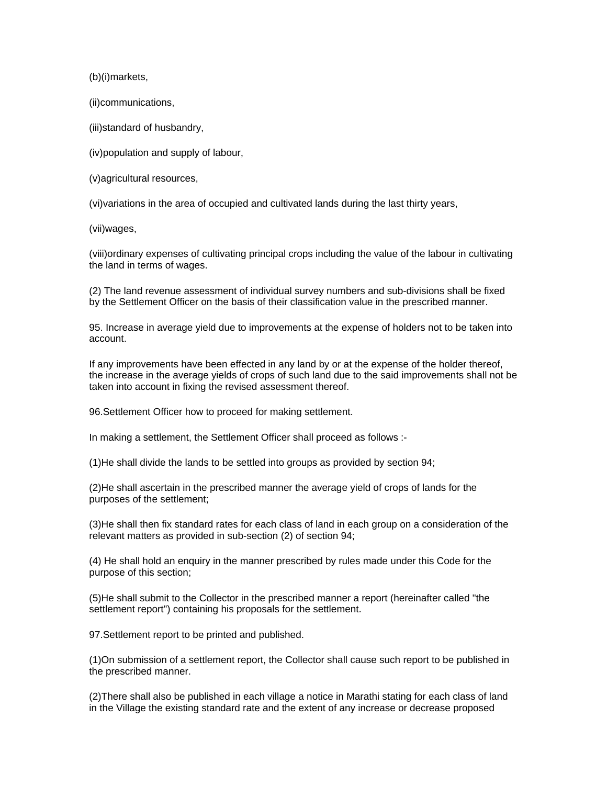(b)(i)markets,

(ii)communications,

(iii)standard of husbandry,

(iv)population and supply of labour,

(v)agricultural resources,

(vi)variations in the area of occupied and cultivated lands during the last thirty years,

(vii)wages,

(viii)ordinary expenses of cultivating principal crops including the value of the labour in cultivating the land in terms of wages.

(2) The land revenue assessment of individual survey numbers and sub-divisions shall be fixed by the Settlement Officer on the basis of their classification value in the prescribed manner.

95. Increase in average yield due to improvements at the expense of holders not to be taken into account.

If any improvements have been effected in any land by or at the expense of the holder thereof, the increase in the average yields of crops of such land due to the said improvements shall not be taken into account in fixing the revised assessment thereof.

96.Settlement Officer how to proceed for making settlement.

In making a settlement, the Settlement Officer shall proceed as follows :-

(1)He shall divide the lands to be settled into groups as provided by section 94;

(2)He shall ascertain in the prescribed manner the average yield of crops of lands for the purposes of the settlement;

(3)He shall then fix standard rates for each class of land in each group on a consideration of the relevant matters as provided in sub-section (2) of section 94;

(4) He shall hold an enquiry in the manner prescribed by rules made under this Code for the purpose of this section;

(5)He shall submit to the Collector in the prescribed manner a report (hereinafter called "the settlement report") containing his proposals for the settlement.

97.Settlement report to be printed and published.

(1)On submission of a settlement report, the Collector shall cause such report to be published in the prescribed manner.

(2)There shall also be published in each village a notice in Marathi stating for each class of land in the Village the existing standard rate and the extent of any increase or decrease proposed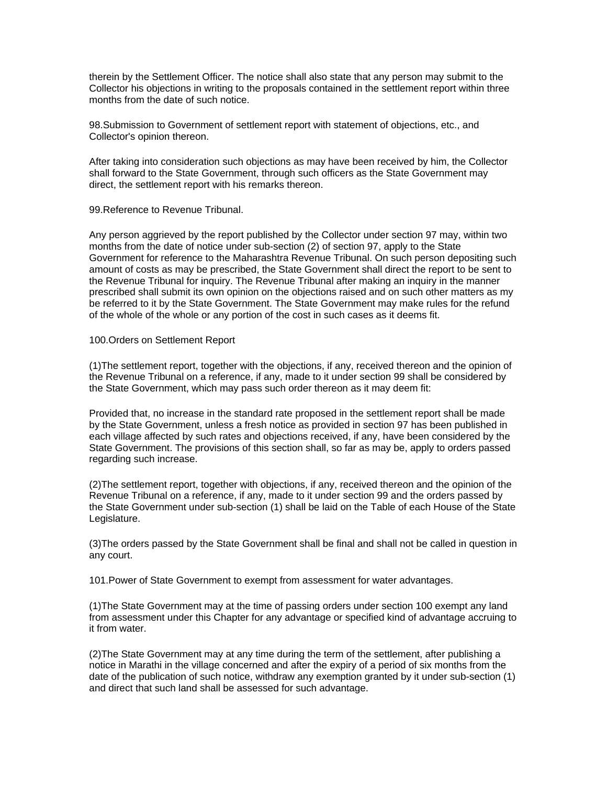therein by the Settlement Officer. The notice shall also state that any person may submit to the Collector his objections in writing to the proposals contained in the settlement report within three months from the date of such notice.

98.Submission to Government of settlement report with statement of objections, etc., and Collector's opinion thereon.

After taking into consideration such objections as may have been received by him, the Collector shall forward to the State Government, through such officers as the State Government may direct, the settlement report with his remarks thereon.

99.Reference to Revenue Tribunal.

Any person aggrieved by the report published by the Collector under section 97 may, within two months from the date of notice under sub-section (2) of section 97, apply to the State Government for reference to the Maharashtra Revenue Tribunal. On such person depositing such amount of costs as may be prescribed, the State Government shall direct the report to be sent to the Revenue Tribunal for inquiry. The Revenue Tribunal after making an inquiry in the manner prescribed shall submit its own opinion on the objections raised and on such other matters as my be referred to it by the State Government. The State Government may make rules for the refund of the whole of the whole or any portion of the cost in such cases as it deems fit.

#### 100.Orders on Settlement Report

(1)The settlement report, together with the objections, if any, received thereon and the opinion of the Revenue Tribunal on a reference, if any, made to it under section 99 shall be considered by the State Government, which may pass such order thereon as it may deem fit:

Provided that, no increase in the standard rate proposed in the settlement report shall be made by the State Government, unless a fresh notice as provided in section 97 has been published in each village affected by such rates and objections received, if any, have been considered by the State Government. The provisions of this section shall, so far as may be, apply to orders passed regarding such increase.

(2)The settlement report, together with objections, if any, received thereon and the opinion of the Revenue Tribunal on a reference, if any, made to it under section 99 and the orders passed by the State Government under sub-section (1) shall be laid on the Table of each House of the State Legislature.

(3)The orders passed by the State Government shall be final and shall not be called in question in any court.

101.Power of State Government to exempt from assessment for water advantages.

(1)The State Government may at the time of passing orders under section 100 exempt any land from assessment under this Chapter for any advantage or specified kind of advantage accruing to it from water.

(2)The State Government may at any time during the term of the settlement, after publishing a notice in Marathi in the village concerned and after the expiry of a period of six months from the date of the publication of such notice, withdraw any exemption granted by it under sub-section (1) and direct that such land shall be assessed for such advantage.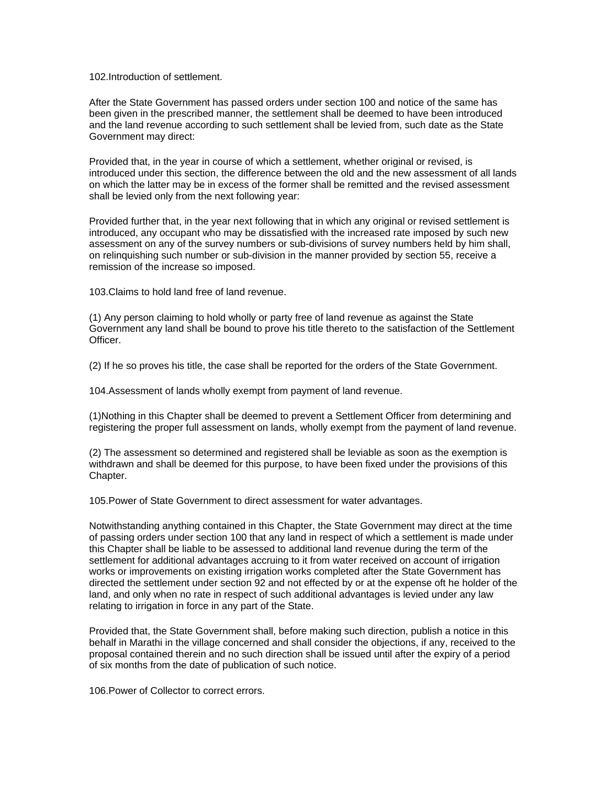102 Introduction of settlement

After the State Government has passed orders under section 100 and notice of the same has been given in the prescribed manner, the settlement shall be deemed to have been introduced and the land revenue according to such settlement shall be levied from, such date as the State Government may direct:

Provided that, in the year in course of which a settlement, whether original or revised, is introduced under this section, the difference between the old and the new assessment of all lands on which the latter may be in excess of the former shall be remitted and the revised assessment shall be levied only from the next following year:

Provided further that, in the year next following that in which any original or revised settlement is introduced, any occupant who may be dissatisfied with the increased rate imposed by such new assessment on any of the survey numbers or sub-divisions of survey numbers held by him shall, on relinquishing such number or sub-division in the manner provided by section 55, receive a remission of the increase so imposed.

103.Claims to hold land free of land revenue.

(1) Any person claiming to hold wholly or party free of land revenue as against the State Government any land shall be bound to prove his title thereto to the satisfaction of the Settlement Officer.

(2) If he so proves his title, the case shall be reported for the orders of the State Government.

104.Assessment of lands wholly exempt from payment of land revenue.

(1)Nothing in this Chapter shall be deemed to prevent a Settlement Officer from determining and registering the proper full assessment on lands, wholly exempt from the payment of land revenue.

(2) The assessment so determined and registered shall be leviable as soon as the exemption is withdrawn and shall be deemed for this purpose, to have been fixed under the provisions of this Chapter.

105.Power of State Government to direct assessment for water advantages.

Notwithstanding anything contained in this Chapter, the State Government may direct at the time of passing orders under section 100 that any land in respect of which a settlement is made under this Chapter shall be liable to be assessed to additional land revenue during the term of the settlement for additional advantages accruing to it from water received on account of irrigation works or improvements on existing irrigation works completed after the State Government has directed the settlement under section 92 and not effected by or at the expense oft he holder of the land, and only when no rate in respect of such additional advantages is levied under any law relating to irrigation in force in any part of the State.

Provided that, the State Government shall, before making such direction, publish a notice in this behalf in Marathi in the village concerned and shall consider the objections, if any, received to the proposal contained therein and no such direction shall be issued until after the expiry of a period of six months from the date of publication of such notice.

106.Power of Collector to correct errors.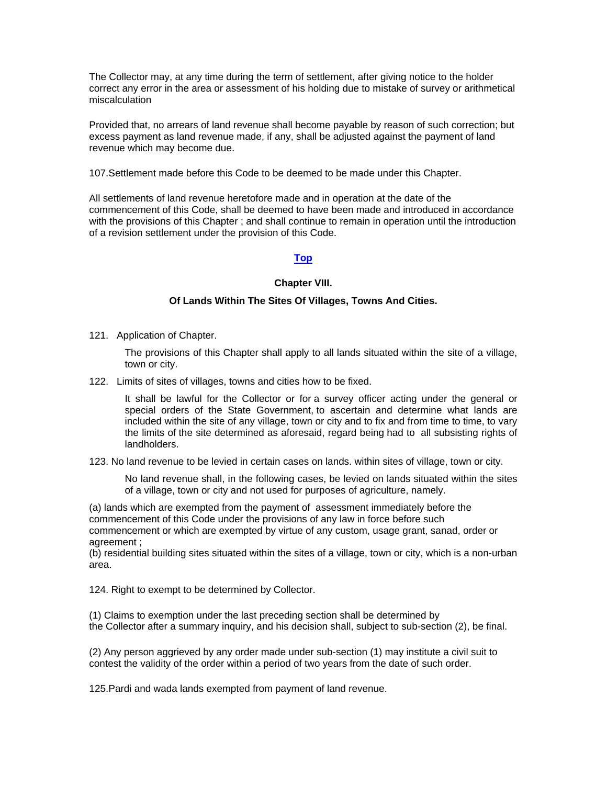The Collector may, at any time during the term of settlement, after giving notice to the holder correct any error in the area or assessment of his holding due to mistake of survey or arithmetical miscalculation

Provided that, no arrears of land revenue shall become payable by reason of such correction; but excess payment as land revenue made, if any, shall be adjusted against the payment of land revenue which may become due.

107.Settlement made before this Code to be deemed to be made under this Chapter.

All settlements of land revenue heretofore made and in operation at the date of the commencement of this Code, shall be deemed to have been made and introduced in accordance with the provisions of this Chapter ; and shall continue to remain in operation until the introduction of a revision settlement under the provision of this Code.

### **[Top](http://www.nagpuronline.com/nagpurcollectorate/laws/mlrc/agricultural.htm#Agricultural Land#Agricultural Land)**

#### **Chapter VIII.**

#### **Of Lands Within The Sites Of Villages, Towns And Cities.**

121. Application of Chapter.

The provisions of this Chapter shall apply to all lands situated within the site of a village, town or city.

122. Limits of sites of villages, towns and cities how to be fixed.

It shall be lawful for the Collector or for a survey officer acting under the general or special orders of the State Government, to ascertain and determine what lands are included within the site of any village, town or city and to fix and from time to time, to vary the limits of the site determined as aforesaid, regard being had to all subsisting rights of landholders.

123. No land revenue to be levied in certain cases on lands. within sites of village, town or city.

No land revenue shall, in the following cases, be levied on lands situated within the sites of a village, town or city and not used for purposes of agriculture, namely.

(a) lands which are exempted from the payment of assessment immediately before the commencement of this Code under the provisions of any law in force before such commencement or which are exempted by virtue of any custom, usage grant, sanad, order or agreement ;

(b) residential building sites situated within the sites of a village, town or city, which is a non-urban area.

124. Right to exempt to be determined by Collector.

(1) Claims to exemption under the last preceding section shall be determined by the Collector after a summary inquiry, and his decision shall, subject to sub-section (2), be final.

(2) Any person aggrieved by any order made under sub-section (1) may institute a civil suit to contest the validity of the order within a period of two years from the date of such order.

125.Pardi and wada lands exempted from payment of land revenue.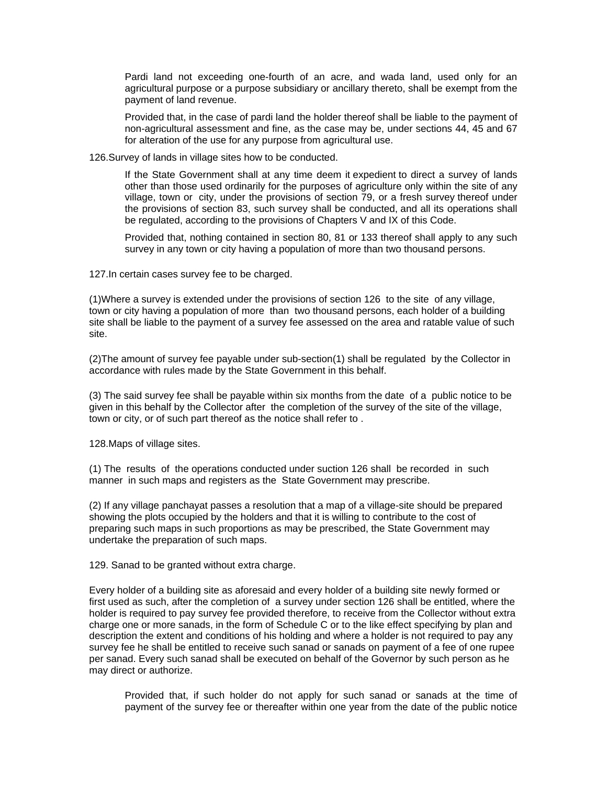Pardi land not exceeding one-fourth of an acre, and wada land, used only for an agricultural purpose or a purpose subsidiary or ancillary thereto, shall be exempt from the payment of land revenue.

Provided that, in the case of pardi land the holder thereof shall be liable to the payment of non-agricultural assessment and fine, as the case may be, under sections 44, 45 and 67 for alteration of the use for any purpose from agricultural use.

126.Survey of lands in village sites how to be conducted.

If the State Government shall at any time deem it expedient to direct a survey of lands other than those used ordinarily for the purposes of agriculture only within the site of any village, town or city, under the provisions of section 79, or a fresh survey thereof under the provisions of section 83, such survey shall be conducted, and all its operations shall be regulated, according to the provisions of Chapters V and IX of this Code.

Provided that, nothing contained in section 80, 81 or 133 thereof shall apply to any such survey in any town or city having a population of more than two thousand persons.

127.In certain cases survey fee to be charged.

(1)Where a survey is extended under the provisions of section 126 to the site of any village, town or city having a population of more than two thousand persons, each holder of a building site shall be liable to the payment of a survey fee assessed on the area and ratable value of such site.

(2)The amount of survey fee payable under sub-section(1) shall be regulated by the Collector in accordance with rules made by the State Government in this behalf.

(3) The said survey fee shall be payable within six months from the date of a public notice to be given in this behalf by the Collector after the completion of the survey of the site of the village, town or city, or of such part thereof as the notice shall refer to .

128.Maps of village sites.

(1) The results of the operations conducted under suction 126 shall be recorded in such manner in such maps and registers as the State Government may prescribe.

(2) If any village panchayat passes a resolution that a map of a village-site should be prepared showing the plots occupied by the holders and that it is willing to contribute to the cost of preparing such maps in such proportions as may be prescribed, the State Government may undertake the preparation of such maps.

129. Sanad to be granted without extra charge.

Every holder of a building site as aforesaid and every holder of a building site newly formed or first used as such, after the completion of a survey under section 126 shall be entitled, where the holder is required to pay survey fee provided therefore, to receive from the Collector without extra charge one or more sanads, in the form of Schedule C or to the like effect specifying by plan and description the extent and conditions of his holding and where a holder is not required to pay any survey fee he shall be entitled to receive such sanad or sanads on payment of a fee of one rupee per sanad. Every such sanad shall be executed on behalf of the Governor by such person as he may direct or authorize.

Provided that, if such holder do not apply for such sanad or sanads at the time of payment of the survey fee or thereafter within one year from the date of the public notice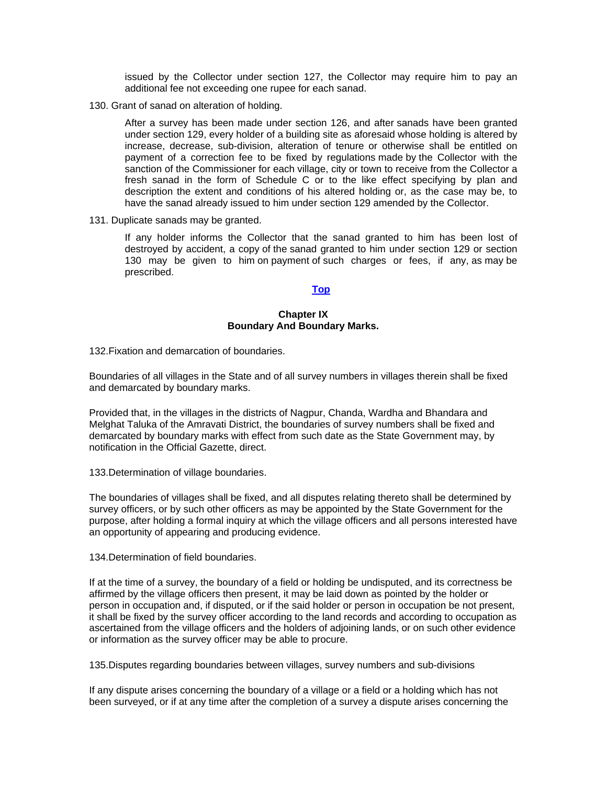issued by the Collector under section 127, the Collector may require him to pay an additional fee not exceeding one rupee for each sanad.

130. Grant of sanad on alteration of holding.

After a survey has been made under section 126, and after sanads have been granted under section 129, every holder of a building site as aforesaid whose holding is altered by increase, decrease, sub-division, alteration of tenure or otherwise shall be entitled on payment of a correction fee to be fixed by regulations made by the Collector with the sanction of the Commissioner for each village, city or town to receive from the Collector a fresh sanad in the form of Schedule C or to the like effect specifying by plan and description the extent and conditions of his altered holding or, as the case may be, to have the sanad already issued to him under section 129 amended by the Collector.

131. Duplicate sanads may be granted.

If any holder informs the Collector that the sanad granted to him has been lost of destroyed by accident, a copy of the sanad granted to him under section 129 or section 130 may be given to him on payment of such charges or fees, if any, as may be prescribed.

# **[Top](http://www.nagpuronline.com/nagpurcollectorate/laws/mlrc/oflandwithsite.htm#chapter VIII#chapter VIII)**

### **Chapter IX Boundary And Boundary Marks.**

132.Fixation and demarcation of boundaries.

Boundaries of all villages in the State and of all survey numbers in villages therein shall be fixed and demarcated by boundary marks.

Provided that, in the villages in the districts of Nagpur, Chanda, Wardha and Bhandara and Melghat Taluka of the Amravati District, the boundaries of survey numbers shall be fixed and demarcated by boundary marks with effect from such date as the State Government may, by notification in the Official Gazette, direct.

133.Determination of village boundaries.

The boundaries of villages shall be fixed, and all disputes relating thereto shall be determined by survey officers, or by such other officers as may be appointed by the State Government for the purpose, after holding a formal inquiry at which the village officers and all persons interested have an opportunity of appearing and producing evidence.

134.Determination of field boundaries.

If at the time of a survey, the boundary of a field or holding be undisputed, and its correctness be affirmed by the village officers then present, it may be laid down as pointed by the holder or person in occupation and, if disputed, or if the said holder or person in occupation be not present, it shall be fixed by the survey officer according to the land records and according to occupation as ascertained from the village officers and the holders of adjoining lands, or on such other evidence or information as the survey officer may be able to procure.

135.Disputes regarding boundaries between villages, survey numbers and sub-divisions

If any dispute arises concerning the boundary of a village or a field or a holding which has not been surveyed, or if at any time after the completion of a survey a dispute arises concerning the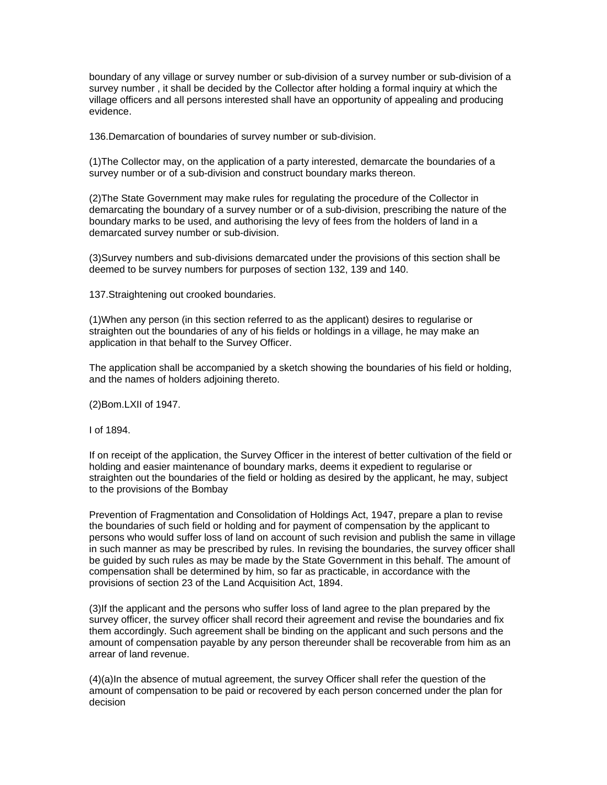boundary of any village or survey number or sub-division of a survey number or sub-division of a survey number , it shall be decided by the Collector after holding a formal inquiry at which the village officers and all persons interested shall have an opportunity of appealing and producing evidence.

136.Demarcation of boundaries of survey number or sub-division.

(1)The Collector may, on the application of a party interested, demarcate the boundaries of a survey number or of a sub-division and construct boundary marks thereon.

(2)The State Government may make rules for regulating the procedure of the Collector in demarcating the boundary of a survey number or of a sub-division, prescribing the nature of the boundary marks to be used, and authorising the levy of fees from the holders of land in a demarcated survey number or sub-division.

(3)Survey numbers and sub-divisions demarcated under the provisions of this section shall be deemed to be survey numbers for purposes of section 132, 139 and 140.

137.Straightening out crooked boundaries.

(1)When any person (in this section referred to as the applicant) desires to regularise or straighten out the boundaries of any of his fields or holdings in a village, he may make an application in that behalf to the Survey Officer.

The application shall be accompanied by a sketch showing the boundaries of his field or holding, and the names of holders adjoining thereto.

(2)Bom.LXII of 1947.

I of 1894.

If on receipt of the application, the Survey Officer in the interest of better cultivation of the field or holding and easier maintenance of boundary marks, deems it expedient to regularise or straighten out the boundaries of the field or holding as desired by the applicant, he may, subject to the provisions of the Bombay

Prevention of Fragmentation and Consolidation of Holdings Act, 1947, prepare a plan to revise the boundaries of such field or holding and for payment of compensation by the applicant to persons who would suffer loss of land on account of such revision and publish the same in village in such manner as may be prescribed by rules. In revising the boundaries, the survey officer shall be guided by such rules as may be made by the State Government in this behalf. The amount of compensation shall be determined by him, so far as practicable, in accordance with the provisions of section 23 of the Land Acquisition Act, 1894.

(3)If the applicant and the persons who suffer loss of land agree to the plan prepared by the survey officer, the survey officer shall record their agreement and revise the boundaries and fix them accordingly. Such agreement shall be binding on the applicant and such persons and the amount of compensation payable by any person thereunder shall be recoverable from him as an arrear of land revenue.

(4)(a)In the absence of mutual agreement, the survey Officer shall refer the question of the amount of compensation to be paid or recovered by each person concerned under the plan for decision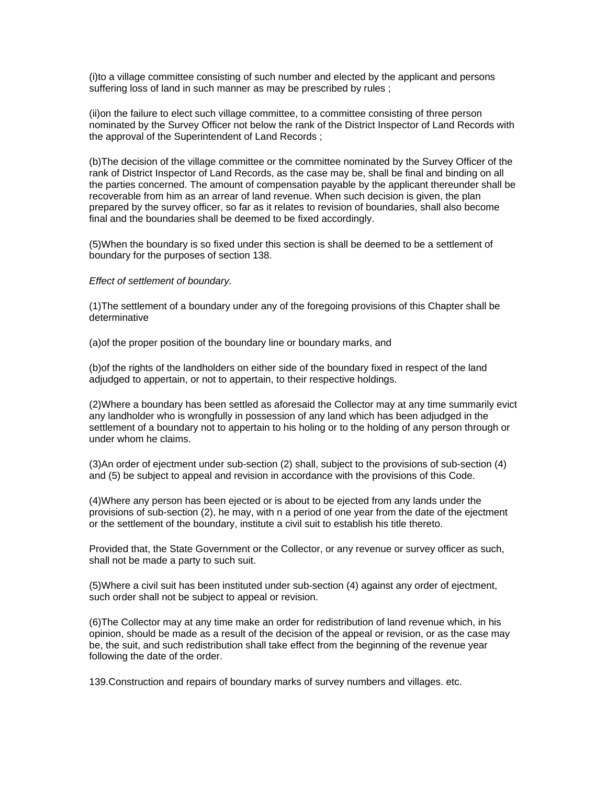(i)to a village committee consisting of such number and elected by the applicant and persons suffering loss of land in such manner as may be prescribed by rules ;

(ii)on the failure to elect such village committee, to a committee consisting of three person nominated by the Survey Officer not below the rank of the District Inspector of Land Records with the approval of the Superintendent of Land Records ;

(b)The decision of the village committee or the committee nominated by the Survey Officer of the rank of District Inspector of Land Records, as the case may be, shall be final and binding on all the parties concerned. The amount of compensation payable by the applicant thereunder shall be recoverable from him as an arrear of land revenue. When such decision is given, the plan prepared by the survey officer, so far as it relates to revision of boundaries, shall also become final and the boundaries shall be deemed to be fixed accordingly.

(5)When the boundary is so fixed under this section is shall be deemed to be a settlement of boundary for the purposes of section 138.

### *Effect of settlement of boundary.*

(1)The settlement of a boundary under any of the foregoing provisions of this Chapter shall be determinative

(a)of the proper position of the boundary line or boundary marks, and

(b)of the rights of the landholders on either side of the boundary fixed in respect of the land adjudged to appertain, or not to appertain, to their respective holdings.

(2)Where a boundary has been settled as aforesaid the Collector may at any time summarily evict any landholder who is wrongfully in possession of any land which has been adjudged in the settlement of a boundary not to appertain to his holing or to the holding of any person through or under whom he claims.

(3)An order of ejectment under sub-section (2) shall, subject to the provisions of sub-section (4) and (5) be subject to appeal and revision in accordance with the provisions of this Code.

(4)Where any person has been ejected or is about to be ejected from any lands under the provisions of sub-section (2), he may, with n a period of one year from the date of the ejectment or the settlement of the boundary, institute a civil suit to establish his title thereto.

Provided that, the State Government or the Collector, or any revenue or survey officer as such, shall not be made a party to such suit.

(5)Where a civil suit has been instituted under sub-section (4) against any order of ejectment, such order shall not be subject to appeal or revision.

(6)The Collector may at any time make an order for redistribution of land revenue which, in his opinion, should be made as a result of the decision of the appeal or revision, or as the case may be, the suit, and such redistribution shall take effect from the beginning of the revenue year following the date of the order.

139.Construction and repairs of boundary marks of survey numbers and villages. etc.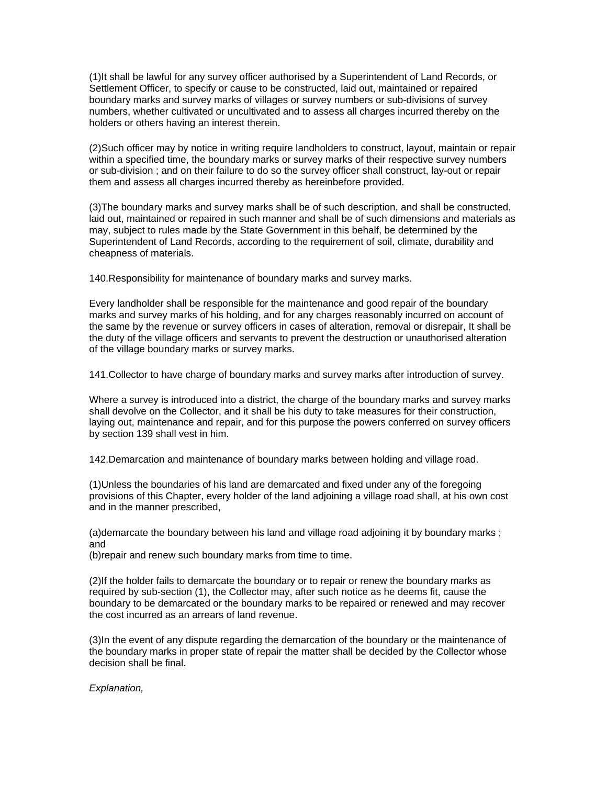(1)It shall be lawful for any survey officer authorised by a Superintendent of Land Records, or Settlement Officer, to specify or cause to be constructed, laid out, maintained or repaired boundary marks and survey marks of villages or survey numbers or sub-divisions of survey numbers, whether cultivated or uncultivated and to assess all charges incurred thereby on the holders or others having an interest therein.

(2)Such officer may by notice in writing require landholders to construct, layout, maintain or repair within a specified time, the boundary marks or survey marks of their respective survey numbers or sub-division ; and on their failure to do so the survey officer shall construct, lay-out or repair them and assess all charges incurred thereby as hereinbefore provided.

(3)The boundary marks and survey marks shall be of such description, and shall be constructed, laid out, maintained or repaired in such manner and shall be of such dimensions and materials as may, subject to rules made by the State Government in this behalf, be determined by the Superintendent of Land Records, according to the requirement of soil, climate, durability and cheapness of materials.

140.Responsibility for maintenance of boundary marks and survey marks.

Every landholder shall be responsible for the maintenance and good repair of the boundary marks and survey marks of his holding, and for any charges reasonably incurred on account of the same by the revenue or survey officers in cases of alteration, removal or disrepair, It shall be the duty of the village officers and servants to prevent the destruction or unauthorised alteration of the village boundary marks or survey marks.

141.Collector to have charge of boundary marks and survey marks after introduction of survey.

Where a survey is introduced into a district, the charge of the boundary marks and survey marks shall devolve on the Collector, and it shall be his duty to take measures for their construction, laying out, maintenance and repair, and for this purpose the powers conferred on survey officers by section 139 shall vest in him.

142.Demarcation and maintenance of boundary marks between holding and village road.

(1)Unless the boundaries of his land are demarcated and fixed under any of the foregoing provisions of this Chapter, every holder of the land adjoining a village road shall, at his own cost and in the manner prescribed,

(a)demarcate the boundary between his land and village road adjoining it by boundary marks ; and

(b)repair and renew such boundary marks from time to time.

(2)If the holder fails to demarcate the boundary or to repair or renew the boundary marks as required by sub-section (1), the Collector may, after such notice as he deems fit, cause the boundary to be demarcated or the boundary marks to be repaired or renewed and may recover the cost incurred as an arrears of land revenue.

(3)In the event of any dispute regarding the demarcation of the boundary or the maintenance of the boundary marks in proper state of repair the matter shall be decided by the Collector whose decision shall be final.

*Explanation,*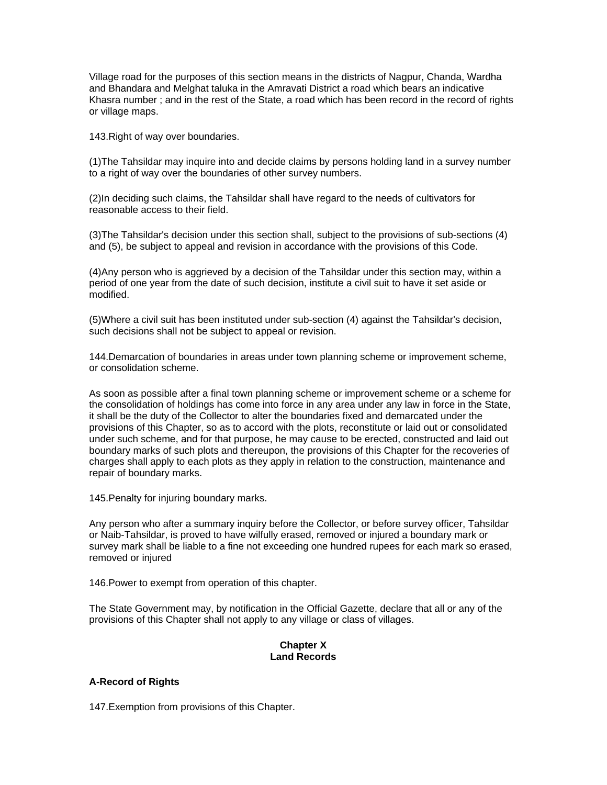Village road for the purposes of this section means in the districts of Nagpur, Chanda, Wardha and Bhandara and Melghat taluka in the Amravati District a road which bears an indicative Khasra number ; and in the rest of the State, a road which has been record in the record of rights or village maps.

143.Right of way over boundaries.

(1)The Tahsildar may inquire into and decide claims by persons holding land in a survey number to a right of way over the boundaries of other survey numbers.

(2)In deciding such claims, the Tahsildar shall have regard to the needs of cultivators for reasonable access to their field.

(3)The Tahsildar's decision under this section shall, subject to the provisions of sub-sections (4) and (5), be subject to appeal and revision in accordance with the provisions of this Code.

(4)Any person who is aggrieved by a decision of the Tahsildar under this section may, within a period of one year from the date of such decision, institute a civil suit to have it set aside or modified.

(5)Where a civil suit has been instituted under sub-section (4) against the Tahsildar's decision, such decisions shall not be subject to appeal or revision.

144.Demarcation of boundaries in areas under town planning scheme or improvement scheme, or consolidation scheme.

As soon as possible after a final town planning scheme or improvement scheme or a scheme for the consolidation of holdings has come into force in any area under any law in force in the State, it shall be the duty of the Collector to alter the boundaries fixed and demarcated under the provisions of this Chapter, so as to accord with the plots, reconstitute or laid out or consolidated under such scheme, and for that purpose, he may cause to be erected, constructed and laid out boundary marks of such plots and thereupon, the provisions of this Chapter for the recoveries of charges shall apply to each plots as they apply in relation to the construction, maintenance and repair of boundary marks.

145.Penalty for injuring boundary marks.

Any person who after a summary inquiry before the Collector, or before survey officer, Tahsildar or Naib-Tahsildar, is proved to have wilfully erased, removed or injured a boundary mark or survey mark shall be liable to a fine not exceeding one hundred rupees for each mark so erased, removed or injured

146.Power to exempt from operation of this chapter.

The State Government may, by notification in the Official Gazette, declare that all or any of the provisions of this Chapter shall not apply to any village or class of villages.

# **Chapter X Land Records**

# **A-Record of Rights**

147.Exemption from provisions of this Chapter.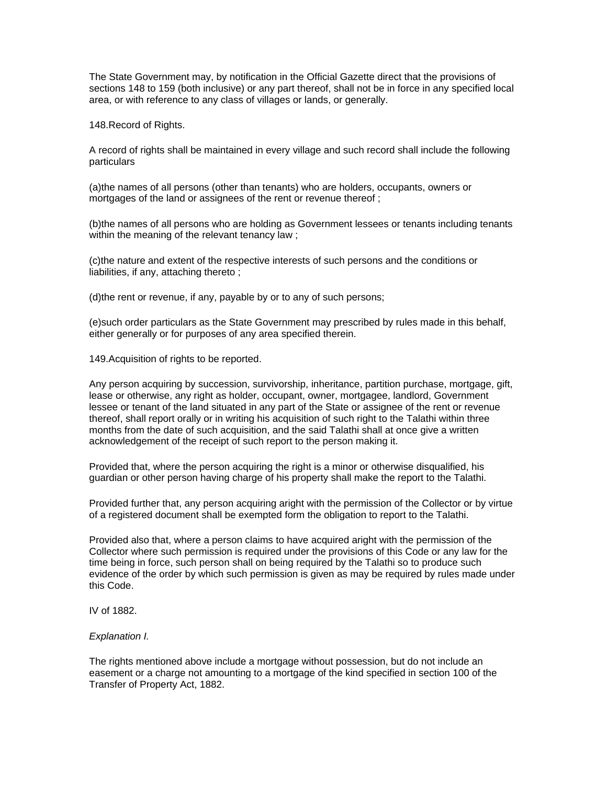The State Government may, by notification in the Official Gazette direct that the provisions of sections 148 to 159 (both inclusive) or any part thereof, shall not be in force in any specified local area, or with reference to any class of villages or lands, or generally.

148.Record of Rights.

A record of rights shall be maintained in every village and such record shall include the following particulars

(a)the names of all persons (other than tenants) who are holders, occupants, owners or mortgages of the land or assignees of the rent or revenue thereof ;

(b)the names of all persons who are holding as Government lessees or tenants including tenants within the meaning of the relevant tenancy law;

(c)the nature and extent of the respective interests of such persons and the conditions or liabilities, if any, attaching thereto ;

(d)the rent or revenue, if any, payable by or to any of such persons;

(e)such order particulars as the State Government may prescribed by rules made in this behalf, either generally or for purposes of any area specified therein.

149.Acquisition of rights to be reported.

Any person acquiring by succession, survivorship, inheritance, partition purchase, mortgage, gift, lease or otherwise, any right as holder, occupant, owner, mortgagee, landlord, Government lessee or tenant of the land situated in any part of the State or assignee of the rent or revenue thereof, shall report orally or in writing his acquisition of such right to the Talathi within three months from the date of such acquisition, and the said Talathi shall at once give a written acknowledgement of the receipt of such report to the person making it.

Provided that, where the person acquiring the right is a minor or otherwise disqualified, his guardian or other person having charge of his property shall make the report to the Talathi.

Provided further that, any person acquiring aright with the permission of the Collector or by virtue of a registered document shall be exempted form the obligation to report to the Talathi.

Provided also that, where a person claims to have acquired aright with the permission of the Collector where such permission is required under the provisions of this Code or any law for the time being in force, such person shall on being required by the Talathi so to produce such evidence of the order by which such permission is given as may be required by rules made under this Code.

IV of 1882.

#### *Explanation I.*

The rights mentioned above include a mortgage without possession, but do not include an easement or a charge not amounting to a mortgage of the kind specified in section 100 of the Transfer of Property Act, 1882.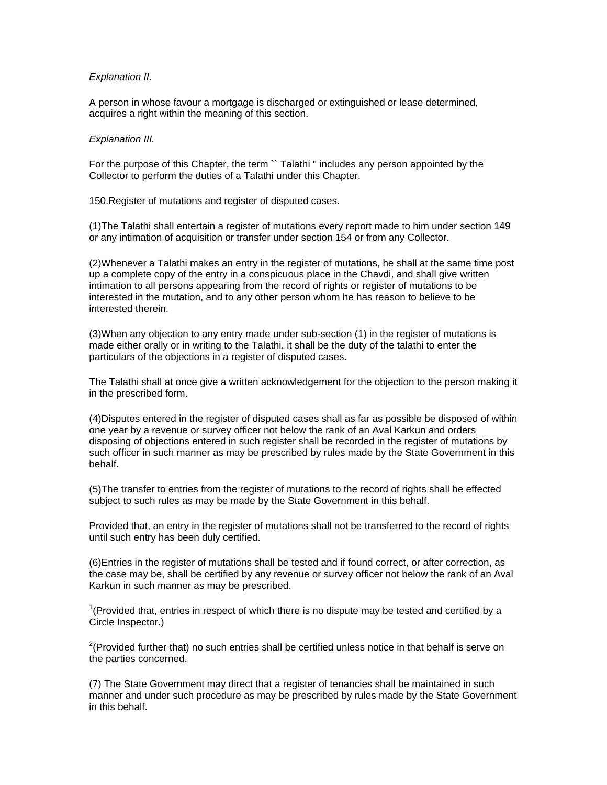### *Explanation II.*

A person in whose favour a mortgage is discharged or extinguished or lease determined, acquires a right within the meaning of this section.

### *Explanation III.*

For the purpose of this Chapter, the term `` Talathi " includes any person appointed by the Collector to perform the duties of a Talathi under this Chapter.

150.Register of mutations and register of disputed cases.

(1)The Talathi shall entertain a register of mutations every report made to him under section 149 or any intimation of acquisition or transfer under section 154 or from any Collector.

(2)Whenever a Talathi makes an entry in the register of mutations, he shall at the same time post up a complete copy of the entry in a conspicuous place in the Chavdi, and shall give written intimation to all persons appearing from the record of rights or register of mutations to be interested in the mutation, and to any other person whom he has reason to believe to be interested therein.

(3)When any objection to any entry made under sub-section (1) in the register of mutations is made either orally or in writing to the Talathi, it shall be the duty of the talathi to enter the particulars of the objections in a register of disputed cases.

The Talathi shall at once give a written acknowledgement for the objection to the person making it in the prescribed form.

(4)Disputes entered in the register of disputed cases shall as far as possible be disposed of within one year by a revenue or survey officer not below the rank of an Aval Karkun and orders disposing of objections entered in such register shall be recorded in the register of mutations by such officer in such manner as may be prescribed by rules made by the State Government in this behalf.

(5)The transfer to entries from the register of mutations to the record of rights shall be effected subject to such rules as may be made by the State Government in this behalf.

Provided that, an entry in the register of mutations shall not be transferred to the record of rights until such entry has been duly certified.

(6)Entries in the register of mutations shall be tested and if found correct, or after correction, as the case may be, shall be certified by any revenue or survey officer not below the rank of an Aval Karkun in such manner as may be prescribed.

 $1$ <sup>1</sup>(Provided that, entries in respect of which there is no dispute may be tested and certified by a Circle Inspector.)

 $2$ (Provided further that) no such entries shall be certified unless notice in that behalf is serve on the parties concerned.

(7) The State Government may direct that a register of tenancies shall be maintained in such manner and under such procedure as may be prescribed by rules made by the State Government in this behalf.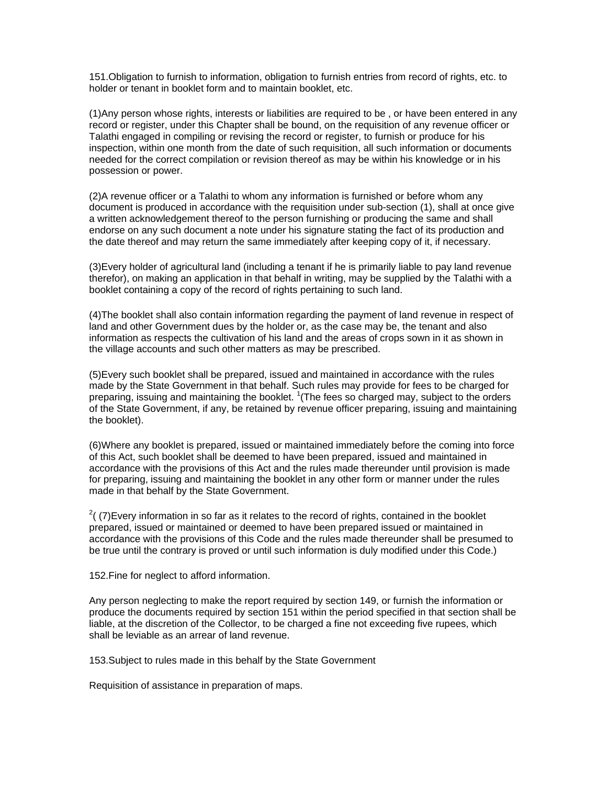151.Obligation to furnish to information, obligation to furnish entries from record of rights, etc. to holder or tenant in booklet form and to maintain booklet, etc.

(1)Any person whose rights, interests or liabilities are required to be , or have been entered in any record or register, under this Chapter shall be bound, on the requisition of any revenue officer or Talathi engaged in compiling or revising the record or register, to furnish or produce for his inspection, within one month from the date of such requisition, all such information or documents needed for the correct compilation or revision thereof as may be within his knowledge or in his possession or power.

(2)A revenue officer or a Talathi to whom any information is furnished or before whom any document is produced in accordance with the requisition under sub-section (1), shall at once give a written acknowledgement thereof to the person furnishing or producing the same and shall endorse on any such document a note under his signature stating the fact of its production and the date thereof and may return the same immediately after keeping copy of it, if necessary.

(3)Every holder of agricultural land (including a tenant if he is primarily liable to pay land revenue therefor), on making an application in that behalf in writing, may be supplied by the Talathi with a booklet containing a copy of the record of rights pertaining to such land.

(4)The booklet shall also contain information regarding the payment of land revenue in respect of land and other Government dues by the holder or, as the case may be, the tenant and also information as respects the cultivation of his land and the areas of crops sown in it as shown in the village accounts and such other matters as may be prescribed.

(5)Every such booklet shall be prepared, issued and maintained in accordance with the rules made by the State Government in that behalf. Such rules may provide for fees to be charged for preparing, issuing and maintaining the booklet. <sup>1</sup>(The fees so charged may, subject to the orders of the State Government, if any, be retained by revenue officer preparing, issuing and maintaining the booklet).

(6)Where any booklet is prepared, issued or maintained immediately before the coming into force of this Act, such booklet shall be deemed to have been prepared, issued and maintained in accordance with the provisions of this Act and the rules made thereunder until provision is made for preparing, issuing and maintaining the booklet in any other form or manner under the rules made in that behalf by the State Government.

 $2(7)$ Every information in so far as it relates to the record of rights, contained in the booklet prepared, issued or maintained or deemed to have been prepared issued or maintained in accordance with the provisions of this Code and the rules made thereunder shall be presumed to be true until the contrary is proved or until such information is duly modified under this Code.)

152.Fine for neglect to afford information.

Any person neglecting to make the report required by section 149, or furnish the information or produce the documents required by section 151 within the period specified in that section shall be liable, at the discretion of the Collector, to be charged a fine not exceeding five rupees, which shall be leviable as an arrear of land revenue.

153.Subject to rules made in this behalf by the State Government

Requisition of assistance in preparation of maps.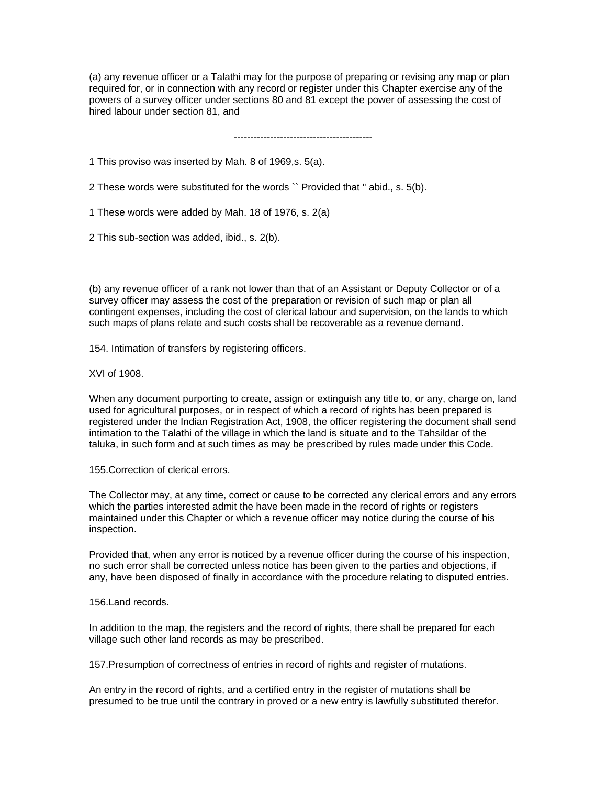(a) any revenue officer or a Talathi may for the purpose of preparing or revising any map or plan required for, or in connection with any record or register under this Chapter exercise any of the powers of a survey officer under sections 80 and 81 except the power of assessing the cost of hired labour under section 81, and

------------------------------------------

1 This proviso was inserted by Mah. 8 of 1969,s. 5(a).

2 These words were substituted for the words `` Provided that '' abid., s. 5(b).

1 These words were added by Mah. 18 of 1976, s. 2(a)

2 This sub-section was added, ibid., s. 2(b).

(b) any revenue officer of a rank not lower than that of an Assistant or Deputy Collector or of a survey officer may assess the cost of the preparation or revision of such map or plan all contingent expenses, including the cost of clerical labour and supervision, on the lands to which such maps of plans relate and such costs shall be recoverable as a revenue demand.

154. Intimation of transfers by registering officers.

XVI of 1908.

When any document purporting to create, assign or extinguish any title to, or any, charge on, land used for agricultural purposes, or in respect of which a record of rights has been prepared is registered under the Indian Registration Act, 1908, the officer registering the document shall send intimation to the Talathi of the village in which the land is situate and to the Tahsildar of the taluka, in such form and at such times as may be prescribed by rules made under this Code.

155.Correction of clerical errors.

The Collector may, at any time, correct or cause to be corrected any clerical errors and any errors which the parties interested admit the have been made in the record of rights or registers maintained under this Chapter or which a revenue officer may notice during the course of his inspection.

Provided that, when any error is noticed by a revenue officer during the course of his inspection, no such error shall be corrected unless notice has been given to the parties and objections, if any, have been disposed of finally in accordance with the procedure relating to disputed entries.

156.Land records.

In addition to the map, the registers and the record of rights, there shall be prepared for each village such other land records as may be prescribed.

157.Presumption of correctness of entries in record of rights and register of mutations.

An entry in the record of rights, and a certified entry in the register of mutations shall be presumed to be true until the contrary in proved or a new entry is lawfully substituted therefor.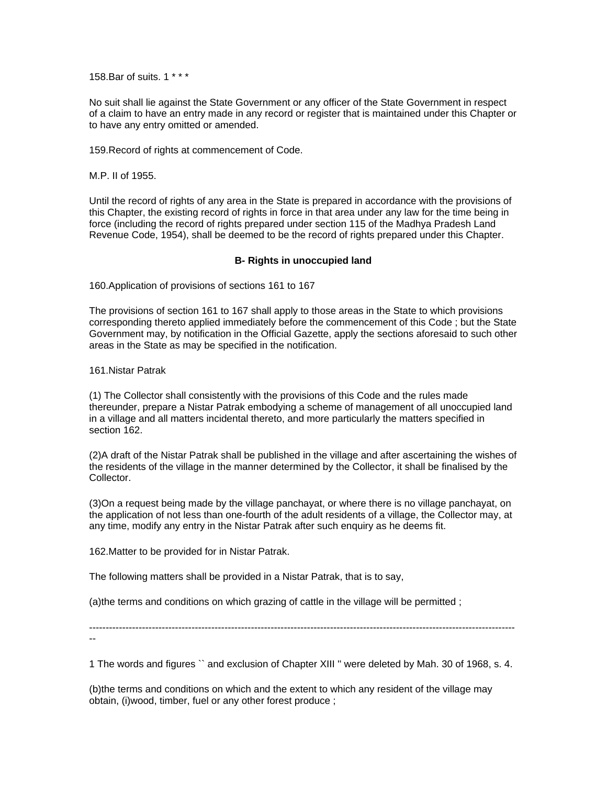158.Bar of suits. 1 \* \* \*

No suit shall lie against the State Government or any officer of the State Government in respect of a claim to have an entry made in any record or register that is maintained under this Chapter or to have any entry omitted or amended.

159.Record of rights at commencement of Code.

M.P. II of 1955.

Until the record of rights of any area in the State is prepared in accordance with the provisions of this Chapter, the existing record of rights in force in that area under any law for the time being in force (including the record of rights prepared under section 115 of the Madhya Pradesh Land Revenue Code, 1954), shall be deemed to be the record of rights prepared under this Chapter.

#### **B- Rights in unoccupied land**

160.Application of provisions of sections 161 to 167

The provisions of section 161 to 167 shall apply to those areas in the State to which provisions corresponding thereto applied immediately before the commencement of this Code ; but the State Government may, by notification in the Official Gazette, apply the sections aforesaid to such other areas in the State as may be specified in the notification.

161.Nistar Patrak

(1) The Collector shall consistently with the provisions of this Code and the rules made thereunder, prepare a Nistar Patrak embodying a scheme of management of all unoccupied land in a village and all matters incidental thereto, and more particularly the matters specified in section 162.

(2)A draft of the Nistar Patrak shall be published in the village and after ascertaining the wishes of the residents of the village in the manner determined by the Collector, it shall be finalised by the Collector.

(3)On a request being made by the village panchayat, or where there is no village panchayat, on the application of not less than one-fourth of the adult residents of a village, the Collector may, at any time, modify any entry in the Nistar Patrak after such enquiry as he deems fit.

162.Matter to be provided for in Nistar Patrak.

The following matters shall be provided in a Nistar Patrak, that is to say,

(a)the terms and conditions on which grazing of cattle in the village will be permitted ;

--------------------------------------------------------------------------------------------------------------------------------- --

1 The words and figures `` and exclusion of Chapter XIII '' were deleted by Mah. 30 of 1968, s. 4.

(b)the terms and conditions on which and the extent to which any resident of the village may obtain, (i)wood, timber, fuel or any other forest produce ;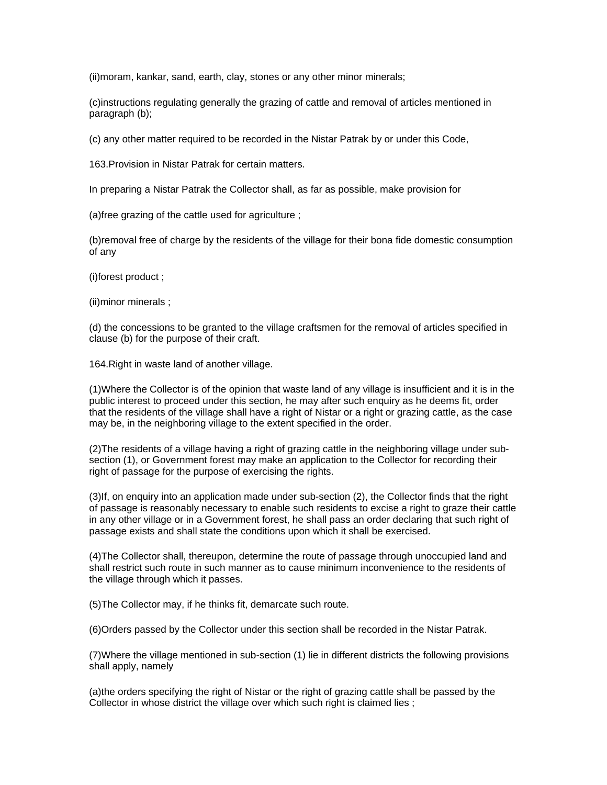(ii)moram, kankar, sand, earth, clay, stones or any other minor minerals;

(c)instructions regulating generally the grazing of cattle and removal of articles mentioned in paragraph (b);

(c) any other matter required to be recorded in the Nistar Patrak by or under this Code,

163.Provision in Nistar Patrak for certain matters.

In preparing a Nistar Patrak the Collector shall, as far as possible, make provision for

(a)free grazing of the cattle used for agriculture ;

(b)removal free of charge by the residents of the village for their bona fide domestic consumption of any

(i)forest product ;

(ii)minor minerals ;

(d) the concessions to be granted to the village craftsmen for the removal of articles specified in clause (b) for the purpose of their craft.

164.Right in waste land of another village.

(1)Where the Collector is of the opinion that waste land of any village is insufficient and it is in the public interest to proceed under this section, he may after such enquiry as he deems fit, order that the residents of the village shall have a right of Nistar or a right or grazing cattle, as the case may be, in the neighboring village to the extent specified in the order.

(2)The residents of a village having a right of grazing cattle in the neighboring village under subsection (1), or Government forest may make an application to the Collector for recording their right of passage for the purpose of exercising the rights.

(3)If, on enquiry into an application made under sub-section (2), the Collector finds that the right of passage is reasonably necessary to enable such residents to excise a right to graze their cattle in any other village or in a Government forest, he shall pass an order declaring that such right of passage exists and shall state the conditions upon which it shall be exercised.

(4)The Collector shall, thereupon, determine the route of passage through unoccupied land and shall restrict such route in such manner as to cause minimum inconvenience to the residents of the village through which it passes.

(5)The Collector may, if he thinks fit, demarcate such route.

(6)Orders passed by the Collector under this section shall be recorded in the Nistar Patrak.

(7)Where the village mentioned in sub-section (1) lie in different districts the following provisions shall apply, namely

(a)the orders specifying the right of Nistar or the right of grazing cattle shall be passed by the Collector in whose district the village over which such right is claimed lies ;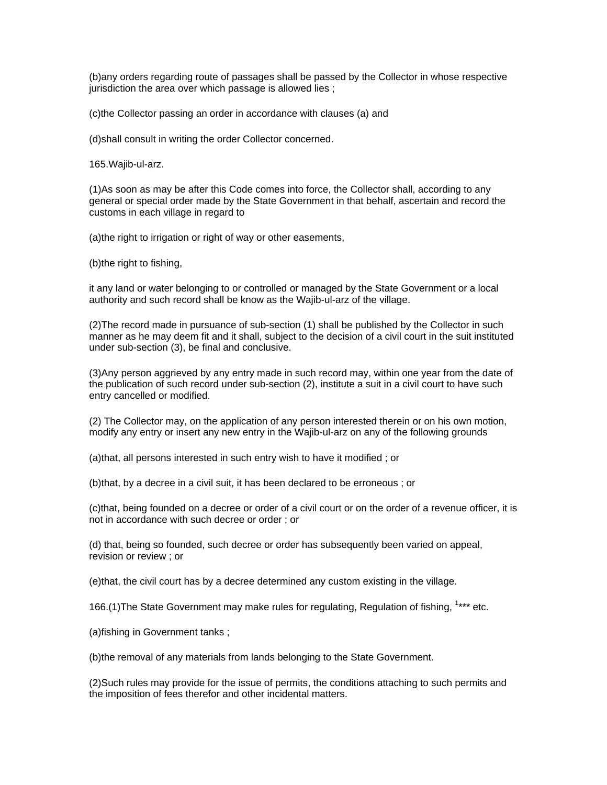(b)any orders regarding route of passages shall be passed by the Collector in whose respective jurisdiction the area over which passage is allowed lies ;

(c)the Collector passing an order in accordance with clauses (a) and

(d)shall consult in writing the order Collector concerned.

165.Wajib-ul-arz.

(1)As soon as may be after this Code comes into force, the Collector shall, according to any general or special order made by the State Government in that behalf, ascertain and record the customs in each village in regard to

(a)the right to irrigation or right of way or other easements,

(b)the right to fishing,

it any land or water belonging to or controlled or managed by the State Government or a local authority and such record shall be know as the Wajib-ul-arz of the village.

(2)The record made in pursuance of sub-section (1) shall be published by the Collector in such manner as he may deem fit and it shall, subject to the decision of a civil court in the suit instituted under sub-section (3), be final and conclusive.

(3)Any person aggrieved by any entry made in such record may, within one year from the date of the publication of such record under sub-section (2), institute a suit in a civil court to have such entry cancelled or modified.

(2) The Collector may, on the application of any person interested therein or on his own motion, modify any entry or insert any new entry in the Wajib-ul-arz on any of the following grounds

(a)that, all persons interested in such entry wish to have it modified ; or

(b)that, by a decree in a civil suit, it has been declared to be erroneous ; or

(c)that, being founded on a decree or order of a civil court or on the order of a revenue officer, it is not in accordance with such decree or order ; or

(d) that, being so founded, such decree or order has subsequently been varied on appeal, revision or review ; or

(e)that, the civil court has by a decree determined any custom existing in the village.

166.(1) The State Government may make rules for regulating, Regulation of fishing, <sup>1\*\*\*</sup> etc.

(a)fishing in Government tanks ;

(b)the removal of any materials from lands belonging to the State Government.

(2)Such rules may provide for the issue of permits, the conditions attaching to such permits and the imposition of fees therefor and other incidental matters.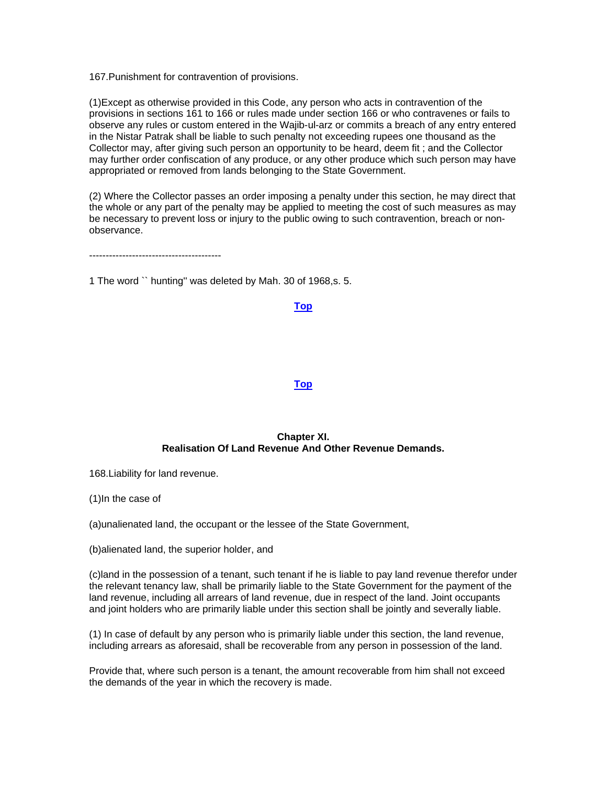167.Punishment for contravention of provisions.

(1)Except as otherwise provided in this Code, any person who acts in contravention of the provisions in sections 161 to 166 or rules made under section 166 or who contravenes or fails to observe any rules or custom entered in the Wajib-ul-arz or commits a breach of any entry entered in the Nistar Patrak shall be liable to such penalty not exceeding rupees one thousand as the Collector may, after giving such person an opportunity to be heard, deem fit ; and the Collector may further order confiscation of any produce, or any other produce which such person may have appropriated or removed from lands belonging to the State Government.

(2) Where the Collector passes an order imposing a penalty under this section, he may direct that the whole or any part of the penalty may be applied to meeting the cost of such measures as may be necessary to prevent loss or injury to the public owing to such contravention, breach or nonobservance.

----------------------------------------

1 The word `` hunting'' was deleted by Mah. 30 of 1968,s. 5.

### **[Top](http://www.nagpuronline.com/nagpurcollectorate/laws/mlrc/landrecords.htm#Chapter X#Chapter X)**

# **[Top](http://www.nagpuronline.com/nagpurcollectorate/laws/mlrc/BOUNDARY.htm#Chapter IX#Chapter IX)**

# **Chapter XI. Realisation Of Land Revenue And Other Revenue Demands.**

168.Liability for land revenue.

(1)In the case of

(a)unalienated land, the occupant or the lessee of the State Government,

(b)alienated land, the superior holder, and

(c)land in the possession of a tenant, such tenant if he is liable to pay land revenue therefor under the relevant tenancy law, shall be primarily liable to the State Government for the payment of the land revenue, including all arrears of land revenue, due in respect of the land. Joint occupants and joint holders who are primarily liable under this section shall be jointly and severally liable.

(1) In case of default by any person who is primarily liable under this section, the land revenue, including arrears as aforesaid, shall be recoverable from any person in possession of the land.

Provide that, where such person is a tenant, the amount recoverable from him shall not exceed the demands of the year in which the recovery is made.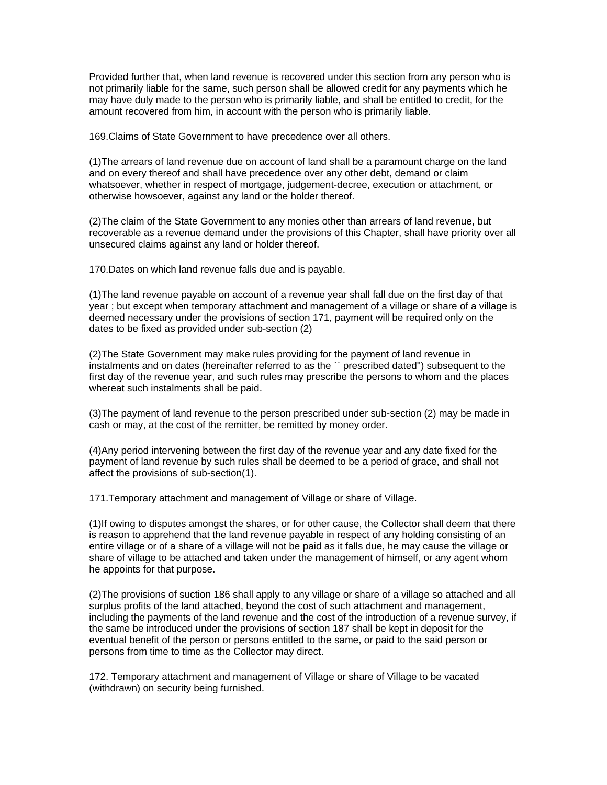Provided further that, when land revenue is recovered under this section from any person who is not primarily liable for the same, such person shall be allowed credit for any payments which he may have duly made to the person who is primarily liable, and shall be entitled to credit, for the amount recovered from him, in account with the person who is primarily liable.

169.Claims of State Government to have precedence over all others.

(1)The arrears of land revenue due on account of land shall be a paramount charge on the land and on every thereof and shall have precedence over any other debt, demand or claim whatsoever, whether in respect of mortgage, judgement-decree, execution or attachment, or otherwise howsoever, against any land or the holder thereof.

(2)The claim of the State Government to any monies other than arrears of land revenue, but recoverable as a revenue demand under the provisions of this Chapter, shall have priority over all unsecured claims against any land or holder thereof.

170.Dates on which land revenue falls due and is payable.

(1)The land revenue payable on account of a revenue year shall fall due on the first day of that year ; but except when temporary attachment and management of a village or share of a village is deemed necessary under the provisions of section 171, payment will be required only on the dates to be fixed as provided under sub-section (2)

(2)The State Government may make rules providing for the payment of land revenue in instalments and on dates (hereinafter referred to as the `` prescribed dated'') subsequent to the first day of the revenue year, and such rules may prescribe the persons to whom and the places whereat such instalments shall be paid.

(3)The payment of land revenue to the person prescribed under sub-section (2) may be made in cash or may, at the cost of the remitter, be remitted by money order.

(4)Any period intervening between the first day of the revenue year and any date fixed for the payment of land revenue by such rules shall be deemed to be a period of grace, and shall not affect the provisions of sub-section(1).

171.Temporary attachment and management of Village or share of Village.

(1)If owing to disputes amongst the shares, or for other cause, the Collector shall deem that there is reason to apprehend that the land revenue payable in respect of any holding consisting of an entire village or of a share of a village will not be paid as it falls due, he may cause the village or share of village to be attached and taken under the management of himself, or any agent whom he appoints for that purpose.

(2)The provisions of suction 186 shall apply to any village or share of a village so attached and all surplus profits of the land attached, beyond the cost of such attachment and management, including the payments of the land revenue and the cost of the introduction of a revenue survey, if the same be introduced under the provisions of section 187 shall be kept in deposit for the eventual benefit of the person or persons entitled to the same, or paid to the said person or persons from time to time as the Collector may direct.

172. Temporary attachment and management of Village or share of Village to be vacated (withdrawn) on security being furnished.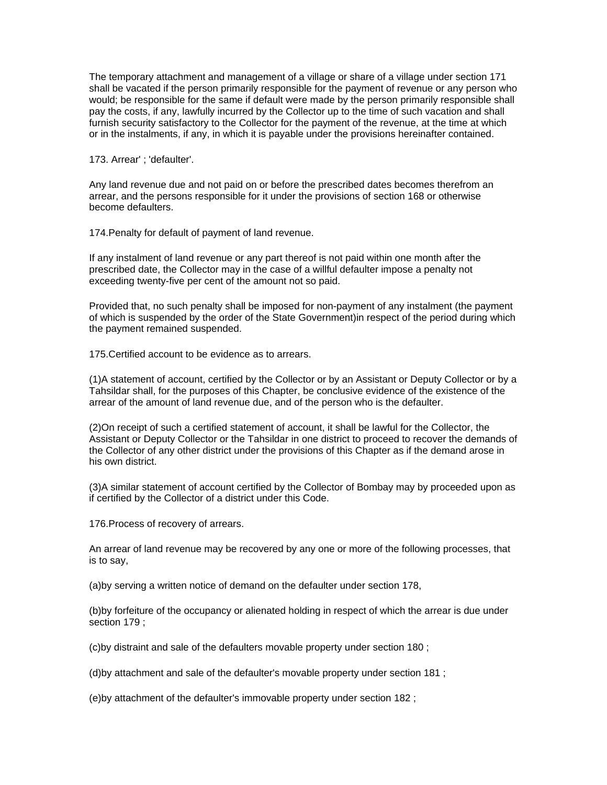The temporary attachment and management of a village or share of a village under section 171 shall be vacated if the person primarily responsible for the payment of revenue or any person who would; be responsible for the same if default were made by the person primarily responsible shall pay the costs, if any, lawfully incurred by the Collector up to the time of such vacation and shall furnish security satisfactory to the Collector for the payment of the revenue, at the time at which or in the instalments, if any, in which it is payable under the provisions hereinafter contained.

173. Arrear' ; 'defaulter'.

Any land revenue due and not paid on or before the prescribed dates becomes therefrom an arrear, and the persons responsible for it under the provisions of section 168 or otherwise become defaulters.

174.Penalty for default of payment of land revenue.

If any instalment of land revenue or any part thereof is not paid within one month after the prescribed date, the Collector may in the case of a willful defaulter impose a penalty not exceeding twenty-five per cent of the amount not so paid.

Provided that, no such penalty shall be imposed for non-payment of any instalment (the payment of which is suspended by the order of the State Government)in respect of the period during which the payment remained suspended.

175.Certified account to be evidence as to arrears.

(1)A statement of account, certified by the Collector or by an Assistant or Deputy Collector or by a Tahsildar shall, for the purposes of this Chapter, be conclusive evidence of the existence of the arrear of the amount of land revenue due, and of the person who is the defaulter.

(2)On receipt of such a certified statement of account, it shall be lawful for the Collector, the Assistant or Deputy Collector or the Tahsildar in one district to proceed to recover the demands of the Collector of any other district under the provisions of this Chapter as if the demand arose in his own district.

(3)A similar statement of account certified by the Collector of Bombay may by proceeded upon as if certified by the Collector of a district under this Code.

176.Process of recovery of arrears.

An arrear of land revenue may be recovered by any one or more of the following processes, that is to say,

(a)by serving a written notice of demand on the defaulter under section 178,

(b)by forfeiture of the occupancy or alienated holding in respect of which the arrear is due under section 179 ;

(c)by distraint and sale of the defaulters movable property under section 180 ;

(d)by attachment and sale of the defaulter's movable property under section 181 ;

(e)by attachment of the defaulter's immovable property under section 182 ;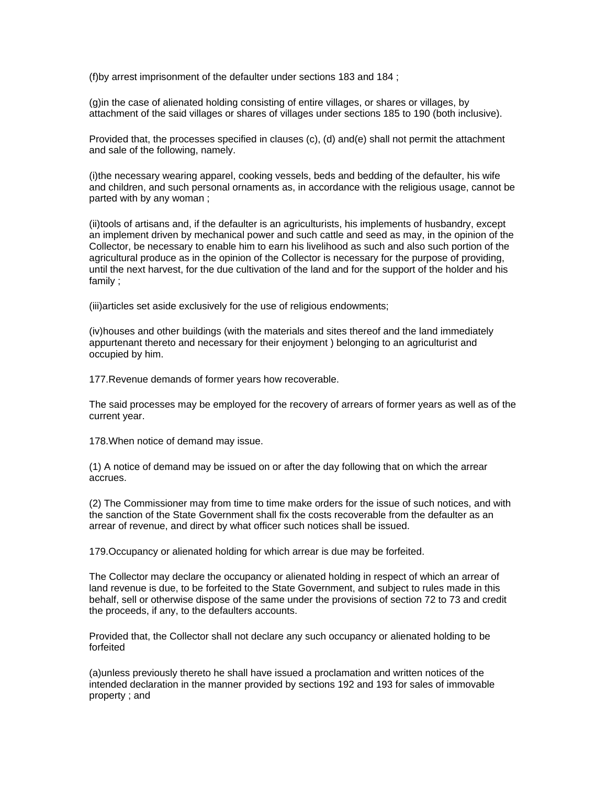(f)by arrest imprisonment of the defaulter under sections 183 and 184 ;

(g)in the case of alienated holding consisting of entire villages, or shares or villages, by attachment of the said villages or shares of villages under sections 185 to 190 (both inclusive).

Provided that, the processes specified in clauses (c), (d) and(e) shall not permit the attachment and sale of the following, namely.

(i)the necessary wearing apparel, cooking vessels, beds and bedding of the defaulter, his wife and children, and such personal ornaments as, in accordance with the religious usage, cannot be parted with by any woman ;

(ii)tools of artisans and, if the defaulter is an agriculturists, his implements of husbandry, except an implement driven by mechanical power and such cattle and seed as may, in the opinion of the Collector, be necessary to enable him to earn his livelihood as such and also such portion of the agricultural produce as in the opinion of the Collector is necessary for the purpose of providing, until the next harvest, for the due cultivation of the land and for the support of the holder and his family ;

(iii)articles set aside exclusively for the use of religious endowments;

(iv)houses and other buildings (with the materials and sites thereof and the land immediately appurtenant thereto and necessary for their enjoyment ) belonging to an agriculturist and occupied by him.

177.Revenue demands of former years how recoverable.

The said processes may be employed for the recovery of arrears of former years as well as of the current year.

178.When notice of demand may issue.

(1) A notice of demand may be issued on or after the day following that on which the arrear accrues.

(2) The Commissioner may from time to time make orders for the issue of such notices, and with the sanction of the State Government shall fix the costs recoverable from the defaulter as an arrear of revenue, and direct by what officer such notices shall be issued.

179.Occupancy or alienated holding for which arrear is due may be forfeited.

The Collector may declare the occupancy or alienated holding in respect of which an arrear of land revenue is due, to be forfeited to the State Government, and subject to rules made in this behalf, sell or otherwise dispose of the same under the provisions of section 72 to 73 and credit the proceeds, if any, to the defaulters accounts.

Provided that, the Collector shall not declare any such occupancy or alienated holding to be forfeited

(a)unless previously thereto he shall have issued a proclamation and written notices of the intended declaration in the manner provided by sections 192 and 193 for sales of immovable property ; and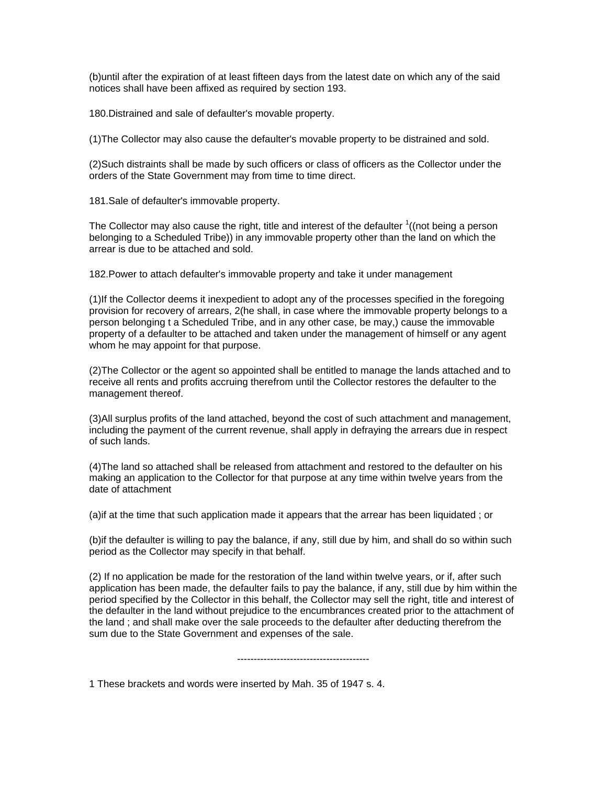(b)until after the expiration of at least fifteen days from the latest date on which any of the said notices shall have been affixed as required by section 193.

180.Distrained and sale of defaulter's movable property.

(1)The Collector may also cause the defaulter's movable property to be distrained and sold.

(2)Such distraints shall be made by such officers or class of officers as the Collector under the orders of the State Government may from time to time direct.

181.Sale of defaulter's immovable property.

The Collector may also cause the right, title and interest of the defaulter  $\frac{1}{1}$  (not being a person belonging to a Scheduled Tribe)) in any immovable property other than the land on which the arrear is due to be attached and sold.

182.Power to attach defaulter's immovable property and take it under management

(1)If the Collector deems it inexpedient to adopt any of the processes specified in the foregoing provision for recovery of arrears, 2(he shall, in case where the immovable property belongs to a person belonging t a Scheduled Tribe, and in any other case, be may,) cause the immovable property of a defaulter to be attached and taken under the management of himself or any agent whom he may appoint for that purpose.

(2)The Collector or the agent so appointed shall be entitled to manage the lands attached and to receive all rents and profits accruing therefrom until the Collector restores the defaulter to the management thereof.

(3)All surplus profits of the land attached, beyond the cost of such attachment and management, including the payment of the current revenue, shall apply in defraying the arrears due in respect of such lands.

(4)The land so attached shall be released from attachment and restored to the defaulter on his making an application to the Collector for that purpose at any time within twelve years from the date of attachment

(a)if at the time that such application made it appears that the arrear has been liquidated ; or

(b)if the defaulter is willing to pay the balance, if any, still due by him, and shall do so within such period as the Collector may specify in that behalf.

(2) If no application be made for the restoration of the land within twelve years, or if, after such application has been made, the defaulter fails to pay the balance, if any, still due by him within the period specified by the Collector in this behalf, the Collector may sell the right, title and interest of the defaulter in the land without prejudice to the encumbrances created prior to the attachment of the land ; and shall make over the sale proceeds to the defaulter after deducting therefrom the sum due to the State Government and expenses of the sale.

----------------------------------------

1 These brackets and words were inserted by Mah. 35 of 1947 s. 4.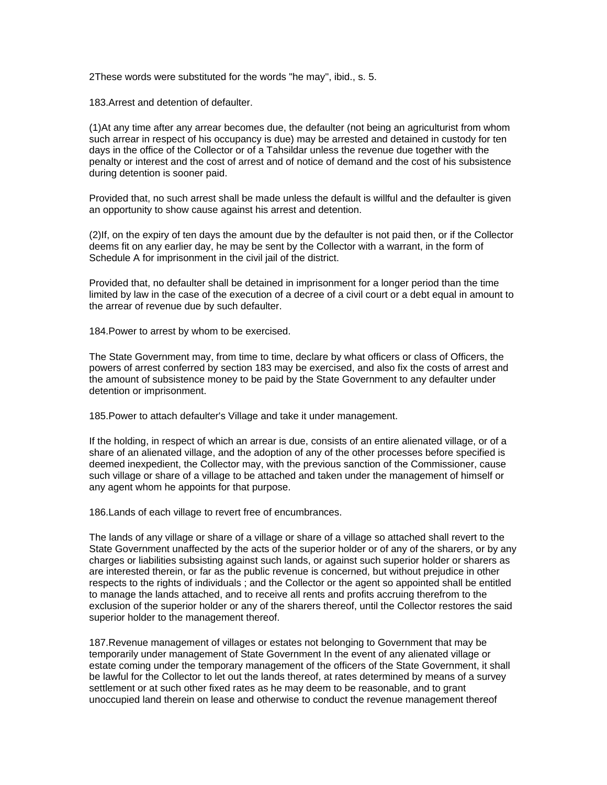2These words were substituted for the words "he may'', ibid., s. 5.

183.Arrest and detention of defaulter.

(1)At any time after any arrear becomes due, the defaulter (not being an agriculturist from whom such arrear in respect of his occupancy is due) may be arrested and detained in custody for ten days in the office of the Collector or of a Tahsildar unless the revenue due together with the penalty or interest and the cost of arrest and of notice of demand and the cost of his subsistence during detention is sooner paid.

Provided that, no such arrest shall be made unless the default is willful and the defaulter is given an opportunity to show cause against his arrest and detention.

(2)If, on the expiry of ten days the amount due by the defaulter is not paid then, or if the Collector deems fit on any earlier day, he may be sent by the Collector with a warrant, in the form of Schedule A for imprisonment in the civil jail of the district.

Provided that, no defaulter shall be detained in imprisonment for a longer period than the time limited by law in the case of the execution of a decree of a civil court or a debt equal in amount to the arrear of revenue due by such defaulter.

184.Power to arrest by whom to be exercised.

The State Government may, from time to time, declare by what officers or class of Officers, the powers of arrest conferred by section 183 may be exercised, and also fix the costs of arrest and the amount of subsistence money to be paid by the State Government to any defaulter under detention or imprisonment.

185.Power to attach defaulter's Village and take it under management.

If the holding, in respect of which an arrear is due, consists of an entire alienated village, or of a share of an alienated village, and the adoption of any of the other processes before specified is deemed inexpedient, the Collector may, with the previous sanction of the Commissioner, cause such village or share of a village to be attached and taken under the management of himself or any agent whom he appoints for that purpose.

186.Lands of each village to revert free of encumbrances.

The lands of any village or share of a village or share of a village so attached shall revert to the State Government unaffected by the acts of the superior holder or of any of the sharers, or by any charges or liabilities subsisting against such lands, or against such superior holder or sharers as are interested therein, or far as the public revenue is concerned, but without prejudice in other respects to the rights of individuals ; and the Collector or the agent so appointed shall be entitled to manage the lands attached, and to receive all rents and profits accruing therefrom to the exclusion of the superior holder or any of the sharers thereof, until the Collector restores the said superior holder to the management thereof.

187.Revenue management of villages or estates not belonging to Government that may be temporarily under management of State Government In the event of any alienated village or estate coming under the temporary management of the officers of the State Government, it shall be lawful for the Collector to let out the lands thereof, at rates determined by means of a survey settlement or at such other fixed rates as he may deem to be reasonable, and to grant unoccupied land therein on lease and otherwise to conduct the revenue management thereof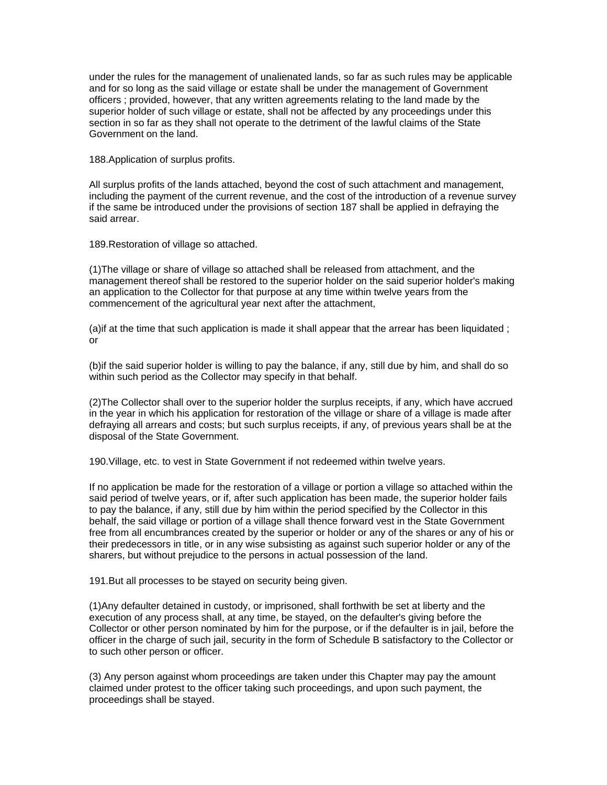under the rules for the management of unalienated lands, so far as such rules may be applicable and for so long as the said village or estate shall be under the management of Government officers ; provided, however, that any written agreements relating to the land made by the superior holder of such village or estate, shall not be affected by any proceedings under this section in so far as they shall not operate to the detriment of the lawful claims of the State Government on the land.

188.Application of surplus profits.

All surplus profits of the lands attached, beyond the cost of such attachment and management, including the payment of the current revenue, and the cost of the introduction of a revenue survey if the same be introduced under the provisions of section 187 shall be applied in defraying the said arrear.

189.Restoration of village so attached.

(1)The village or share of village so attached shall be released from attachment, and the management thereof shall be restored to the superior holder on the said superior holder's making an application to the Collector for that purpose at any time within twelve years from the commencement of the agricultural year next after the attachment,

(a)if at the time that such application is made it shall appear that the arrear has been liquidated ; or

(b)if the said superior holder is willing to pay the balance, if any, still due by him, and shall do so within such period as the Collector may specify in that behalf.

(2)The Collector shall over to the superior holder the surplus receipts, if any, which have accrued in the year in which his application for restoration of the village or share of a village is made after defraying all arrears and costs; but such surplus receipts, if any, of previous years shall be at the disposal of the State Government.

190.Village, etc. to vest in State Government if not redeemed within twelve years.

If no application be made for the restoration of a village or portion a village so attached within the said period of twelve years, or if, after such application has been made, the superior holder fails to pay the balance, if any, still due by him within the period specified by the Collector in this behalf, the said village or portion of a village shall thence forward vest in the State Government free from all encumbrances created by the superior or holder or any of the shares or any of his or their predecessors in title, or in any wise subsisting as against such superior holder or any of the sharers, but without prejudice to the persons in actual possession of the land.

191.But all processes to be stayed on security being given.

(1)Any defaulter detained in custody, or imprisoned, shall forthwith be set at liberty and the execution of any process shall, at any time, be stayed, on the defaulter's giving before the Collector or other person nominated by him for the purpose, or if the defaulter is in jail, before the officer in the charge of such jail, security in the form of Schedule B satisfactory to the Collector or to such other person or officer.

(3) Any person against whom proceedings are taken under this Chapter may pay the amount claimed under protest to the officer taking such proceedings, and upon such payment, the proceedings shall be stayed.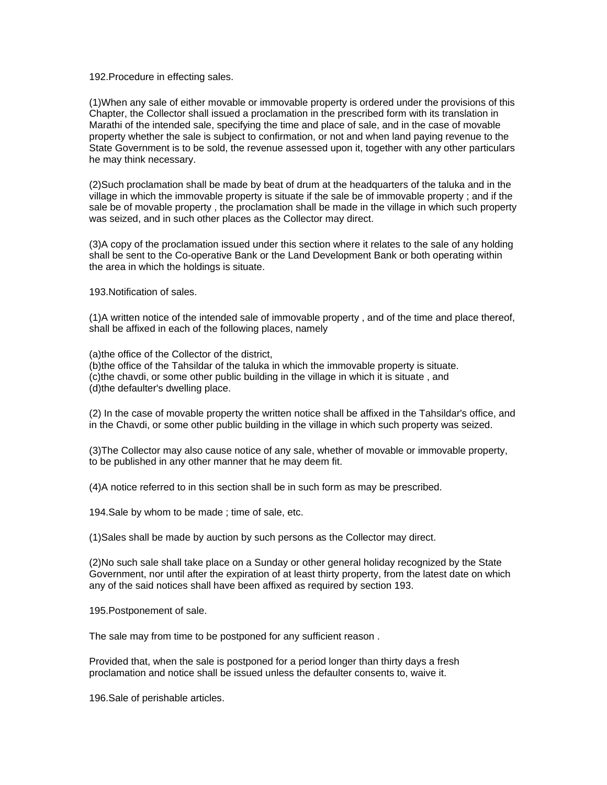192.Procedure in effecting sales.

(1)When any sale of either movable or immovable property is ordered under the provisions of this Chapter, the Collector shall issued a proclamation in the prescribed form with its translation in Marathi of the intended sale, specifying the time and place of sale, and in the case of movable property whether the sale is subject to confirmation, or not and when land paying revenue to the State Government is to be sold, the revenue assessed upon it, together with any other particulars he may think necessary.

(2)Such proclamation shall be made by beat of drum at the headquarters of the taluka and in the village in which the immovable property is situate if the sale be of immovable property ; and if the sale be of movable property , the proclamation shall be made in the village in which such property was seized, and in such other places as the Collector may direct.

(3)A copy of the proclamation issued under this section where it relates to the sale of any holding shall be sent to the Co-operative Bank or the Land Development Bank or both operating within the area in which the holdings is situate.

193.Notification of sales.

(1)A written notice of the intended sale of immovable property , and of the time and place thereof, shall be affixed in each of the following places, namely

(a)the office of the Collector of the district,

(b)the office of the Tahsildar of the taluka in which the immovable property is situate.

(c)the chavdi, or some other public building in the village in which it is situate , and

(d)the defaulter's dwelling place.

(2) In the case of movable property the written notice shall be affixed in the Tahsildar's office, and in the Chavdi, or some other public building in the village in which such property was seized.

(3)The Collector may also cause notice of any sale, whether of movable or immovable property, to be published in any other manner that he may deem fit.

(4)A notice referred to in this section shall be in such form as may be prescribed.

194.Sale by whom to be made ; time of sale, etc.

(1)Sales shall be made by auction by such persons as the Collector may direct.

(2)No such sale shall take place on a Sunday or other general holiday recognized by the State Government, nor until after the expiration of at least thirty property, from the latest date on which any of the said notices shall have been affixed as required by section 193.

195.Postponement of sale.

The sale may from time to be postponed for any sufficient reason .

Provided that, when the sale is postponed for a period longer than thirty days a fresh proclamation and notice shall be issued unless the defaulter consents to, waive it.

196.Sale of perishable articles.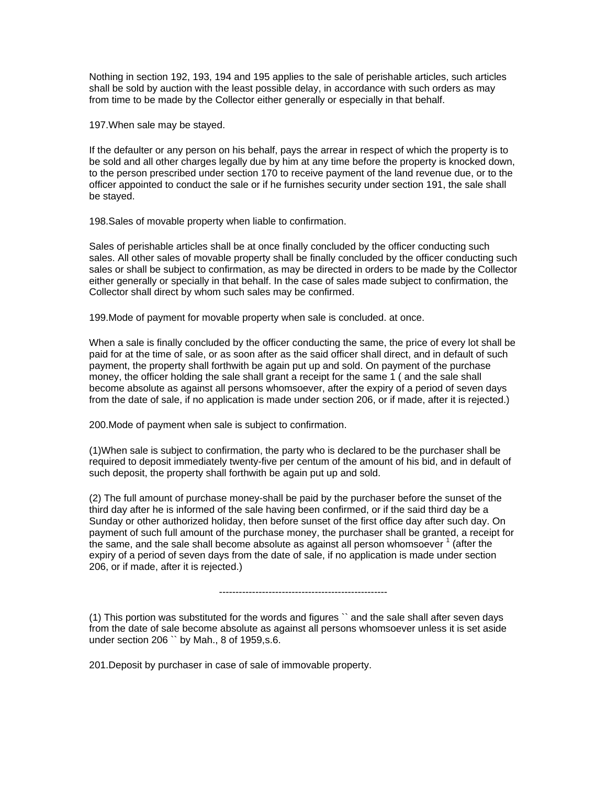Nothing in section 192, 193, 194 and 195 applies to the sale of perishable articles, such articles shall be sold by auction with the least possible delay, in accordance with such orders as may from time to be made by the Collector either generally or especially in that behalf.

197.When sale may be stayed.

If the defaulter or any person on his behalf, pays the arrear in respect of which the property is to be sold and all other charges legally due by him at any time before the property is knocked down, to the person prescribed under section 170 to receive payment of the land revenue due, or to the officer appointed to conduct the sale or if he furnishes security under section 191, the sale shall be stayed.

198.Sales of movable property when liable to confirmation.

Sales of perishable articles shall be at once finally concluded by the officer conducting such sales. All other sales of movable property shall be finally concluded by the officer conducting such sales or shall be subject to confirmation, as may be directed in orders to be made by the Collector either generally or specially in that behalf. In the case of sales made subject to confirmation, the Collector shall direct by whom such sales may be confirmed.

199.Mode of payment for movable property when sale is concluded. at once.

When a sale is finally concluded by the officer conducting the same, the price of every lot shall be paid for at the time of sale, or as soon after as the said officer shall direct, and in default of such payment, the property shall forthwith be again put up and sold. On payment of the purchase money, the officer holding the sale shall grant a receipt for the same 1 ( and the sale shall become absolute as against all persons whomsoever, after the expiry of a period of seven days from the date of sale, if no application is made under section 206, or if made, after it is rejected.)

200.Mode of payment when sale is subject to confirmation.

(1)When sale is subject to confirmation, the party who is declared to be the purchaser shall be required to deposit immediately twenty-five per centum of the amount of his bid, and in default of such deposit, the property shall forthwith be again put up and sold.

(2) The full amount of purchase money-shall be paid by the purchaser before the sunset of the third day after he is informed of the sale having been confirmed, or if the said third day be a Sunday or other authorized holiday, then before sunset of the first office day after such day. On payment of such full amount of the purchase money, the purchaser shall be granted, a receipt for the same, and the sale shall become absolute as against all person whomsoever  $1$  (after the expiry of a period of seven days from the date of sale, if no application is made under section 206, or if made, after it is rejected.)

---------------------------------------------------

(1) This portion was substituted for the words and figures `` and the sale shall after seven days from the date of sale become absolute as against all persons whomsoever unless it is set aside under section 206 `` by Mah., 8 of 1959,s.6.

201.Deposit by purchaser in case of sale of immovable property.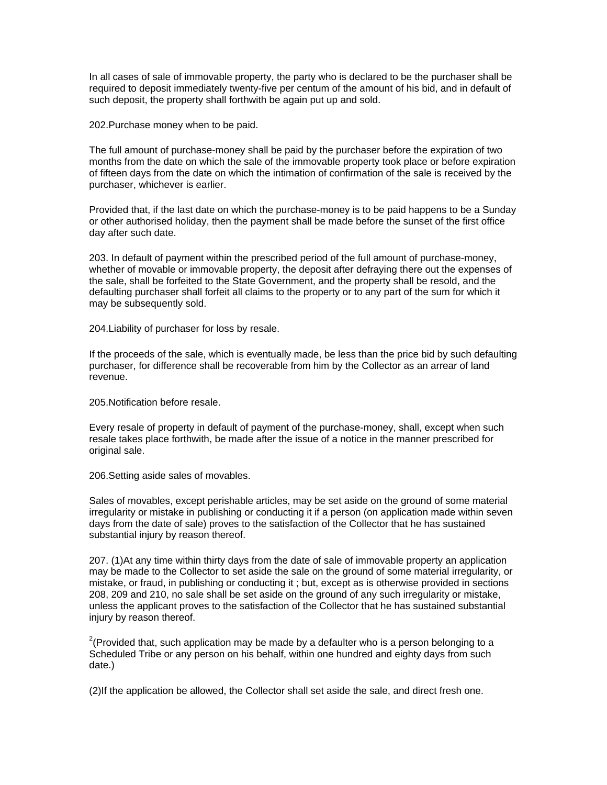In all cases of sale of immovable property, the party who is declared to be the purchaser shall be required to deposit immediately twenty-five per centum of the amount of his bid, and in default of such deposit, the property shall forthwith be again put up and sold.

202.Purchase money when to be paid.

The full amount of purchase-money shall be paid by the purchaser before the expiration of two months from the date on which the sale of the immovable property took place or before expiration of fifteen days from the date on which the intimation of confirmation of the sale is received by the purchaser, whichever is earlier.

Provided that, if the last date on which the purchase-money is to be paid happens to be a Sunday or other authorised holiday, then the payment shall be made before the sunset of the first office day after such date.

203. In default of payment within the prescribed period of the full amount of purchase-money, whether of movable or immovable property, the deposit after defraying there out the expenses of the sale, shall be forfeited to the State Government, and the property shall be resold, and the defaulting purchaser shall forfeit all claims to the property or to any part of the sum for which it may be subsequently sold.

204.Liability of purchaser for loss by resale.

If the proceeds of the sale, which is eventually made, be less than the price bid by such defaulting purchaser, for difference shall be recoverable from him by the Collector as an arrear of land revenue.

205.Notification before resale.

Every resale of property in default of payment of the purchase-money, shall, except when such resale takes place forthwith, be made after the issue of a notice in the manner prescribed for original sale.

206.Setting aside sales of movables.

Sales of movables, except perishable articles, may be set aside on the ground of some material irregularity or mistake in publishing or conducting it if a person (on application made within seven days from the date of sale) proves to the satisfaction of the Collector that he has sustained substantial injury by reason thereof.

207. (1)At any time within thirty days from the date of sale of immovable property an application may be made to the Collector to set aside the sale on the ground of some material irregularity, or mistake, or fraud, in publishing or conducting it ; but, except as is otherwise provided in sections 208, 209 and 210, no sale shall be set aside on the ground of any such irregularity or mistake, unless the applicant proves to the satisfaction of the Collector that he has sustained substantial injury by reason thereof.

<sup>2</sup>(Provided that, such application may be made by a defaulter who is a person belonging to a Scheduled Tribe or any person on his behalf, within one hundred and eighty days from such date.)

(2)If the application be allowed, the Collector shall set aside the sale, and direct fresh one.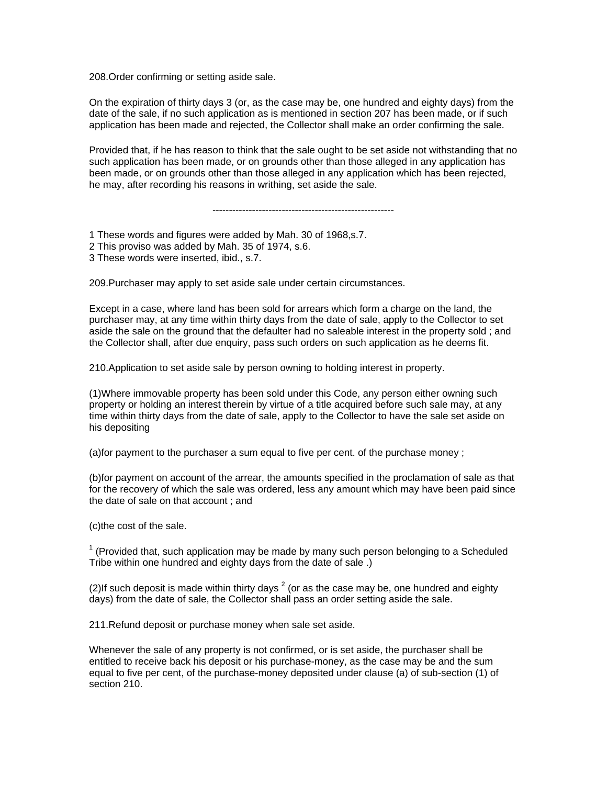208.Order confirming or setting aside sale.

On the expiration of thirty days 3 (or, as the case may be, one hundred and eighty days) from the date of the sale, if no such application as is mentioned in section 207 has been made, or if such application has been made and rejected, the Collector shall make an order confirming the sale.

Provided that, if he has reason to think that the sale ought to be set aside not withstanding that no such application has been made, or on grounds other than those alleged in any application has been made, or on grounds other than those alleged in any application which has been rejected, he may, after recording his reasons in writhing, set aside the sale.

-------------------------------------------------------

1 These words and figures were added by Mah. 30 of 1968,s.7.

- 2 This proviso was added by Mah. 35 of 1974, s.6.
- 3 These words were inserted, ibid., s.7.

209.Purchaser may apply to set aside sale under certain circumstances.

Except in a case, where land has been sold for arrears which form a charge on the land, the purchaser may, at any time within thirty days from the date of sale, apply to the Collector to set aside the sale on the ground that the defaulter had no saleable interest in the property sold ; and the Collector shall, after due enquiry, pass such orders on such application as he deems fit.

210.Application to set aside sale by person owning to holding interest in property.

(1)Where immovable property has been sold under this Code, any person either owning such property or holding an interest therein by virtue of a title acquired before such sale may, at any time within thirty days from the date of sale, apply to the Collector to have the sale set aside on his depositing

(a)for payment to the purchaser a sum equal to five per cent. of the purchase money ;

(b)for payment on account of the arrear, the amounts specified in the proclamation of sale as that for the recovery of which the sale was ordered, less any amount which may have been paid since the date of sale on that account ; and

(c)the cost of the sale.

 $1$  (Provided that, such application may be made by many such person belonging to a Scheduled Tribe within one hundred and eighty days from the date of sale .)

(2)If such deposit is made within thirty days  $2$  (or as the case may be, one hundred and eighty days) from the date of sale, the Collector shall pass an order setting aside the sale.

211.Refund deposit or purchase money when sale set aside.

Whenever the sale of any property is not confirmed, or is set aside, the purchaser shall be entitled to receive back his deposit or his purchase-money, as the case may be and the sum equal to five per cent, of the purchase-money deposited under clause (a) of sub-section (1) of section 210.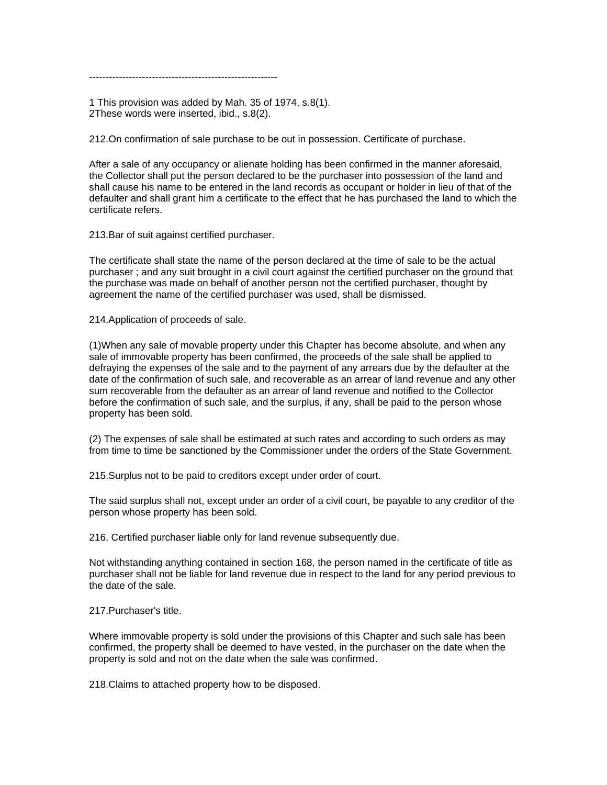---------------------------------------------------------

1 This provision was added by Mah. 35 of 1974, s.8(1). 2These words were inserted, ibid., s.8(2).

212.On confirmation of sale purchase to be out in possession. Certificate of purchase.

After a sale of any occupancy or alienate holding has been confirmed in the manner aforesaid, the Collector shall put the person declared to be the purchaser into possession of the land and shall cause his name to be entered in the land records as occupant or holder in lieu of that of the defaulter and shall grant him a certificate to the effect that he has purchased the land to which the certificate refers.

213.Bar of suit against certified purchaser.

The certificate shall state the name of the person declared at the time of sale to be the actual purchaser ; and any suit brought in a civil court against the certified purchaser on the ground that the purchase was made on behalf of another person not the certified purchaser, thought by agreement the name of the certified purchaser was used, shall be dismissed.

214.Application of proceeds of sale.

(1)When any sale of movable property under this Chapter has become absolute, and when any sale of immovable property has been confirmed, the proceeds of the sale shall be applied to defraying the expenses of the sale and to the payment of any arrears due by the defaulter at the date of the confirmation of such sale, and recoverable as an arrear of land revenue and any other sum recoverable from the defaulter as an arrear of land revenue and notified to the Collector before the confirmation of such sale, and the surplus, if any, shall be paid to the person whose property has been sold.

(2) The expenses of sale shall be estimated at such rates and according to such orders as may from time to time be sanctioned by the Commissioner under the orders of the State Government.

215.Surplus not to be paid to creditors except under order of court.

The said surplus shall not, except under an order of a civil court, be payable to any creditor of the person whose property has been sold.

216. Certified purchaser liable only for land revenue subsequently due.

Not withstanding anything contained in section 168, the person named in the certificate of title as purchaser shall not be liable for land revenue due in respect to the land for any period previous to the date of the sale.

217.Purchaser's title.

Where immovable property is sold under the provisions of this Chapter and such sale has been confirmed, the property shall be deemed to have vested, in the purchaser on the date when the property is sold and not on the date when the sale was confirmed.

218.Claims to attached property how to be disposed.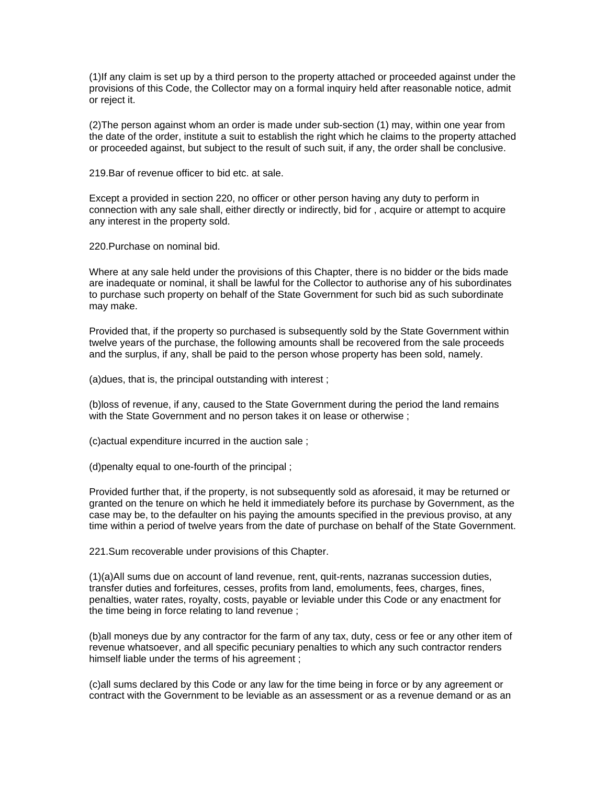(1)If any claim is set up by a third person to the property attached or proceeded against under the provisions of this Code, the Collector may on a formal inquiry held after reasonable notice, admit or reject it.

(2)The person against whom an order is made under sub-section (1) may, within one year from the date of the order, institute a suit to establish the right which he claims to the property attached or proceeded against, but subject to the result of such suit, if any, the order shall be conclusive.

219.Bar of revenue officer to bid etc. at sale.

Except a provided in section 220, no officer or other person having any duty to perform in connection with any sale shall, either directly or indirectly, bid for , acquire or attempt to acquire any interest in the property sold.

220.Purchase on nominal bid.

Where at any sale held under the provisions of this Chapter, there is no bidder or the bids made are inadequate or nominal, it shall be lawful for the Collector to authorise any of his subordinates to purchase such property on behalf of the State Government for such bid as such subordinate may make.

Provided that, if the property so purchased is subsequently sold by the State Government within twelve years of the purchase, the following amounts shall be recovered from the sale proceeds and the surplus, if any, shall be paid to the person whose property has been sold, namely.

(a)dues, that is, the principal outstanding with interest ;

(b)loss of revenue, if any, caused to the State Government during the period the land remains with the State Government and no person takes it on lease or otherwise ;

(c)actual expenditure incurred in the auction sale ;

(d)penalty equal to one-fourth of the principal ;

Provided further that, if the property, is not subsequently sold as aforesaid, it may be returned or granted on the tenure on which he held it immediately before its purchase by Government, as the case may be, to the defaulter on his paying the amounts specified in the previous proviso, at any time within a period of twelve years from the date of purchase on behalf of the State Government.

221.Sum recoverable under provisions of this Chapter.

(1)(a)All sums due on account of land revenue, rent, quit-rents, nazranas succession duties, transfer duties and forfeitures, cesses, profits from land, emoluments, fees, charges, fines, penalties, water rates, royalty, costs, payable or leviable under this Code or any enactment for the time being in force relating to land revenue ;

(b)all moneys due by any contractor for the farm of any tax, duty, cess or fee or any other item of revenue whatsoever, and all specific pecuniary penalties to which any such contractor renders himself liable under the terms of his agreement ;

(c)all sums declared by this Code or any law for the time being in force or by any agreement or contract with the Government to be leviable as an assessment or as a revenue demand or as an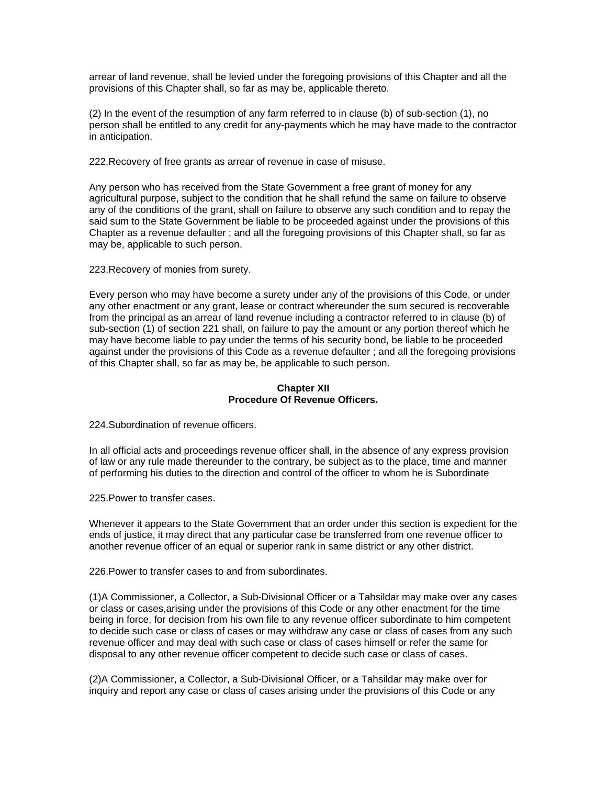arrear of land revenue, shall be levied under the foregoing provisions of this Chapter and all the provisions of this Chapter shall, so far as may be, applicable thereto.

(2) In the event of the resumption of any farm referred to in clause (b) of sub-section (1), no person shall be entitled to any credit for any-payments which he may have made to the contractor in anticipation.

222.Recovery of free grants as arrear of revenue in case of misuse.

Any person who has received from the State Government a free grant of money for any agricultural purpose, subject to the condition that he shall refund the same on failure to observe any of the conditions of the grant, shall on failure to observe any such condition and to repay the said sum to the State Government be liable to be proceeded against under the provisions of this Chapter as a revenue defaulter ; and all the foregoing provisions of this Chapter shall, so far as may be, applicable to such person.

223.Recovery of monies from surety.

Every person who may have become a surety under any of the provisions of this Code, or under any other enactment or any grant, lease or contract whereunder the sum secured is recoverable from the principal as an arrear of land revenue including a contractor referred to in clause (b) of sub-section (1) of section 221 shall, on failure to pay the amount or any portion thereof which he may have become liable to pay under the terms of his security bond, be liable to be proceeded against under the provisions of this Code as a revenue defaulter ; and all the foregoing provisions of this Chapter shall, so far as may be, be applicable to such person.

# **Chapter XII Procedure Of Revenue Officers.**

224.Subordination of revenue officers.

In all official acts and proceedings revenue officer shall, in the absence of any express provision of law or any rule made thereunder to the contrary, be subject as to the place, time and manner of performing his duties to the direction and control of the officer to whom he is Subordinate

225.Power to transfer cases.

Whenever it appears to the State Government that an order under this section is expedient for the ends of justice, it may direct that any particular case be transferred from one revenue officer to another revenue officer of an equal or superior rank in same district or any other district.

226.Power to transfer cases to and from subordinates.

(1)A Commissioner, a Collector, a Sub-Divisional Officer or a Tahsildar may make over any cases or class or cases,arising under the provisions of this Code or any other enactment for the time being in force, for decision from his own file to any revenue officer subordinate to him competent to decide such case or class of cases or may withdraw any case or class of cases from any such revenue officer and may deal with such case or class of cases himself or refer the same for disposal to any other revenue officer competent to decide such case or class of cases.

(2)A Commissioner, a Collector, a Sub-Divisional Officer, or a Tahsildar may make over for inquiry and report any case or class of cases arising under the provisions of this Code or any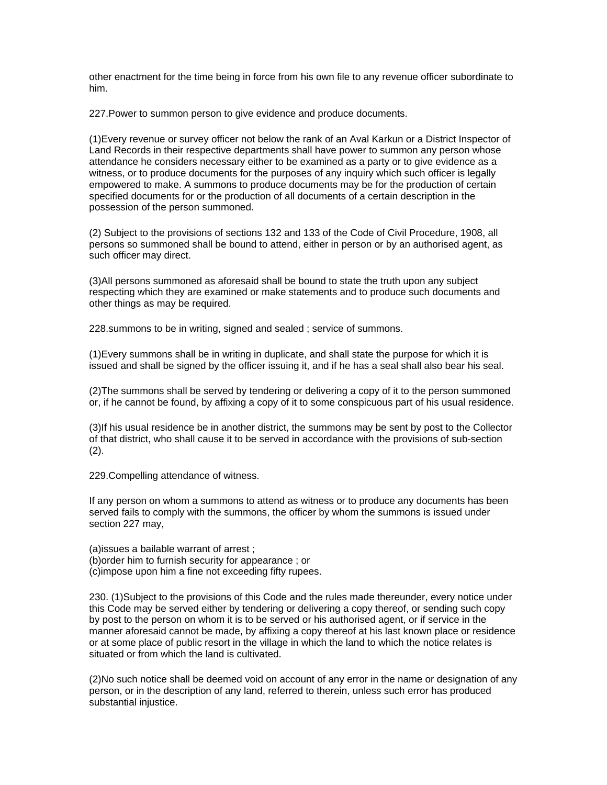other enactment for the time being in force from his own file to any revenue officer subordinate to him.

227.Power to summon person to give evidence and produce documents.

(1)Every revenue or survey officer not below the rank of an Aval Karkun or a District Inspector of Land Records in their respective departments shall have power to summon any person whose attendance he considers necessary either to be examined as a party or to give evidence as a witness, or to produce documents for the purposes of any inquiry which such officer is legally empowered to make. A summons to produce documents may be for the production of certain specified documents for or the production of all documents of a certain description in the possession of the person summoned.

(2) Subject to the provisions of sections 132 and 133 of the Code of Civil Procedure, 1908, all persons so summoned shall be bound to attend, either in person or by an authorised agent, as such officer may direct.

(3)All persons summoned as aforesaid shall be bound to state the truth upon any subject respecting which they are examined or make statements and to produce such documents and other things as may be required.

228.summons to be in writing, signed and sealed ; service of summons.

(1)Every summons shall be in writing in duplicate, and shall state the purpose for which it is issued and shall be signed by the officer issuing it, and if he has a seal shall also bear his seal.

(2)The summons shall be served by tendering or delivering a copy of it to the person summoned or, if he cannot be found, by affixing a copy of it to some conspicuous part of his usual residence.

(3)If his usual residence be in another district, the summons may be sent by post to the Collector of that district, who shall cause it to be served in accordance with the provisions of sub-section (2).

229.Compelling attendance of witness.

If any person on whom a summons to attend as witness or to produce any documents has been served fails to comply with the summons, the officer by whom the summons is issued under section 227 may,

(a)issues a bailable warrant of arrest ;

(b)order him to furnish security for appearance ; or

(c)impose upon him a fine not exceeding fifty rupees.

230. (1)Subject to the provisions of this Code and the rules made thereunder, every notice under this Code may be served either by tendering or delivering a copy thereof, or sending such copy by post to the person on whom it is to be served or his authorised agent, or if service in the manner aforesaid cannot be made, by affixing a copy thereof at his last known place or residence or at some place of public resort in the village in which the land to which the notice relates is situated or from which the land is cultivated.

(2)No such notice shall be deemed void on account of any error in the name or designation of any person, or in the description of any land, referred to therein, unless such error has produced substantial injustice.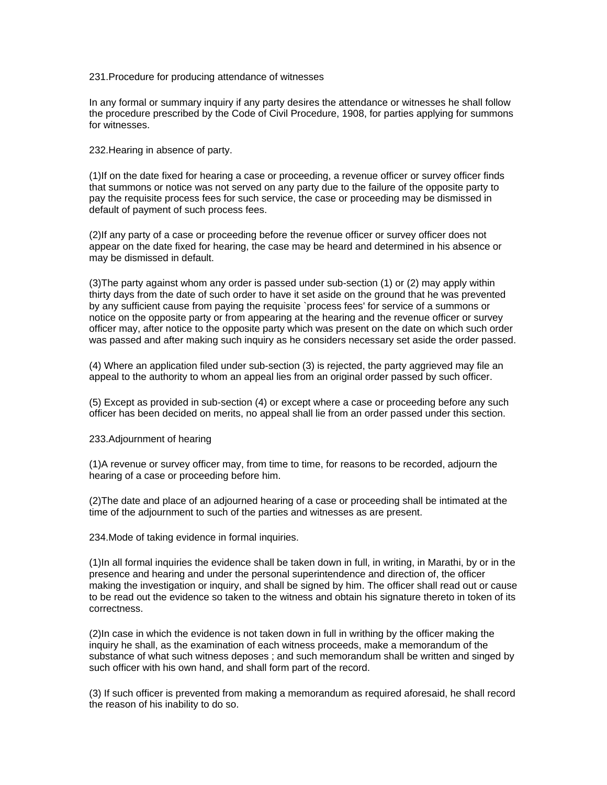### 231.Procedure for producing attendance of witnesses

In any formal or summary inquiry if any party desires the attendance or witnesses he shall follow the procedure prescribed by the Code of Civil Procedure, 1908, for parties applying for summons for witnesses.

232.Hearing in absence of party.

(1)If on the date fixed for hearing a case or proceeding, a revenue officer or survey officer finds that summons or notice was not served on any party due to the failure of the opposite party to pay the requisite process fees for such service, the case or proceeding may be dismissed in default of payment of such process fees.

(2)If any party of a case or proceeding before the revenue officer or survey officer does not appear on the date fixed for hearing, the case may be heard and determined in his absence or may be dismissed in default.

(3)The party against whom any order is passed under sub-section (1) or (2) may apply within thirty days from the date of such order to have it set aside on the ground that he was prevented by any sufficient cause from paying the requisite `process fees' for service of a summons or notice on the opposite party or from appearing at the hearing and the revenue officer or survey officer may, after notice to the opposite party which was present on the date on which such order was passed and after making such inquiry as he considers necessary set aside the order passed.

(4) Where an application filed under sub-section (3) is rejected, the party aggrieved may file an appeal to the authority to whom an appeal lies from an original order passed by such officer.

(5) Except as provided in sub-section (4) or except where a case or proceeding before any such officer has been decided on merits, no appeal shall lie from an order passed under this section.

### 233.Adjournment of hearing

(1)A revenue or survey officer may, from time to time, for reasons to be recorded, adjourn the hearing of a case or proceeding before him.

(2)The date and place of an adjourned hearing of a case or proceeding shall be intimated at the time of the adjournment to such of the parties and witnesses as are present.

234.Mode of taking evidence in formal inquiries.

(1)In all formal inquiries the evidence shall be taken down in full, in writing, in Marathi, by or in the presence and hearing and under the personal superintendence and direction of, the officer making the investigation or inquiry, and shall be signed by him. The officer shall read out or cause to be read out the evidence so taken to the witness and obtain his signature thereto in token of its correctness.

(2)In case in which the evidence is not taken down in full in writhing by the officer making the inquiry he shall, as the examination of each witness proceeds, make a memorandum of the substance of what such witness deposes ; and such memorandum shall be written and singed by such officer with his own hand, and shall form part of the record.

(3) If such officer is prevented from making a memorandum as required aforesaid, he shall record the reason of his inability to do so.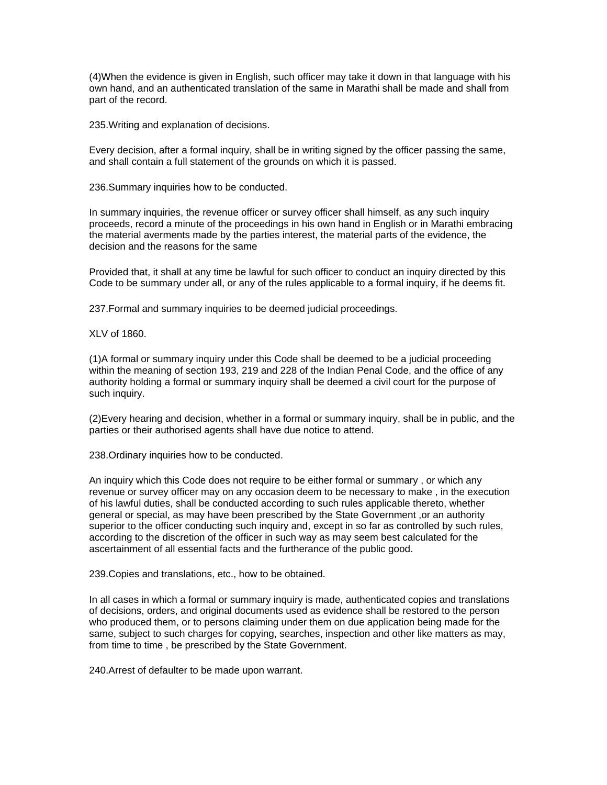(4)When the evidence is given in English, such officer may take it down in that language with his own hand, and an authenticated translation of the same in Marathi shall be made and shall from part of the record.

235.Writing and explanation of decisions.

Every decision, after a formal inquiry, shall be in writing signed by the officer passing the same, and shall contain a full statement of the grounds on which it is passed.

236.Summary inquiries how to be conducted.

In summary inquiries, the revenue officer or survey officer shall himself, as any such inquiry proceeds, record a minute of the proceedings in his own hand in English or in Marathi embracing the material averments made by the parties interest, the material parts of the evidence, the decision and the reasons for the same

Provided that, it shall at any time be lawful for such officer to conduct an inquiry directed by this Code to be summary under all, or any of the rules applicable to a formal inquiry, if he deems fit.

237.Formal and summary inquiries to be deemed judicial proceedings.

XLV of 1860.

(1)A formal or summary inquiry under this Code shall be deemed to be a judicial proceeding within the meaning of section 193, 219 and 228 of the Indian Penal Code, and the office of any authority holding a formal or summary inquiry shall be deemed a civil court for the purpose of such inquiry.

(2)Every hearing and decision, whether in a formal or summary inquiry, shall be in public, and the parties or their authorised agents shall have due notice to attend.

238.Ordinary inquiries how to be conducted.

An inquiry which this Code does not require to be either formal or summary , or which any revenue or survey officer may on any occasion deem to be necessary to make , in the execution of his lawful duties, shall be conducted according to such rules applicable thereto, whether general or special, as may have been prescribed by the State Government ,or an authority superior to the officer conducting such inquiry and, except in so far as controlled by such rules, according to the discretion of the officer in such way as may seem best calculated for the ascertainment of all essential facts and the furtherance of the public good.

239.Copies and translations, etc., how to be obtained.

In all cases in which a formal or summary inquiry is made, authenticated copies and translations of decisions, orders, and original documents used as evidence shall be restored to the person who produced them, or to persons claiming under them on due application being made for the same, subject to such charges for copying, searches, inspection and other like matters as may, from time to time , be prescribed by the State Government.

240.Arrest of defaulter to be made upon warrant.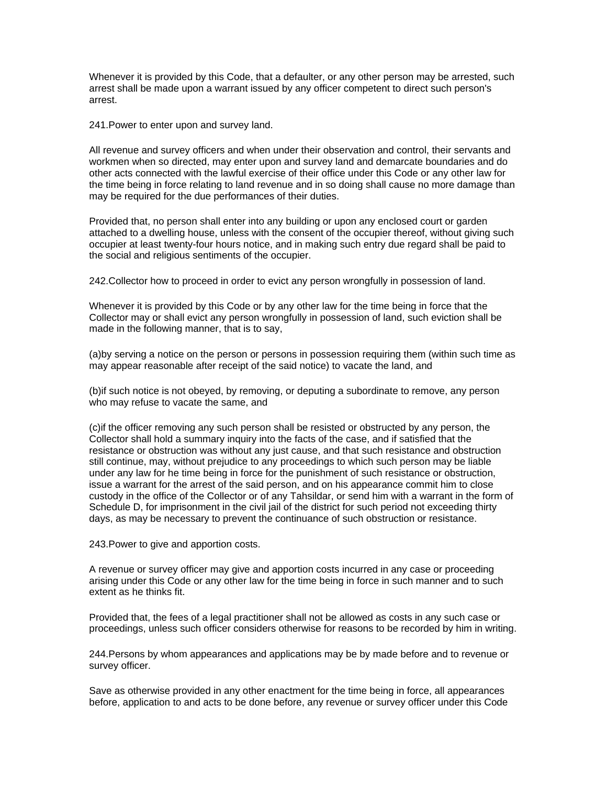Whenever it is provided by this Code, that a defaulter, or any other person may be arrested, such arrest shall be made upon a warrant issued by any officer competent to direct such person's arrest.

241.Power to enter upon and survey land.

All revenue and survey officers and when under their observation and control, their servants and workmen when so directed, may enter upon and survey land and demarcate boundaries and do other acts connected with the lawful exercise of their office under this Code or any other law for the time being in force relating to land revenue and in so doing shall cause no more damage than may be required for the due performances of their duties.

Provided that, no person shall enter into any building or upon any enclosed court or garden attached to a dwelling house, unless with the consent of the occupier thereof, without giving such occupier at least twenty-four hours notice, and in making such entry due regard shall be paid to the social and religious sentiments of the occupier.

242.Collector how to proceed in order to evict any person wrongfully in possession of land.

Whenever it is provided by this Code or by any other law for the time being in force that the Collector may or shall evict any person wrongfully in possession of land, such eviction shall be made in the following manner, that is to say,

(a)by serving a notice on the person or persons in possession requiring them (within such time as may appear reasonable after receipt of the said notice) to vacate the land, and

(b)if such notice is not obeyed, by removing, or deputing a subordinate to remove, any person who may refuse to vacate the same, and

(c)if the officer removing any such person shall be resisted or obstructed by any person, the Collector shall hold a summary inquiry into the facts of the case, and if satisfied that the resistance or obstruction was without any just cause, and that such resistance and obstruction still continue, may, without prejudice to any proceedings to which such person may be liable under any law for he time being in force for the punishment of such resistance or obstruction, issue a warrant for the arrest of the said person, and on his appearance commit him to close custody in the office of the Collector or of any Tahsildar, or send him with a warrant in the form of Schedule D, for imprisonment in the civil jail of the district for such period not exceeding thirty days, as may be necessary to prevent the continuance of such obstruction or resistance.

243.Power to give and apportion costs.

A revenue or survey officer may give and apportion costs incurred in any case or proceeding arising under this Code or any other law for the time being in force in such manner and to such extent as he thinks fit.

Provided that, the fees of a legal practitioner shall not be allowed as costs in any such case or proceedings, unless such officer considers otherwise for reasons to be recorded by him in writing.

244.Persons by whom appearances and applications may be by made before and to revenue or survey officer.

Save as otherwise provided in any other enactment for the time being in force, all appearances before, application to and acts to be done before, any revenue or survey officer under this Code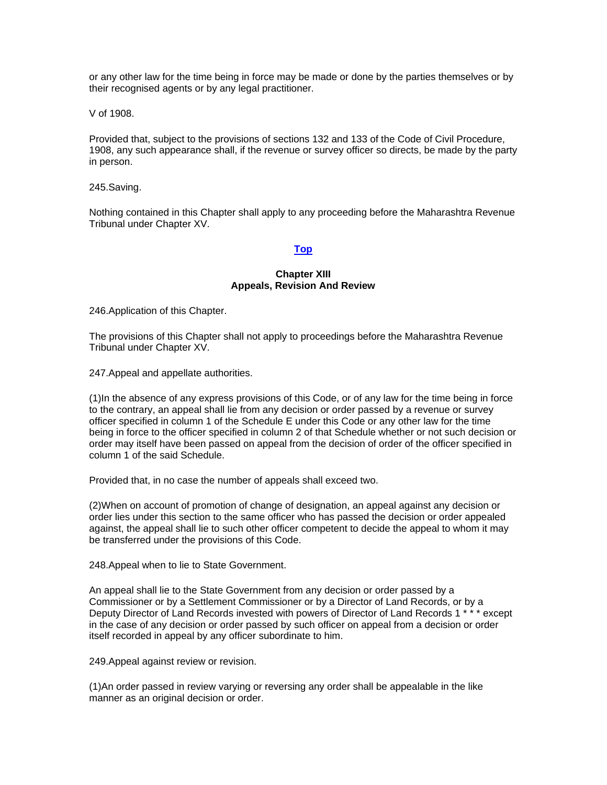or any other law for the time being in force may be made or done by the parties themselves or by their recognised agents or by any legal practitioner.

V of 1908.

Provided that, subject to the provisions of sections 132 and 133 of the Code of Civil Procedure, 1908, any such appearance shall, if the revenue or survey officer so directs, be made by the party in person.

245.Saving.

Nothing contained in this Chapter shall apply to any proceeding before the Maharashtra Revenue Tribunal under Chapter XV.

## **[Top](http://www.nagpuronline.com/nagpurcollectorate/laws/mlrc/PROCEDURE.htm#Procedure#Procedure)**

### **Chapter XIII Appeals, Revision And Review**

246.Application of this Chapter.

The provisions of this Chapter shall not apply to proceedings before the Maharashtra Revenue Tribunal under Chapter XV.

247.Appeal and appellate authorities.

(1)In the absence of any express provisions of this Code, or of any law for the time being in force to the contrary, an appeal shall lie from any decision or order passed by a revenue or survey officer specified in column 1 of the Schedule E under this Code or any other law for the time being in force to the officer specified in column 2 of that Schedule whether or not such decision or order may itself have been passed on appeal from the decision of order of the officer specified in column 1 of the said Schedule.

Provided that, in no case the number of appeals shall exceed two.

(2)When on account of promotion of change of designation, an appeal against any decision or order lies under this section to the same officer who has passed the decision or order appealed against, the appeal shall lie to such other officer competent to decide the appeal to whom it may be transferred under the provisions of this Code.

248.Appeal when to lie to State Government.

An appeal shall lie to the State Government from any decision or order passed by a Commissioner or by a Settlement Commissioner or by a Director of Land Records, or by a Deputy Director of Land Records invested with powers of Director of Land Records 1 \* \* \* except in the case of any decision or order passed by such officer on appeal from a decision or order itself recorded in appeal by any officer subordinate to him.

249.Appeal against review or revision.

(1)An order passed in review varying or reversing any order shall be appealable in the like manner as an original decision or order.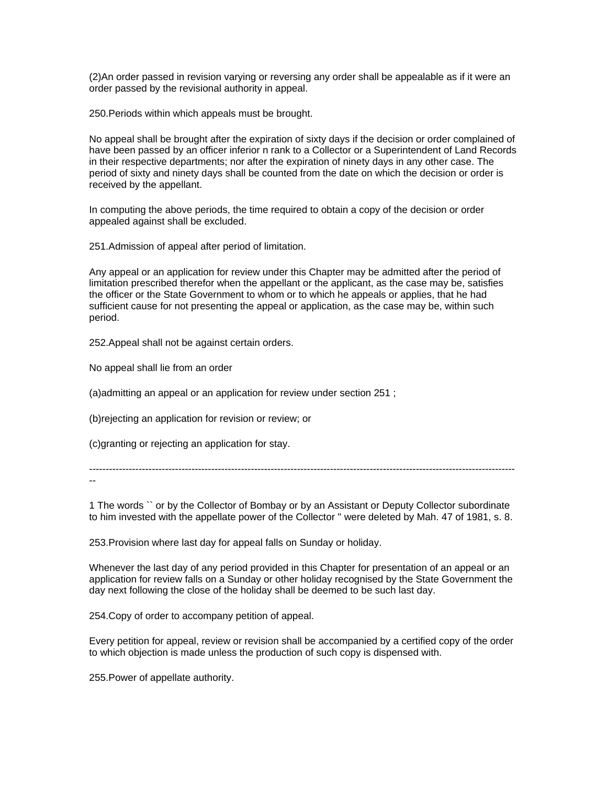(2)An order passed in revision varying or reversing any order shall be appealable as if it were an order passed by the revisional authority in appeal.

250.Periods within which appeals must be brought.

No appeal shall be brought after the expiration of sixty days if the decision or order complained of have been passed by an officer inferior n rank to a Collector or a Superintendent of Land Records in their respective departments; nor after the expiration of ninety days in any other case. The period of sixty and ninety days shall be counted from the date on which the decision or order is received by the appellant.

In computing the above periods, the time required to obtain a copy of the decision or order appealed against shall be excluded.

251.Admission of appeal after period of limitation.

Any appeal or an application for review under this Chapter may be admitted after the period of limitation prescribed therefor when the appellant or the applicant, as the case may be, satisfies the officer or the State Government to whom or to which he appeals or applies, that he had sufficient cause for not presenting the appeal or application, as the case may be, within such period.

252.Appeal shall not be against certain orders.

No appeal shall lie from an order

(a)admitting an appeal or an application for review under section 251 ;

(b)rejecting an application for revision or review; or

(c)granting or rejecting an application for stay.

---------------------------------------------------------------------------------------------------------------------------------

--

1 The words `` or by the Collector of Bombay or by an Assistant or Deputy Collector subordinate to him invested with the appellate power of the Collector '' were deleted by Mah. 47 of 1981, s. 8.

253.Provision where last day for appeal falls on Sunday or holiday.

Whenever the last day of any period provided in this Chapter for presentation of an appeal or an application for review falls on a Sunday or other holiday recognised by the State Government the day next following the close of the holiday shall be deemed to be such last day.

254.Copy of order to accompany petition of appeal.

Every petition for appeal, review or revision shall be accompanied by a certified copy of the order to which objection is made unless the production of such copy is dispensed with.

255.Power of appellate authority.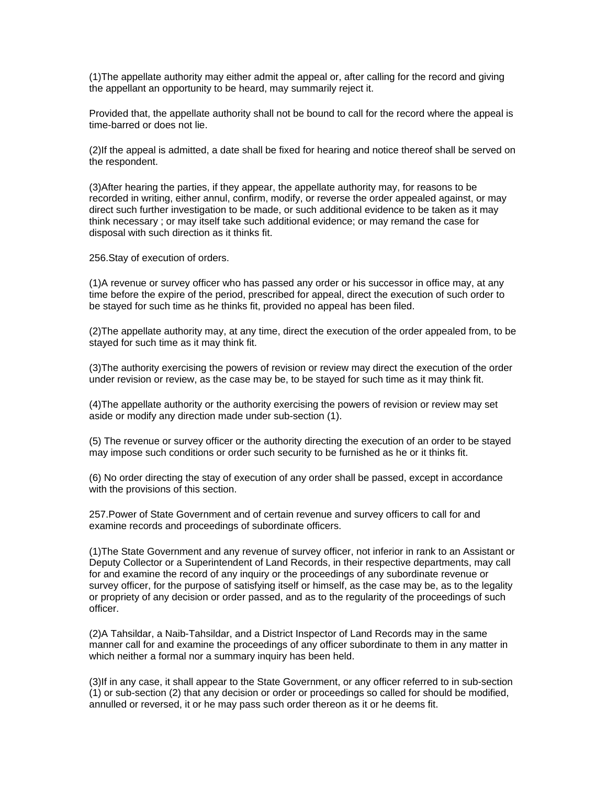(1)The appellate authority may either admit the appeal or, after calling for the record and giving the appellant an opportunity to be heard, may summarily reject it.

Provided that, the appellate authority shall not be bound to call for the record where the appeal is time-barred or does not lie.

(2)If the appeal is admitted, a date shall be fixed for hearing and notice thereof shall be served on the respondent.

(3)After hearing the parties, if they appear, the appellate authority may, for reasons to be recorded in writing, either annul, confirm, modify, or reverse the order appealed against, or may direct such further investigation to be made, or such additional evidence to be taken as it may think necessary ; or may itself take such additional evidence; or may remand the case for disposal with such direction as it thinks fit.

256.Stay of execution of orders.

(1)A revenue or survey officer who has passed any order or his successor in office may, at any time before the expire of the period, prescribed for appeal, direct the execution of such order to be stayed for such time as he thinks fit, provided no appeal has been filed.

(2)The appellate authority may, at any time, direct the execution of the order appealed from, to be stayed for such time as it may think fit.

(3)The authority exercising the powers of revision or review may direct the execution of the order under revision or review, as the case may be, to be stayed for such time as it may think fit.

(4)The appellate authority or the authority exercising the powers of revision or review may set aside or modify any direction made under sub-section (1).

(5) The revenue or survey officer or the authority directing the execution of an order to be stayed may impose such conditions or order such security to be furnished as he or it thinks fit.

(6) No order directing the stay of execution of any order shall be passed, except in accordance with the provisions of this section.

257.Power of State Government and of certain revenue and survey officers to call for and examine records and proceedings of subordinate officers.

(1)The State Government and any revenue of survey officer, not inferior in rank to an Assistant or Deputy Collector or a Superintendent of Land Records, in their respective departments, may call for and examine the record of any inquiry or the proceedings of any subordinate revenue or survey officer, for the purpose of satisfying itself or himself, as the case may be, as to the legality or propriety of any decision or order passed, and as to the regularity of the proceedings of such officer.

(2)A Tahsildar, a Naib-Tahsildar, and a District Inspector of Land Records may in the same manner call for and examine the proceedings of any officer subordinate to them in any matter in which neither a formal nor a summary inquiry has been held.

(3)If in any case, it shall appear to the State Government, or any officer referred to in sub-section (1) or sub-section (2) that any decision or order or proceedings so called for should be modified, annulled or reversed, it or he may pass such order thereon as it or he deems fit.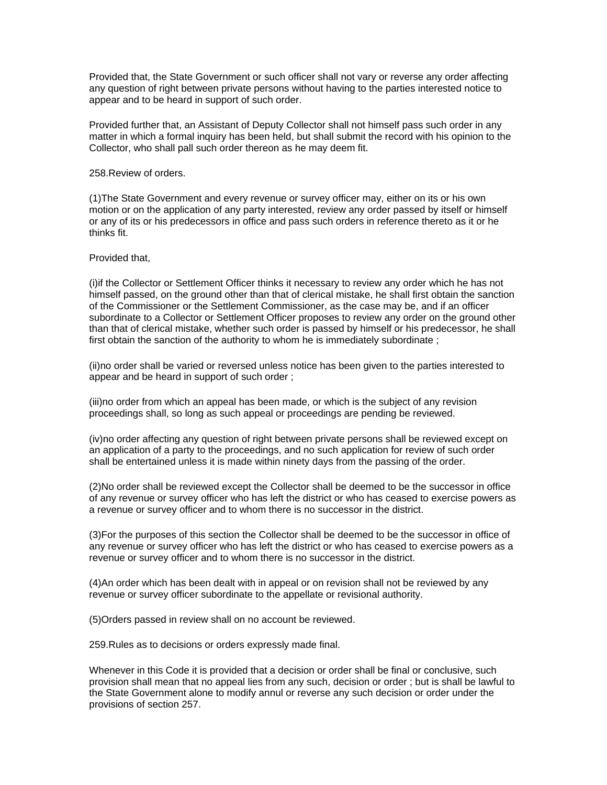Provided that, the State Government or such officer shall not vary or reverse any order affecting any question of right between private persons without having to the parties interested notice to appear and to be heard in support of such order.

Provided further that, an Assistant of Deputy Collector shall not himself pass such order in any matter in which a formal inquiry has been held, but shall submit the record with his opinion to the Collector, who shall pall such order thereon as he may deem fit.

258.Review of orders.

(1)The State Government and every revenue or survey officer may, either on its or his own motion or on the application of any party interested, review any order passed by itself or himself or any of its or his predecessors in office and pass such orders in reference thereto as it or he thinks fit.

Provided that,

(i)if the Collector or Settlement Officer thinks it necessary to review any order which he has not himself passed, on the ground other than that of clerical mistake, he shall first obtain the sanction of the Commissioner or the Settlement Commissioner, as the case may be, and if an officer subordinate to a Collector or Settlement Officer proposes to review any order on the ground other than that of clerical mistake, whether such order is passed by himself or his predecessor, he shall first obtain the sanction of the authority to whom he is immediately subordinate ;

(ii)no order shall be varied or reversed unless notice has been given to the parties interested to appear and be heard in support of such order ;

(iii)no order from which an appeal has been made, or which is the subject of any revision proceedings shall, so long as such appeal or proceedings are pending be reviewed.

(iv)no order affecting any question of right between private persons shall be reviewed except on an application of a party to the proceedings, and no such application for review of such order shall be entertained unless it is made within ninety days from the passing of the order.

(2)No order shall be reviewed except the Collector shall be deemed to be the successor in office of any revenue or survey officer who has left the district or who has ceased to exercise powers as a revenue or survey officer and to whom there is no successor in the district.

(3)For the purposes of this section the Collector shall be deemed to be the successor in office of any revenue or survey officer who has left the district or who has ceased to exercise powers as a revenue or survey officer and to whom there is no successor in the district.

(4)An order which has been dealt with in appeal or on revision shall not be reviewed by any revenue or survey officer subordinate to the appellate or revisional authority.

(5)Orders passed in review shall on no account be reviewed.

259.Rules as to decisions or orders expressly made final.

Whenever in this Code it is provided that a decision or order shall be final or conclusive, such provision shall mean that no appeal lies from any such, decision or order ; but is shall be lawful to the State Government alone to modify annul or reverse any such decision or order under the provisions of section 257.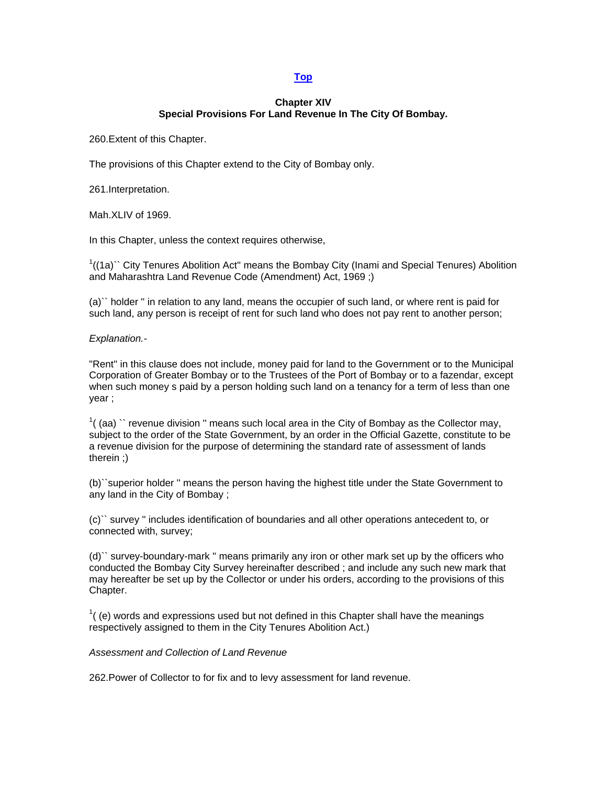# **[Top](http://www.nagpuronline.com/nagpurcollectorate/laws/mlrc/APPEALS.htm#Appeals#Appeals)**

# **Chapter XIV Special Provisions For Land Revenue In The City Of Bombay.**

260.Extent of this Chapter.

The provisions of this Chapter extend to the City of Bombay only.

261.Interpretation.

Mah.XLIV of 1969.

In this Chapter, unless the context requires otherwise,

 $1/(1a)$  City Tenures Abolition Act" means the Bombay City (Inami and Special Tenures) Abolition and Maharashtra Land Revenue Code (Amendment) Act, 1969 ;)

(a)`` holder '' in relation to any land, means the occupier of such land, or where rent is paid for such land, any person is receipt of rent for such land who does not pay rent to another person;

*Explanation.-* 

"Rent'' in this clause does not include, money paid for land to the Government or to the Municipal Corporation of Greater Bombay or to the Trustees of the Port of Bombay or to a fazendar, except when such money s paid by a person holding such land on a tenancy for a term of less than one year ;

 $1$ ((aa)  $\degree$  revenue division " means such local area in the City of Bombay as the Collector may, subject to the order of the State Government, by an order in the Official Gazette, constitute to be a revenue division for the purpose of determining the standard rate of assessment of lands therein ;)

(b)``superior holder '' means the person having the highest title under the State Government to any land in the City of Bombay ;

(c)`` survey '' includes identification of boundaries and all other operations antecedent to, or connected with, survey;

(d)`` survey-boundary-mark '' means primarily any iron or other mark set up by the officers who conducted the Bombay City Survey hereinafter described ; and include any such new mark that may hereafter be set up by the Collector or under his orders, according to the provisions of this Chapter.

 $1$ (e) words and expressions used but not defined in this Chapter shall have the meanings respectively assigned to them in the City Tenures Abolition Act.)

*Assessment and Collection of Land Revenue* 

262.Power of Collector to for fix and to levy assessment for land revenue.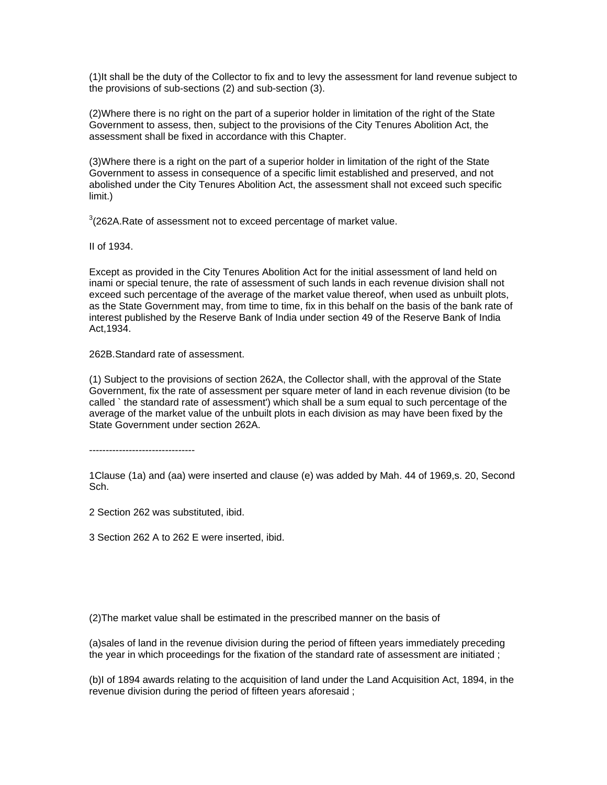(1)It shall be the duty of the Collector to fix and to levy the assessment for land revenue subject to the provisions of sub-sections (2) and sub-section (3).

(2)Where there is no right on the part of a superior holder in limitation of the right of the State Government to assess, then, subject to the provisions of the City Tenures Abolition Act, the assessment shall be fixed in accordance with this Chapter.

(3)Where there is a right on the part of a superior holder in limitation of the right of the State Government to assess in consequence of a specific limit established and preserved, and not abolished under the City Tenures Abolition Act, the assessment shall not exceed such specific limit.)

 $3$ (262A.Rate of assessment not to exceed percentage of market value.

II of 1934.

Except as provided in the City Tenures Abolition Act for the initial assessment of land held on inami or special tenure, the rate of assessment of such lands in each revenue division shall not exceed such percentage of the average of the market value thereof, when used as unbuilt plots, as the State Government may, from time to time, fix in this behalf on the basis of the bank rate of interest published by the Reserve Bank of India under section 49 of the Reserve Bank of India Act,1934.

262B.Standard rate of assessment.

(1) Subject to the provisions of section 262A, the Collector shall, with the approval of the State Government, fix the rate of assessment per square meter of land in each revenue division (to be called ` the standard rate of assessment') which shall be a sum equal to such percentage of the average of the market value of the unbuilt plots in each division as may have been fixed by the State Government under section 262A.

--------------------------------

1Clause (1a) and (aa) were inserted and clause (e) was added by Mah. 44 of 1969,s. 20, Second Sch.

2 Section 262 was substituted, ibid.

3 Section 262 A to 262 E were inserted, ibid.

(2)The market value shall be estimated in the prescribed manner on the basis of

(a)sales of land in the revenue division during the period of fifteen years immediately preceding the year in which proceedings for the fixation of the standard rate of assessment are initiated ;

(b)I of 1894 awards relating to the acquisition of land under the Land Acquisition Act, 1894, in the revenue division during the period of fifteen years aforesaid ;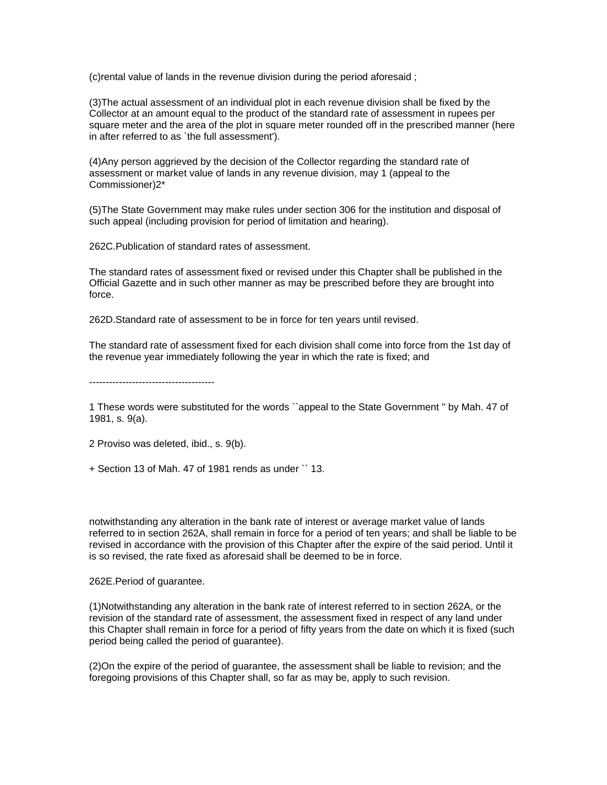(c)rental value of lands in the revenue division during the period aforesaid ;

(3)The actual assessment of an individual plot in each revenue division shall be fixed by the Collector at an amount equal to the product of the standard rate of assessment in rupees per square meter and the area of the plot in square meter rounded off in the prescribed manner (here in after referred to as `the full assessment').

(4)Any person aggrieved by the decision of the Collector regarding the standard rate of assessment or market value of lands in any revenue division, may 1 (appeal to the Commissioner)2\*

(5)The State Government may make rules under section 306 for the institution and disposal of such appeal (including provision for period of limitation and hearing).

262C.Publication of standard rates of assessment.

The standard rates of assessment fixed or revised under this Chapter shall be published in the Official Gazette and in such other manner as may be prescribed before they are brought into force.

262D.Standard rate of assessment to be in force for ten years until revised.

The standard rate of assessment fixed for each division shall come into force from the 1st day of the revenue year immediately following the year in which the rate is fixed; and

--------------------------------------

1 These words were substituted for the words ``appeal to the State Government '' by Mah. 47 of 1981, s. 9(a).

2 Proviso was deleted, ibid., s. 9(b).

+ Section 13 of Mah. 47 of 1981 rends as under `` 13.

notwithstanding any alteration in the bank rate of interest or average market value of lands referred to in section 262A, shall remain in force for a period of ten years; and shall be liable to be revised in accordance with the provision of this Chapter after the expire of the said period. Until it is so revised, the rate fixed as aforesaid shall be deemed to be in force.

262E.Period of guarantee.

(1)Notwithstanding any alteration in the bank rate of interest referred to in section 262A, or the revision of the standard rate of assessment, the assessment fixed in respect of any land under this Chapter shall remain in force for a period of fifty years from the date on which it is fixed (such period being called the period of guarantee).

(2)On the expire of the period of guarantee, the assessment shall be liable to revision; and the foregoing provisions of this Chapter shall, so far as may be, apply to such revision.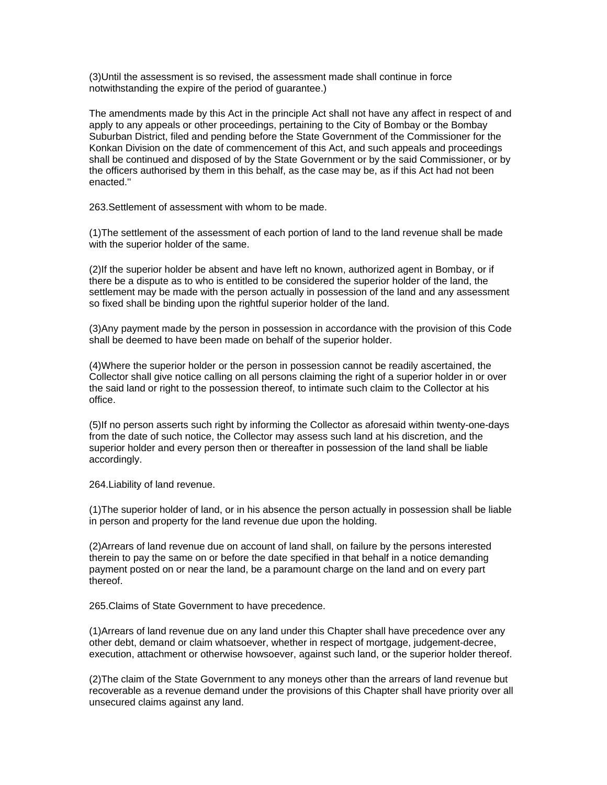(3)Until the assessment is so revised, the assessment made shall continue in force notwithstanding the expire of the period of guarantee.)

The amendments made by this Act in the principle Act shall not have any affect in respect of and apply to any appeals or other proceedings, pertaining to the City of Bombay or the Bombay Suburban District, filed and pending before the State Government of the Commissioner for the Konkan Division on the date of commencement of this Act, and such appeals and proceedings shall be continued and disposed of by the State Government or by the said Commissioner, or by the officers authorised by them in this behalf, as the case may be, as if this Act had not been enacted.''

263.Settlement of assessment with whom to be made.

(1)The settlement of the assessment of each portion of land to the land revenue shall be made with the superior holder of the same.

(2)If the superior holder be absent and have left no known, authorized agent in Bombay, or if there be a dispute as to who is entitled to be considered the superior holder of the land, the settlement may be made with the person actually in possession of the land and any assessment so fixed shall be binding upon the rightful superior holder of the land.

(3)Any payment made by the person in possession in accordance with the provision of this Code shall be deemed to have been made on behalf of the superior holder.

(4)Where the superior holder or the person in possession cannot be readily ascertained, the Collector shall give notice calling on all persons claiming the right of a superior holder in or over the said land or right to the possession thereof, to intimate such claim to the Collector at his office.

(5)If no person asserts such right by informing the Collector as aforesaid within twenty-one-days from the date of such notice, the Collector may assess such land at his discretion, and the superior holder and every person then or thereafter in possession of the land shall be liable accordingly.

264.Liability of land revenue.

(1)The superior holder of land, or in his absence the person actually in possession shall be liable in person and property for the land revenue due upon the holding.

(2)Arrears of land revenue due on account of land shall, on failure by the persons interested therein to pay the same on or before the date specified in that behalf in a notice demanding payment posted on or near the land, be a paramount charge on the land and on every part thereof.

265.Claims of State Government to have precedence.

(1)Arrears of land revenue due on any land under this Chapter shall have precedence over any other debt, demand or claim whatsoever, whether in respect of mortgage, judgement-decree, execution, attachment or otherwise howsoever, against such land, or the superior holder thereof.

(2)The claim of the State Government to any moneys other than the arrears of land revenue but recoverable as a revenue demand under the provisions of this Chapter shall have priority over all unsecured claims against any land.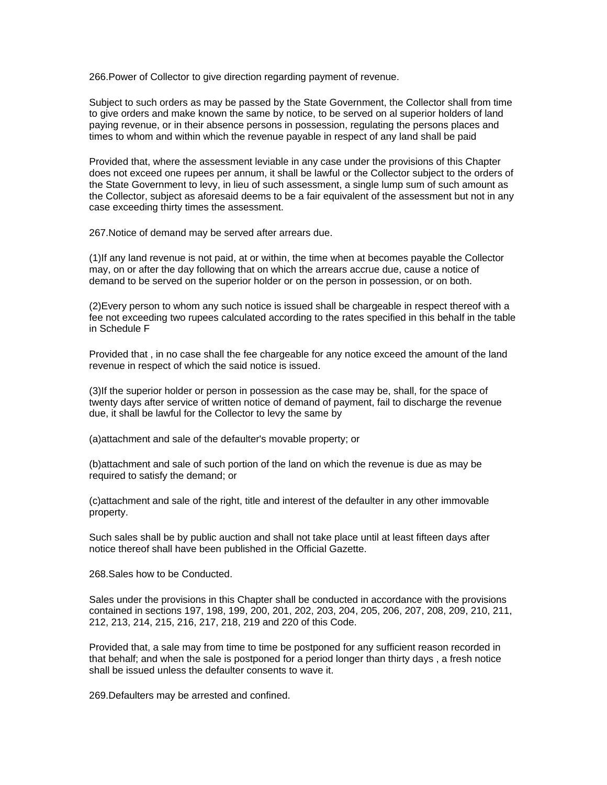266.Power of Collector to give direction regarding payment of revenue.

Subject to such orders as may be passed by the State Government, the Collector shall from time to give orders and make known the same by notice, to be served on al superior holders of land paying revenue, or in their absence persons in possession, regulating the persons places and times to whom and within which the revenue payable in respect of any land shall be paid

Provided that, where the assessment leviable in any case under the provisions of this Chapter does not exceed one rupees per annum, it shall be lawful or the Collector subject to the orders of the State Government to levy, in lieu of such assessment, a single lump sum of such amount as the Collector, subject as aforesaid deems to be a fair equivalent of the assessment but not in any case exceeding thirty times the assessment.

267.Notice of demand may be served after arrears due.

(1)If any land revenue is not paid, at or within, the time when at becomes payable the Collector may, on or after the day following that on which the arrears accrue due, cause a notice of demand to be served on the superior holder or on the person in possession, or on both.

(2)Every person to whom any such notice is issued shall be chargeable in respect thereof with a fee not exceeding two rupees calculated according to the rates specified in this behalf in the table in Schedule F

Provided that , in no case shall the fee chargeable for any notice exceed the amount of the land revenue in respect of which the said notice is issued.

(3)If the superior holder or person in possession as the case may be, shall, for the space of twenty days after service of written notice of demand of payment, fail to discharge the revenue due, it shall be lawful for the Collector to levy the same by

(a)attachment and sale of the defaulter's movable property; or

(b)attachment and sale of such portion of the land on which the revenue is due as may be required to satisfy the demand; or

(c)attachment and sale of the right, title and interest of the defaulter in any other immovable property.

Such sales shall be by public auction and shall not take place until at least fifteen days after notice thereof shall have been published in the Official Gazette.

268.Sales how to be Conducted.

Sales under the provisions in this Chapter shall be conducted in accordance with the provisions contained in sections 197, 198, 199, 200, 201, 202, 203, 204, 205, 206, 207, 208, 209, 210, 211, 212, 213, 214, 215, 216, 217, 218, 219 and 220 of this Code.

Provided that, a sale may from time to time be postponed for any sufficient reason recorded in that behalf; and when the sale is postponed for a period longer than thirty days , a fresh notice shall be issued unless the defaulter consents to wave it.

269.Defaulters may be arrested and confined.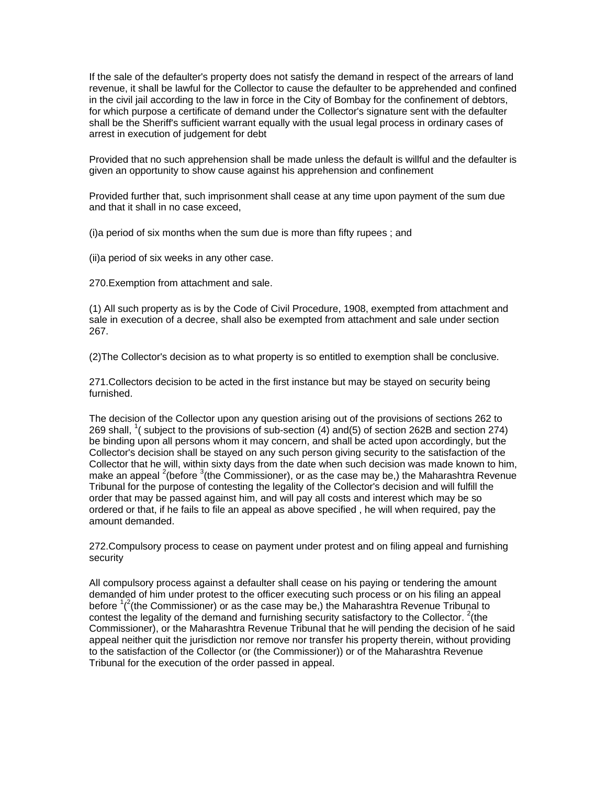If the sale of the defaulter's property does not satisfy the demand in respect of the arrears of land revenue, it shall be lawful for the Collector to cause the defaulter to be apprehended and confined in the civil jail according to the law in force in the City of Bombay for the confinement of debtors, for which purpose a certificate of demand under the Collector's signature sent with the defaulter shall be the Sheriff's sufficient warrant equally with the usual legal process in ordinary cases of arrest in execution of judgement for debt

Provided that no such apprehension shall be made unless the default is willful and the defaulter is given an opportunity to show cause against his apprehension and confinement

Provided further that, such imprisonment shall cease at any time upon payment of the sum due and that it shall in no case exceed,

(i)a period of six months when the sum due is more than fifty rupees ; and

(ii)a period of six weeks in any other case.

270.Exemption from attachment and sale.

(1) All such property as is by the Code of Civil Procedure, 1908, exempted from attachment and sale in execution of a decree, shall also be exempted from attachment and sale under section 267.

(2)The Collector's decision as to what property is so entitled to exemption shall be conclusive.

271.Collectors decision to be acted in the first instance but may be stayed on security being furnished.

The decision of the Collector upon any question arising out of the provisions of sections 262 to 269 shall, <sup>1</sup> (subject to the provisions of sub-section  $(4)$  and  $(5)$  of section 262B and section 274) be binding upon all persons whom it may concern, and shall be acted upon accordingly, but the Collector's decision shall be stayed on any such person giving security to the satisfaction of the Collector that he will, within sixty days from the date when such decision was made known to him, make an appeal <sup>2</sup>(before <sup>3</sup>(the Commissioner), or as the case may be,) the Maharashtra Revenue Tribunal for the purpose of contesting the legality of the Collector's decision and will fulfill the order that may be passed against him, and will pay all costs and interest which may be so ordered or that, if he fails to file an appeal as above specified , he will when required, pay the amount demanded.

272.Compulsory process to cease on payment under protest and on filing appeal and furnishing security

All compulsory process against a defaulter shall cease on his paying or tendering the amount demanded of him under protest to the officer executing such process or on his filing an appeal before  $1/2$ (the Commissioner) or as the case may be,) the Maharashtra Revenue Tribunal to contest the legality of the demand and furnishing security satisfactory to the Collector.  $2($ the Commissioner), or the Maharashtra Revenue Tribunal that he will pending the decision of he said appeal neither quit the jurisdiction nor remove nor transfer his property therein, without providing to the satisfaction of the Collector (or (the Commissioner)) or of the Maharashtra Revenue Tribunal for the execution of the order passed in appeal.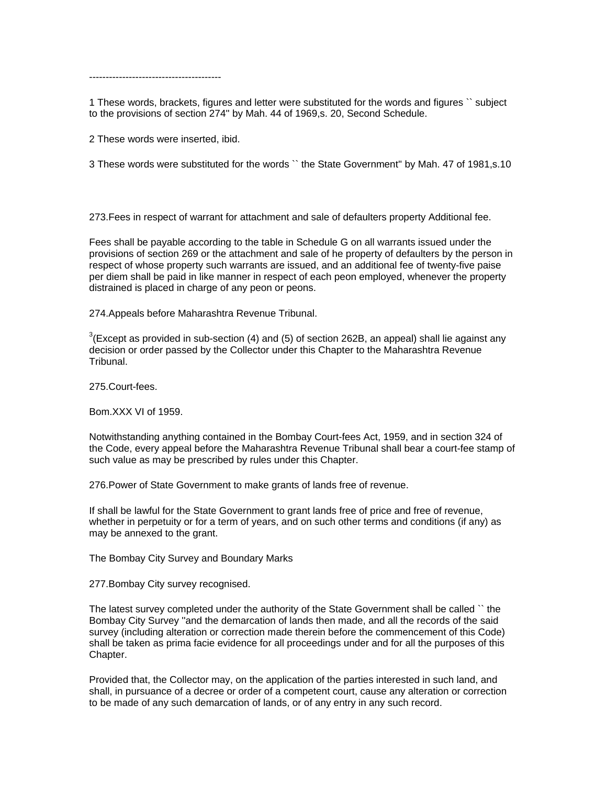----------------------------------------

1 These words, brackets, figures and letter were substituted for the words and figures `` subject to the provisions of section 274'' by Mah. 44 of 1969,s. 20, Second Schedule.

2 These words were inserted, ibid.

3 These words were substituted for the words `` the State Government'' by Mah. 47 of 1981,s.10

273.Fees in respect of warrant for attachment and sale of defaulters property Additional fee.

Fees shall be payable according to the table in Schedule G on all warrants issued under the provisions of section 269 or the attachment and sale of he property of defaulters by the person in respect of whose property such warrants are issued, and an additional fee of twenty-five paise per diem shall be paid in like manner in respect of each peon employed, whenever the property distrained is placed in charge of any peon or peons.

274.Appeals before Maharashtra Revenue Tribunal.

 $3$ (Except as provided in sub-section (4) and (5) of section 262B, an appeal) shall lie against any decision or order passed by the Collector under this Chapter to the Maharashtra Revenue Tribunal.

275.Court-fees.

Bom.XXX VI of 1959.

Notwithstanding anything contained in the Bombay Court-fees Act, 1959, and in section 324 of the Code, every appeal before the Maharashtra Revenue Tribunal shall bear a court-fee stamp of such value as may be prescribed by rules under this Chapter.

276.Power of State Government to make grants of lands free of revenue.

If shall be lawful for the State Government to grant lands free of price and free of revenue, whether in perpetuity or for a term of years, and on such other terms and conditions (if any) as may be annexed to the grant.

The Bombay City Survey and Boundary Marks

277.Bombay City survey recognised.

The latest survey completed under the authority of the State Government shall be called `` the Bombay City Survey ''and the demarcation of lands then made, and all the records of the said survey (including alteration or correction made therein before the commencement of this Code) shall be taken as prima facie evidence for all proceedings under and for all the purposes of this Chapter.

Provided that, the Collector may, on the application of the parties interested in such land, and shall, in pursuance of a decree or order of a competent court, cause any alteration or correction to be made of any such demarcation of lands, or of any entry in any such record.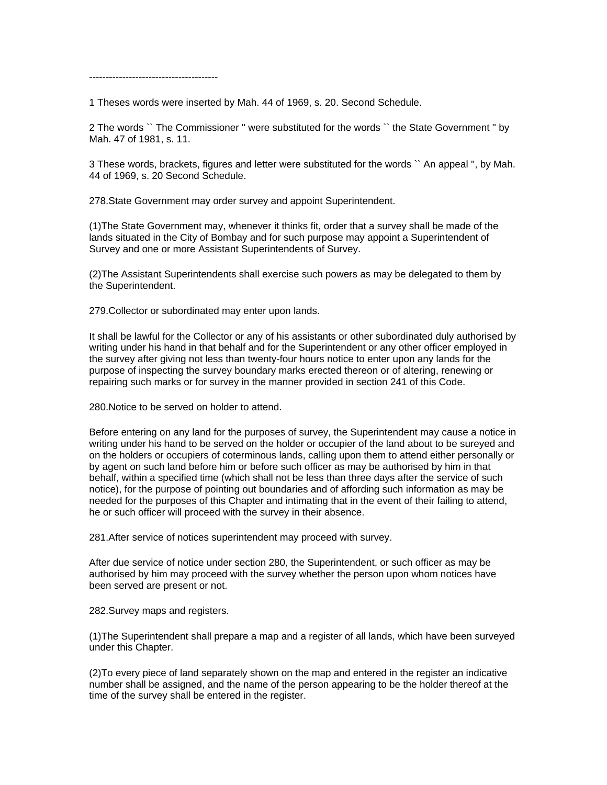---------------------------------------

1 Theses words were inserted by Mah. 44 of 1969, s. 20. Second Schedule.

2 The words `` The Commissioner '' were substituted for the words `` the State Government '' by Mah. 47 of 1981, s. 11.

3 These words, brackets, figures and letter were substituted for the words `` An appeal '', by Mah. 44 of 1969, s. 20 Second Schedule.

278.State Government may order survey and appoint Superintendent.

(1)The State Government may, whenever it thinks fit, order that a survey shall be made of the lands situated in the City of Bombay and for such purpose may appoint a Superintendent of Survey and one or more Assistant Superintendents of Survey.

(2)The Assistant Superintendents shall exercise such powers as may be delegated to them by the Superintendent.

279.Collector or subordinated may enter upon lands.

It shall be lawful for the Collector or any of his assistants or other subordinated duly authorised by writing under his hand in that behalf and for the Superintendent or any other officer employed in the survey after giving not less than twenty-four hours notice to enter upon any lands for the purpose of inspecting the survey boundary marks erected thereon or of altering, renewing or repairing such marks or for survey in the manner provided in section 241 of this Code.

280.Notice to be served on holder to attend.

Before entering on any land for the purposes of survey, the Superintendent may cause a notice in writing under his hand to be served on the holder or occupier of the land about to be sureyed and on the holders or occupiers of coterminous lands, calling upon them to attend either personally or by agent on such land before him or before such officer as may be authorised by him in that behalf, within a specified time (which shall not be less than three days after the service of such notice), for the purpose of pointing out boundaries and of affording such information as may be needed for the purposes of this Chapter and intimating that in the event of their failing to attend, he or such officer will proceed with the survey in their absence.

281.After service of notices superintendent may proceed with survey.

After due service of notice under section 280, the Superintendent, or such officer as may be authorised by him may proceed with the survey whether the person upon whom notices have been served are present or not.

282.Survey maps and registers.

(1)The Superintendent shall prepare a map and a register of all lands, which have been surveyed under this Chapter.

(2)To every piece of land separately shown on the map and entered in the register an indicative number shall be assigned, and the name of the person appearing to be the holder thereof at the time of the survey shall be entered in the register.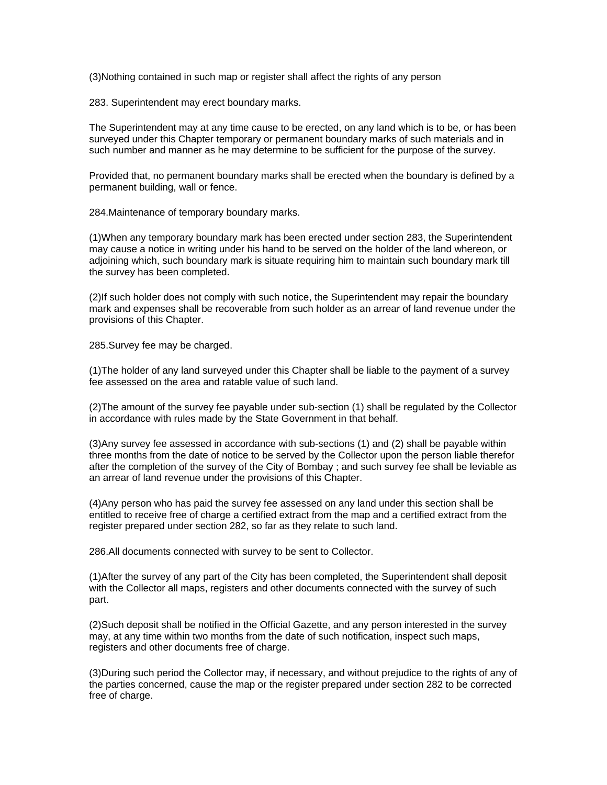(3)Nothing contained in such map or register shall affect the rights of any person

283. Superintendent may erect boundary marks.

The Superintendent may at any time cause to be erected, on any land which is to be, or has been surveyed under this Chapter temporary or permanent boundary marks of such materials and in such number and manner as he may determine to be sufficient for the purpose of the survey.

Provided that, no permanent boundary marks shall be erected when the boundary is defined by a permanent building, wall or fence.

284.Maintenance of temporary boundary marks.

(1)When any temporary boundary mark has been erected under section 283, the Superintendent may cause a notice in writing under his hand to be served on the holder of the land whereon, or adjoining which, such boundary mark is situate requiring him to maintain such boundary mark till the survey has been completed.

(2)If such holder does not comply with such notice, the Superintendent may repair the boundary mark and expenses shall be recoverable from such holder as an arrear of land revenue under the provisions of this Chapter.

285.Survey fee may be charged.

(1)The holder of any land surveyed under this Chapter shall be liable to the payment of a survey fee assessed on the area and ratable value of such land.

(2)The amount of the survey fee payable under sub-section (1) shall be regulated by the Collector in accordance with rules made by the State Government in that behalf.

(3)Any survey fee assessed in accordance with sub-sections (1) and (2) shall be payable within three months from the date of notice to be served by the Collector upon the person liable therefor after the completion of the survey of the City of Bombay ; and such survey fee shall be leviable as an arrear of land revenue under the provisions of this Chapter.

(4)Any person who has paid the survey fee assessed on any land under this section shall be entitled to receive free of charge a certified extract from the map and a certified extract from the register prepared under section 282, so far as they relate to such land.

286.All documents connected with survey to be sent to Collector.

(1)After the survey of any part of the City has been completed, the Superintendent shall deposit with the Collector all maps, registers and other documents connected with the survey of such part.

(2)Such deposit shall be notified in the Official Gazette, and any person interested in the survey may, at any time within two months from the date of such notification, inspect such maps, registers and other documents free of charge.

(3)During such period the Collector may, if necessary, and without prejudice to the rights of any of the parties concerned, cause the map or the register prepared under section 282 to be corrected free of charge.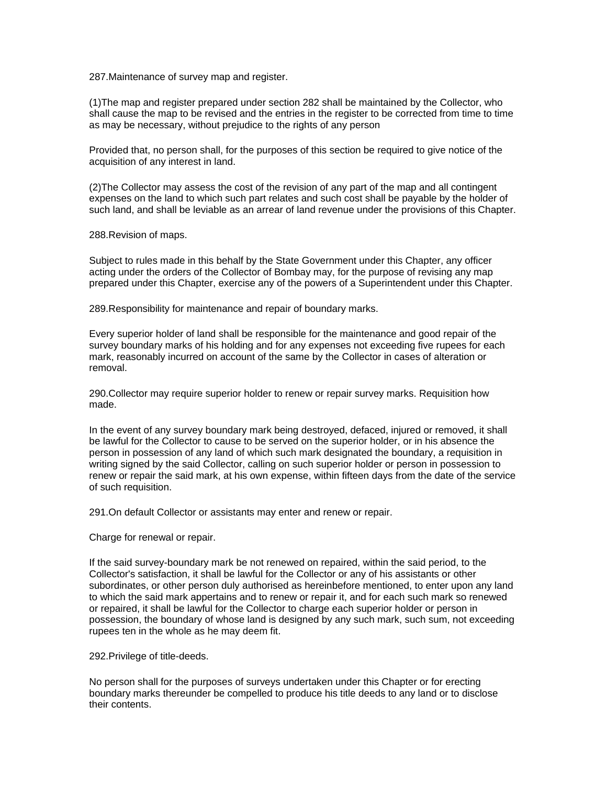287.Maintenance of survey map and register.

(1)The map and register prepared under section 282 shall be maintained by the Collector, who shall cause the map to be revised and the entries in the register to be corrected from time to time as may be necessary, without prejudice to the rights of any person

Provided that, no person shall, for the purposes of this section be required to give notice of the acquisition of any interest in land.

(2)The Collector may assess the cost of the revision of any part of the map and all contingent expenses on the land to which such part relates and such cost shall be payable by the holder of such land, and shall be leviable as an arrear of land revenue under the provisions of this Chapter.

288.Revision of maps.

Subject to rules made in this behalf by the State Government under this Chapter, any officer acting under the orders of the Collector of Bombay may, for the purpose of revising any map prepared under this Chapter, exercise any of the powers of a Superintendent under this Chapter.

289.Responsibility for maintenance and repair of boundary marks.

Every superior holder of land shall be responsible for the maintenance and good repair of the survey boundary marks of his holding and for any expenses not exceeding five rupees for each mark, reasonably incurred on account of the same by the Collector in cases of alteration or removal.

290.Collector may require superior holder to renew or repair survey marks. Requisition how made.

In the event of any survey boundary mark being destroyed, defaced, injured or removed, it shall be lawful for the Collector to cause to be served on the superior holder, or in his absence the person in possession of any land of which such mark designated the boundary, a requisition in writing signed by the said Collector, calling on such superior holder or person in possession to renew or repair the said mark, at his own expense, within fifteen days from the date of the service of such requisition.

291.On default Collector or assistants may enter and renew or repair.

Charge for renewal or repair.

If the said survey-boundary mark be not renewed on repaired, within the said period, to the Collector's satisfaction, it shall be lawful for the Collector or any of his assistants or other subordinates, or other person duly authorised as hereinbefore mentioned, to enter upon any land to which the said mark appertains and to renew or repair it, and for each such mark so renewed or repaired, it shall be lawful for the Collector to charge each superior holder or person in possession, the boundary of whose land is designed by any such mark, such sum, not exceeding rupees ten in the whole as he may deem fit.

292.Privilege of title-deeds.

No person shall for the purposes of surveys undertaken under this Chapter or for erecting boundary marks thereunder be compelled to produce his title deeds to any land or to disclose their contents.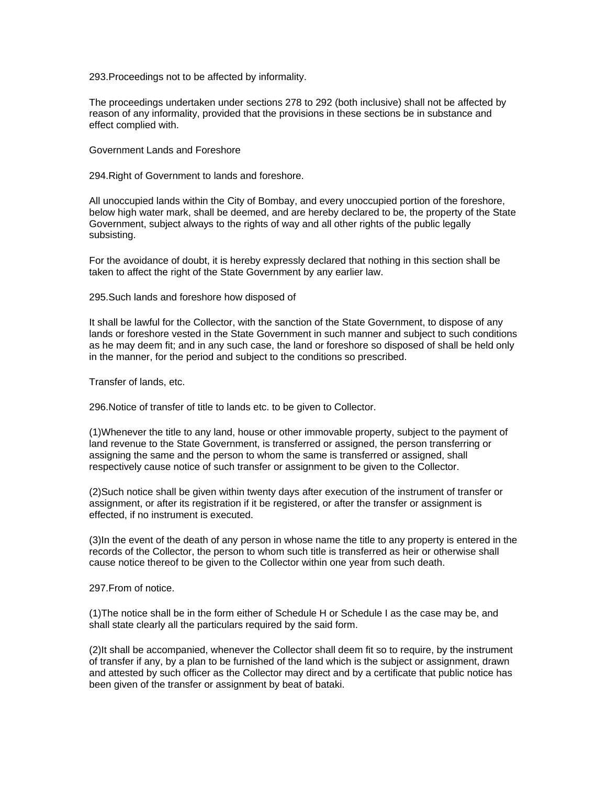293.Proceedings not to be affected by informality.

The proceedings undertaken under sections 278 to 292 (both inclusive) shall not be affected by reason of any informality, provided that the provisions in these sections be in substance and effect complied with.

Government Lands and Foreshore

294.Right of Government to lands and foreshore.

All unoccupied lands within the City of Bombay, and every unoccupied portion of the foreshore, below high water mark, shall be deemed, and are hereby declared to be, the property of the State Government, subject always to the rights of way and all other rights of the public legally subsisting.

For the avoidance of doubt, it is hereby expressly declared that nothing in this section shall be taken to affect the right of the State Government by any earlier law.

295.Such lands and foreshore how disposed of

It shall be lawful for the Collector, with the sanction of the State Government, to dispose of any lands or foreshore vested in the State Government in such manner and subject to such conditions as he may deem fit; and in any such case, the land or foreshore so disposed of shall be held only in the manner, for the period and subject to the conditions so prescribed.

Transfer of lands, etc.

296.Notice of transfer of title to lands etc. to be given to Collector.

(1)Whenever the title to any land, house or other immovable property, subject to the payment of land revenue to the State Government, is transferred or assigned, the person transferring or assigning the same and the person to whom the same is transferred or assigned, shall respectively cause notice of such transfer or assignment to be given to the Collector.

(2)Such notice shall be given within twenty days after execution of the instrument of transfer or assignment, or after its registration if it be registered, or after the transfer or assignment is effected, if no instrument is executed.

(3)In the event of the death of any person in whose name the title to any property is entered in the records of the Collector, the person to whom such title is transferred as heir or otherwise shall cause notice thereof to be given to the Collector within one year from such death.

297.From of notice.

(1)The notice shall be in the form either of Schedule H or Schedule I as the case may be, and shall state clearly all the particulars required by the said form.

(2)It shall be accompanied, whenever the Collector shall deem fit so to require, by the instrument of transfer if any, by a plan to be furnished of the land which is the subject or assignment, drawn and attested by such officer as the Collector may direct and by a certificate that public notice has been given of the transfer or assignment by beat of bataki.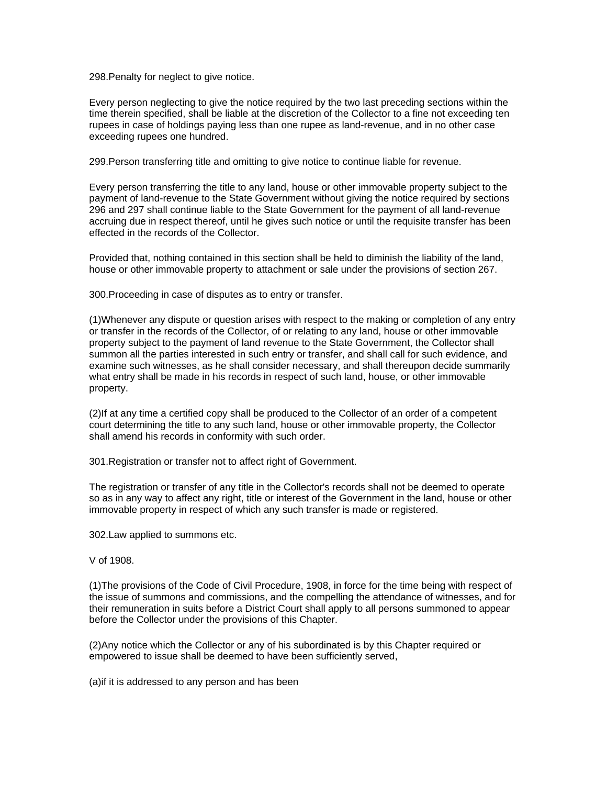298.Penalty for neglect to give notice.

Every person neglecting to give the notice required by the two last preceding sections within the time therein specified, shall be liable at the discretion of the Collector to a fine not exceeding ten rupees in case of holdings paying less than one rupee as land-revenue, and in no other case exceeding rupees one hundred.

299.Person transferring title and omitting to give notice to continue liable for revenue.

Every person transferring the title to any land, house or other immovable property subject to the payment of land-revenue to the State Government without giving the notice required by sections 296 and 297 shall continue liable to the State Government for the payment of all land-revenue accruing due in respect thereof, until he gives such notice or until the requisite transfer has been effected in the records of the Collector.

Provided that, nothing contained in this section shall be held to diminish the liability of the land, house or other immovable property to attachment or sale under the provisions of section 267.

300.Proceeding in case of disputes as to entry or transfer.

(1)Whenever any dispute or question arises with respect to the making or completion of any entry or transfer in the records of the Collector, of or relating to any land, house or other immovable property subject to the payment of land revenue to the State Government, the Collector shall summon all the parties interested in such entry or transfer, and shall call for such evidence, and examine such witnesses, as he shall consider necessary, and shall thereupon decide summarily what entry shall be made in his records in respect of such land, house, or other immovable property.

(2)If at any time a certified copy shall be produced to the Collector of an order of a competent court determining the title to any such land, house or other immovable property, the Collector shall amend his records in conformity with such order.

301.Registration or transfer not to affect right of Government.

The registration or transfer of any title in the Collector's records shall not be deemed to operate so as in any way to affect any right, title or interest of the Government in the land, house or other immovable property in respect of which any such transfer is made or registered.

302.Law applied to summons etc.

V of 1908.

(1)The provisions of the Code of Civil Procedure, 1908, in force for the time being with respect of the issue of summons and commissions, and the compelling the attendance of witnesses, and for their remuneration in suits before a District Court shall apply to all persons summoned to appear before the Collector under the provisions of this Chapter.

(2)Any notice which the Collector or any of his subordinated is by this Chapter required or empowered to issue shall be deemed to have been sufficiently served,

(a)if it is addressed to any person and has been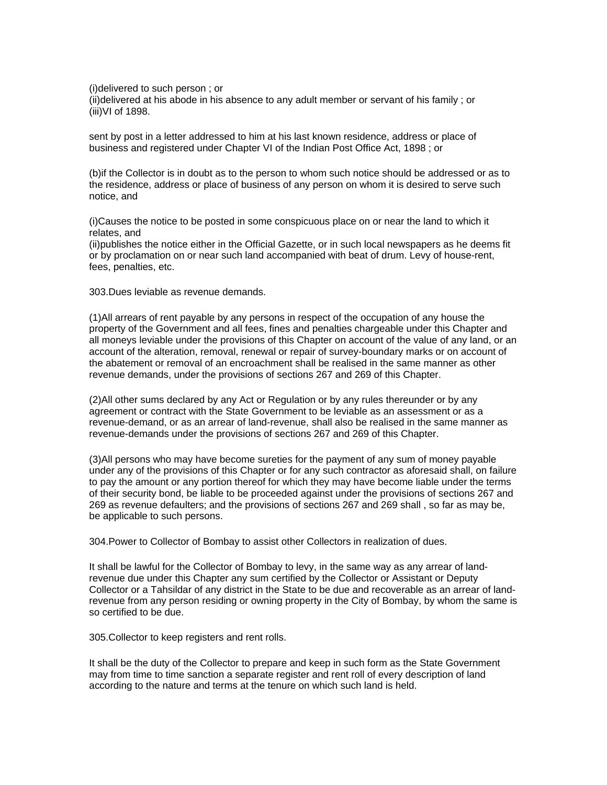(i)delivered to such person ; or (ii)delivered at his abode in his absence to any adult member or servant of his family ; or (iii)VI of 1898.

sent by post in a letter addressed to him at his last known residence, address or place of business and registered under Chapter VI of the Indian Post Office Act, 1898 ; or

(b)if the Collector is in doubt as to the person to whom such notice should be addressed or as to the residence, address or place of business of any person on whom it is desired to serve such notice, and

(i)Causes the notice to be posted in some conspicuous place on or near the land to which it relates, and

(ii)publishes the notice either in the Official Gazette, or in such local newspapers as he deems fit or by proclamation on or near such land accompanied with beat of drum. Levy of house-rent, fees, penalties, etc.

303.Dues leviable as revenue demands.

(1)All arrears of rent payable by any persons in respect of the occupation of any house the property of the Government and all fees, fines and penalties chargeable under this Chapter and all moneys leviable under the provisions of this Chapter on account of the value of any land, or an account of the alteration, removal, renewal or repair of survey-boundary marks or on account of the abatement or removal of an encroachment shall be realised in the same manner as other revenue demands, under the provisions of sections 267 and 269 of this Chapter.

(2)All other sums declared by any Act or Regulation or by any rules thereunder or by any agreement or contract with the State Government to be leviable as an assessment or as a revenue-demand, or as an arrear of land-revenue, shall also be realised in the same manner as revenue-demands under the provisions of sections 267 and 269 of this Chapter.

(3)All persons who may have become sureties for the payment of any sum of money payable under any of the provisions of this Chapter or for any such contractor as aforesaid shall, on failure to pay the amount or any portion thereof for which they may have become liable under the terms of their security bond, be liable to be proceeded against under the provisions of sections 267 and 269 as revenue defaulters; and the provisions of sections 267 and 269 shall , so far as may be, be applicable to such persons.

304.Power to Collector of Bombay to assist other Collectors in realization of dues.

It shall be lawful for the Collector of Bombay to levy, in the same way as any arrear of landrevenue due under this Chapter any sum certified by the Collector or Assistant or Deputy Collector or a Tahsildar of any district in the State to be due and recoverable as an arrear of landrevenue from any person residing or owning property in the City of Bombay, by whom the same is so certified to be due.

305.Collector to keep registers and rent rolls.

It shall be the duty of the Collector to prepare and keep in such form as the State Government may from time to time sanction a separate register and rent roll of every description of land according to the nature and terms at the tenure on which such land is held.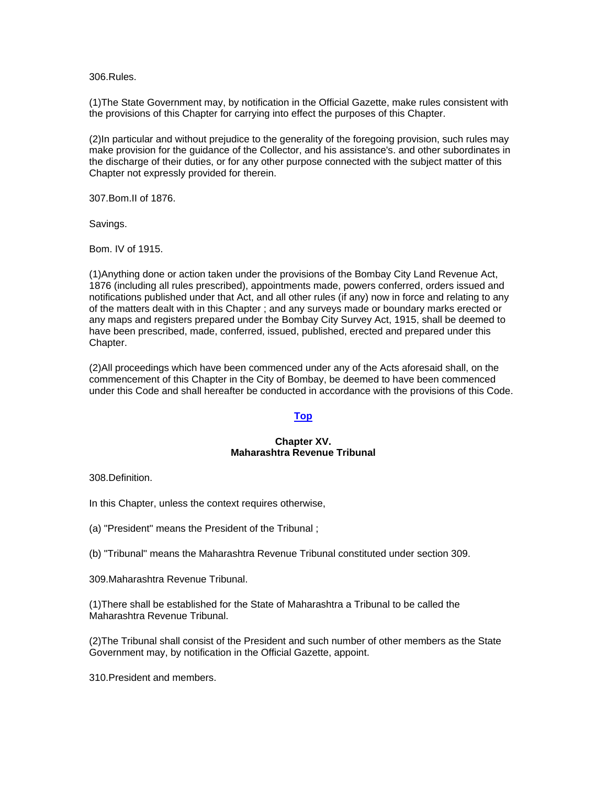306.Rules.

(1)The State Government may, by notification in the Official Gazette, make rules consistent with the provisions of this Chapter for carrying into effect the purposes of this Chapter.

(2)In particular and without prejudice to the generality of the foregoing provision, such rules may make provision for the guidance of the Collector, and his assistance's. and other subordinates in the discharge of their duties, or for any other purpose connected with the subject matter of this Chapter not expressly provided for therein.

307.Bom.II of 1876.

Savings.

Bom. IV of 1915.

(1)Anything done or action taken under the provisions of the Bombay City Land Revenue Act, 1876 (including all rules prescribed), appointments made, powers conferred, orders issued and notifications published under that Act, and all other rules (if any) now in force and relating to any of the matters dealt with in this Chapter ; and any surveys made or boundary marks erected or any maps and registers prepared under the Bombay City Survey Act, 1915, shall be deemed to have been prescribed, made, conferred, issued, published, erected and prepared under this Chapter.

(2)All proceedings which have been commenced under any of the Acts aforesaid shall, on the commencement of this Chapter in the City of Bombay, be deemed to have been commenced under this Code and shall hereafter be conducted in accordance with the provisions of this Code.

# **[Top](http://www.nagpuronline.com/nagpurcollectorate/laws/mlrc/BOMBAY.htm#Chapter XIV#Chapter XIV)**

# **Chapter XV. Maharashtra Revenue Tribunal**

308.Definition.

In this Chapter, unless the context requires otherwise,

(a) "President'' means the President of the Tribunal ;

(b) "Tribunal'' means the Maharashtra Revenue Tribunal constituted under section 309.

309.Maharashtra Revenue Tribunal.

(1)There shall be established for the State of Maharashtra a Tribunal to be called the Maharashtra Revenue Tribunal.

(2)The Tribunal shall consist of the President and such number of other members as the State Government may, by notification in the Official Gazette, appoint.

310.President and members.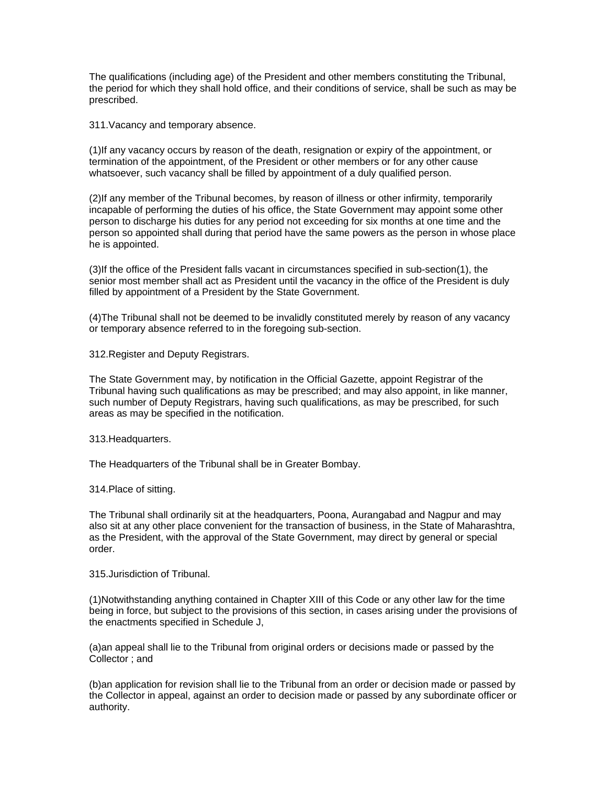The qualifications (including age) of the President and other members constituting the Tribunal, the period for which they shall hold office, and their conditions of service, shall be such as may be prescribed.

311.Vacancy and temporary absence.

(1)If any vacancy occurs by reason of the death, resignation or expiry of the appointment, or termination of the appointment, of the President or other members or for any other cause whatsoever, such vacancy shall be filled by appointment of a duly qualified person.

(2)If any member of the Tribunal becomes, by reason of illness or other infirmity, temporarily incapable of performing the duties of his office, the State Government may appoint some other person to discharge his duties for any period not exceeding for six months at one time and the person so appointed shall during that period have the same powers as the person in whose place he is appointed.

(3)If the office of the President falls vacant in circumstances specified in sub-section(1), the senior most member shall act as President until the vacancy in the office of the President is duly filled by appointment of a President by the State Government.

(4)The Tribunal shall not be deemed to be invalidly constituted merely by reason of any vacancy or temporary absence referred to in the foregoing sub-section.

312.Register and Deputy Registrars.

The State Government may, by notification in the Official Gazette, appoint Registrar of the Tribunal having such qualifications as may be prescribed; and may also appoint, in like manner, such number of Deputy Registrars, having such qualifications, as may be prescribed, for such areas as may be specified in the notification.

313.Headquarters.

The Headquarters of the Tribunal shall be in Greater Bombay.

314.Place of sitting.

The Tribunal shall ordinarily sit at the headquarters, Poona, Aurangabad and Nagpur and may also sit at any other place convenient for the transaction of business, in the State of Maharashtra, as the President, with the approval of the State Government, may direct by general or special order.

315.Jurisdiction of Tribunal.

(1)Notwithstanding anything contained in Chapter XIII of this Code or any other law for the time being in force, but subject to the provisions of this section, in cases arising under the provisions of the enactments specified in Schedule J,

(a)an appeal shall lie to the Tribunal from original orders or decisions made or passed by the Collector ; and

(b)an application for revision shall lie to the Tribunal from an order or decision made or passed by the Collector in appeal, against an order to decision made or passed by any subordinate officer or authority.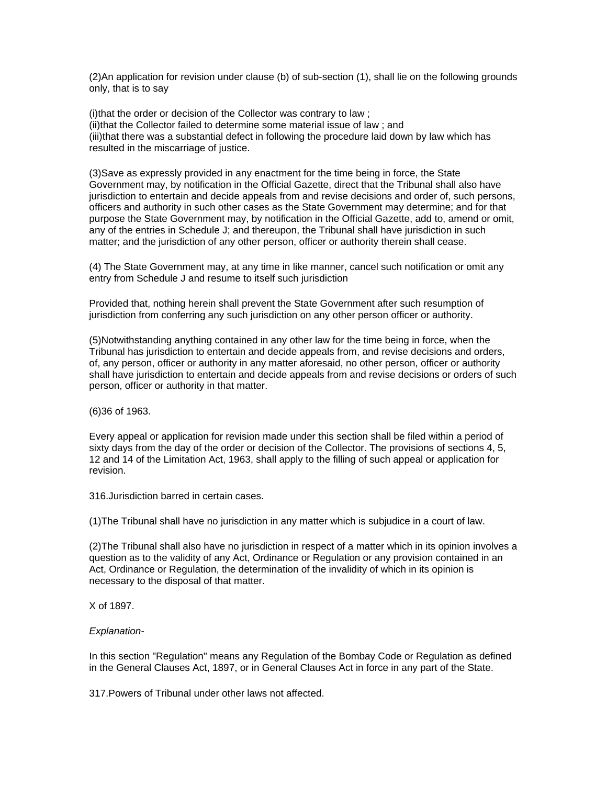(2)An application for revision under clause (b) of sub-section (1), shall lie on the following grounds only, that is to say

(i)that the order or decision of the Collector was contrary to law ; (ii)that the Collector failed to determine some material issue of law ; and (iii)that there was a substantial defect in following the procedure laid down by law which has resulted in the miscarriage of justice.

(3)Save as expressly provided in any enactment for the time being in force, the State Government may, by notification in the Official Gazette, direct that the Tribunal shall also have jurisdiction to entertain and decide appeals from and revise decisions and order of, such persons, officers and authority in such other cases as the State Government may determine; and for that purpose the State Government may, by notification in the Official Gazette, add to, amend or omit, any of the entries in Schedule J; and thereupon, the Tribunal shall have jurisdiction in such matter; and the jurisdiction of any other person, officer or authority therein shall cease.

(4) The State Government may, at any time in like manner, cancel such notification or omit any entry from Schedule J and resume to itself such jurisdiction

Provided that, nothing herein shall prevent the State Government after such resumption of jurisdiction from conferring any such jurisdiction on any other person officer or authority.

(5)Notwithstanding anything contained in any other law for the time being in force, when the Tribunal has jurisdiction to entertain and decide appeals from, and revise decisions and orders, of, any person, officer or authority in any matter aforesaid, no other person, officer or authority shall have jurisdiction to entertain and decide appeals from and revise decisions or orders of such person, officer or authority in that matter.

(6)36 of 1963.

Every appeal or application for revision made under this section shall be filed within a period of sixty days from the day of the order or decision of the Collector. The provisions of sections 4, 5, 12 and 14 of the Limitation Act, 1963, shall apply to the filling of such appeal or application for revision.

316.Jurisdiction barred in certain cases.

(1)The Tribunal shall have no jurisdiction in any matter which is subjudice in a court of law.

(2)The Tribunal shall also have no jurisdiction in respect of a matter which in its opinion involves a question as to the validity of any Act, Ordinance or Regulation or any provision contained in an Act, Ordinance or Regulation, the determination of the invalidity of which in its opinion is necessary to the disposal of that matter.

X of 1897.

# *Explanation-*

In this section "Regulation'' means any Regulation of the Bombay Code or Regulation as defined in the General Clauses Act, 1897, or in General Clauses Act in force in any part of the State.

317.Powers of Tribunal under other laws not affected.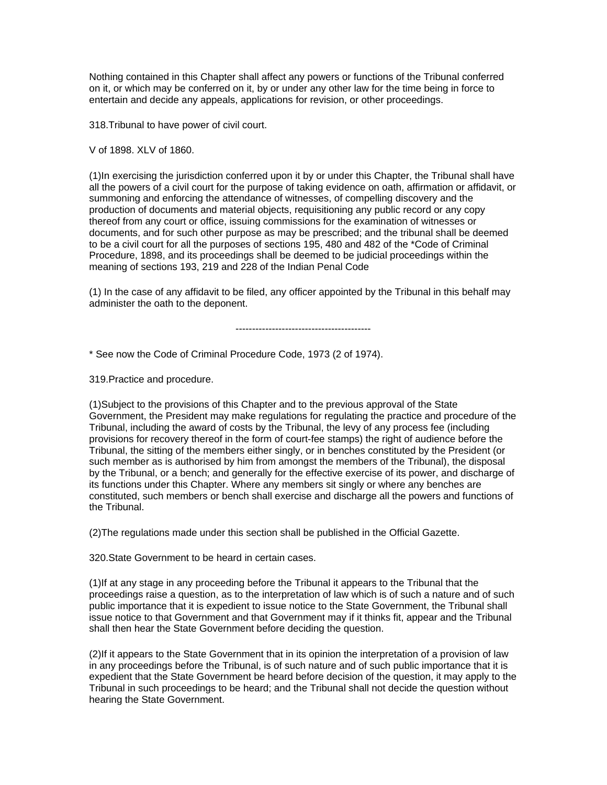Nothing contained in this Chapter shall affect any powers or functions of the Tribunal conferred on it, or which may be conferred on it, by or under any other law for the time being in force to entertain and decide any appeals, applications for revision, or other proceedings.

318.Tribunal to have power of civil court.

V of 1898. XLV of 1860.

(1)In exercising the jurisdiction conferred upon it by or under this Chapter, the Tribunal shall have all the powers of a civil court for the purpose of taking evidence on oath, affirmation or affidavit, or summoning and enforcing the attendance of witnesses, of compelling discovery and the production of documents and material objects, requisitioning any public record or any copy thereof from any court or office, issuing commissions for the examination of witnesses or documents, and for such other purpose as may be prescribed; and the tribunal shall be deemed to be a civil court for all the purposes of sections 195, 480 and 482 of the \*Code of Criminal Procedure, 1898, and its proceedings shall be deemed to be judicial proceedings within the meaning of sections 193, 219 and 228 of the Indian Penal Code

(1) In the case of any affidavit to be filed, any officer appointed by the Tribunal in this behalf may administer the oath to the deponent.

-----------------------------------------

\* See now the Code of Criminal Procedure Code, 1973 (2 of 1974).

319.Practice and procedure.

(1)Subject to the provisions of this Chapter and to the previous approval of the State Government, the President may make regulations for regulating the practice and procedure of the Tribunal, including the award of costs by the Tribunal, the levy of any process fee (including provisions for recovery thereof in the form of court-fee stamps) the right of audience before the Tribunal, the sitting of the members either singly, or in benches constituted by the President (or such member as is authorised by him from amongst the members of the Tribunal), the disposal by the Tribunal, or a bench; and generally for the effective exercise of its power, and discharge of its functions under this Chapter. Where any members sit singly or where any benches are constituted, such members or bench shall exercise and discharge all the powers and functions of the Tribunal.

(2)The regulations made under this section shall be published in the Official Gazette.

320.State Government to be heard in certain cases.

(1)If at any stage in any proceeding before the Tribunal it appears to the Tribunal that the proceedings raise a question, as to the interpretation of law which is of such a nature and of such public importance that it is expedient to issue notice to the State Government, the Tribunal shall issue notice to that Government and that Government may if it thinks fit, appear and the Tribunal shall then hear the State Government before deciding the question.

(2)If it appears to the State Government that in its opinion the interpretation of a provision of law in any proceedings before the Tribunal, is of such nature and of such public importance that it is expedient that the State Government be heard before decision of the question, it may apply to the Tribunal in such proceedings to be heard; and the Tribunal shall not decide the question without hearing the State Government.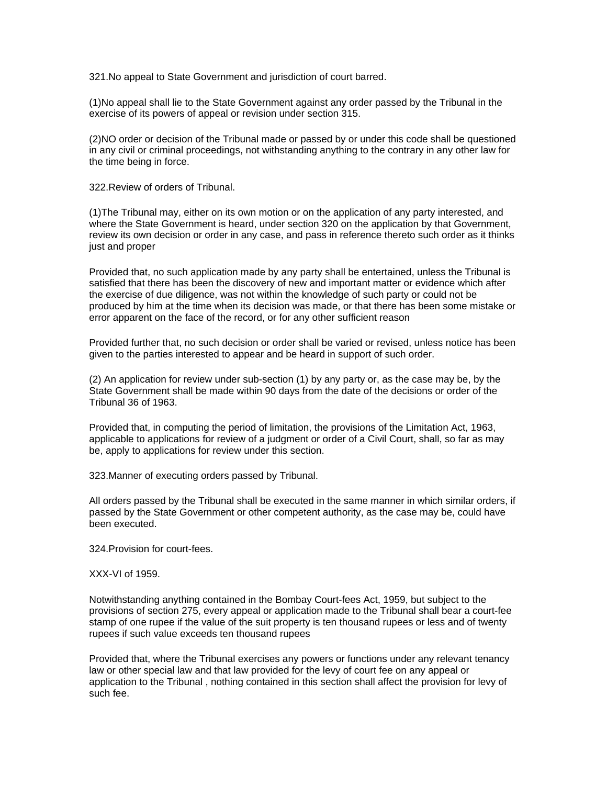321.No appeal to State Government and jurisdiction of court barred.

(1)No appeal shall lie to the State Government against any order passed by the Tribunal in the exercise of its powers of appeal or revision under section 315.

(2)NO order or decision of the Tribunal made or passed by or under this code shall be questioned in any civil or criminal proceedings, not withstanding anything to the contrary in any other law for the time being in force.

322.Review of orders of Tribunal.

(1)The Tribunal may, either on its own motion or on the application of any party interested, and where the State Government is heard, under section 320 on the application by that Government, review its own decision or order in any case, and pass in reference thereto such order as it thinks just and proper

Provided that, no such application made by any party shall be entertained, unless the Tribunal is satisfied that there has been the discovery of new and important matter or evidence which after the exercise of due diligence, was not within the knowledge of such party or could not be produced by him at the time when its decision was made, or that there has been some mistake or error apparent on the face of the record, or for any other sufficient reason

Provided further that, no such decision or order shall be varied or revised, unless notice has been given to the parties interested to appear and be heard in support of such order.

(2) An application for review under sub-section (1) by any party or, as the case may be, by the State Government shall be made within 90 days from the date of the decisions or order of the Tribunal 36 of 1963.

Provided that, in computing the period of limitation, the provisions of the Limitation Act, 1963, applicable to applications for review of a judgment or order of a Civil Court, shall, so far as may be, apply to applications for review under this section.

323.Manner of executing orders passed by Tribunal.

All orders passed by the Tribunal shall be executed in the same manner in which similar orders, if passed by the State Government or other competent authority, as the case may be, could have been executed.

324.Provision for court-fees.

XXX-VI of 1959.

Notwithstanding anything contained in the Bombay Court-fees Act, 1959, but subject to the provisions of section 275, every appeal or application made to the Tribunal shall bear a court-fee stamp of one rupee if the value of the suit property is ten thousand rupees or less and of twenty rupees if such value exceeds ten thousand rupees

Provided that, where the Tribunal exercises any powers or functions under any relevant tenancy law or other special law and that law provided for the levy of court fee on any appeal or application to the Tribunal , nothing contained in this section shall affect the provision for levy of such fee.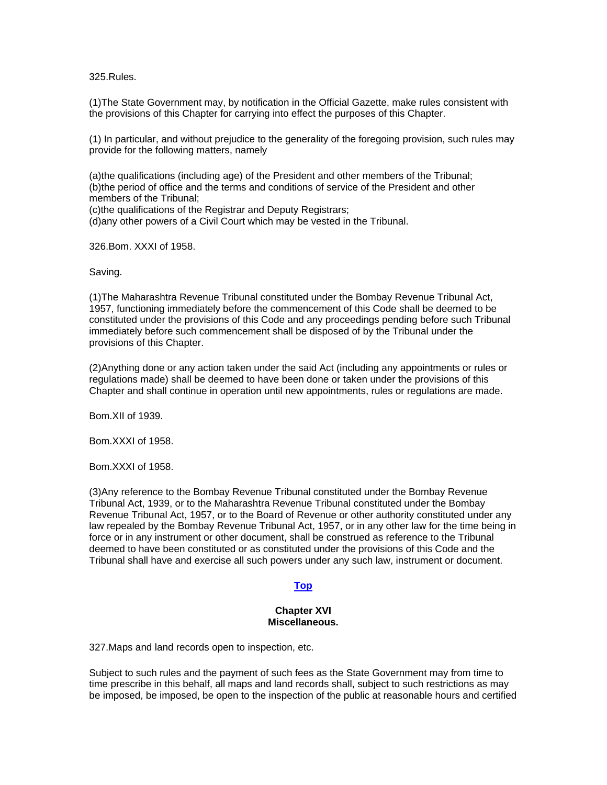325.Rules.

(1)The State Government may, by notification in the Official Gazette, make rules consistent with the provisions of this Chapter for carrying into effect the purposes of this Chapter.

(1) In particular, and without prejudice to the generality of the foregoing provision, such rules may provide for the following matters, namely

(a)the qualifications (including age) of the President and other members of the Tribunal; (b)the period of office and the terms and conditions of service of the President and other members of the Tribunal;

(c)the qualifications of the Registrar and Deputy Registrars;

(d)any other powers of a Civil Court which may be vested in the Tribunal.

326.Bom. XXXI of 1958.

#### Saving.

(1)The Maharashtra Revenue Tribunal constituted under the Bombay Revenue Tribunal Act, 1957, functioning immediately before the commencement of this Code shall be deemed to be constituted under the provisions of this Code and any proceedings pending before such Tribunal immediately before such commencement shall be disposed of by the Tribunal under the provisions of this Chapter.

(2)Anything done or any action taken under the said Act (including any appointments or rules or regulations made) shall be deemed to have been done or taken under the provisions of this Chapter and shall continue in operation until new appointments, rules or regulations are made.

Bom.XII of 1939.

Bom.XXXI of 1958.

Bom.XXXI of 1958.

(3)Any reference to the Bombay Revenue Tribunal constituted under the Bombay Revenue Tribunal Act, 1939, or to the Maharashtra Revenue Tribunal constituted under the Bombay Revenue Tribunal Act, 1957, or to the Board of Revenue or other authority constituted under any law repealed by the Bombay Revenue Tribunal Act, 1957, or in any other law for the time being in force or in any instrument or other document, shall be construed as reference to the Tribunal deemed to have been constituted or as constituted under the provisions of this Code and the Tribunal shall have and exercise all such powers under any such law, instrument or document.

# **[Top](http://www.nagpuronline.com/nagpurcollectorate/laws/mlrc/MAHARASHTRA.htm#Maharashtra#Maharashtra)**

# **Chapter XVI Miscellaneous.**

327.Maps and land records open to inspection, etc.

Subject to such rules and the payment of such fees as the State Government may from time to time prescribe in this behalf, all maps and land records shall, subject to such restrictions as may be imposed, be imposed, be open to the inspection of the public at reasonable hours and certified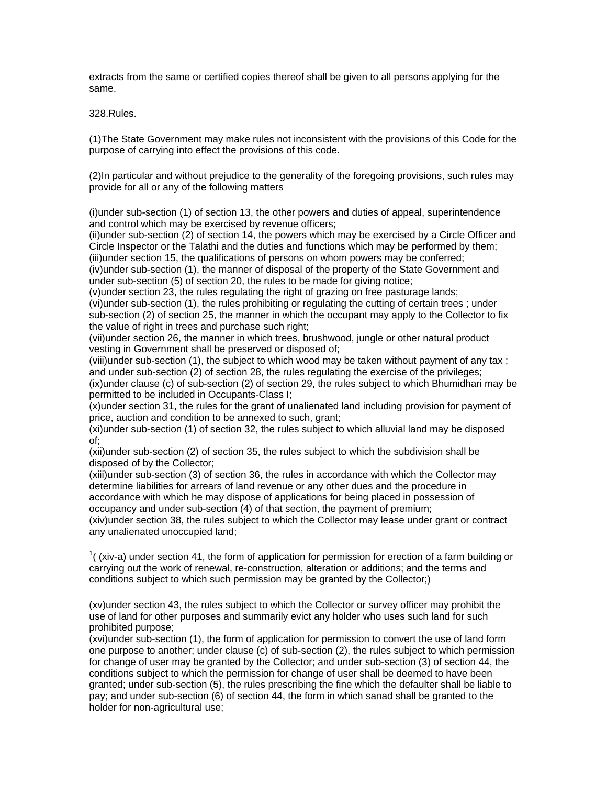extracts from the same or certified copies thereof shall be given to all persons applying for the same.

328.Rules.

(1)The State Government may make rules not inconsistent with the provisions of this Code for the purpose of carrying into effect the provisions of this code.

(2)In particular and without prejudice to the generality of the foregoing provisions, such rules may provide for all or any of the following matters

(i)under sub-section (1) of section 13, the other powers and duties of appeal, superintendence and control which may be exercised by revenue officers;

(ii)under sub-section (2) of section 14, the powers which may be exercised by a Circle Officer and Circle Inspector or the Talathi and the duties and functions which may be performed by them; (iii)under section 15, the qualifications of persons on whom powers may be conferred;

(iv)under sub-section (1), the manner of disposal of the property of the State Government and under sub-section (5) of section 20, the rules to be made for giving notice;

(v)under section 23, the rules regulating the right of grazing on free pasturage lands; (vi)under sub-section (1), the rules prohibiting or regulating the cutting of certain trees ; under sub-section (2) of section 25, the manner in which the occupant may apply to the Collector to fix the value of right in trees and purchase such right;

(vii)under section 26, the manner in which trees, brushwood, jungle or other natural product vesting in Government shall be preserved or disposed of;

(viii)under sub-section (1), the subject to which wood may be taken without payment of any tax ; and under sub-section (2) of section 28, the rules regulating the exercise of the privileges; (ix)under clause (c) of sub-section (2) of section 29, the rules subject to which Bhumidhari may be permitted to be included in Occupants-Class I;

(x)under section 31, the rules for the grant of unalienated land including provision for payment of price, auction and condition to be annexed to such, grant;

(xi)under sub-section (1) of section 32, the rules subject to which alluvial land may be disposed of;

(xii)under sub-section (2) of section 35, the rules subject to which the subdivision shall be disposed of by the Collector;

(xiii)under sub-section (3) of section 36, the rules in accordance with which the Collector may determine liabilities for arrears of land revenue or any other dues and the procedure in accordance with which he may dispose of applications for being placed in possession of occupancy and under sub-section (4) of that section, the payment of premium;

(xiv)under section 38, the rules subject to which the Collector may lease under grant or contract any unalienated unoccupied land;

 $1$ ((xiv-a) under section 41, the form of application for permission for erection of a farm building or carrying out the work of renewal, re-construction, alteration or additions; and the terms and conditions subject to which such permission may be granted by the Collector;)

(xv)under section 43, the rules subject to which the Collector or survey officer may prohibit the use of land for other purposes and summarily evict any holder who uses such land for such prohibited purpose;

(xvi)under sub-section (1), the form of application for permission to convert the use of land form one purpose to another; under clause (c) of sub-section (2), the rules subject to which permission for change of user may be granted by the Collector; and under sub-section (3) of section 44, the conditions subject to which the permission for change of user shall be deemed to have been granted; under sub-section (5), the rules prescribing the fine which the defaulter shall be liable to pay; and under sub-section (6) of section 44, the form in which sanad shall be granted to the holder for non-agricultural use;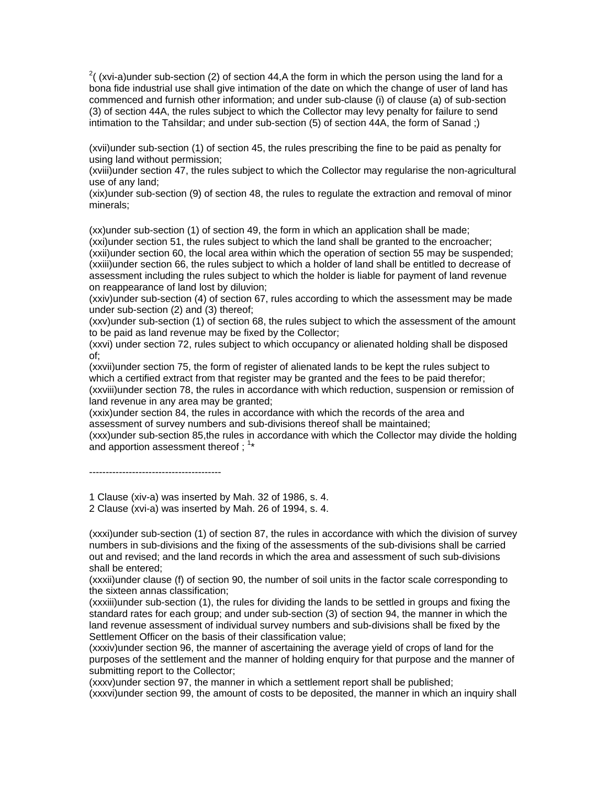$2^{2}$ ( (xvi-a)under sub-section (2) of section 44,A the form in which the person using the land for a bona fide industrial use shall give intimation of the date on which the change of user of land has commenced and furnish other information; and under sub-clause (i) of clause (a) of sub-section (3) of section 44A, the rules subject to which the Collector may levy penalty for failure to send intimation to the Tahsildar; and under sub-section (5) of section 44A, the form of Sanad ;)

(xvii)under sub-section (1) of section 45, the rules prescribing the fine to be paid as penalty for using land without permission;

(xviii)under section 47, the rules subject to which the Collector may regularise the non-agricultural use of any land;

(xix)under sub-section (9) of section 48, the rules to regulate the extraction and removal of minor minerals;

(xx)under sub-section (1) of section 49, the form in which an application shall be made; (xxi)under section 51, the rules subject to which the land shall be granted to the encroacher; (xxii)under section 60, the local area within which the operation of section 55 may be suspended; (xxiii)under section 66, the rules subject to which a holder of land shall be entitled to decrease of assessment including the rules subject to which the holder is liable for payment of land revenue on reappearance of land lost by diluvion;

(xxiv)under sub-section (4) of section 67, rules according to which the assessment may be made under sub-section (2) and (3) thereof;

(xxv)under sub-section (1) of section 68, the rules subject to which the assessment of the amount to be paid as land revenue may be fixed by the Collector;

(xxvi) under section 72, rules subject to which occupancy or alienated holding shall be disposed of;

(xxvii)under section 75, the form of register of alienated lands to be kept the rules subject to which a certified extract from that register may be granted and the fees to be paid therefor; (xxviii)under section 78, the rules in accordance with which reduction, suspension or remission of land revenue in any area may be granted;

(xxix)under section 84, the rules in accordance with which the records of the area and assessment of survey numbers and sub-divisions thereof shall be maintained;

(xxx)under sub-section 85,the rules in accordance with which the Collector may divide the holding and apportion assessment thereof;  $1*$ 

----------------------------------------

1 Clause (xiv-a) was inserted by Mah. 32 of 1986, s. 4.

2 Clause (xvi-a) was inserted by Mah. 26 of 1994, s. 4.

(xxxi)under sub-section (1) of section 87, the rules in accordance with which the division of survey numbers in sub-divisions and the fixing of the assessments of the sub-divisions shall be carried out and revised; and the land records in which the area and assessment of such sub-divisions shall be entered;

(xxxii)under clause (f) of section 90, the number of soil units in the factor scale corresponding to the sixteen annas classification;

(xxxiii)under sub-section (1), the rules for dividing the lands to be settled in groups and fixing the standard rates for each group; and under sub-section (3) of section 94, the manner in which the land revenue assessment of individual survey numbers and sub-divisions shall be fixed by the Settlement Officer on the basis of their classification value;

(xxxiv)under section 96, the manner of ascertaining the average yield of crops of land for the purposes of the settlement and the manner of holding enquiry for that purpose and the manner of submitting report to the Collector;

(xxxv)under section 97, the manner in which a settlement report shall be published;

(xxxvi)under section 99, the amount of costs to be deposited, the manner in which an inquiry shall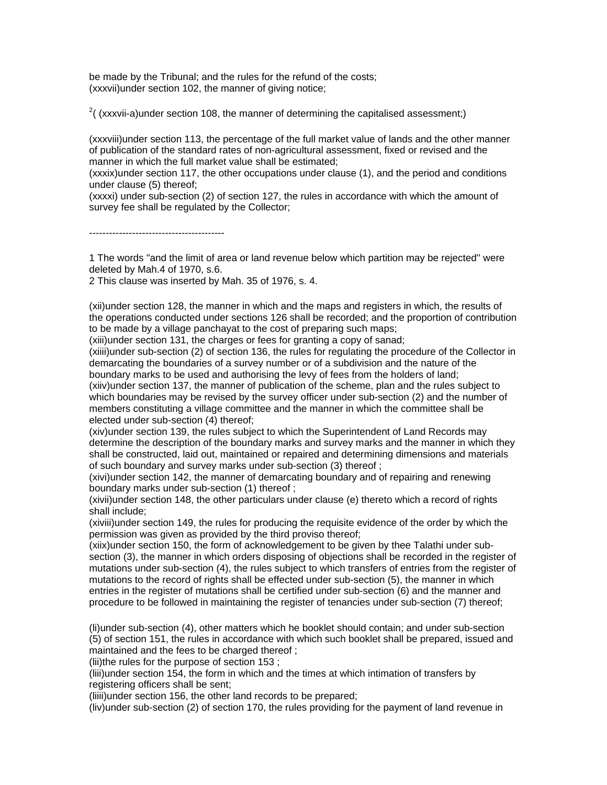be made by the Tribunal; and the rules for the refund of the costs; (xxxvii)under section 102, the manner of giving notice;

 $2($  (xxxvii-a)under section 108, the manner of determining the capitalised assessment;)

(xxxviii)under section 113, the percentage of the full market value of lands and the other manner of publication of the standard rates of non-agricultural assessment, fixed or revised and the manner in which the full market value shall be estimated;

(xxxix)under section 117, the other occupations under clause (1), and the period and conditions under clause (5) thereof;

(xxxxi) under sub-section (2) of section 127, the rules in accordance with which the amount of survey fee shall be regulated by the Collector;

-----------------------------------------

1 The words "and the limit of area or land revenue below which partition may be rejected'' were deleted by Mah.4 of 1970, s.6.

2 This clause was inserted by Mah. 35 of 1976, s. 4.

(xii)under section 128, the manner in which and the maps and registers in which, the results of the operations conducted under sections 126 shall be recorded; and the proportion of contribution to be made by a village panchayat to the cost of preparing such maps;

(xiii)under section 131, the charges or fees for granting a copy of sanad;

(xiiii)under sub-section (2) of section 136, the rules for regulating the procedure of the Collector in demarcating the boundaries of a survey number or of a subdivision and the nature of the boundary marks to be used and authorising the levy of fees from the holders of land; (xiiv)under section 137, the manner of publication of the scheme, plan and the rules subject to

which boundaries may be revised by the survey officer under sub-section (2) and the number of members constituting a village committee and the manner in which the committee shall be elected under sub-section (4) thereof;

(xiv)under section 139, the rules subject to which the Superintendent of Land Records may determine the description of the boundary marks and survey marks and the manner in which they shall be constructed, laid out, maintained or repaired and determining dimensions and materials of such boundary and survey marks under sub-section (3) thereof ;

(xivi)under section 142, the manner of demarcating boundary and of repairing and renewing boundary marks under sub-section (1) thereof ;

(xivii)under section 148, the other particulars under clause (e) thereto which a record of rights shall include;

(xiviii)under section 149, the rules for producing the requisite evidence of the order by which the permission was given as provided by the third proviso thereof;

(xiix)under section 150, the form of acknowledgement to be given by thee Talathi under subsection (3), the manner in which orders disposing of objections shall be recorded in the register of mutations under sub-section (4), the rules subject to which transfers of entries from the register of mutations to the record of rights shall be effected under sub-section (5), the manner in which entries in the register of mutations shall be certified under sub-section (6) and the manner and procedure to be followed in maintaining the register of tenancies under sub-section (7) thereof;

(li)under sub-section (4), other matters which he booklet should contain; and under sub-section (5) of section 151, the rules in accordance with which such booklet shall be prepared, issued and maintained and the fees to be charged thereof ;

(lii)the rules for the purpose of section 153 ;

(liii)under section 154, the form in which and the times at which intimation of transfers by registering officers shall be sent;

(liiii)under section 156, the other land records to be prepared;

(liv)under sub-section (2) of section 170, the rules providing for the payment of land revenue in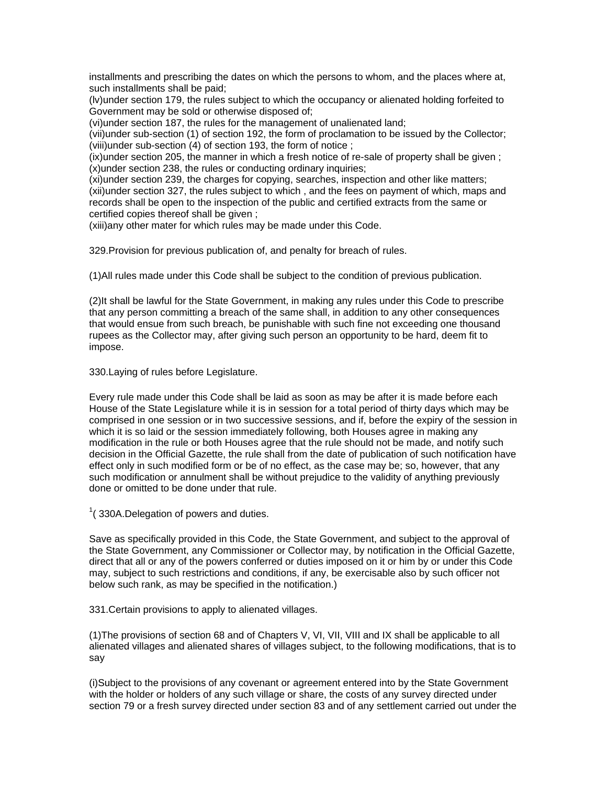installments and prescribing the dates on which the persons to whom, and the places where at, such installments shall be paid;

(lv)under section 179, the rules subject to which the occupancy or alienated holding forfeited to Government may be sold or otherwise disposed of;

(vi)under section 187, the rules for the management of unalienated land;

(vii)under sub-section (1) of section 192, the form of proclamation to be issued by the Collector; (viii)under sub-section (4) of section 193, the form of notice ;

(ix)under section 205, the manner in which a fresh notice of re-sale of property shall be given ; (x)under section 238, the rules or conducting ordinary inquiries;

(xi)under section 239, the charges for copying, searches, inspection and other like matters; (xii)under section 327, the rules subject to which , and the fees on payment of which, maps and records shall be open to the inspection of the public and certified extracts from the same or certified copies thereof shall be given ;

(xiii)any other mater for which rules may be made under this Code.

329.Provision for previous publication of, and penalty for breach of rules.

(1)All rules made under this Code shall be subject to the condition of previous publication.

(2)It shall be lawful for the State Government, in making any rules under this Code to prescribe that any person committing a breach of the same shall, in addition to any other consequences that would ensue from such breach, be punishable with such fine not exceeding one thousand rupees as the Collector may, after giving such person an opportunity to be hard, deem fit to impose.

330.Laying of rules before Legislature.

Every rule made under this Code shall be laid as soon as may be after it is made before each House of the State Legislature while it is in session for a total period of thirty days which may be comprised in one session or in two successive sessions, and if, before the expiry of the session in which it is so laid or the session immediately following, both Houses agree in making any modification in the rule or both Houses agree that the rule should not be made, and notify such decision in the Official Gazette, the rule shall from the date of publication of such notification have effect only in such modified form or be of no effect, as the case may be; so, however, that any such modification or annulment shall be without prejudice to the validity of anything previously done or omitted to be done under that rule.

 $1$ (330A.Delegation of powers and duties.

Save as specifically provided in this Code, the State Government, and subject to the approval of the State Government, any Commissioner or Collector may, by notification in the Official Gazette, direct that all or any of the powers conferred or duties imposed on it or him by or under this Code may, subject to such restrictions and conditions, if any, be exercisable also by such officer not below such rank, as may be specified in the notification.)

331.Certain provisions to apply to alienated villages.

(1)The provisions of section 68 and of Chapters V, VI, VII, VIII and IX shall be applicable to all alienated villages and alienated shares of villages subject, to the following modifications, that is to say

(i)Subject to the provisions of any covenant or agreement entered into by the State Government with the holder or holders of any such village or share, the costs of any survey directed under section 79 or a fresh survey directed under section 83 and of any settlement carried out under the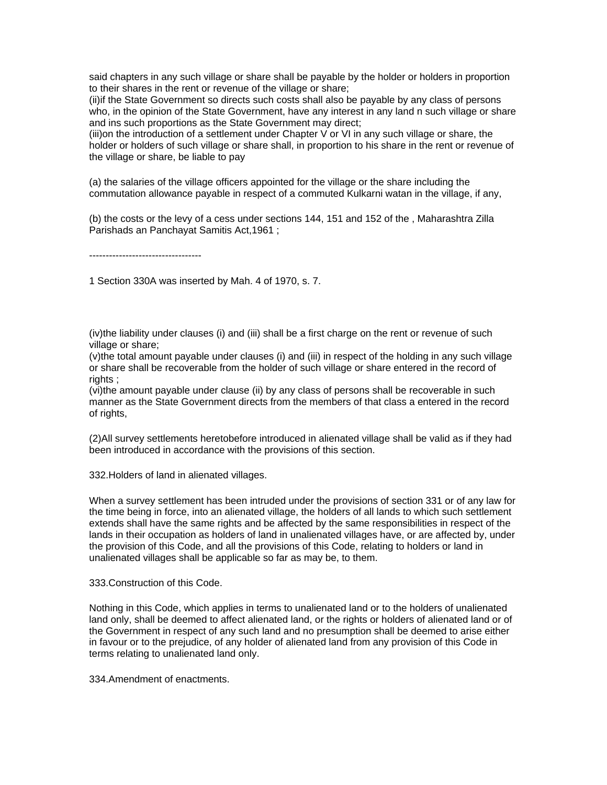said chapters in any such village or share shall be payable by the holder or holders in proportion to their shares in the rent or revenue of the village or share;

(ii)if the State Government so directs such costs shall also be payable by any class of persons who, in the opinion of the State Government, have any interest in any land n such village or share and ins such proportions as the State Government may direct;

(iii)on the introduction of a settlement under Chapter V or VI in any such village or share, the holder or holders of such village or share shall, in proportion to his share in the rent or revenue of the village or share, be liable to pay

(a) the salaries of the village officers appointed for the village or the share including the commutation allowance payable in respect of a commuted Kulkarni watan in the village, if any,

(b) the costs or the levy of a cess under sections 144, 151 and 152 of the , Maharashtra Zilla Parishads an Panchayat Samitis Act,1961 ;

----------------------------------

1 Section 330A was inserted by Mah. 4 of 1970, s. 7.

(iv)the liability under clauses (i) and (iii) shall be a first charge on the rent or revenue of such village or share;

(v)the total amount payable under clauses (i) and (iii) in respect of the holding in any such village or share shall be recoverable from the holder of such village or share entered in the record of rights ;

(vi)the amount payable under clause (ii) by any class of persons shall be recoverable in such manner as the State Government directs from the members of that class a entered in the record of rights,

(2)All survey settlements heretobefore introduced in alienated village shall be valid as if they had been introduced in accordance with the provisions of this section.

332.Holders of land in alienated villages.

When a survey settlement has been intruded under the provisions of section 331 or of any law for the time being in force, into an alienated village, the holders of all lands to which such settlement extends shall have the same rights and be affected by the same responsibilities in respect of the lands in their occupation as holders of land in unalienated villages have, or are affected by, under the provision of this Code, and all the provisions of this Code, relating to holders or land in unalienated villages shall be applicable so far as may be, to them.

333.Construction of this Code.

Nothing in this Code, which applies in terms to unalienated land or to the holders of unalienated land only, shall be deemed to affect alienated land, or the rights or holders of alienated land or of the Government in respect of any such land and no presumption shall be deemed to arise either in favour or to the prejudice, of any holder of alienated land from any provision of this Code in terms relating to unalienated land only.

334.Amendment of enactments.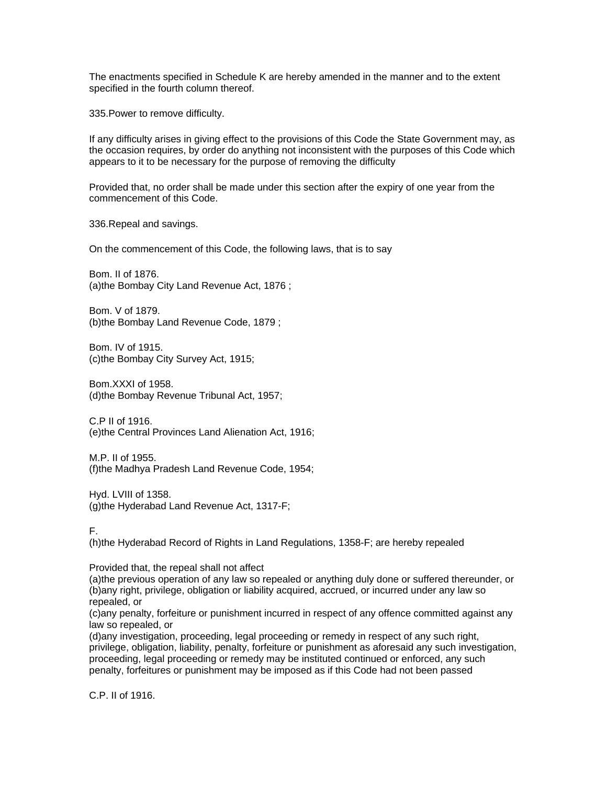The enactments specified in Schedule K are hereby amended in the manner and to the extent specified in the fourth column thereof.

335.Power to remove difficulty.

If any difficulty arises in giving effect to the provisions of this Code the State Government may, as the occasion requires, by order do anything not inconsistent with the purposes of this Code which appears to it to be necessary for the purpose of removing the difficulty

Provided that, no order shall be made under this section after the expiry of one year from the commencement of this Code.

336.Repeal and savings.

On the commencement of this Code, the following laws, that is to say

Bom. II of 1876. (a)the Bombay City Land Revenue Act, 1876 ;

Bom. V of 1879. (b)the Bombay Land Revenue Code, 1879 ;

Bom. IV of 1915. (c)the Bombay City Survey Act, 1915;

Bom.XXXI of 1958. (d)the Bombay Revenue Tribunal Act, 1957;

C.P II of 1916. (e)the Central Provinces Land Alienation Act, 1916;

M.P. II of 1955. (f)the Madhya Pradesh Land Revenue Code, 1954;

Hyd. LVIII of 1358. (g)the Hyderabad Land Revenue Act, 1317-F;

F.

(h)the Hyderabad Record of Rights in Land Regulations, 1358-F; are hereby repealed

Provided that, the repeal shall not affect

(a)the previous operation of any law so repealed or anything duly done or suffered thereunder, or (b)any right, privilege, obligation or liability acquired, accrued, or incurred under any law so repealed, or

(c)any penalty, forfeiture or punishment incurred in respect of any offence committed against any law so repealed, or

(d)any investigation, proceeding, legal proceeding or remedy in respect of any such right, privilege, obligation, liability, penalty, forfeiture or punishment as aforesaid any such investigation, proceeding, legal proceeding or remedy may be instituted continued or enforced, any such penalty, forfeitures or punishment may be imposed as if this Code had not been passed

C.P. II of 1916.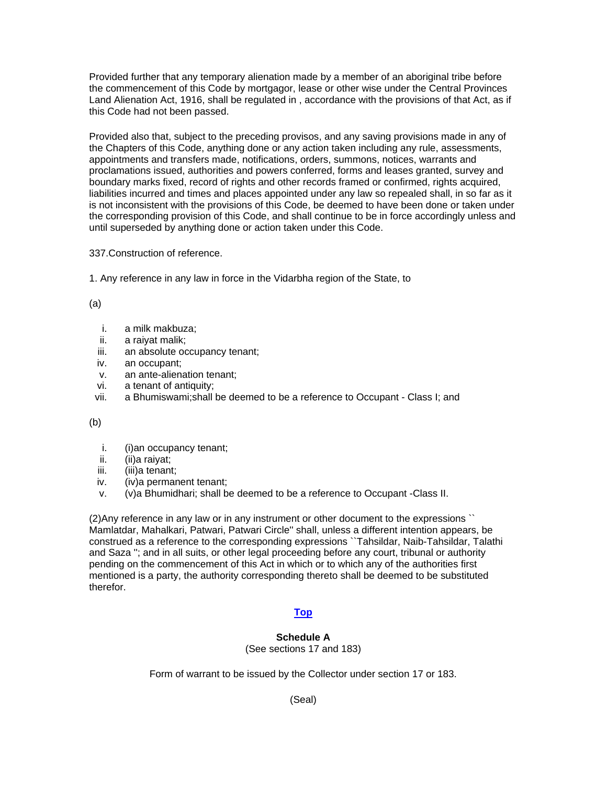Provided further that any temporary alienation made by a member of an aboriginal tribe before the commencement of this Code by mortgagor, lease or other wise under the Central Provinces Land Alienation Act, 1916, shall be regulated in , accordance with the provisions of that Act, as if this Code had not been passed.

Provided also that, subject to the preceding provisos, and any saving provisions made in any of the Chapters of this Code, anything done or any action taken including any rule, assessments, appointments and transfers made, notifications, orders, summons, notices, warrants and proclamations issued, authorities and powers conferred, forms and leases granted, survey and boundary marks fixed, record of rights and other records framed or confirmed, rights acquired, liabilities incurred and times and places appointed under any law so repealed shall, in so far as it is not inconsistent with the provisions of this Code, be deemed to have been done or taken under the corresponding provision of this Code, and shall continue to be in force accordingly unless and until superseded by anything done or action taken under this Code.

337.Construction of reference.

1. Any reference in any law in force in the Vidarbha region of the State, to

(a)

- i. a milk makbuza;
- ii. a raiyat malik;
- iii. an absolute occupancy tenant;
- iv. an occupant;
- v. an ante-alienation tenant;
- vi. a tenant of antiquity;
- vii. a Bhumiswami;shall be deemed to be a reference to Occupant Class I; and

(b)

- i. (i)an occupancy tenant;
- ii. (ii)a raiyat;
- iii. (iii)a tenant;
- iv. (iv)a permanent tenant;
- v. (v)a Bhumidhari; shall be deemed to be a reference to Occupant -Class II.

(2)Any reference in any law or in any instrument or other document to the expressions `` Mamlatdar, Mahalkari, Patwari, Patwari Circle'' shall, unless a different intention appears, be construed as a reference to the corresponding expressions ``Tahsildar, Naib-Tahsildar, Talathi and Saza ''; and in all suits, or other legal proceeding before any court, tribunal or authority pending on the commencement of this Act in which or to which any of the authorities first mentioned is a party, the authority corresponding thereto shall be deemed to be substituted therefor.

## **[Top](http://www.nagpuronline.com/nagpurcollectorate/laws/mlrc/Miscellaneous.htm#Miscellaneous.#Miscellaneous.)**

## **Schedule A**

(See sections 17 and 183)

Form of warrant to be issued by the Collector under section 17 or 183.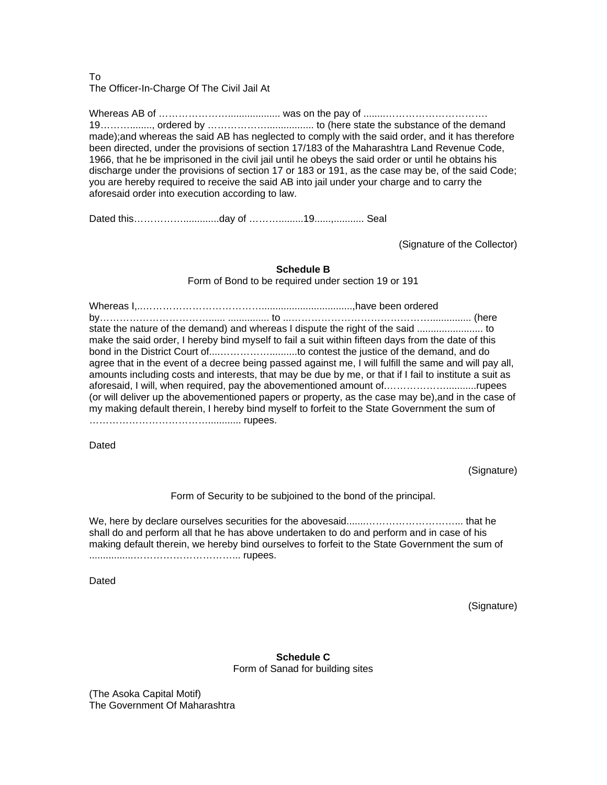## To The Officer-In-Charge Of The Civil Jail At

Whereas AB of …………………................... was on the pay of ........…………………………. 19………........, ordered by ………………................. to (here state the substance of the demand made);and whereas the said AB has neglected to comply with the said order, and it has therefore been directed, under the provisions of section 17/183 of the Maharashtra Land Revenue Code, 1966, that he be imprisoned in the civil jail until he obeys the said order or until he obtains his discharge under the provisions of section 17 or 183 or 191, as the case may be, of the said Code; you are hereby required to receive the said AB into jail under your charge and to carry the aforesaid order into execution according to law.

Dated this…………….............day of ……….........19......,........... Seal

(Signature of the Collector)

## **Schedule B**

Form of Bond to be required under section 19 or 191

Whereas I,..……………………………….................................,have been ordered by……………………………...... ............... to ...……………………………………............... (here state the nature of the demand) and whereas I dispute the right of the said ........................ to make the said order, I hereby bind myself to fail a suit within fifteen days from the date of this bond in the District Court of....……………..........to contest the justice of the demand, and do agree that in the event of a decree being passed against me, I will fulfill the same and will pay all, amounts including costs and interests, that may be due by me, or that if I fail to institute a suit as aforesaid, I will, when required, pay the abovementioned amount of.………………...........rupees (or will deliver up the abovementioned papers or property, as the case may be),and in the case of my making default therein, I hereby bind myself to forfeit to the State Government the sum of ………………………………............ rupees.

Dated

(Signature)

Form of Security to be subjoined to the bond of the principal.

We, here by declare ourselves securities for the abovesaid.......………………………... that he shall do and perform all that he has above undertaken to do and perform and in case of his making default therein, we hereby bind ourselves to forfeit to the State Government the sum of ................…………………………... rupees.

Dated

(Signature)

**Schedule C**  Form of Sanad for building sites

(The Asoka Capital Motif) The Government Of Maharashtra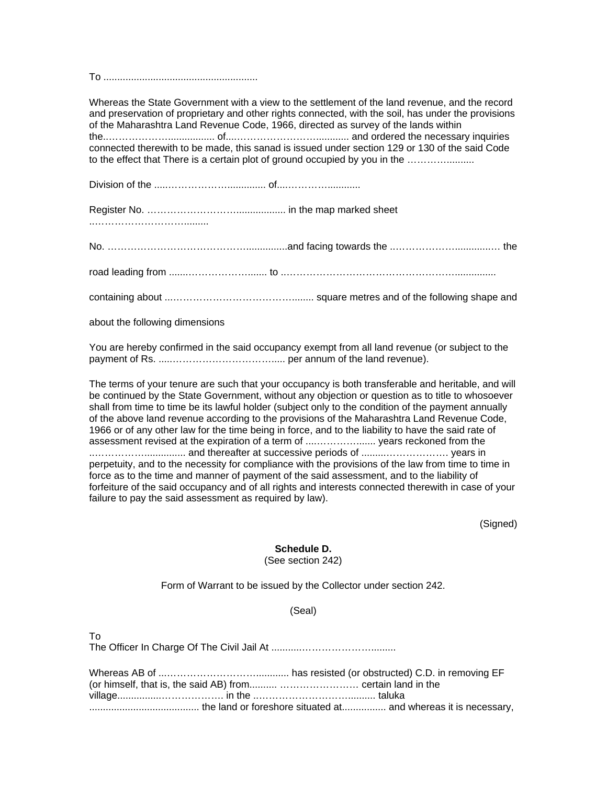To ........................................................

Whereas the State Government with a view to the settlement of the land revenue, and the record and preservation of proprietary and other rights connected, with the soil, has under the provisions of the Maharashtra Land Revenue Code, 1966, directed as survey of the lands within the..………………................. of....……………………............ and ordered the necessary inquiries connected therewith to be made, this sanad is issued under section 129 or 130 of the said Code to the effect that There is a certain plot of ground occupied by you in the .......................

Division of the .....……………….............. of....…………............

Register No. ……………………….................. in the map marked sheet

..……………………….........

No. ……………………………………...............and facing towards the ..……………….............… the

road leading from .......………………....... to ..……………………………………………...............

containing about ...………………………………........ square metres and of the following shape and

about the following dimensions

You are hereby confirmed in the said occupancy exempt from all land revenue (or subject to the payment of Rs. .....…………………………..... per annum of the land revenue).

The terms of your tenure are such that your occupancy is both transferable and heritable, and will be continued by the State Government, without any objection or question as to title to whosoever shall from time to time be its lawful holder (subject only to the condition of the payment annually of the above land revenue according to the provisions of the Maharashtra Land Revenue Code, 1966 or of any other law for the time being in force, and to the liability to have the said rate of assessment revised at the expiration of a term of ....…………....... years reckoned from the ..……………............... and thereafter at successive periods of .........………………. years in perpetuity, and to the necessity for compliance with the provisions of the law from time to time in force as to the time and manner of payment of the said assessment, and to the liability of forfeiture of the said occupancy and of all rights and interests connected therewith in case of your failure to pay the said assessment as required by law).

(Signed)

#### **Schedule D.**

(See section 242)

Form of Warrant to be issued by the Collector under section 242.

(Seal)

The Officer In Charge Of The Civil Jail At ...........………………….........

To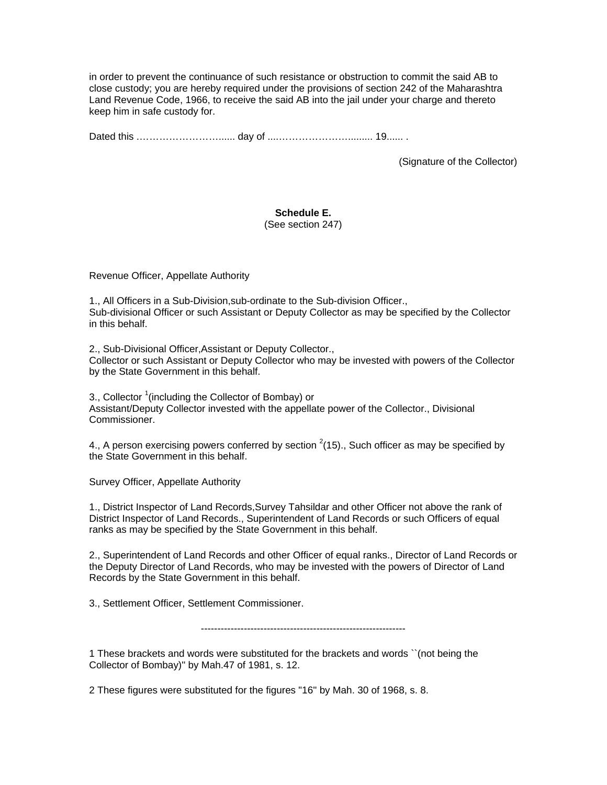in order to prevent the continuance of such resistance or obstruction to commit the said AB to close custody; you are hereby required under the provisions of section 242 of the Maharashtra Land Revenue Code, 1966, to receive the said AB into the jail under your charge and thereto keep him in safe custody for.

Dated this .……………………...... day of ....…………………......... 19...... .

(Signature of the Collector)

# **Schedule E.**

(See section 247)

Revenue Officer, Appellate Authority

1., All Officers in a Sub-Division,sub-ordinate to the Sub-division Officer., Sub-divisional Officer or such Assistant or Deputy Collector as may be specified by the Collector in this behalf.

2., Sub-Divisional Officer,Assistant or Deputy Collector., Collector or such Assistant or Deputy Collector who may be invested with powers of the Collector by the State Government in this behalf.

3., Collector <sup>1</sup> (including the Collector of Bombay) or Assistant/Deputy Collector invested with the appellate power of the Collector., Divisional Commissioner.

4., A person exercising powers conferred by section  $^{2}$ (15)., Such officer as may be specified by the State Government in this behalf.

Survey Officer, Appellate Authority

1., District Inspector of Land Records,Survey Tahsildar and other Officer not above the rank of District Inspector of Land Records., Superintendent of Land Records or such Officers of equal ranks as may be specified by the State Government in this behalf.

2., Superintendent of Land Records and other Officer of equal ranks., Director of Land Records or the Deputy Director of Land Records, who may be invested with the powers of Director of Land Records by the State Government in this behalf.

3., Settlement Officer, Settlement Commissioner.

--------------------------------------------------------------

1 These brackets and words were substituted for the brackets and words ``(not being the Collector of Bombay)'' by Mah.47 of 1981, s. 12.

2 These figures were substituted for the figures "16'' by Mah. 30 of 1968, s. 8.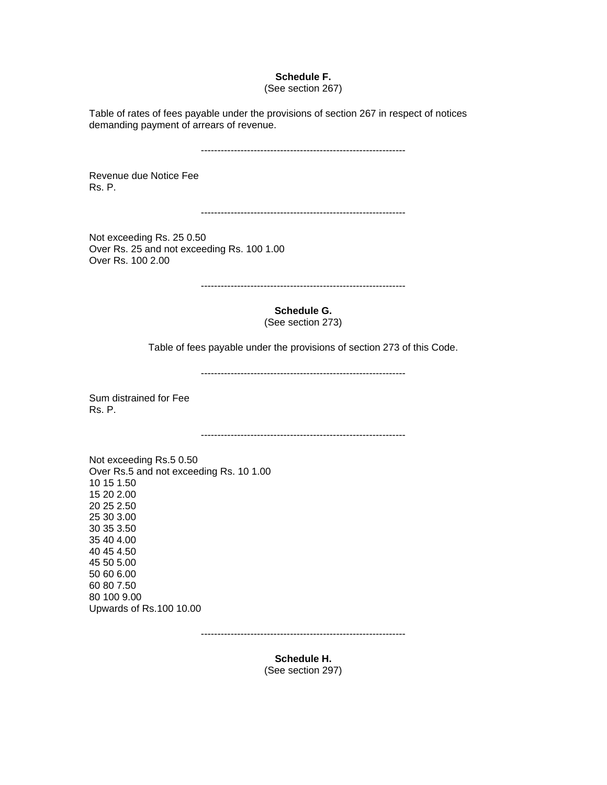## **Schedule F.**

#### (See section 267)

Table of rates of fees payable under the provisions of section 267 in respect of notices demanding payment of arrears of revenue.

--------------------------------------------------------------

Revenue due Notice Fee Rs. P.

--------------------------------------------------------------

Not exceeding Rs. 25 0.50 Over Rs. 25 and not exceeding Rs. 100 1.00 Over Rs. 100 2.00

--------------------------------------------------------------

**Schedule G.** 

(See section 273)

Table of fees payable under the provisions of section 273 of this Code.

--------------------------------------------------------------

Sum distrained for Fee Rs. P.

--------------------------------------------------------------

Not exceeding Rs.5 0.50 Over Rs.5 and not exceeding Rs. 10 1.00 10 15 1.50 15 20 2.00 20 25 2.50 25 30 3.00 30 35 3.50 35 40 4.00 40 45 4.50 45 50 5.00 50 60 6.00 60 80 7.50 80 100 9.00 Upwards of Rs.100 10.00

--------------------------------------------------------------

**Schedule H.**  (See section 297)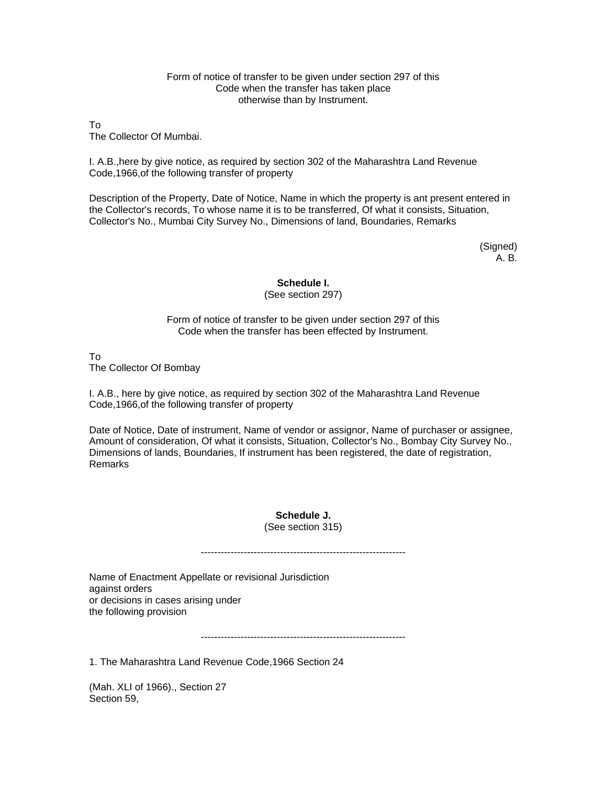#### Form of notice of transfer to be given under section 297 of this Code when the transfer has taken place otherwise than by Instrument.

To The Collector Of Mumbai.

I. A.B.,here by give notice, as required by section 302 of the Maharashtra Land Revenue Code,1966,of the following transfer of property

Description of the Property, Date of Notice, Name in which the property is ant present entered in the Collector's records, To whose name it is to be transferred, Of what it consists, Situation, Collector's No., Mumbai City Survey No., Dimensions of land, Boundaries, Remarks

> (Signed) A. B.

## **Schedule I.**

(See section 297)

Form of notice of transfer to be given under section 297 of this Code when the transfer has been effected by Instrument.

To

The Collector Of Bombay

I. A.B., here by give notice, as required by section 302 of the Maharashtra Land Revenue Code,1966,of the following transfer of property

Date of Notice, Date of instrument, Name of vendor or assignor, Name of purchaser or assignee, Amount of consideration, Of what it consists, Situation, Collector's No., Bombay City Survey No., Dimensions of lands, Boundaries, If instrument has been registered, the date of registration, Remarks

> **Schedule J.**  (See section 315)

--------------------------------------------------------------

--------------------------------------------------------------

Name of Enactment Appellate or revisional Jurisdiction against orders or decisions in cases arising under the following provision

1. The Maharashtra Land Revenue Code,1966 Section 24

(Mah. XLI of 1966)., Section 27 Section 59,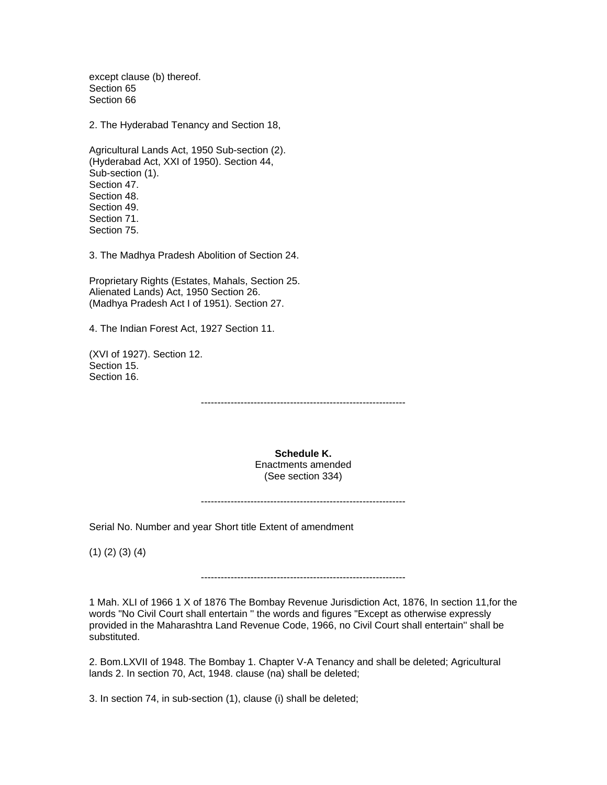except clause (b) thereof. Section 65 Section 66

2. The Hyderabad Tenancy and Section 18,

Agricultural Lands Act, 1950 Sub-section (2). (Hyderabad Act, XXI of 1950). Section 44, Sub-section (1). Section 47. Section 48. Section 49. Section 71. Section 75.

3. The Madhya Pradesh Abolition of Section 24.

Proprietary Rights (Estates, Mahals, Section 25. Alienated Lands) Act, 1950 Section 26. (Madhya Pradesh Act I of 1951). Section 27.

4. The Indian Forest Act, 1927 Section 11.

(XVI of 1927). Section 12. Section 15. Section 16.

--------------------------------------------------------------

**Schedule K.**  Enactments amended (See section 334)

--------------------------------------------------------------

Serial No. Number and year Short title Extent of amendment

(1) (2) (3) (4)

--------------------------------------------------------------

1 Mah. XLI of 1966 1 X of 1876 The Bombay Revenue Jurisdiction Act, 1876, In section 11,for the words "No Civil Court shall entertain '' the words and figures "Except as otherwise expressly provided in the Maharashtra Land Revenue Code, 1966, no Civil Court shall entertain'' shall be substituted.

2. Bom.LXVII of 1948. The Bombay 1. Chapter V-A Tenancy and shall be deleted; Agricultural lands 2. In section 70, Act, 1948. clause (na) shall be deleted;

3. In section 74, in sub-section (1), clause (i) shall be deleted;